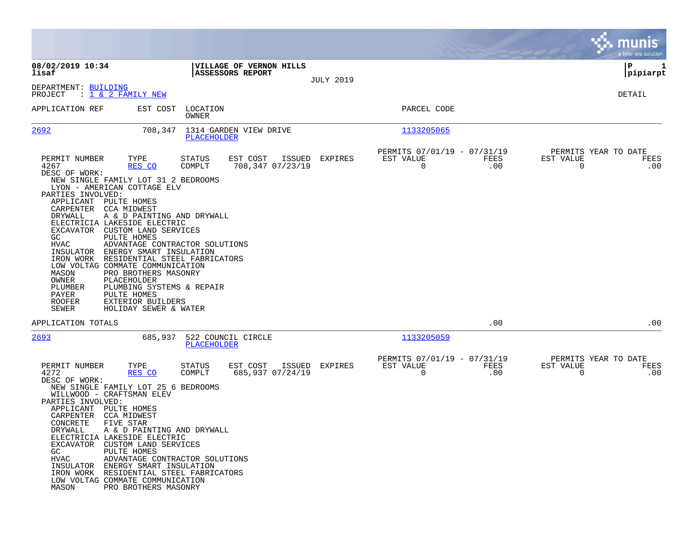|                                                                                                                                                                                                                                                                                                                                                                                                                                                                                                                                                                                                                                                                                                                   |                                                            |                  |                                                                           | munis<br>a tyler erp solution                                   |
|-------------------------------------------------------------------------------------------------------------------------------------------------------------------------------------------------------------------------------------------------------------------------------------------------------------------------------------------------------------------------------------------------------------------------------------------------------------------------------------------------------------------------------------------------------------------------------------------------------------------------------------------------------------------------------------------------------------------|------------------------------------------------------------|------------------|---------------------------------------------------------------------------|-----------------------------------------------------------------|
| 08/02/2019 10:34<br>lisaf                                                                                                                                                                                                                                                                                                                                                                                                                                                                                                                                                                                                                                                                                         | VILLAGE OF VERNON HILLS<br><b>ASSESSORS REPORT</b>         |                  |                                                                           | ∣P<br>1<br> pipiarpt                                            |
| DEPARTMENT: BUILDING<br>PROJECT<br>: 1 <u>&amp; 2 FAMILY NEW</u>                                                                                                                                                                                                                                                                                                                                                                                                                                                                                                                                                                                                                                                  |                                                            | <b>JULY 2019</b> |                                                                           | DETAIL                                                          |
| APPLICATION REF<br>EST COST                                                                                                                                                                                                                                                                                                                                                                                                                                                                                                                                                                                                                                                                                       | LOCATION<br>OWNER                                          |                  | PARCEL CODE                                                               |                                                                 |
| 2692<br>708,347                                                                                                                                                                                                                                                                                                                                                                                                                                                                                                                                                                                                                                                                                                   | 1314 GARDEN VIEW DRIVE<br>PLACEHOLDER                      |                  | 1133205065                                                                |                                                                 |
| PERMIT NUMBER<br>TYPE<br>4267<br>RES CO<br>DESC OF WORK:<br>NEW SINGLE FAMILY LOT 31 2 BEDROOMS<br>LYON - AMERICAN COTTAGE ELV<br>PARTIES INVOLVED:<br>APPLICANT PULTE HOMES<br>CARPENTER CCA MIDWEST<br>DRYWALL<br>A & D PAINTING AND DRYWALL<br>ELECTRICIA LAKESIDE ELECTRIC<br>EXCAVATOR CUSTOM LAND SERVICES<br>GC<br>PULTE HOMES<br><b>HVAC</b><br>ADVANTAGE CONTRACTOR SOLUTIONS<br>INSULATOR<br>ENERGY SMART INSULATION<br>IRON WORK<br>RESIDENTIAL STEEL FABRICATORS<br>LOW VOLTAG COMMATE COMMUNICATION<br>PRO BROTHERS MASONRY<br>MASON<br>OWNER<br>PLACEHOLDER<br>PLUMBER<br>PLUMBING SYSTEMS & REPAIR<br>PAYER<br>PULTE HOMES<br><b>ROOFER</b><br>EXTERIOR BUILDERS<br>SEWER<br>HOLIDAY SEWER & WATER | STATUS<br>EST COST<br>ISSUED<br>COMPLT<br>708,347 07/23/19 | EXPIRES          | PERMITS 07/01/19 - 07/31/19<br>EST VALUE<br>FEES<br>$\mathbf 0$<br>.00    | PERMITS YEAR TO DATE<br>EST VALUE<br>FEES<br>$\mathbf 0$<br>.00 |
| APPLICATION TOTALS                                                                                                                                                                                                                                                                                                                                                                                                                                                                                                                                                                                                                                                                                                |                                                            |                  | .00                                                                       | .00                                                             |
| 2693<br>685,937                                                                                                                                                                                                                                                                                                                                                                                                                                                                                                                                                                                                                                                                                                   | 522 COUNCIL CIRCLE<br>PLACEHOLDER                          |                  | 1133205059                                                                |                                                                 |
| PERMIT NUMBER<br>TYPE<br>4272<br>RES CO<br>DESC OF WORK:<br>NEW SINGLE FAMILY LOT 25 6 BEDROOMS<br>WILLWOOD - CRAFTSMAN ELEV<br>PARTIES INVOLVED:<br>APPLICANT<br>PULTE HOMES<br>CCA MIDWEST<br>CARPENTER<br>CONCRETE<br>FIVE STAR<br>A & D PAINTING AND DRYWALL<br>DRYWALL<br>ELECTRICIA LAKESIDE ELECTRIC<br>EXCAVATOR CUSTOM LAND SERVICES<br>GC<br>PULTE HOMES<br>ADVANTAGE CONTRACTOR SOLUTIONS<br>HVAC<br>INSULATOR ENERGY SMART INSULATION<br>IRON WORK RESIDENTIAL STEEL FABRICATORS<br>LOW VOLTAG COMMATE COMMUNICATION<br>PRO BROTHERS MASONRY<br>MASON                                                                                                                                                 | EST COST<br>STATUS<br>ISSUED<br>COMPLT<br>685,937 07/24/19 | EXPIRES          | PERMITS 07/01/19 - 07/31/19<br>EST VALUE<br>FEES<br>$\overline{0}$<br>.00 | PERMITS YEAR TO DATE<br>EST VALUE<br>FEES<br>$\mathbf 0$<br>.00 |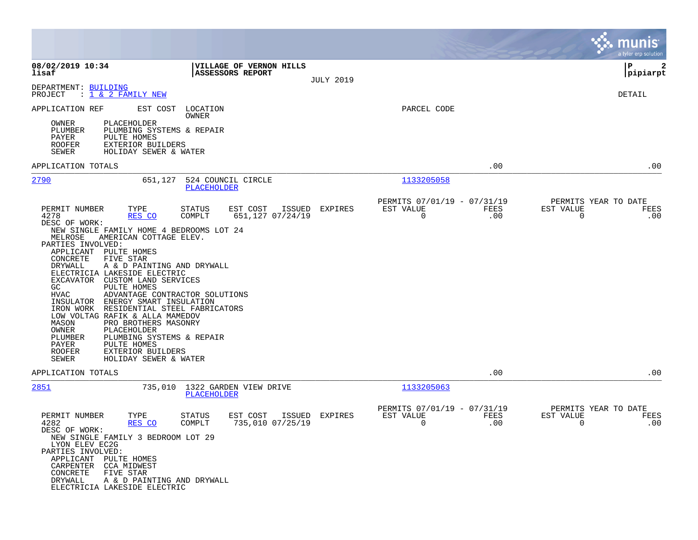|                                                                                                                                                                                                                                                                                                                                                                                                                                                                                                                                                                                                                                                                                                                      |                                                                           |                  |                                                         |             |                                        | munis<br>a tyler erp solution |
|----------------------------------------------------------------------------------------------------------------------------------------------------------------------------------------------------------------------------------------------------------------------------------------------------------------------------------------------------------------------------------------------------------------------------------------------------------------------------------------------------------------------------------------------------------------------------------------------------------------------------------------------------------------------------------------------------------------------|---------------------------------------------------------------------------|------------------|---------------------------------------------------------|-------------|----------------------------------------|-------------------------------|
| 08/02/2019 10:34<br>lisaf                                                                                                                                                                                                                                                                                                                                                                                                                                                                                                                                                                                                                                                                                            | VILLAGE OF VERNON HILLS<br><b>ASSESSORS REPORT</b>                        | <b>JULY 2019</b> |                                                         |             |                                        | 2<br>l P<br> pipiarpt         |
| DEPARTMENT: BUILDING<br>PROJECT<br>: 1 & 2 FAMILY NEW                                                                                                                                                                                                                                                                                                                                                                                                                                                                                                                                                                                                                                                                |                                                                           |                  |                                                         |             |                                        | DETAIL                        |
| APPLICATION REF<br>EST COST<br>OWNER<br>PLACEHOLDER<br>PLUMBER<br>PLUMBING SYSTEMS & REPAIR<br>PAYER<br>PULTE HOMES<br><b>ROOFER</b><br><b>EXTERIOR BUILDERS</b><br>SEWER<br>HOLIDAY SEWER & WATER                                                                                                                                                                                                                                                                                                                                                                                                                                                                                                                   | LOCATION<br>OWNER                                                         |                  | PARCEL CODE                                             |             |                                        |                               |
| APPLICATION TOTALS                                                                                                                                                                                                                                                                                                                                                                                                                                                                                                                                                                                                                                                                                                   |                                                                           |                  |                                                         | .00         |                                        | .00                           |
| <u> 2790</u><br>651,127                                                                                                                                                                                                                                                                                                                                                                                                                                                                                                                                                                                                                                                                                              | 524 COUNCIL CIRCLE<br>PLACEHOLDER                                         |                  | 1133205058                                              |             |                                        |                               |
| PERMIT NUMBER<br>TYPE<br>4278<br>RES CO<br>DESC OF WORK:<br>NEW SINGLE FAMILY HOME 4 BEDROOMS LOT 24<br>MELROSE<br>AMERICAN COTTAGE ELEV.<br>PARTIES INVOLVED:<br>APPLICANT PULTE HOMES<br>CONCRETE<br>FIVE STAR<br>DRYWALL<br>A & D PAINTING AND DRYWALL<br>ELECTRICIA LAKESIDE ELECTRIC<br>EXCAVATOR CUSTOM LAND SERVICES<br>GC<br>PULTE HOMES<br><b>HVAC</b><br>ADVANTAGE CONTRACTOR SOLUTIONS<br>INSULATOR<br>ENERGY SMART INSULATION<br>RESIDENTIAL STEEL FABRICATORS<br>IRON WORK<br>LOW VOLTAG RAFIK & ALLA MAMEDOV<br>MASON<br>PRO BROTHERS MASONRY<br>OWNER<br>PLACEHOLDER<br>PLUMBER<br>PLUMBING SYSTEMS & REPAIR<br>PAYER<br>PULTE HOMES<br>ROOFER<br>EXTERIOR BUILDERS<br>SEWER<br>HOLIDAY SEWER & WATER | ISSUED EXPIRES<br><b>STATUS</b><br>EST COST<br>COMPLT<br>651,127 07/24/19 |                  | PERMITS 07/01/19 - 07/31/19<br>EST VALUE<br>$\mathbf 0$ | FEES<br>.00 | PERMITS YEAR TO DATE<br>EST VALUE<br>0 | FEES<br>.00                   |
| APPLICATION TOTALS                                                                                                                                                                                                                                                                                                                                                                                                                                                                                                                                                                                                                                                                                                   |                                                                           |                  |                                                         | .00         |                                        | .00                           |
| 2851                                                                                                                                                                                                                                                                                                                                                                                                                                                                                                                                                                                                                                                                                                                 | 735,010 1322 GARDEN VIEW DRIVE<br>PLACEHOLDER                             |                  | 1133205063                                              |             |                                        |                               |
| PERMIT NUMBER<br>TYPE<br>4282<br>RES CO<br>DESC OF WORK:<br>NEW SINGLE FAMILY 3 BEDROOM LOT 29<br>LYON ELEV EC2G<br>PARTIES INVOLVED:<br>APPLICANT PULTE HOMES<br>CARPENTER CCA MIDWEST<br>CONCRETE<br>FIVE STAR<br>DRYWALL<br>A & D PAINTING AND DRYWALL<br>ELECTRICIA LAKESIDE ELECTRIC                                                                                                                                                                                                                                                                                                                                                                                                                            | EST COST ISSUED<br><b>STATUS</b><br>735,010 07/25/19<br>COMPLT            | EXPIRES          | PERMITS 07/01/19 - 07/31/19<br>EST VALUE<br>0           | FEES<br>.00 | PERMITS YEAR TO DATE<br>EST VALUE<br>0 | FEES<br>.00                   |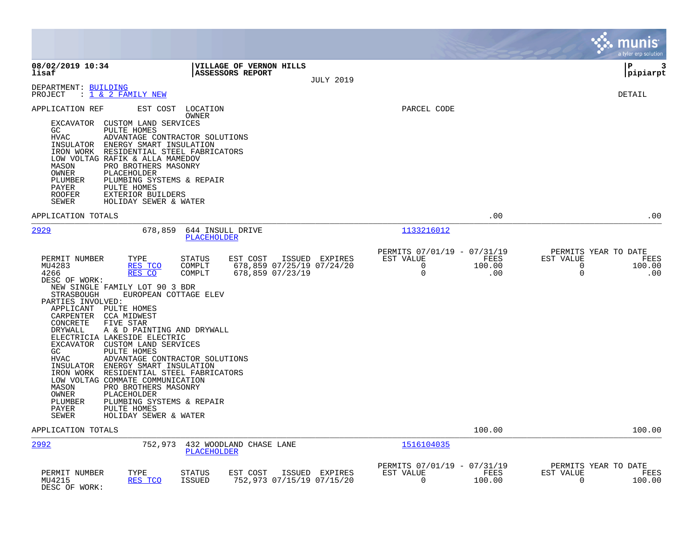|                                                                                                                                                                                                                                                                                                                                                                                                                                                                                                                                                                                                                                                                                                                                                                               |                                                                 |                                                                     |                       | munis <sup>®</sup><br>a tyler erp solution                          |             |
|-------------------------------------------------------------------------------------------------------------------------------------------------------------------------------------------------------------------------------------------------------------------------------------------------------------------------------------------------------------------------------------------------------------------------------------------------------------------------------------------------------------------------------------------------------------------------------------------------------------------------------------------------------------------------------------------------------------------------------------------------------------------------------|-----------------------------------------------------------------|---------------------------------------------------------------------|-----------------------|---------------------------------------------------------------------|-------------|
| 08/02/2019 10:34<br>VILLAGE OF VERNON HILLS<br>lisaf<br><b>ASSESSORS REPORT</b>                                                                                                                                                                                                                                                                                                                                                                                                                                                                                                                                                                                                                                                                                               | <b>JULY 2019</b>                                                |                                                                     |                       | l P<br> pipiarpt                                                    | 3           |
| DEPARTMENT: BUILDING<br>PROJECT<br>: 1 & 2 FAMILY NEW                                                                                                                                                                                                                                                                                                                                                                                                                                                                                                                                                                                                                                                                                                                         |                                                                 |                                                                     |                       | DETAIL                                                              |             |
| APPLICATION REF<br>EST COST LOCATION<br>OWNER<br>CUSTOM LAND SERVICES<br>EXCAVATOR<br>GC<br>PULTE HOMES<br><b>HVAC</b><br>ADVANTAGE CONTRACTOR SOLUTIONS<br>ENERGY SMART INSULATION<br>INSULATOR<br>IRON WORK<br>RESIDENTIAL STEEL FABRICATORS<br>LOW VOLTAG RAFIK & ALLA MAMEDOV<br>PRO BROTHERS MASONRY<br>MASON<br>OWNER<br>PLACEHOLDER<br>PLUMBER<br>PLUMBING SYSTEMS & REPAIR<br>PAYER<br>PULTE HOMES<br><b>ROOFER</b><br>EXTERIOR BUILDERS<br>SEWER<br>HOLIDAY SEWER & WATER                                                                                                                                                                                                                                                                                            |                                                                 | PARCEL CODE                                                         |                       |                                                                     |             |
| APPLICATION TOTALS                                                                                                                                                                                                                                                                                                                                                                                                                                                                                                                                                                                                                                                                                                                                                            |                                                                 |                                                                     | .00                   |                                                                     | .00         |
| 2929<br>678,859<br>644 INSULL DRIVE<br>PLACEHOLDER                                                                                                                                                                                                                                                                                                                                                                                                                                                                                                                                                                                                                                                                                                                            |                                                                 | 1133216012                                                          |                       |                                                                     |             |
| PERMIT NUMBER<br>EST COST<br>TYPE<br>STATUS<br>MU4283<br>RES TCO<br>COMPLT<br>4266<br>RES CO<br>COMPLT<br>DESC OF WORK:<br>NEW SINGLE FAMILY LOT 90 3 BDR<br>EUROPEAN COTTAGE ELEV<br>STRASBOUGH<br>PARTIES INVOLVED:<br>APPLICANT PULTE HOMES<br>CARPENTER CCA MIDWEST<br>FIVE STAR<br>CONCRETE<br>DRYWALL<br>A & D PAINTING AND DRYWALL<br>ELECTRICIA LAKESIDE ELECTRIC<br><b>EXCAVATOR</b><br>CUSTOM LAND SERVICES<br>PULTE HOMES<br>GC<br><b>HVAC</b><br>ADVANTAGE CONTRACTOR SOLUTIONS<br>INSULATOR ENERGY SMART INSULATION<br>IRON WORK<br>RESIDENTIAL STEEL FABRICATORS<br>LOW VOLTAG COMMATE COMMUNICATION<br>PRO BROTHERS MASONRY<br>MASON<br>OWNER<br>PLACEHOLDER<br>PLUMBING SYSTEMS & REPAIR<br>PLUMBER<br>PULTE HOMES<br>PAYER<br>SEWER<br>HOLIDAY SEWER & WATER | ISSUED EXPIRES<br>678,859 07/25/19 07/24/20<br>678,859 07/23/19 | PERMITS 07/01/19 - 07/31/19<br>EST VALUE<br>$\Omega$<br>$\mathbf 0$ | FEES<br>100.00<br>.00 | PERMITS YEAR TO DATE<br>EST VALUE<br>$\Omega$<br>100.00<br>$\Omega$ | FEES<br>.00 |
| APPLICATION TOTALS                                                                                                                                                                                                                                                                                                                                                                                                                                                                                                                                                                                                                                                                                                                                                            |                                                                 |                                                                     | 100.00                | 100.00                                                              |             |
| 2992<br>752,973<br>432 WOODLAND CHASE LANE<br><b>PLACEHOLDER</b>                                                                                                                                                                                                                                                                                                                                                                                                                                                                                                                                                                                                                                                                                                              |                                                                 | 1516104035                                                          |                       |                                                                     |             |
| EST COST<br>PERMIT NUMBER<br>TYPE<br>STATUS<br>MU4215<br>RES TCO<br><b>ISSUED</b><br>DESC OF WORK:                                                                                                                                                                                                                                                                                                                                                                                                                                                                                                                                                                                                                                                                            | ISSUED EXPIRES<br>752,973 07/15/19 07/15/20                     | PERMITS 07/01/19 - 07/31/19<br>EST VALUE<br>$\mathbf 0$             | FEES<br>100.00        | PERMITS YEAR TO DATE<br>EST VALUE<br>$\Omega$<br>100.00             | FEES        |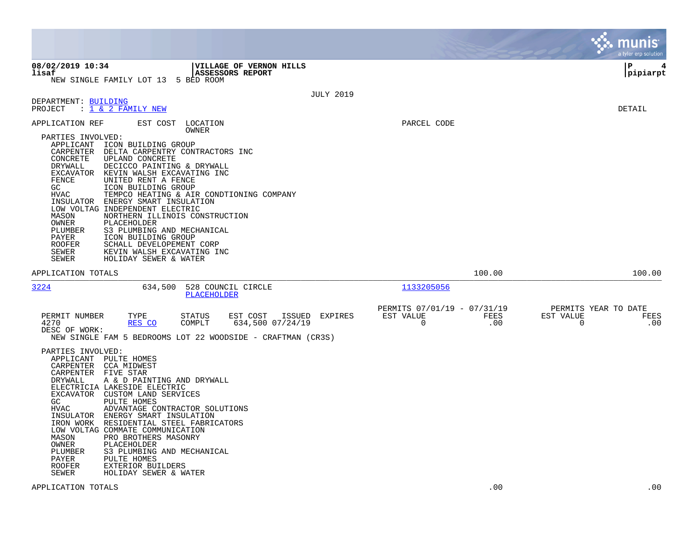|                                                                                                                                                                                                                                                                                                                                                                                                                                                                                                                                                                                                                                                                                                                                              |                                                                                   | munis<br>a tyler erp solution                                   |
|----------------------------------------------------------------------------------------------------------------------------------------------------------------------------------------------------------------------------------------------------------------------------------------------------------------------------------------------------------------------------------------------------------------------------------------------------------------------------------------------------------------------------------------------------------------------------------------------------------------------------------------------------------------------------------------------------------------------------------------------|-----------------------------------------------------------------------------------|-----------------------------------------------------------------|
| 08/02/2019 10:34<br>VILLAGE OF VERNON HILLS<br><b>ASSESSORS REPORT</b><br>lisaf<br>NEW SINGLE FAMILY LOT 13 5 BED ROOM                                                                                                                                                                                                                                                                                                                                                                                                                                                                                                                                                                                                                       |                                                                                   | l P<br> pipiarpt                                                |
| DEPARTMENT: BUILDING<br>PROJECT<br>: 1 & 2 FAMILY NEW                                                                                                                                                                                                                                                                                                                                                                                                                                                                                                                                                                                                                                                                                        | <b>JULY 2019</b>                                                                  | DETAIL                                                          |
| EST COST LOCATION<br>APPLICATION REF<br>OWNER<br>PARTIES INVOLVED:<br>APPLICANT ICON BUILDING GROUP<br>CARPENTER DELTA CARPENTRY CONTRACTORS INC<br>CONCRETE<br>UPLAND CONCRETE<br>DRYWALL<br>DECICCO PAINTING & DRYWALL<br>EXCAVATOR<br>KEVIN WALSH EXCAVATING INC<br>FENCE<br>UNITED RENT A FENCE<br>GC<br>ICON BUILDING GROUP<br><b>HVAC</b><br>TEMPCO HEATING & AIR CONDTIONING COMPANY<br>INSULATOR ENERGY SMART INSULATION<br>LOW VOLTAG INDEPENDENT ELECTRIC<br>MASON<br>NORTHERN ILLINOIS CONSTRUCTION<br>OWNER<br>PLACEHOLDER<br>PLUMBER<br>S3 PLUMBING AND MECHANICAL<br>PAYER<br>ICON BUILDING GROUP<br><b>ROOFER</b><br>SCHALL DEVELOPEMENT CORP<br>SEWER<br>KEVIN WALSH EXCAVATING INC<br><b>SEWER</b><br>HOLIDAY SEWER & WATER | PARCEL CODE                                                                       |                                                                 |
| APPLICATION TOTALS                                                                                                                                                                                                                                                                                                                                                                                                                                                                                                                                                                                                                                                                                                                           | 100.00                                                                            | 100.00                                                          |
| 3224<br>634,500<br>528 COUNCIL CIRCLE<br><b>PLACEHOLDER</b>                                                                                                                                                                                                                                                                                                                                                                                                                                                                                                                                                                                                                                                                                  | 1133205056                                                                        |                                                                 |
| PERMIT NUMBER<br>TYPE<br>EST COST<br>ISSUED<br>STATUS<br>4270<br>RES CO<br>COMPLT<br>634,500 07/24/19<br>DESC OF WORK:<br>NEW SINGLE FAM 5 BEDROOMS LOT 22 WOODSIDE - CRAFTMAN (CR3S)<br>PARTIES INVOLVED:<br>APPLICANT PULTE HOMES                                                                                                                                                                                                                                                                                                                                                                                                                                                                                                          | PERMITS 07/01/19 - 07/31/19<br>EXPIRES<br>EST VALUE<br>FEES<br>$\mathbf 0$<br>.00 | PERMITS YEAR TO DATE<br>EST VALUE<br>FEES<br>$\mathbf 0$<br>.00 |
| CARPENTER CCA MIDWEST<br>CARPENTER FIVE STAR<br>DRYWALL<br>A & D PAINTING AND DRYWALL<br>ELECTRICIA LAKESIDE ELECTRIC<br>EXCAVATOR CUSTOM LAND SERVICES<br>GC<br>PULTE HOMES<br><b>HVAC</b><br>ADVANTAGE CONTRACTOR SOLUTIONS<br>INSULATOR ENERGY SMART INSULATION<br>IRON WORK RESIDENTIAL STEEL FABRICATORS<br>LOW VOLTAG COMMATE COMMUNICATION<br>MASON<br>PRO BROTHERS MASONRY<br>OWNER<br>PLACEHOLDER<br>PLUMBER<br>S3 PLUMBING AND MECHANICAL<br>PAYER<br>PULTE HOMES<br><b>ROOFER</b><br>EXTERIOR BUILDERS<br>SEWER<br>HOLIDAY SEWER & WATER                                                                                                                                                                                          |                                                                                   |                                                                 |
| APPLICATION TOTALS                                                                                                                                                                                                                                                                                                                                                                                                                                                                                                                                                                                                                                                                                                                           | .00                                                                               | .00                                                             |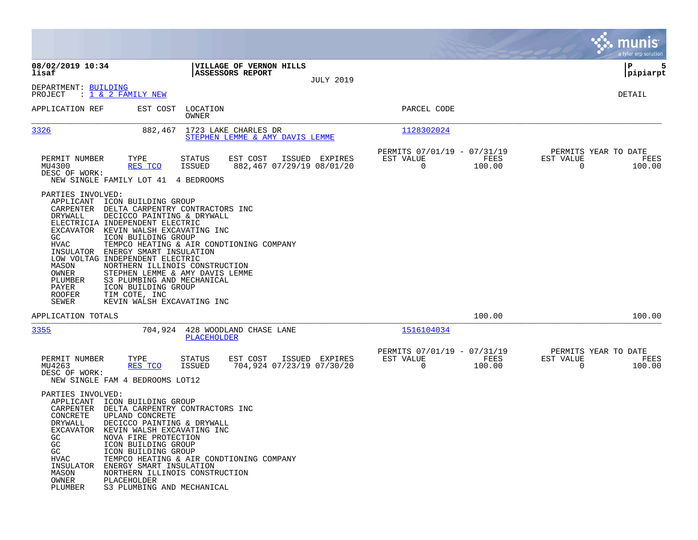|                                                                                                                                                           |                                                                                                                                                                                                                                                                                                                                                                                                                               |                                                          |                                             |                                                         |                |                                                     | munis<br>a tyler erp solution |
|-----------------------------------------------------------------------------------------------------------------------------------------------------------|-------------------------------------------------------------------------------------------------------------------------------------------------------------------------------------------------------------------------------------------------------------------------------------------------------------------------------------------------------------------------------------------------------------------------------|----------------------------------------------------------|---------------------------------------------|---------------------------------------------------------|----------------|-----------------------------------------------------|-------------------------------|
| 08/02/2019 10:34<br>lisaf                                                                                                                                 |                                                                                                                                                                                                                                                                                                                                                                                                                               | VILLAGE OF VERNON HILLS<br><b>ASSESSORS REPORT</b>       |                                             |                                                         |                |                                                     | ΙP<br>5<br> pipiarpt          |
| DEPARTMENT: BUILDING<br>PROJECT                                                                                                                           | : 1 & 2 FAMILY NEW                                                                                                                                                                                                                                                                                                                                                                                                            |                                                          | <b>JULY 2019</b>                            |                                                         |                |                                                     | DETAIL                        |
| APPLICATION REF                                                                                                                                           | EST COST                                                                                                                                                                                                                                                                                                                                                                                                                      | LOCATION<br>OWNER                                        |                                             | PARCEL CODE                                             |                |                                                     |                               |
| 3326                                                                                                                                                      | 882,467                                                                                                                                                                                                                                                                                                                                                                                                                       | 1723 LAKE CHARLES DR<br>STEPHEN LEMME & AMY DAVIS LEMME  |                                             | 1128302024                                              |                |                                                     |                               |
| PERMIT NUMBER<br>MU4300<br>DESC OF WORK:                                                                                                                  | TYPE<br>RES TCO<br>NEW SINGLE FAMILY LOT 41                                                                                                                                                                                                                                                                                                                                                                                   | EST COST<br><b>STATUS</b><br><b>ISSUED</b><br>4 BEDROOMS | ISSUED EXPIRES<br>882,467 07/29/19 08/01/20 | PERMITS 07/01/19 - 07/31/19<br>EST VALUE<br>$\mathbf 0$ | FEES<br>100.00 | PERMITS YEAR TO DATE<br>EST VALUE<br>$\Omega$       | FEES<br>100.00                |
| PARTIES INVOLVED:<br>APPLICANT<br>CARPENTER<br>DRYWALL<br>GC<br>HVAC<br>INSULATOR<br>MASON<br>OWNER<br>PLUMBER<br>PAYER<br><b>ROOFER</b><br>SEWER         | ICON BUILDING GROUP<br>DELTA CARPENTRY CONTRACTORS INC<br>DECICCO PAINTING & DRYWALL<br>ELECTRICIA INDEPENDENT ELECTRIC<br>EXCAVATOR KEVIN WALSH EXCAVATING INC<br>ICON BUILDING GROUP<br>ENERGY SMART INSULATION<br>LOW VOLTAG INDEPENDENT ELECTRIC<br>NORTHERN ILLINOIS CONSTRUCTION<br>STEPHEN LEMME & AMY DAVIS LEMME<br>S3 PLUMBING AND MECHANICAL<br>ICON BUILDING GROUP<br>TIM COTE, INC<br>KEVIN WALSH EXCAVATING INC | TEMPCO HEATING & AIR CONDTIONING COMPANY                 |                                             |                                                         |                |                                                     |                               |
| APPLICATION TOTALS                                                                                                                                        |                                                                                                                                                                                                                                                                                                                                                                                                                               |                                                          |                                             |                                                         | 100.00         |                                                     | 100.00                        |
| 3355                                                                                                                                                      |                                                                                                                                                                                                                                                                                                                                                                                                                               | 704,924 428 WOODLAND CHASE LANE<br>PLACEHOLDER           |                                             | 1516104034                                              |                |                                                     |                               |
| PERMIT NUMBER<br>MU4263<br>DESC OF WORK:                                                                                                                  | TYPE<br>RES TCO<br>NEW SINGLE FAM 4 BEDROOMS LOT12                                                                                                                                                                                                                                                                                                                                                                            | EST COST<br><b>STATUS</b><br>ISSUED                      | ISSUED EXPIRES<br>704,924 07/23/19 07/30/20 | PERMITS 07/01/19 - 07/31/19<br>EST VALUE<br>$\mathbf 0$ | FEES<br>100.00 | PERMITS YEAR TO DATE<br>EST VALUE<br>$\overline{0}$ | FEES<br>100.00                |
| PARTIES INVOLVED:<br>APPLICANT<br>CARPENTER<br>CONCRETE<br>DRYWALL<br>EXCAVATOR<br>GC<br>GC<br>$\rm GC$<br>HVAC<br>INSULATOR<br>MASON<br>OWNER<br>PLUMBER | ICON BUILDING GROUP<br>DELTA CARPENTRY CONTRACTORS INC<br>UPLAND CONCRETE<br>DECICCO PAINTING & DRYWALL<br>KEVIN WALSH EXCAVATING INC<br>NOVA FIRE PROTECTION<br>ICON BUILDING GROUP<br>ICON BUILDING GROUP<br>ENERGY SMART INSULATION<br>NORTHERN ILLINOIS CONSTRUCTION<br>PLACEHOLDER<br>S3 PLUMBING AND MECHANICAL                                                                                                         | TEMPCO HEATING & AIR CONDTIONING COMPANY                 |                                             |                                                         |                |                                                     |                               |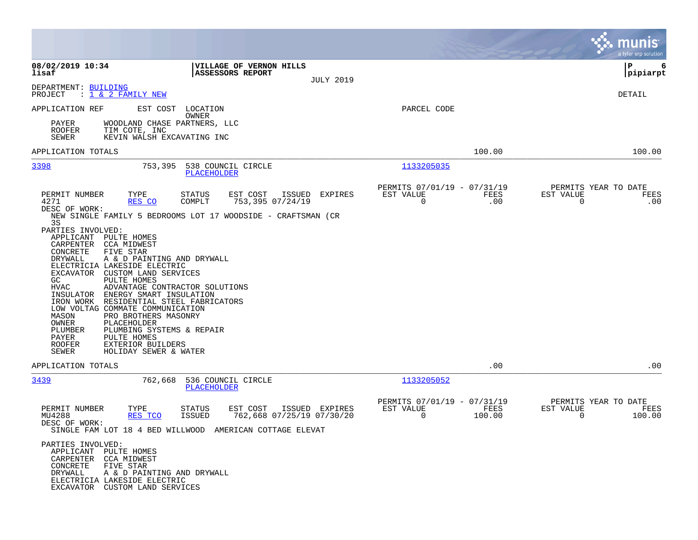|                                                                                                                                                                                                                                                                                                                                                                                                                                                                                                                                                                                                    | munis<br>a tyler erp solution                                                                                                                |
|----------------------------------------------------------------------------------------------------------------------------------------------------------------------------------------------------------------------------------------------------------------------------------------------------------------------------------------------------------------------------------------------------------------------------------------------------------------------------------------------------------------------------------------------------------------------------------------------------|----------------------------------------------------------------------------------------------------------------------------------------------|
| 08/02/2019 10:34<br>VILLAGE OF VERNON HILLS<br><b>ASSESSORS REPORT</b><br>lisaf<br><b>JULY 2019</b>                                                                                                                                                                                                                                                                                                                                                                                                                                                                                                | IΡ<br>6<br> pipiarpt                                                                                                                         |
| DEPARTMENT: BUILDING<br>: 1 & 2 FAMILY NEW<br>PROJECT                                                                                                                                                                                                                                                                                                                                                                                                                                                                                                                                              | DETAIL                                                                                                                                       |
| APPLICATION REF<br>EST COST LOCATION<br>OWNER<br>WOODLAND CHASE PARTNERS, LLC<br>PAYER<br>TIM COTE, INC<br><b>ROOFER</b><br>SEWER<br>KEVIN WALSH EXCAVATING INC                                                                                                                                                                                                                                                                                                                                                                                                                                    | PARCEL CODE                                                                                                                                  |
| APPLICATION TOTALS                                                                                                                                                                                                                                                                                                                                                                                                                                                                                                                                                                                 | 100.00<br>100.00                                                                                                                             |
| 3398<br>753,395<br>538 COUNCIL CIRCLE<br>PLACEHOLDER                                                                                                                                                                                                                                                                                                                                                                                                                                                                                                                                               | 1133205035                                                                                                                                   |
| PERMIT NUMBER<br>TYPE<br><b>STATUS</b><br>EST COST<br>ISSUED<br>EXPIRES<br>4271<br>753,395 07/24/19<br>RES CO<br>COMPLT<br>DESC OF WORK:<br>NEW SINGLE FAMILY 5 BEDROOMS LOT 17 WOODSIDE - CRAFTSMAN (CR                                                                                                                                                                                                                                                                                                                                                                                           | PERMITS 07/01/19 - 07/31/19<br>PERMITS YEAR TO DATE<br>EST VALUE<br>FEES<br>EST VALUE<br>FEES<br>0<br>.00<br>$\mathbf 0$<br>.00              |
| 3S<br>PARTIES INVOLVED:<br>APPLICANT PULTE HOMES<br>CARPENTER CCA MIDWEST<br>CONCRETE<br>FIVE STAR<br>DRYWALL<br>A & D PAINTING AND DRYWALL<br>ELECTRICIA LAKESIDE ELECTRIC<br>EXCAVATOR CUSTOM LAND SERVICES<br>PULTE HOMES<br>GC.<br>HVAC<br>ADVANTAGE CONTRACTOR SOLUTIONS<br>INSULATOR ENERGY SMART INSULATION<br>IRON WORK RESIDENTIAL STEEL FABRICATORS<br>LOW VOLTAG COMMATE COMMUNICATION<br>MASON<br>PRO BROTHERS MASONRY<br>OWNER<br>PLACEHOLDER<br>PLUMBER<br>PLUMBING SYSTEMS & REPAIR<br>PULTE HOMES<br>PAYER<br><b>ROOFER</b><br>EXTERIOR BUILDERS<br>SEWER<br>HOLIDAY SEWER & WATER |                                                                                                                                              |
| APPLICATION TOTALS                                                                                                                                                                                                                                                                                                                                                                                                                                                                                                                                                                                 | .00<br>.00                                                                                                                                   |
| 3439<br>762,668<br>536 COUNCIL CIRCLE<br>PLACEHOLDER                                                                                                                                                                                                                                                                                                                                                                                                                                                                                                                                               | 1133205052                                                                                                                                   |
| EST COST<br>PERMIT NUMBER<br>TYPE<br>STATUS<br>ISSUED EXPIRES<br>762,668 07/25/19 07/30/20<br>MU4288<br>RES TCO<br>ISSUED<br>DESC OF WORK:<br>SINGLE FAM LOT 18 4 BED WILLWOOD AMERICAN COTTAGE ELEVAT<br>PARTIES INVOLVED:<br>APPLICANT PULTE HOMES<br>CARPENTER CCA MIDWEST<br>CONCRETE FIVE STAR<br>DRYWALL<br>A & D PAINTING AND DRYWALL<br>ELECTRICIA LAKESIDE ELECTRIC<br>EXCAVATOR CUSTOM LAND SERVICES                                                                                                                                                                                     | PERMITS 07/01/19 -<br>07/31/19<br>PERMITS YEAR TO DATE<br>FEES<br>EST VALUE<br>EST VALUE<br>FEES<br>$\Omega$<br>100.00<br>$\Omega$<br>100.00 |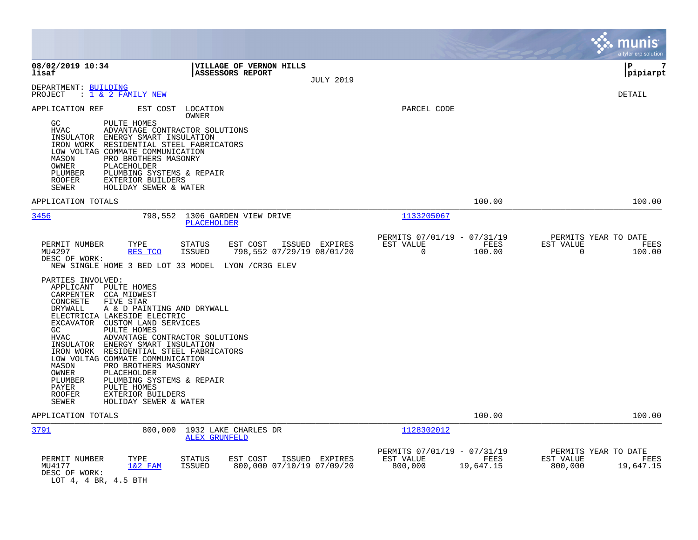|                                                                                                                                                                                                                                                                                                                                                                                                                                                                                                                                                                                                                                                                                                                                                                                                                                       |                                                                          | munis<br>a tyler erp solution                                     |
|---------------------------------------------------------------------------------------------------------------------------------------------------------------------------------------------------------------------------------------------------------------------------------------------------------------------------------------------------------------------------------------------------------------------------------------------------------------------------------------------------------------------------------------------------------------------------------------------------------------------------------------------------------------------------------------------------------------------------------------------------------------------------------------------------------------------------------------|--------------------------------------------------------------------------|-------------------------------------------------------------------|
| 08/02/2019 10:34<br><b>VILLAGE OF VERNON HILLS</b><br>lisaf<br>ASSESSORS REPORT<br><b>JULY 2019</b>                                                                                                                                                                                                                                                                                                                                                                                                                                                                                                                                                                                                                                                                                                                                   |                                                                          | 7<br>ΙP<br> pipiarpt                                              |
| DEPARTMENT: BUILDING<br>PROJECT<br>: <u>1 &amp; 2 FAMILY NEW</u>                                                                                                                                                                                                                                                                                                                                                                                                                                                                                                                                                                                                                                                                                                                                                                      |                                                                          | DETAIL                                                            |
| EST COST LOCATION<br>APPLICATION REF<br>OWNER<br>GC<br>PULTE HOMES<br>ADVANTAGE CONTRACTOR SOLUTIONS<br><b>HVAC</b><br>ENERGY SMART INSULATION<br>INSULATOR<br>RESIDENTIAL STEEL FABRICATORS<br>IRON WORK<br>LOW VOLTAG COMMATE COMMUNICATION<br>MASON<br>PRO BROTHERS MASONRY<br>PLACEHOLDER<br>OWNER<br>PLUMBER<br>PLUMBING SYSTEMS & REPAIR<br>ROOFER<br>EXTERIOR BUILDERS<br>HOLIDAY SEWER & WATER<br>SEWER                                                                                                                                                                                                                                                                                                                                                                                                                       | PARCEL CODE                                                              |                                                                   |
| APPLICATION TOTALS                                                                                                                                                                                                                                                                                                                                                                                                                                                                                                                                                                                                                                                                                                                                                                                                                    | 100.00                                                                   | 100.00                                                            |
| 3456<br>798,552<br>1306 GARDEN VIEW DRIVE<br>PLACEHOLDER                                                                                                                                                                                                                                                                                                                                                                                                                                                                                                                                                                                                                                                                                                                                                                              | 1133205067                                                               |                                                                   |
| PERMIT NUMBER<br>TYPE<br><b>STATUS</b><br>EST COST<br>ISSUED EXPIRES<br>798,552 07/29/19 08/01/20<br>MU4297<br>RES TCO<br><b>ISSUED</b><br>DESC OF WORK:<br>NEW SINGLE HOME 3 BED LOT 33 MODEL<br>LYON / CR3G ELEV<br>PARTIES INVOLVED:<br>APPLICANT PULTE HOMES<br>CARPENTER CCA MIDWEST<br>CONCRETE<br>FIVE STAR<br>A & D PAINTING AND DRYWALL<br>DRYWALL<br>ELECTRICIA LAKESIDE ELECTRIC<br>EXCAVATOR CUSTOM LAND SERVICES<br>GC<br>PULTE HOMES<br><b>HVAC</b><br>ADVANTAGE CONTRACTOR SOLUTIONS<br>INSULATOR<br>ENERGY SMART INSULATION<br>IRON WORK<br>RESIDENTIAL STEEL FABRICATORS<br>LOW VOLTAG COMMATE COMMUNICATION<br>PRO BROTHERS MASONRY<br>MASON<br>OWNER<br>PLACEHOLDER<br>PLUMBER<br>PLUMBING SYSTEMS & REPAIR<br>PULTE HOMES<br>PAYER<br><b>ROOFER</b><br>EXTERIOR BUILDERS<br><b>SEWER</b><br>HOLIDAY SEWER & WATER | PERMITS 07/01/19 - 07/31/19<br>FEES<br>EST VALUE<br>$\Omega$<br>100.00   | PERMITS YEAR TO DATE<br>EST VALUE<br>FEES<br>$\Omega$<br>100.00   |
| APPLICATION TOTALS                                                                                                                                                                                                                                                                                                                                                                                                                                                                                                                                                                                                                                                                                                                                                                                                                    | 100.00                                                                   | 100.00                                                            |
| 3791<br>800,000<br>1932 LAKE CHARLES DR<br><b>ALEX GRUNFELD</b>                                                                                                                                                                                                                                                                                                                                                                                                                                                                                                                                                                                                                                                                                                                                                                       | 1128302012                                                               |                                                                   |
| PERMIT NUMBER<br>TYPE<br><b>STATUS</b><br>ISSUED EXPIRES<br>EST COST<br>800,000 07/10/19 07/09/20<br>MU4177<br>1&2 FAM<br><b>ISSUED</b><br>DESC OF WORK:<br>LOT 4, 4 BR, 4.5 BTH                                                                                                                                                                                                                                                                                                                                                                                                                                                                                                                                                                                                                                                      | PERMITS 07/01/19 - 07/31/19<br>EST VALUE<br>FEES<br>800,000<br>19,647.15 | PERMITS YEAR TO DATE<br>EST VALUE<br>FEES<br>800,000<br>19,647.15 |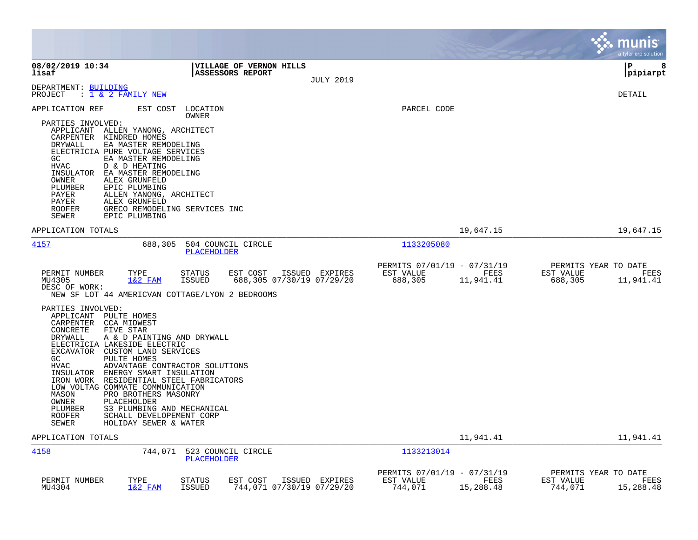|                                                                                                                                                                                                                                                                                                                                                                                                                                                                                                                                                                                  |                                                                                           |                                                     |                   | <b>munis</b><br>a tyler erp solution                              |
|----------------------------------------------------------------------------------------------------------------------------------------------------------------------------------------------------------------------------------------------------------------------------------------------------------------------------------------------------------------------------------------------------------------------------------------------------------------------------------------------------------------------------------------------------------------------------------|-------------------------------------------------------------------------------------------|-----------------------------------------------------|-------------------|-------------------------------------------------------------------|
| 08/02/2019 10:34<br>lisaf                                                                                                                                                                                                                                                                                                                                                                                                                                                                                                                                                        | <b>VILLAGE OF VERNON HILLS</b><br><b>ASSESSORS REPORT</b><br><b>JULY 2019</b>             |                                                     |                   | l P<br>8<br> pipiarpt                                             |
| DEPARTMENT: BUILDING<br>: 1 & 2 FAMILY NEW<br>PROJECT                                                                                                                                                                                                                                                                                                                                                                                                                                                                                                                            |                                                                                           |                                                     |                   | DETAIL                                                            |
| APPLICATION REF<br>EST COST<br>PARTIES INVOLVED:<br>APPLICANT ALLEN YANONG, ARCHITECT<br>CARPENTER KINDRED HOMES<br>DRYWALL<br>EA MASTER REMODELING<br>ELECTRICIA PURE VOLTAGE SERVICES<br>GC.<br>EA MASTER REMODELING<br>HVAC<br>D & D HEATING<br>INSULATOR<br>EA MASTER REMODELING<br>OWNER<br>ALEX GRUNFELD<br>EPIC PLUMBING<br>PLUMBER<br>PAYER<br>ALLEN YANONG, ARCHITECT<br>PAYER<br>ALEX GRUNFELD<br>ROOFER<br>GRECO REMODELING SERVICES INC<br>SEWER<br>EPIC PLUMBING                                                                                                    | LOCATION<br>OWNER                                                                         | PARCEL CODE                                         |                   |                                                                   |
| APPLICATION TOTALS                                                                                                                                                                                                                                                                                                                                                                                                                                                                                                                                                               |                                                                                           |                                                     | 19,647.15         | 19,647.15                                                         |
| 4157<br>688,305                                                                                                                                                                                                                                                                                                                                                                                                                                                                                                                                                                  | 504 COUNCIL CIRCLE<br><b>PLACEHOLDER</b>                                                  | 1133205080                                          |                   |                                                                   |
| PERMIT NUMBER<br>TYPE<br>MU4305<br>$1&2$ FAM<br>DESC OF WORK:<br>NEW SF LOT 44 AMERICVAN COTTAGE/LYON 2 BEDROOMS                                                                                                                                                                                                                                                                                                                                                                                                                                                                 | <b>STATUS</b><br>EST COST<br>ISSUED EXPIRES<br><b>ISSUED</b><br>688,305 07/30/19 07/29/20 | PERMITS 07/01/19 - 07/31/19<br>EST VALUE<br>688,305 | FEES<br>11,941.41 | PERMITS YEAR TO DATE<br>EST VALUE<br>FEES<br>688,305<br>11,941.41 |
| PARTIES INVOLVED:<br>APPLICANT<br>PULTE HOMES<br>CARPENTER<br>CCA MIDWEST<br>CONCRETE<br>FIVE STAR<br>DRYWALL<br>A & D PAINTING AND DRYWALL<br>ELECTRICIA LAKESIDE ELECTRIC<br>EXCAVATOR CUSTOM LAND SERVICES<br>GC<br>PULTE HOMES<br>HVAC<br>ADVANTAGE CONTRACTOR SOLUTIONS<br>INSULATOR<br>ENERGY SMART INSULATION<br>IRON WORK<br>RESIDENTIAL STEEL FABRICATORS<br>LOW VOLTAG COMMATE COMMUNICATION<br>MASON<br>PRO BROTHERS MASONRY<br>OWNER<br>PLACEHOLDER<br>S3 PLUMBING AND MECHANICAL<br>PLUMBER<br>ROOFER<br>SCHALL DEVELOPEMENT CORP<br>SEWER<br>HOLIDAY SEWER & WATER |                                                                                           |                                                     |                   |                                                                   |
| APPLICATION TOTALS                                                                                                                                                                                                                                                                                                                                                                                                                                                                                                                                                               |                                                                                           |                                                     | 11,941.41         | 11,941.41                                                         |
| 4158<br>744,071                                                                                                                                                                                                                                                                                                                                                                                                                                                                                                                                                                  | 523 COUNCIL CIRCLE<br>PLACEHOLDER                                                         | 1133213014                                          |                   |                                                                   |
| PERMIT NUMBER<br>TYPE<br>MU4304<br>$1&2$ FAM                                                                                                                                                                                                                                                                                                                                                                                                                                                                                                                                     | EST COST<br>STATUS<br>ISSUED EXPIRES<br><b>ISSUED</b><br>744,071 07/30/19 07/29/20        | PERMITS 07/01/19 - 07/31/19<br>EST VALUE<br>744,071 | FEES<br>15,288.48 | PERMITS YEAR TO DATE<br>EST VALUE<br>FEES<br>744,071<br>15,288.48 |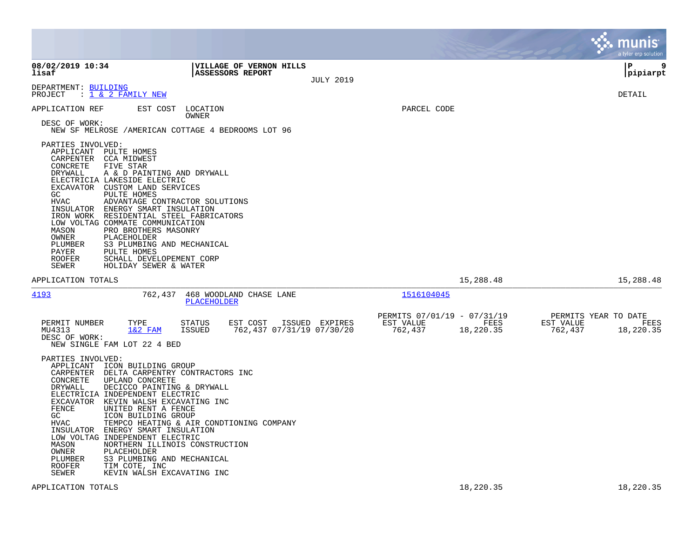|                                                                                                                         |                                                                                                                                                                                                                                                                                                                                                                                                                                                                                                        |                         |                                                    |                  |                                                     |                   |                                              | munis<br>a tyler erp solution |
|-------------------------------------------------------------------------------------------------------------------------|--------------------------------------------------------------------------------------------------------------------------------------------------------------------------------------------------------------------------------------------------------------------------------------------------------------------------------------------------------------------------------------------------------------------------------------------------------------------------------------------------------|-------------------------|----------------------------------------------------|------------------|-----------------------------------------------------|-------------------|----------------------------------------------|-------------------------------|
| 08/02/2019 10:34<br>lisaf                                                                                               |                                                                                                                                                                                                                                                                                                                                                                                                                                                                                                        |                         | VILLAGE OF VERNON HILLS<br><b>ASSESSORS REPORT</b> | <b>JULY 2019</b> |                                                     |                   |                                              | 9<br>l P<br> pipiarpt         |
| DEPARTMENT: BUILDING<br>PROJECT                                                                                         | : <u>1 &amp; 2 FAMILY NEW</u>                                                                                                                                                                                                                                                                                                                                                                                                                                                                          |                         |                                                    |                  |                                                     |                   |                                              | <b>DETAIL</b>                 |
| APPLICATION REF<br>DESC OF WORK:                                                                                        | EST COST LOCATION<br>NEW SF MELROSE / AMERICAN COTTAGE 4 BEDROOMS LOT 96                                                                                                                                                                                                                                                                                                                                                                                                                               | OWNER                   |                                                    |                  | PARCEL CODE                                         |                   |                                              |                               |
| PARTIES INVOLVED:<br>CONCRETE<br>DRYWALL<br>GC.<br>HVAC<br>MASON<br>OWNER<br>PLUMBER<br>PAYER<br><b>ROOFER</b><br>SEWER | APPLICANT PULTE HOMES<br>CARPENTER CCA MIDWEST<br>FIVE STAR<br>A & D PAINTING AND DRYWALL<br>ELECTRICIA LAKESIDE ELECTRIC<br>EXCAVATOR CUSTOM LAND SERVICES<br>PULTE HOMES<br>ADVANTAGE CONTRACTOR SOLUTIONS<br>INSULATOR ENERGY SMART INSULATION<br>IRON WORK RESIDENTIAL STEEL FABRICATORS<br>LOW VOLTAG COMMATE COMMUNICATION<br>PRO BROTHERS MASONRY<br>PLACEHOLDER<br>S3 PLUMBING AND MECHANICAL<br>PULTE HOMES<br>SCHALL DEVELOPEMENT CORP<br>HOLIDAY SEWER & WATER                              |                         |                                                    |                  |                                                     |                   |                                              |                               |
| APPLICATION TOTALS                                                                                                      |                                                                                                                                                                                                                                                                                                                                                                                                                                                                                                        |                         |                                                    |                  |                                                     | 15,288.48         |                                              | 15,288.48                     |
| 4193                                                                                                                    |                                                                                                                                                                                                                                                                                                                                                                                                                                                                                                        | PLACEHOLDER             | 762,437 468 WOODLAND CHASE LANE                    |                  | 1516104045                                          |                   |                                              |                               |
| PERMIT NUMBER<br>MU4313<br>DESC OF WORK:                                                                                | TYPE<br>$1&2$ FAM<br>NEW SINGLE FAM LOT 22 4 BED                                                                                                                                                                                                                                                                                                                                                                                                                                                       | <b>STATUS</b><br>ISSUED | EST COST<br>762,437 07/31/19 07/30/20              | ISSUED EXPIRES   | PERMITS 07/01/19 - 07/31/19<br>EST VALUE<br>762,437 | FEES<br>18,220.35 | PERMITS YEAR TO DATE<br>EST VALUE<br>762,437 | FEES<br>18,220.35             |
| PARTIES INVOLVED:<br>CONCRETE<br>DRYWALL<br>FENCE<br>GC<br>HVAC<br>MASON<br>OWNER<br>PLUMBER<br><b>ROOFER</b><br>SEWER  | APPLICANT ICON BUILDING GROUP<br>CARPENTER DELTA CARPENTRY CONTRACTORS INC<br>UPLAND CONCRETE<br>DECICCO PAINTING & DRYWALL<br>ELECTRICIA INDEPENDENT ELECTRIC<br>EXCAVATOR KEVIN WALSH EXCAVATING INC<br>UNITED RENT A FENCE<br>ICON BUILDING GROUP<br>TEMPCO HEATING & AIR CONDTIONING COMPANY<br>INSULATOR ENERGY SMART INSULATION<br>LOW VOLTAG INDEPENDENT ELECTRIC<br>NORTHERN ILLINOIS CONSTRUCTION<br>PLACEHOLDER<br>S3 PLUMBING AND MECHANICAL<br>TIM COTE, INC<br>KEVIN WALSH EXCAVATING INC |                         |                                                    |                  |                                                     |                   |                                              |                               |
| APPLICATION TOTALS                                                                                                      |                                                                                                                                                                                                                                                                                                                                                                                                                                                                                                        |                         |                                                    |                  |                                                     | 18,220.35         |                                              | 18,220.35                     |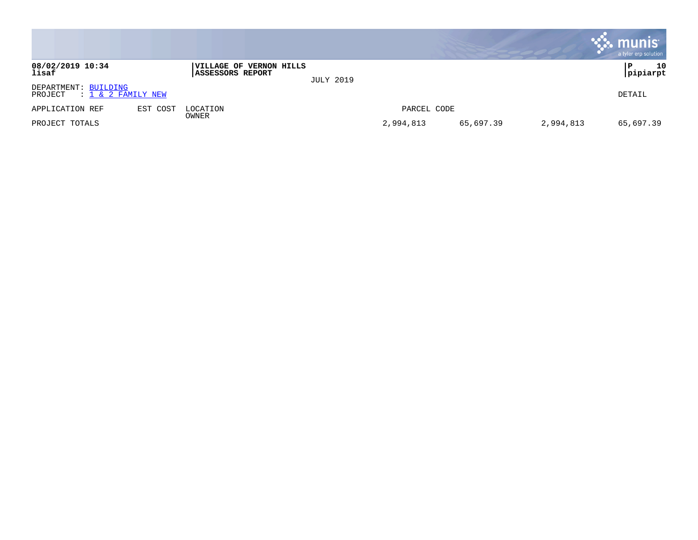|                                                          |          |                                                    |                  |             |           |           | munis<br>a tyler erp solution |
|----------------------------------------------------------|----------|----------------------------------------------------|------------------|-------------|-----------|-----------|-------------------------------|
| 08/02/2019 10:34<br>lisaf                                |          | VILLAGE OF VERNON HILLS<br><b>ASSESSORS REPORT</b> | <b>JULY 2019</b> |             |           |           | 10<br>P<br> pipiarpt          |
| DEPARTMENT: BUILDING<br>$: 1 \& 2$ FAMILY NEW<br>PROJECT |          |                                                    |                  |             |           |           | DETAIL                        |
| APPLICATION REF                                          | EST COST | LOCATION<br>OWNER                                  |                  | PARCEL CODE |           |           |                               |
| PROJECT TOTALS                                           |          |                                                    |                  | 2,994,813   | 65,697.39 | 2,994,813 | 65,697.39                     |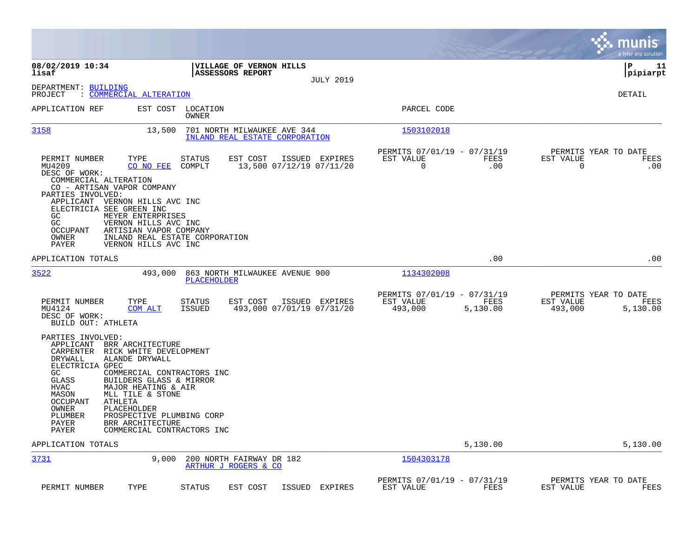|                                                                                                                                                                                                                                                                                                                                                        |                                                                                       |                                                               |                  |                                                     |                  |                                              | munis<br>a tyler erp solution |
|--------------------------------------------------------------------------------------------------------------------------------------------------------------------------------------------------------------------------------------------------------------------------------------------------------------------------------------------------------|---------------------------------------------------------------------------------------|---------------------------------------------------------------|------------------|-----------------------------------------------------|------------------|----------------------------------------------|-------------------------------|
| 08/02/2019 10:34<br>lisaf                                                                                                                                                                                                                                                                                                                              |                                                                                       | VILLAGE OF VERNON HILLS<br><b>ASSESSORS REPORT</b>            | <b>JULY 2019</b> |                                                     |                  |                                              | l P<br>11<br> pipiarpt        |
| DEPARTMENT: BUILDING<br>: COMMERCIAL ALTERATION<br>PROJECT                                                                                                                                                                                                                                                                                             |                                                                                       |                                                               |                  |                                                     |                  |                                              | DETAIL                        |
| APPLICATION REF                                                                                                                                                                                                                                                                                                                                        | EST COST LOCATION<br>OWNER                                                            |                                                               |                  | PARCEL CODE                                         |                  |                                              |                               |
| 3158<br>13,500                                                                                                                                                                                                                                                                                                                                         |                                                                                       | 701 NORTH MILWAUKEE AVE 344<br>INLAND REAL ESTATE CORPORATION |                  | 1503102018                                          |                  |                                              |                               |
| PERMIT NUMBER<br>TYPE<br>MU4209<br>CO NO FEE<br>DESC OF WORK:<br>COMMERCIAL ALTERATION<br>CO - ARTISAN VAPOR COMPANY<br>PARTIES INVOLVED:<br>APPLICANT VERNON HILLS AVC INC<br>ELECTRICIA SEE GREEN INC<br>GC<br>MEYER ENTERPRISES<br>GC<br>VERNON HILLS AVC INC<br>OCCUPANT<br>ARTISIAN VAPOR COMPANY<br>OWNER<br>PAYER<br>VERNON HILLS AVC INC       | <b>STATUS</b><br>COMPLT<br>INLAND REAL ESTATE CORPORATION                             | EST COST<br>13,500 07/12/19 07/11/20                          | ISSUED EXPIRES   | PERMITS 07/01/19 - 07/31/19<br>EST VALUE<br>0       | FEES<br>.00      | PERMITS YEAR TO DATE<br>EST VALUE<br>0       | FEES<br>.00                   |
| APPLICATION TOTALS                                                                                                                                                                                                                                                                                                                                     |                                                                                       |                                                               |                  |                                                     | .00              |                                              | .00                           |
| 3522<br>493,000                                                                                                                                                                                                                                                                                                                                        | <b>PLACEHOLDER</b>                                                                    | 863 NORTH MILWAUKEE AVENUE 900                                |                  | 1134302008                                          |                  |                                              |                               |
| PERMIT NUMBER<br>TYPE<br>MU4124<br>COM ALT<br>DESC OF WORK:<br><b>BUILD OUT: ATHLETA</b>                                                                                                                                                                                                                                                               | <b>STATUS</b><br><b>ISSUED</b>                                                        | EST COST<br>493,000 07/01/19 07/31/20                         | ISSUED EXPIRES   | PERMITS 07/01/19 - 07/31/19<br>EST VALUE<br>493,000 | FEES<br>5,130.00 | PERMITS YEAR TO DATE<br>EST VALUE<br>493,000 | FEES<br>5,130.00              |
| PARTIES INVOLVED:<br>APPLICANT<br>BRR ARCHITECTURE<br>CARPENTER<br>RICK WHITE DEVELOPMENT<br>DRYWALL<br>ALANDE DRYWALL<br>ELECTRICIA GPEC<br>GC<br>GLASS<br>BUILDERS GLASS & MIRROR<br>HVAC<br>MAJOR HEATING & AIR<br>MLL TILE & STONE<br>MASON<br><b>OCCUPANT</b><br>ATHLETA<br>OWNER<br>PLACEHOLDER<br>PLUMBER<br>PAYER<br>BRR ARCHITECTURE<br>PAYER | COMMERCIAL CONTRACTORS INC<br>PROSPECTIVE PLUMBING CORP<br>COMMERCIAL CONTRACTORS INC |                                                               |                  |                                                     |                  |                                              |                               |
| APPLICATION TOTALS                                                                                                                                                                                                                                                                                                                                     |                                                                                       |                                                               |                  |                                                     | 5,130.00         |                                              | 5,130.00                      |
| 3731                                                                                                                                                                                                                                                                                                                                                   | 9,000                                                                                 | 200 NORTH FAIRWAY DR 182<br>ARTHUR J ROGERS & CO              |                  | 1504303178                                          |                  |                                              |                               |
| PERMIT NUMBER<br>TYPE                                                                                                                                                                                                                                                                                                                                  | <b>STATUS</b>                                                                         | EST COST                                                      | ISSUED EXPIRES   | PERMITS 07/01/19 - 07/31/19<br>EST VALUE            | FEES             | PERMITS YEAR TO DATE<br>EST VALUE            | FEES                          |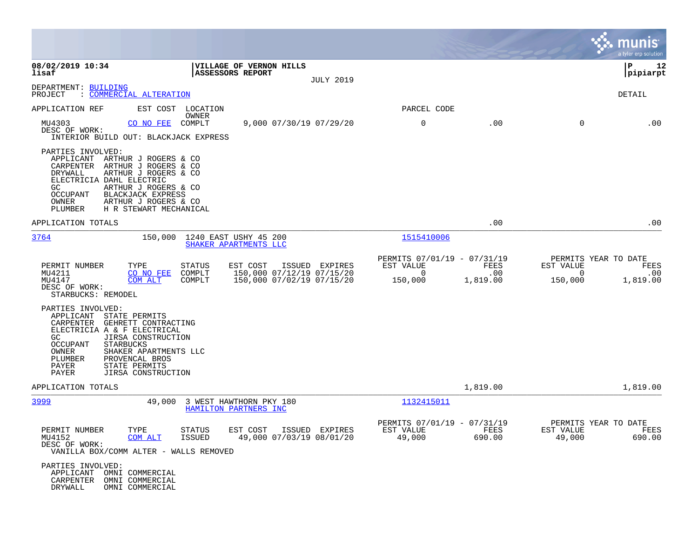|                                                                                                                                                                                                                                                                                                            |                                                    |                                                                  |                  |                                                                 |                         |                                  | munis<br>a tyler erp solution                   |
|------------------------------------------------------------------------------------------------------------------------------------------------------------------------------------------------------------------------------------------------------------------------------------------------------------|----------------------------------------------------|------------------------------------------------------------------|------------------|-----------------------------------------------------------------|-------------------------|----------------------------------|-------------------------------------------------|
| 08/02/2019 10:34<br>lisaf                                                                                                                                                                                                                                                                                  | VILLAGE OF VERNON HILLS<br><b>ASSESSORS REPORT</b> |                                                                  | <b>JULY 2019</b> |                                                                 |                         |                                  | l P<br>12<br> pipiarpt                          |
| DEPARTMENT: BUILDING<br>PROJECT<br>: COMMERCIAL ALTERATION                                                                                                                                                                                                                                                 |                                                    |                                                                  |                  |                                                                 |                         |                                  | DETAIL                                          |
| APPLICATION REF                                                                                                                                                                                                                                                                                            | EST COST LOCATION<br>OWNER                         |                                                                  |                  | PARCEL CODE                                                     |                         |                                  |                                                 |
| MU4303<br>CO NO FEE<br>DESC OF WORK:<br>INTERIOR BUILD OUT: BLACKJACK EXPRESS                                                                                                                                                                                                                              | COMPLT                                             | 9,000 07/30/19 07/29/20                                          |                  | 0                                                               | .00                     | 0                                | .00                                             |
| PARTIES INVOLVED:<br>APPLICANT ARTHUR J ROGERS & CO<br>CARPENTER<br>ARTHUR J ROGERS & CO<br>DRYWALL<br>ARTHUR J ROGERS & CO<br>ELECTRICIA DAHL ELECTRIC<br>GC.<br>ARTHUR J ROGERS & CO<br>OCCUPANT<br>BLACKJACK EXPRESS<br>OWNER<br>ARTHUR J ROGERS & CO<br>PLUMBER<br>H R STEWART MECHANICAL              |                                                    |                                                                  |                  |                                                                 |                         |                                  |                                                 |
| APPLICATION TOTALS                                                                                                                                                                                                                                                                                         |                                                    |                                                                  |                  |                                                                 | .00                     |                                  | .00                                             |
| 3764<br>150,000                                                                                                                                                                                                                                                                                            | 1240 EAST USHY 45 200<br>SHAKER APARTMENTS LLC     |                                                                  |                  | 1515410006                                                      |                         |                                  |                                                 |
| PERMIT NUMBER<br>TYPE<br>MU4211<br>CO NO FEE<br>MU4147<br>COM ALT<br>DESC OF WORK:<br>STARBUCKS: REMODEL                                                                                                                                                                                                   | <b>STATUS</b><br>EST COST<br>COMPLT<br>COMPLT      | ISSUED<br>150,000 07/12/19 07/15/20<br>150,000 07/02/19 07/15/20 | EXPIRES          | PERMITS 07/01/19 - 07/31/19<br>EST VALUE<br>$\Omega$<br>150,000 | FEES<br>.00<br>1,819.00 | EST VALUE<br>$\Omega$<br>150,000 | PERMITS YEAR TO DATE<br>FEES<br>.00<br>1,819.00 |
| PARTIES INVOLVED:<br>APPLICANT<br>STATE PERMITS<br>CARPENTER GEHRETT CONTRACTING<br>ELECTRICIA A & F ELECTRICAL<br>GC<br>JIRSA CONSTRUCTION<br><b>OCCUPANT</b><br>STARBUCKS<br>OWNER<br>SHAKER APARTMENTS LLC<br>PLUMBER<br>PROVENCAL BROS<br>PAYER<br>STATE PERMITS<br>PAYER<br><b>JIRSA CONSTRUCTION</b> |                                                    |                                                                  |                  |                                                                 |                         |                                  |                                                 |
| APPLICATION TOTALS                                                                                                                                                                                                                                                                                         |                                                    |                                                                  |                  |                                                                 | 1,819.00                |                                  | 1,819.00                                        |
| 3999<br>49,000                                                                                                                                                                                                                                                                                             | 3 WEST HAWTHORN PKY 180<br>HAMILTON PARTNERS INC   |                                                                  |                  | 1132415011                                                      |                         |                                  |                                                 |
| PERMIT NUMBER<br>TYPE<br>MU4152<br>COM ALT<br>DESC OF WORK:<br>VANILLA BOX/COMM ALTER - WALLS REMOVED                                                                                                                                                                                                      | STATUS<br>ISSUED                                   | EST COST ISSUED EXPIRES<br>49,000 07/03/19 08/01/20              |                  | PERMITS 07/01/19 - 07/31/19<br>EST VALUE<br>49,000              | FEES<br>690.00          | EST VALUE<br>49,000              | PERMITS YEAR TO DATE<br>FEES<br>690.00          |
| PARTIES INVOLVED:<br>APPLICANT<br>OMNI COMMERCIAL<br>CARPENTER<br>OMNI COMMERCIAL<br>DRYWALL<br>OMNI COMMERCIAL                                                                                                                                                                                            |                                                    |                                                                  |                  |                                                                 |                         |                                  |                                                 |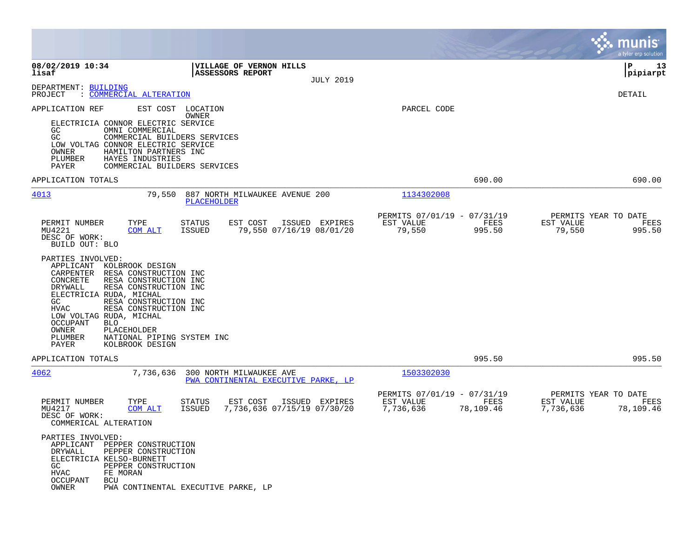|                                                                                                                                                                                                                                                                                                                                                                                                                                    |                                                                                   |                                                                            | munis<br>a tyler erp solution                                       |
|------------------------------------------------------------------------------------------------------------------------------------------------------------------------------------------------------------------------------------------------------------------------------------------------------------------------------------------------------------------------------------------------------------------------------------|-----------------------------------------------------------------------------------|----------------------------------------------------------------------------|---------------------------------------------------------------------|
| 08/02/2019 10:34<br>lisaf                                                                                                                                                                                                                                                                                                                                                                                                          | VILLAGE OF VERNON HILLS<br><b>ASSESSORS REPORT</b><br><b>JULY 2019</b>            |                                                                            | P<br>13<br>pipiarpt                                                 |
| DEPARTMENT: BUILDING<br>PROJECT<br>: COMMERCIAL ALTERATION                                                                                                                                                                                                                                                                                                                                                                         |                                                                                   |                                                                            | DETAIL                                                              |
| EST COST<br>APPLICATION REF<br>ELECTRICIA CONNOR ELECTRIC SERVICE<br>GC.<br>OMNI COMMERCIAL<br>GC<br>LOW VOLTAG CONNOR ELECTRIC SERVICE<br>OWNER<br>HAMILTON PARTNERS INC<br>PLUMBER<br>HAYES INDUSTRIES<br><b>PAYER</b>                                                                                                                                                                                                           | LOCATION<br>OWNER<br>COMMERCIAL BUILDERS SERVICES<br>COMMERCIAL BUILDERS SERVICES | PARCEL CODE                                                                |                                                                     |
| APPLICATION TOTALS                                                                                                                                                                                                                                                                                                                                                                                                                 |                                                                                   | 690.00                                                                     | 690.00                                                              |
| 4013<br>79,550                                                                                                                                                                                                                                                                                                                                                                                                                     | 887 NORTH MILWAUKEE AVENUE 200<br><b>PLACEHOLDER</b>                              | 1134302008                                                                 |                                                                     |
| PERMIT NUMBER<br>TYPE<br>MU4221<br>COM ALT<br>DESC OF WORK:<br>BUILD OUT: BLO                                                                                                                                                                                                                                                                                                                                                      | EST COST<br>ISSUED EXPIRES<br>STATUS<br>79,550 07/16/19 08/01/20<br>ISSUED        | PERMITS 07/01/19 - 07/31/19<br>EST VALUE<br>FEES<br>79,550<br>995.50       | PERMITS YEAR TO DATE<br>EST VALUE<br>FEES<br>79,550<br>995.50       |
| PARTIES INVOLVED:<br>APPLICANT<br>KOLBROOK DESIGN<br>CARPENTER<br>RESA CONSTRUCTION INC<br>CONCRETE<br>RESA CONSTRUCTION INC<br>DRYWALL<br>RESA CONSTRUCTION INC<br>ELECTRICIA RUDA, MICHAL<br>RESA CONSTRUCTION INC<br>GC<br>RESA CONSTRUCTION INC<br><b>HVAC</b><br>LOW VOLTAG RUDA, MICHAL<br><b>OCCUPANT</b><br><b>BLO</b><br>OWNER<br>PLACEHOLDER<br>PLUMBER<br>NATIONAL PIPING SYSTEM INC<br><b>PAYER</b><br>KOLBROOK DESIGN |                                                                                   |                                                                            |                                                                     |
| APPLICATION TOTALS                                                                                                                                                                                                                                                                                                                                                                                                                 |                                                                                   | 995.50                                                                     | 995.50                                                              |
| 4062<br>7,736,636                                                                                                                                                                                                                                                                                                                                                                                                                  | 300 NORTH MILWAUKEE AVE<br>PWA CONTINENTAL EXECUTIVE PARKE, LP                    | 1503302030                                                                 |                                                                     |
| PERMIT NUMBER<br>TYPE<br>MU4217<br>COM ALT<br>DESC OF WORK:<br>COMMERICAL ALTERATION                                                                                                                                                                                                                                                                                                                                               | STATUS<br>EST COST<br>ISSUED EXPIRES<br>7,736,636 07/15/19 07/30/20<br>ISSUED     | PERMITS 07/01/19 - 07/31/19<br>EST VALUE<br>FEES<br>78,109.46<br>7,736,636 | PERMITS YEAR TO DATE<br>EST VALUE<br>FEES<br>7,736,636<br>78,109.46 |
| PARTIES INVOLVED:<br>APPLICANT PEPPER CONSTRUCTION<br>DRYWALL<br>PEPPER CONSTRUCTION<br>ELECTRICIA KELSO-BURNETT<br>GC<br>PEPPER CONSTRUCTION<br>FE MORAN<br>HVAC<br><b>OCCUPANT</b><br>BCU<br>OWNER                                                                                                                                                                                                                               | PWA CONTINENTAL EXECUTIVE PARKE, LP                                               |                                                                            |                                                                     |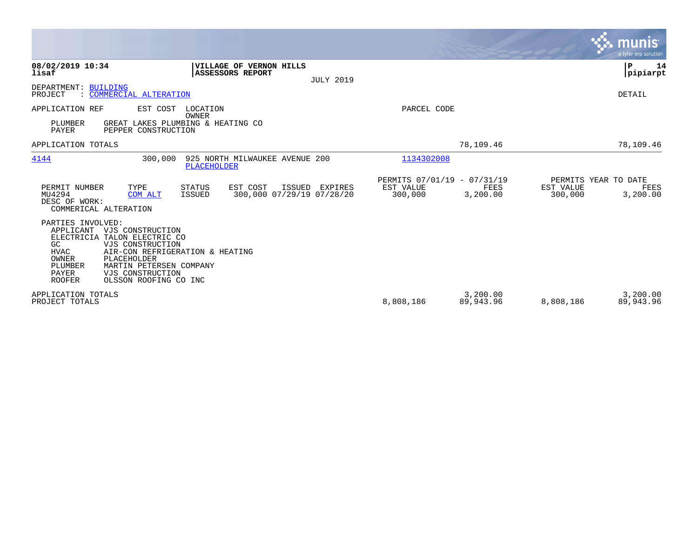|                                                                                                                        |                                                                                                                                                                                     |                                |                                                 |                  |                                                     |                       |                                              | <b>munis</b><br>a tyler erp solution |
|------------------------------------------------------------------------------------------------------------------------|-------------------------------------------------------------------------------------------------------------------------------------------------------------------------------------|--------------------------------|-------------------------------------------------|------------------|-----------------------------------------------------|-----------------------|----------------------------------------------|--------------------------------------|
| 08/02/2019 10:34<br>lisaf                                                                                              |                                                                                                                                                                                     | ASSESSORS REPORT               | VILLAGE OF VERNON HILLS                         | <b>JULY 2019</b> |                                                     |                       |                                              | P<br>14<br> pipiarpt                 |
| DEPARTMENT:<br><b>BUILDING</b><br>PROJECT                                                                              | : COMMERCIAL ALTERATION                                                                                                                                                             |                                |                                                 |                  |                                                     |                       |                                              | DETAIL                               |
| APPLICATION REF<br>PLUMBER<br><b>PAYER</b>                                                                             | EST COST<br>GREAT LAKES PLUMBING & HEATING CO<br>PEPPER CONSTRUCTION                                                                                                                | LOCATION<br>OWNER              |                                                 |                  | PARCEL CODE                                         |                       |                                              |                                      |
| APPLICATION TOTALS                                                                                                     |                                                                                                                                                                                     |                                |                                                 |                  |                                                     | 78,109.46             |                                              | 78,109.46                            |
| 4144                                                                                                                   | 300,000                                                                                                                                                                             | <b>PLACEHOLDER</b>             | 925 NORTH MILWAUKEE AVENUE 200                  |                  | 1134302008                                          |                       |                                              |                                      |
| PERMIT NUMBER<br>MU4294<br>DESC OF WORK:<br>COMMERICAL ALTERATION                                                      | TYPE<br>COM ALT                                                                                                                                                                     | <b>STATUS</b><br><b>ISSUED</b> | EST COST<br>ISSUED<br>300,000 07/29/19 07/28/20 | EXPIRES          | PERMITS 07/01/19 - 07/31/19<br>EST VALUE<br>300,000 | FEES<br>3,200.00      | PERMITS YEAR TO DATE<br>EST VALUE<br>300,000 | FEES<br>3,200.00                     |
| PARTIES INVOLVED:<br>APPLICANT<br>ELECTRICIA<br>GC<br><b>HVAC</b><br>OWNER<br>PLUMBER<br><b>PAYER</b><br><b>ROOFER</b> | VJS CONSTRUCTION<br>TALON ELECTRIC CO<br>VJS CONSTRUCTION<br>AIR-CON REFRIGERATION & HEATING<br>PLACEHOLDER<br>MARTIN PETERSEN COMPANY<br>VJS CONSTRUCTION<br>OLSSON ROOFING CO INC |                                |                                                 |                  |                                                     |                       |                                              |                                      |
| APPLICATION TOTALS<br>PROJECT TOTALS                                                                                   |                                                                                                                                                                                     |                                |                                                 |                  | 8,808,186                                           | 3,200.00<br>89,943.96 | 8,808,186                                    | 3,200.00<br>89,943.96                |

**Contract**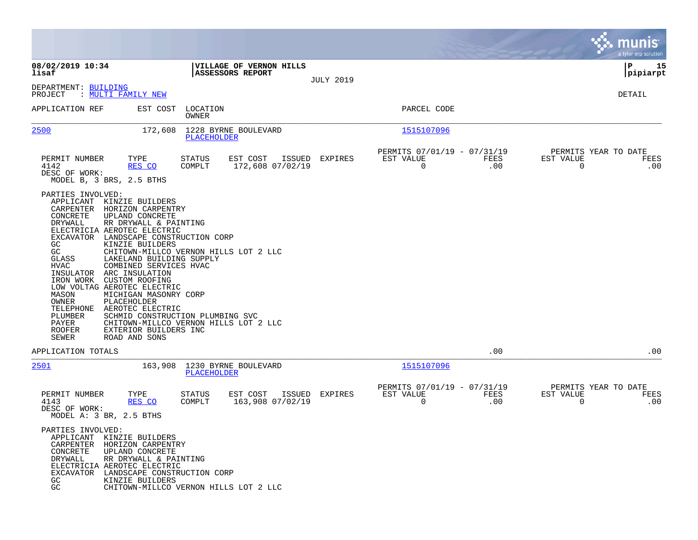|                                                                                                                                                                                                                                                                                                                                                                                                                                                                                                                                                                                                 |                                                                                                                    |                  |                                                            |                             | munis<br>a tyler erp solution                                   |
|-------------------------------------------------------------------------------------------------------------------------------------------------------------------------------------------------------------------------------------------------------------------------------------------------------------------------------------------------------------------------------------------------------------------------------------------------------------------------------------------------------------------------------------------------------------------------------------------------|--------------------------------------------------------------------------------------------------------------------|------------------|------------------------------------------------------------|-----------------------------|-----------------------------------------------------------------|
| 08/02/2019 10:34<br>lisaf                                                                                                                                                                                                                                                                                                                                                                                                                                                                                                                                                                       | VILLAGE OF VERNON HILLS<br><b>ASSESSORS REPORT</b>                                                                 | <b>JULY 2019</b> |                                                            |                             | l P<br>15<br> pipiarpt                                          |
| DEPARTMENT: BUILDING<br>PROJECT : MULTI FAMILY NEW                                                                                                                                                                                                                                                                                                                                                                                                                                                                                                                                              |                                                                                                                    |                  |                                                            |                             | DETAIL                                                          |
| APPLICATION REF                                                                                                                                                                                                                                                                                                                                                                                                                                                                                                                                                                                 | EST COST LOCATION<br>OWNER                                                                                         |                  | PARCEL CODE                                                |                             |                                                                 |
| 2500                                                                                                                                                                                                                                                                                                                                                                                                                                                                                                                                                                                            | 172,608 1228 BYRNE BOULEVARD<br>PLACEHOLDER                                                                        |                  | 1515107096                                                 |                             |                                                                 |
| PERMIT NUMBER<br>TYPE<br>4142<br>RES CO<br>DESC OF WORK:<br>MODEL B, 3 BRS, 2.5 BTHS                                                                                                                                                                                                                                                                                                                                                                                                                                                                                                            | EST COST ISSUED EXPIRES<br>STATUS<br>COMPLT<br>172,608 07/02/19                                                    |                  | PERMITS 07/01/19 - 07/31/19<br>EST VALUE<br>$\overline{0}$ | <b>EXECUTE: PEES</b><br>.00 | PERMITS YEAR TO DATE<br>EST VALUE<br>FEES<br>$\Omega$<br>.00    |
| PARTIES INVOLVED:<br>APPLICANT KINZIE BUILDERS<br>CARPENTER HORIZON CARPENTRY<br>UPLAND CONCRETE<br>CONCRETE<br>RR DRYWALL & PAINTING<br>DRYWALL<br>ELECTRICIA AEROTEC ELECTRIC<br>EXCAVATOR LANDSCAPE CONSTRUCTION CORP<br>KINZIE BUILDERS<br>GC.<br>GC<br>GLASS<br>LAKELAND BUILDING SUPPLY<br>COMBINED SERVICES HVAC<br>HVAC<br>INSULATOR ARC INSULATION<br>IRON WORK CUSTOM ROOFING<br>LOW VOLTAG AEROTEC ELECTRIC<br>MICHIGAN MASONRY CORP<br>MASON<br>OWNER<br>PLACEHOLDER<br>TELEPHONE AEROTEC ELECTRIC<br>PLUMBER<br>PAYER<br>ROOFER<br>EXTERIOR BUILDERS INC<br>SEWER<br>ROAD AND SONS | CHITOWN-MILLCO VERNON HILLS LOT 2 LLC<br>SCHMID CONSTRUCTION PLUMBING SVC<br>CHITOWN-MILLCO VERNON HILLS LOT 2 LLC |                  |                                                            |                             |                                                                 |
| APPLICATION TOTALS                                                                                                                                                                                                                                                                                                                                                                                                                                                                                                                                                                              |                                                                                                                    |                  |                                                            | .00                         | .00                                                             |
| 2501                                                                                                                                                                                                                                                                                                                                                                                                                                                                                                                                                                                            | 163,908 1230 BYRNE BOULEVARD<br><b>PLACEHOLDER</b>                                                                 |                  | 1515107096                                                 |                             |                                                                 |
| PERMIT NUMBER<br>TYPE<br>RES CO<br>4143<br>DESC OF WORK:<br>MODEL A: 3 BR, 2.5 BTHS<br>PARTIES INVOLVED:<br>APPLICANT KINZIE BUILDERS                                                                                                                                                                                                                                                                                                                                                                                                                                                           | STATUS<br>EST COST ISSUED<br>163,908 07/02/19<br>COMPLT                                                            | EXPIRES          | PERMITS 07/01/19 - 07/31/19<br>EST VALUE<br>0              | FEES<br>.00                 | PERMITS YEAR TO DATE<br>EST VALUE<br>FEES<br>$\mathbf 0$<br>.00 |
| CARPENTER HORIZON CARPENTRY<br>CONCRETE<br>UPLAND CONCRETE<br>DRYWALL<br>RR DRYWALL & PAINTING<br>ELECTRICIA AEROTEC ELECTRIC<br>LANDSCAPE CONSTRUCTION CORP<br>EXCAVATOR<br>KINZIE BUILDERS<br>GC.<br>GC                                                                                                                                                                                                                                                                                                                                                                                       | CHITOWN-MILLCO VERNON HILLS LOT 2 LLC                                                                              |                  |                                                            |                             |                                                                 |

**Contract**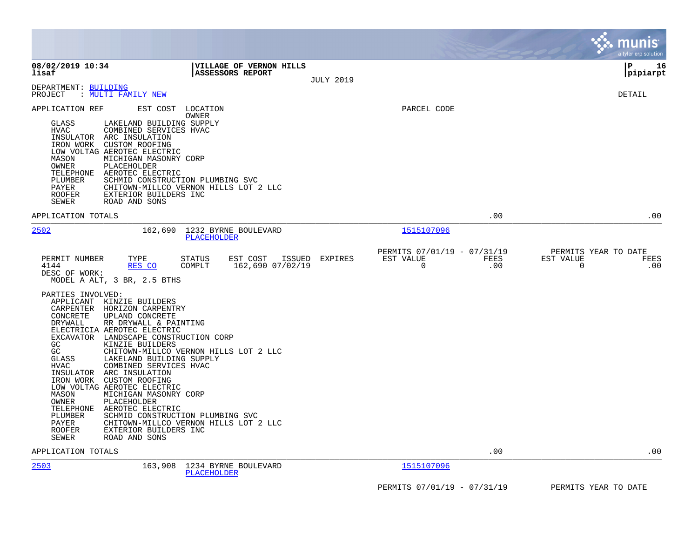|                                                                                                                                                                                                                                                                                                                                                                                                                                                                                                                                                                                                                                                                           |                                                                                                                                                                                              |                                               | munis<br>a tyler erp solution                                                     |
|---------------------------------------------------------------------------------------------------------------------------------------------------------------------------------------------------------------------------------------------------------------------------------------------------------------------------------------------------------------------------------------------------------------------------------------------------------------------------------------------------------------------------------------------------------------------------------------------------------------------------------------------------------------------------|----------------------------------------------------------------------------------------------------------------------------------------------------------------------------------------------|-----------------------------------------------|-----------------------------------------------------------------------------------|
| 08/02/2019 10:34<br>lisaf                                                                                                                                                                                                                                                                                                                                                                                                                                                                                                                                                                                                                                                 | <b>VILLAGE OF VERNON HILLS</b><br>ASSESSORS REPORT                                                                                                                                           | <b>JULY 2019</b>                              | lР<br>16<br> pipiarpt                                                             |
| DEPARTMENT: BUILDING<br>: <u>MULTI FAMILY NEW</u><br>PROJECT                                                                                                                                                                                                                                                                                                                                                                                                                                                                                                                                                                                                              |                                                                                                                                                                                              |                                               | <b>DETAIL</b>                                                                     |
| APPLICATION REF<br>EST COST<br>GLASS<br>LAKELAND BUILDING SUPPLY<br>HVAC<br>COMBINED SERVICES HVAC<br>INSULATOR ARC INSULATION<br>IRON WORK CUSTOM ROOFING<br>LOW VOLTAG AEROTEC ELECTRIC<br>MASON<br>MICHIGAN MASONRY CORP<br>OWNER<br>PLACEHOLDER<br>TELEPHONE AEROTEC ELECTRIC<br>PLUMBER<br>PAYER<br><b>ROOFER</b><br>EXTERIOR BUILDERS INC<br>SEWER<br>ROAD AND SONS                                                                                                                                                                                                                                                                                                 | LOCATION<br>OWNER<br>SCHMID CONSTRUCTION PLUMBING SVC<br>CHITOWN-MILLCO VERNON HILLS LOT 2 LLC                                                                                               | PARCEL CODE                                   |                                                                                   |
| APPLICATION TOTALS                                                                                                                                                                                                                                                                                                                                                                                                                                                                                                                                                                                                                                                        |                                                                                                                                                                                              |                                               | .00<br>.00                                                                        |
| 2502                                                                                                                                                                                                                                                                                                                                                                                                                                                                                                                                                                                                                                                                      | 162,690 1232 BYRNE BOULEVARD<br><b>PLACEHOLDER</b>                                                                                                                                           | 1515107096                                    |                                                                                   |
| PERMIT NUMBER<br>TYPE<br>RES CO<br>4144<br>DESC OF WORK:<br>MODEL A ALT, 3 BR, 2.5 BTHS<br>PARTIES INVOLVED:<br>APPLICANT KINZIE BUILDERS<br>CARPENTER HORIZON CARPENTRY<br>CONCRETE<br>UPLAND CONCRETE<br>DRYWALL<br>RR DRYWALL & PAINTING<br>ELECTRICIA AEROTEC ELECTRIC<br>EXCAVATOR LANDSCAPE CONSTRUCTION CORP<br>GC<br>KINZIE BUILDERS<br>GC<br>GLASS<br>LAKELAND BUILDING SUPPLY<br>HVAC<br>COMBINED SERVICES HVAC<br>INSULATOR ARC INSULATION<br>IRON WORK CUSTOM ROOFING<br>LOW VOLTAG AEROTEC ELECTRIC<br>MASON<br>MICHIGAN MASONRY CORP<br>OWNER<br>PLACEHOLDER<br>TELEPHONE<br>AEROTEC ELECTRIC<br>PLUMBER<br>PAYER<br><b>ROOFER</b><br>EXTERIOR BUILDERS INC | EST COST ISSUED EXPIRES<br><b>STATUS</b><br>COMPLT<br>162,690 07/02/19<br>CHITOWN-MILLCO VERNON HILLS LOT 2 LLC<br>SCHMID CONSTRUCTION PLUMBING SVC<br>CHITOWN-MILLCO VERNON HILLS LOT 2 LLC | PERMITS 07/01/19 - 07/31/19<br>EST VALUE<br>0 | PERMITS YEAR TO DATE<br>FEES<br>EST VALUE<br>FEES<br>.00<br>$\overline{0}$<br>.00 |
| SEWER<br>ROAD AND SONS                                                                                                                                                                                                                                                                                                                                                                                                                                                                                                                                                                                                                                                    |                                                                                                                                                                                              |                                               |                                                                                   |
| APPLICATION TOTALS<br>2503<br>163,908                                                                                                                                                                                                                                                                                                                                                                                                                                                                                                                                                                                                                                     | 1234 BYRNE BOULEVARD                                                                                                                                                                         | 1515107096                                    | .00<br>.00                                                                        |
|                                                                                                                                                                                                                                                                                                                                                                                                                                                                                                                                                                                                                                                                           | <b>PLACEHOLDER</b>                                                                                                                                                                           |                                               |                                                                                   |
|                                                                                                                                                                                                                                                                                                                                                                                                                                                                                                                                                                                                                                                                           |                                                                                                                                                                                              | PERMITS 07/01/19 - 07/31/19                   | PERMITS YEAR TO DATE                                                              |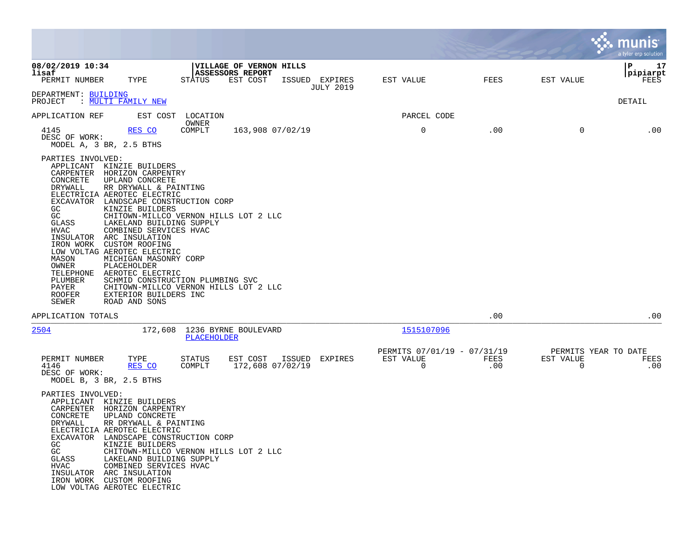|                                                                                                                                                                                           |                                                                                                                                                                                                                                                                                                                                                                                                                                                                                                                                            |                         |                                                         |                |                  |                                               |             |                | a tyler erp solution                |
|-------------------------------------------------------------------------------------------------------------------------------------------------------------------------------------------|--------------------------------------------------------------------------------------------------------------------------------------------------------------------------------------------------------------------------------------------------------------------------------------------------------------------------------------------------------------------------------------------------------------------------------------------------------------------------------------------------------------------------------------------|-------------------------|---------------------------------------------------------|----------------|------------------|-----------------------------------------------|-------------|----------------|-------------------------------------|
| 08/02/2019 10:34<br>lisaf<br>PERMIT NUMBER                                                                                                                                                | TYPE                                                                                                                                                                                                                                                                                                                                                                                                                                                                                                                                       | STATUS                  | VILLAGE OF VERNON HILLS<br>ASSESSORS REPORT<br>EST COST | ISSUED EXPIRES | <b>JULY 2019</b> | EST VALUE                                     | FEES        | EST VALUE      | 17<br>P<br> pipiarpt<br>FEES        |
| DEPARTMENT: BUILDING<br>PROJECT                                                                                                                                                           | : MULTI FAMILY NEW                                                                                                                                                                                                                                                                                                                                                                                                                                                                                                                         |                         |                                                         |                |                  |                                               |             |                | DETAIL                              |
| APPLICATION REF                                                                                                                                                                           | EST COST                                                                                                                                                                                                                                                                                                                                                                                                                                                                                                                                   | LOCATION<br>OWNER       |                                                         |                |                  | PARCEL CODE                                   |             |                |                                     |
| 4145<br>DESC OF WORK:                                                                                                                                                                     | RES CO<br>MODEL A, 3 BR, 2.5 BTHS                                                                                                                                                                                                                                                                                                                                                                                                                                                                                                          | COMPLT                  | 163,908 07/02/19                                        |                |                  | 0                                             | .00         | 0              | .00                                 |
| PARTIES INVOLVED:<br>CARPENTER<br>CONCRETE<br>DRYWALL<br>GC<br>GC<br>GLASS<br>HVAC<br>INSULATOR<br>IRON WORK<br>MASON<br>OWNER<br>TELEPHONE<br>PLUMBER<br>PAYER<br><b>ROOFER</b><br>SEWER | APPLICANT KINZIE BUILDERS<br>HORIZON CARPENTRY<br>UPLAND CONCRETE<br>RR DRYWALL & PAINTING<br>ELECTRICIA AEROTEC ELECTRIC<br>EXCAVATOR LANDSCAPE CONSTRUCTION CORP<br>KINZIE BUILDERS<br>CHITOWN-MILLCO VERNON HILLS LOT 2 LLC<br>LAKELAND BUILDING SUPPLY<br>COMBINED SERVICES HVAC<br>ARC INSULATION<br>CUSTOM ROOFING<br>LOW VOLTAG AEROTEC ELECTRIC<br>MICHIGAN MASONRY CORP<br>PLACEHOLDER<br>AEROTEC ELECTRIC<br>SCHMID CONSTRUCTION PLUMBING SVC<br>CHITOWN-MILLCO VERNON HILLS LOT 2 LLC<br>EXTERIOR BUILDERS INC<br>ROAD AND SONS |                         |                                                         |                |                  |                                               |             |                |                                     |
| APPLICATION TOTALS                                                                                                                                                                        |                                                                                                                                                                                                                                                                                                                                                                                                                                                                                                                                            |                         |                                                         |                |                  |                                               | .00         |                | .00                                 |
| 2504                                                                                                                                                                                      | 172,608                                                                                                                                                                                                                                                                                                                                                                                                                                                                                                                                    | PLACEHOLDER             | 1236 BYRNE BOULEVARD                                    |                |                  | 1515107096                                    |             |                |                                     |
| PERMIT NUMBER<br>4146<br>DESC OF WORK:                                                                                                                                                    | TYPE<br>RES CO<br>MODEL B, 3 BR, 2.5 BTHS                                                                                                                                                                                                                                                                                                                                                                                                                                                                                                  | <b>STATUS</b><br>COMPLT | EST COST<br>172,608 07/02/19                            | ISSUED         | EXPIRES          | PERMITS 07/01/19 - 07/31/19<br>EST VALUE<br>0 | FEES<br>.00 | EST VALUE<br>0 | PERMITS YEAR TO DATE<br>FEES<br>.00 |
| PARTIES INVOLVED:<br>APPLICANT<br>CARPENTER<br>CONCRETE<br>DRYWALL<br>GC.<br>GC<br>GLASS<br>HVAC                                                                                          | KINZIE BUILDERS<br>HORIZON CARPENTRY<br>UPLAND CONCRETE<br>RR DRYWALL & PAINTING<br>ELECTRICIA AEROTEC ELECTRIC<br>EXCAVATOR LANDSCAPE CONSTRUCTION CORP<br>KINZIE BUILDERS<br>CHITOWN-MILLCO VERNON HILLS LOT 2 LLC<br>LAKELAND BUILDING SUPPLY<br>COMBINED SERVICES HVAC<br>INSULATOR ARC INSULATION<br>IRON WORK CUSTOM ROOFING<br>LOW VOLTAG AEROTEC ELECTRIC                                                                                                                                                                          |                         |                                                         |                |                  |                                               |             |                |                                     |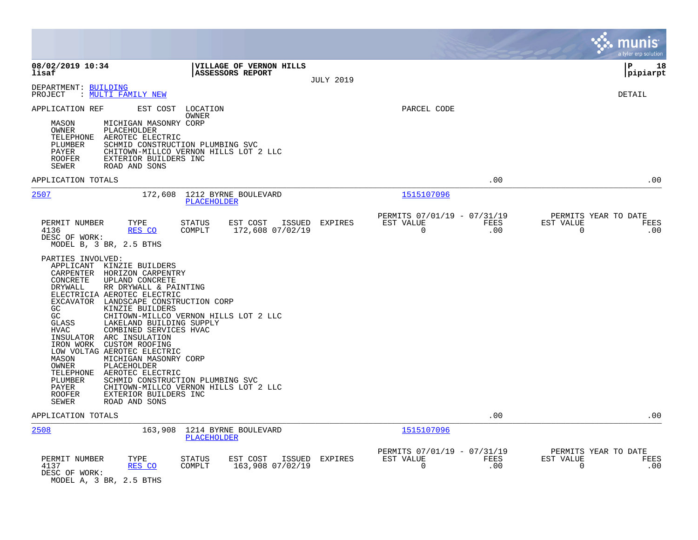|                                                                                                                                                                                                                                                                                                                                                                                                                                                                                                                                                                                                                                                                                                                                                           |                   |                                                         |                    |                                                  | munis<br>a tyler erp solution |
|-----------------------------------------------------------------------------------------------------------------------------------------------------------------------------------------------------------------------------------------------------------------------------------------------------------------------------------------------------------------------------------------------------------------------------------------------------------------------------------------------------------------------------------------------------------------------------------------------------------------------------------------------------------------------------------------------------------------------------------------------------------|-------------------|---------------------------------------------------------|--------------------|--------------------------------------------------|-------------------------------|
| 08/02/2019 10:34<br>VILLAGE OF VERNON HILLS<br>lisaf<br><b>ASSESSORS REPORT</b>                                                                                                                                                                                                                                                                                                                                                                                                                                                                                                                                                                                                                                                                           | <b>JULY 2019</b>  |                                                         |                    |                                                  | l P<br>18<br> pipiarpt        |
| DEPARTMENT: BUILDING<br>: MULTI FAMILY NEW<br>PROJECT                                                                                                                                                                                                                                                                                                                                                                                                                                                                                                                                                                                                                                                                                                     |                   |                                                         |                    |                                                  | <b>DETAIL</b>                 |
| APPLICATION REF<br>EST COST<br>LOCATION<br>OWNER<br>MICHIGAN MASONRY CORP<br>MASON<br><b>OWNER</b><br><b>PLACEHOLDER</b><br>TELEPHONE<br>AEROTEC ELECTRIC<br>PLUMBER<br>SCHMID CONSTRUCTION PLUMBING SVC<br>CHITOWN-MILLCO VERNON HILLS LOT 2 LLC<br>PAYER<br><b>ROOFER</b><br>EXTERIOR BUILDERS INC<br>SEWER<br>ROAD AND SONS                                                                                                                                                                                                                                                                                                                                                                                                                            |                   | PARCEL CODE                                             |                    |                                                  |                               |
| APPLICATION TOTALS                                                                                                                                                                                                                                                                                                                                                                                                                                                                                                                                                                                                                                                                                                                                        |                   |                                                         | .00                |                                                  | .00                           |
| 2507<br>172,608 1212 BYRNE BOULEVARD<br><b>PLACEHOLDER</b>                                                                                                                                                                                                                                                                                                                                                                                                                                                                                                                                                                                                                                                                                                |                   | 1515107096                                              |                    |                                                  |                               |
| PERMIT NUMBER<br>STATUS<br>EST COST<br>TYPE<br>4136<br>RES CO<br>COMPLT<br>172,608 07/02/19<br>DESC OF WORK:<br>MODEL B, 3 BR, 2.5 BTHS<br>PARTIES INVOLVED:<br>APPLICANT KINZIE BUILDERS<br>CARPENTER<br>HORIZON CARPENTRY<br>UPLAND CONCRETE<br>CONCRETE<br>DRYWALL<br>RR DRYWALL & PAINTING<br>ELECTRICIA AEROTEC ELECTRIC<br>EXCAVATOR LANDSCAPE CONSTRUCTION CORP<br>GC<br>KINZIE BUILDERS<br>GC<br>CHITOWN-MILLCO VERNON HILLS LOT 2 LLC<br>GLASS<br>LAKELAND BUILDING SUPPLY<br>HVAC<br>COMBINED SERVICES HVAC<br>INSULATOR ARC INSULATION<br>CUSTOM ROOFING<br>IRON WORK<br>LOW VOLTAG AEROTEC ELECTRIC<br>MASON<br>MICHIGAN MASONRY CORP<br>OWNER<br>PLACEHOLDER<br>AEROTEC ELECTRIC<br>TELEPHONE<br>PLUMBER<br>SCHMID CONSTRUCTION PLUMBING SVC | ISSUED<br>EXPIRES | PERMITS 07/01/19 - 07/31/19<br>EST VALUE<br>$\mathbf 0$ | <b>FEES</b><br>.00 | PERMITS YEAR TO DATE<br>EST VALUE<br>$\mathbf 0$ | FEES<br>.00                   |
| PAYER<br>CHITOWN-MILLCO VERNON HILLS LOT 2 LLC<br>EXTERIOR BUILDERS INC<br><b>ROOFER</b><br>SEWER<br>ROAD AND SONS                                                                                                                                                                                                                                                                                                                                                                                                                                                                                                                                                                                                                                        |                   |                                                         |                    |                                                  |                               |
| APPLICATION TOTALS                                                                                                                                                                                                                                                                                                                                                                                                                                                                                                                                                                                                                                                                                                                                        |                   |                                                         | .00                |                                                  | .00                           |
| 2508<br>163,908 1214 BYRNE BOULEVARD<br>PLACEHOLDER                                                                                                                                                                                                                                                                                                                                                                                                                                                                                                                                                                                                                                                                                                       |                   | 1515107096                                              |                    |                                                  |                               |
| PERMIT NUMBER<br>TYPE<br>STATUS<br>EST COST<br>COMPLT<br>163,908 07/02/19<br>4137<br>RES CO<br>DESC OF WORK:<br>MODEL A, 3 BR, 2.5 BTHS                                                                                                                                                                                                                                                                                                                                                                                                                                                                                                                                                                                                                   | ISSUED<br>EXPIRES | PERMITS 07/01/19 - 07/31/19<br>EST VALUE<br>$\mathbf 0$ | FEES<br>.00        | PERMITS YEAR TO DATE<br>EST VALUE<br>$\Omega$    | FEES<br>.00                   |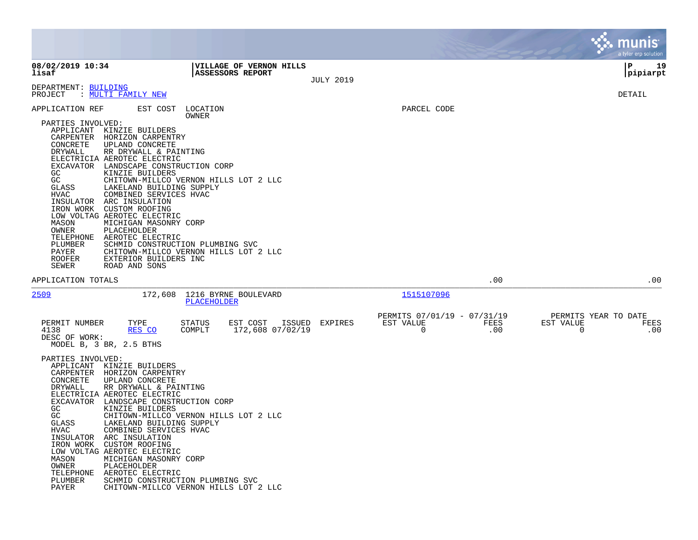|                                                                                                                                                                                                                                         |                                                                                                                                                                                                                                                                                                                                                                                                                                                                                                                                    |                   |                                             |                  |                                           |             |                          | a tyler erp solution |
|-----------------------------------------------------------------------------------------------------------------------------------------------------------------------------------------------------------------------------------------|------------------------------------------------------------------------------------------------------------------------------------------------------------------------------------------------------------------------------------------------------------------------------------------------------------------------------------------------------------------------------------------------------------------------------------------------------------------------------------------------------------------------------------|-------------------|---------------------------------------------|------------------|-------------------------------------------|-------------|--------------------------|----------------------|
| 08/02/2019 10:34<br>lisaf                                                                                                                                                                                                               |                                                                                                                                                                                                                                                                                                                                                                                                                                                                                                                                    |                   | VILLAGE OF VERNON HILLS<br>ASSESSORS REPORT | <b>JULY 2019</b> |                                           |             |                          | P<br>19<br> pipiarpt |
| DEPARTMENT: BUILDING<br>PROJECT                                                                                                                                                                                                         | : <u>MULTI FAMILY NEW</u>                                                                                                                                                                                                                                                                                                                                                                                                                                                                                                          |                   |                                             |                  |                                           |             |                          | DETAIL               |
| APPLICATION REF<br>PARTIES INVOLVED:<br>APPLICANT<br>CARPENTER<br>CONCRETE<br>DRYWALL<br>EXCAVATOR<br>GC.<br>GC<br>GLASS<br>HVAC<br>INSULATOR<br>IRON WORK<br>MASON<br>OWNER<br>TELEPHONE<br>PLUMBER<br>PAYER<br><b>ROOFER</b><br>SEWER | EST COST<br>KINZIE BUILDERS<br>HORIZON CARPENTRY<br>UPLAND CONCRETE<br>RR DRYWALL & PAINTING<br>ELECTRICIA AEROTEC ELECTRIC<br>LANDSCAPE CONSTRUCTION CORP<br>KINZIE BUILDERS<br>CHITOWN-MILLCO VERNON HILLS LOT 2 LLC<br>LAKELAND BUILDING SUPPLY<br>COMBINED SERVICES HVAC<br>ARC INSULATION<br>CUSTOM ROOFING<br>LOW VOLTAG AEROTEC ELECTRIC<br>MICHIGAN MASONRY CORP<br>PLACEHOLDER<br>AEROTEC ELECTRIC<br>SCHMID CONSTRUCTION PLUMBING SVC<br>CHITOWN-MILLCO VERNON HILLS LOT 2 LLC<br>EXTERIOR BUILDERS INC<br>ROAD AND SONS | LOCATION<br>OWNER |                                             |                  | PARCEL CODE                               |             |                          |                      |
| APPLICATION TOTALS                                                                                                                                                                                                                      |                                                                                                                                                                                                                                                                                                                                                                                                                                                                                                                                    |                   |                                             |                  |                                           | .00         |                          | $.00 \,$             |
| 2509                                                                                                                                                                                                                                    | 172,608                                                                                                                                                                                                                                                                                                                                                                                                                                                                                                                            | PLACEHOLDER       | 1216 BYRNE BOULEVARD                        |                  | 1515107096<br>PERMITS 07/01/19 - 07/31/19 |             |                          | PERMITS YEAR TO DATE |
| PERMIT NUMBER<br>4138<br>DESC OF WORK:<br>PARTIES INVOLVED:<br>APPLICANT<br>CARPENTER<br>CONCRETE<br>DRYWALL<br>EXCAVATOR<br>GC.<br>GC<br>GLASS<br>HVAC<br>INSULATOR<br>IRON WORK<br>MASON<br>OWNER<br>TELEPHONE<br>PLUMBER<br>PAYER    | TYPE<br>RES CO<br>MODEL B, 3 BR, 2.5 BTHS<br>KINZIE BUILDERS<br>HORIZON CARPENTRY<br>UPLAND CONCRETE<br>RR DRYWALL & PAINTING<br>ELECTRICIA AEROTEC ELECTRIC<br>LANDSCAPE CONSTRUCTION CORP<br>KINZIE BUILDERS<br>CHITOWN-MILLCO VERNON HILLS LOT 2 LLC<br>LAKELAND BUILDING SUPPLY<br>COMBINED SERVICES HVAC<br>ARC INSULATION<br>CUSTOM ROOFING<br>LOW VOLTAG AEROTEC ELECTRIC<br>MICHIGAN MASONRY CORP<br>PLACEHOLDER<br>AEROTEC ELECTRIC<br>SCHMID CONSTRUCTION PLUMBING SVC<br>CHITOWN-MILLCO VERNON HILLS LOT 2 LLC          | STATUS<br>COMPLT  | EST COST<br>ISSUED<br>172,608 07/02/19      | EXPIRES          | EST VALUE<br>0                            | FEES<br>.00 | EST VALUE<br>$\mathbf 0$ | FEES<br>.00          |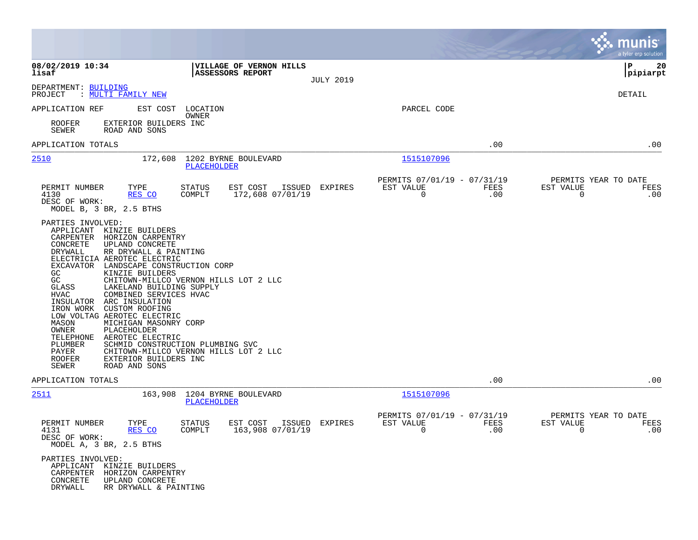|                                                                                                                                                                                                                                                                                                                                                                                                                                                                                                                                                                                                                             |                                                                                                                    |                  |                                                            |             | munis<br>a tyler erp solution                                                |
|-----------------------------------------------------------------------------------------------------------------------------------------------------------------------------------------------------------------------------------------------------------------------------------------------------------------------------------------------------------------------------------------------------------------------------------------------------------------------------------------------------------------------------------------------------------------------------------------------------------------------------|--------------------------------------------------------------------------------------------------------------------|------------------|------------------------------------------------------------|-------------|------------------------------------------------------------------------------|
| 08/02/2019 10:34<br>lisaf                                                                                                                                                                                                                                                                                                                                                                                                                                                                                                                                                                                                   | VILLAGE OF VERNON HILLS<br><b>ASSESSORS REPORT</b>                                                                 | <b>JULY 2019</b> |                                                            |             | 20<br>l P<br> pipiarpt                                                       |
| DEPARTMENT: BUILDING<br>: MULTI FAMILY NEW<br>PROJECT                                                                                                                                                                                                                                                                                                                                                                                                                                                                                                                                                                       |                                                                                                                    |                  |                                                            |             | DETAIL                                                                       |
| APPLICATION REF<br>EST COST                                                                                                                                                                                                                                                                                                                                                                                                                                                                                                                                                                                                 | LOCATION<br>OWNER                                                                                                  |                  | PARCEL CODE                                                |             |                                                                              |
| <b>ROOFER</b><br>EXTERIOR BUILDERS INC<br>SEWER<br>ROAD AND SONS                                                                                                                                                                                                                                                                                                                                                                                                                                                                                                                                                            |                                                                                                                    |                  |                                                            |             |                                                                              |
| APPLICATION TOTALS                                                                                                                                                                                                                                                                                                                                                                                                                                                                                                                                                                                                          |                                                                                                                    |                  |                                                            | .00         | .00                                                                          |
| 2510<br>172,608                                                                                                                                                                                                                                                                                                                                                                                                                                                                                                                                                                                                             | 1202 BYRNE BOULEVARD<br>PLACEHOLDER                                                                                |                  | 1515107096                                                 |             |                                                                              |
| PERMIT NUMBER<br>TYPE<br>4130<br>RES CO<br>DESC OF WORK:<br>MODEL B, 3 BR, 2.5 BTHS                                                                                                                                                                                                                                                                                                                                                                                                                                                                                                                                         | EST COST ISSUED EXPIRES<br>STATUS<br>COMPLT<br>172,608 07/01/19                                                    |                  | PERMITS 07/01/19 - 07/31/19<br>EST VALUE<br>$\mathbf 0$    | FEES<br>.00 | PERMITS YEAR TO DATE<br>EST VALUE<br>FEES<br>0<br>.00                        |
| PARTIES INVOLVED:<br>APPLICANT<br>KINZIE BUILDERS<br>HORIZON CARPENTRY<br>CARPENTER<br>CONCRETE<br>UPLAND CONCRETE<br>DRYWALL<br>RR DRYWALL & PAINTING<br>ELECTRICIA AEROTEC ELECTRIC<br>EXCAVATOR LANDSCAPE CONSTRUCTION CORP<br>GC<br>KINZIE BUILDERS<br>GC<br>GLASS<br>LAKELAND BUILDING SUPPLY<br><b>HVAC</b><br>COMBINED SERVICES HVAC<br>INSULATOR<br>ARC INSULATION<br>IRON WORK<br>CUSTOM ROOFING<br>LOW VOLTAG AEROTEC ELECTRIC<br>MASON<br>MICHIGAN MASONRY CORP<br>OWNER<br>PLACEHOLDER<br>TELEPHONE<br>AEROTEC ELECTRIC<br>PLUMBER<br>PAYER<br><b>ROOFER</b><br>EXTERIOR BUILDERS INC<br>SEWER<br>ROAD AND SONS | CHITOWN-MILLCO VERNON HILLS LOT 2 LLC<br>SCHMID CONSTRUCTION PLUMBING SVC<br>CHITOWN-MILLCO VERNON HILLS LOT 2 LLC |                  |                                                            |             |                                                                              |
| APPLICATION TOTALS                                                                                                                                                                                                                                                                                                                                                                                                                                                                                                                                                                                                          |                                                                                                                    |                  |                                                            | .00         | .00                                                                          |
| 2511<br>163,908                                                                                                                                                                                                                                                                                                                                                                                                                                                                                                                                                                                                             | 1204 BYRNE BOULEVARD<br>PLACEHOLDER                                                                                |                  | 1515107096                                                 |             |                                                                              |
| TYPE<br>PERMIT NUMBER<br>RES CO<br>4131<br>DESC OF WORK:<br>MODEL A, 3 BR, 2.5 BTHS                                                                                                                                                                                                                                                                                                                                                                                                                                                                                                                                         | STATUS<br>EST COST<br>COMPLT<br>163,908 07/01/19                                                                   | ISSUED EXPIRES   | PERMITS 07/01/19 - 07/31/19<br>EST VALUE<br>$\overline{0}$ | FEES<br>.00 | PERMITS YEAR TO DATE<br>EST VALUE<br>FEES<br>.00<br>$\overline{\phantom{0}}$ |
| PARTIES INVOLVED:<br>APPLICANT KINZIE BUILDERS<br>CARPENTER<br>HORIZON CARPENTRY<br>CONCRETE<br>UPLAND CONCRETE<br>DRYWALL<br>RR DRYWALL & PAINTING                                                                                                                                                                                                                                                                                                                                                                                                                                                                         |                                                                                                                    |                  |                                                            |             |                                                                              |

 $\mathcal{L}^{\text{max}}$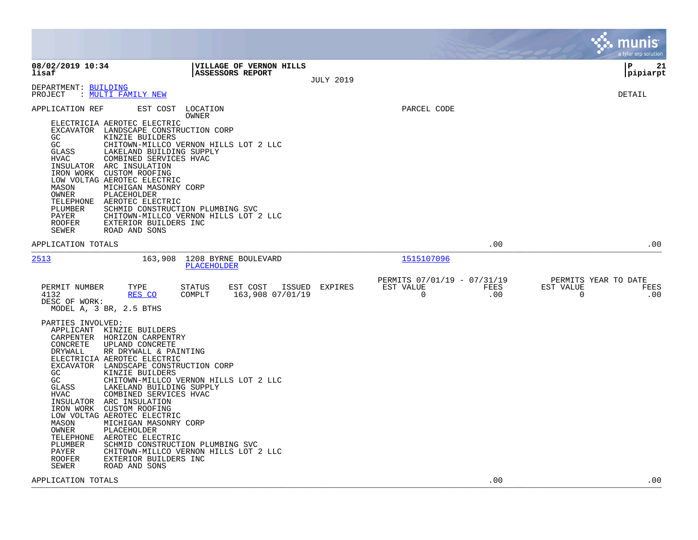|                                                                                                                                                                       |                                                                                                                                                                                                                                                                                                                                                                                                                                                                                                                                                      |                                                   |                                                         |             | munis<br>a tyler erp solution                                   |
|-----------------------------------------------------------------------------------------------------------------------------------------------------------------------|------------------------------------------------------------------------------------------------------------------------------------------------------------------------------------------------------------------------------------------------------------------------------------------------------------------------------------------------------------------------------------------------------------------------------------------------------------------------------------------------------------------------------------------------------|---------------------------------------------------|---------------------------------------------------------|-------------|-----------------------------------------------------------------|
| 08/02/2019 10:34<br>lisaf                                                                                                                                             | <b>ASSESSORS REPORT</b>                                                                                                                                                                                                                                                                                                                                                                                                                                                                                                                              | VILLAGE OF VERNON HILLS<br><b>JULY 2019</b>       |                                                         |             | l P<br>21<br> pipiarpt                                          |
| DEPARTMENT: BUILDING<br>PROJECT                                                                                                                                       | : MULTI FAMILY NEW                                                                                                                                                                                                                                                                                                                                                                                                                                                                                                                                   |                                                   |                                                         |             | DETAIL                                                          |
| APPLICATION REF<br>GC<br>GC<br>GLASS<br>HVAC<br>INSULATOR<br>IRON WORK CUSTOM ROOFING<br>MASON<br>OWNER<br>TELEPHONE<br>PLUMBER<br>PAYER<br><b>ROOFER</b><br>SEWER    | EST COST LOCATION<br>OWNER<br>ELECTRICIA AEROTEC ELECTRIC<br>EXCAVATOR LANDSCAPE CONSTRUCTION CORP<br>KINZIE BUILDERS<br>CHITOWN-MILLCO VERNON HILLS LOT 2 LLC<br>LAKELAND BUILDING SUPPLY<br>COMBINED SERVICES HVAC<br>ARC INSULATION<br>LOW VOLTAG AEROTEC ELECTRIC<br>MICHIGAN MASONRY CORP<br>PLACEHOLDER<br>AEROTEC ELECTRIC<br>SCHMID CONSTRUCTION PLUMBING SVC<br>CHITOWN-MILLCO VERNON HILLS LOT 2 LLC<br>EXTERIOR BUILDERS INC<br>ROAD AND SONS                                                                                             |                                                   | PARCEL CODE                                             |             |                                                                 |
| APPLICATION TOTALS                                                                                                                                                    |                                                                                                                                                                                                                                                                                                                                                                                                                                                                                                                                                      |                                                   |                                                         | .00         | .00                                                             |
| 2513                                                                                                                                                                  | 163,908<br>1208 BYRNE BOULEVARD<br>PLACEHOLDER                                                                                                                                                                                                                                                                                                                                                                                                                                                                                                       |                                                   | 1515107096                                              |             |                                                                 |
| PERMIT NUMBER<br>4132<br>DESC OF WORK:<br>MODEL A, 3 BR, 2.5 BTHS                                                                                                     | TYPE<br>STATUS<br>RES CO<br>COMPLT                                                                                                                                                                                                                                                                                                                                                                                                                                                                                                                   | EST COST<br>EXPIRES<br>ISSUED<br>163,908 07/01/19 | PERMITS 07/01/19 - 07/31/19<br>EST VALUE<br>$\mathbf 0$ | FEES<br>.00 | PERMITS YEAR TO DATE<br>EST VALUE<br>FEES<br>$\mathbf 0$<br>.00 |
| PARTIES INVOLVED:<br>CONCRETE<br>DRYWALL<br>GC<br>GC<br>GLASS<br>HVAC<br>INSULATOR<br>IRON WORK<br>MASON<br>OWNER<br>TELEPHONE<br>PLUMBER<br>PAYER<br>ROOFER<br>SEWER | APPLICANT KINZIE BUILDERS<br>CARPENTER HORIZON CARPENTRY<br>UPLAND CONCRETE<br>RR DRYWALL & PAINTING<br>ELECTRICIA AEROTEC ELECTRIC<br>EXCAVATOR LANDSCAPE CONSTRUCTION CORP<br>KINZIE BUILDERS<br>CHITOWN-MILLCO VERNON HILLS LOT 2 LLC<br>LAKELAND BUILDING SUPPLY<br>COMBINED SERVICES HVAC<br>ARC INSULATION<br>CUSTOM ROOFING<br>LOW VOLTAG AEROTEC ELECTRIC<br>MICHIGAN MASONRY CORP<br>PLACEHOLDER<br>AEROTEC ELECTRIC<br>SCHMID CONSTRUCTION PLUMBING SVC<br>CHITOWN-MILLCO VERNON HILLS LOT 2 LLC<br>EXTERIOR BUILDERS INC<br>ROAD AND SONS |                                                   |                                                         |             |                                                                 |
| APPLICATION TOTALS                                                                                                                                                    |                                                                                                                                                                                                                                                                                                                                                                                                                                                                                                                                                      |                                                   |                                                         | .00         | .00                                                             |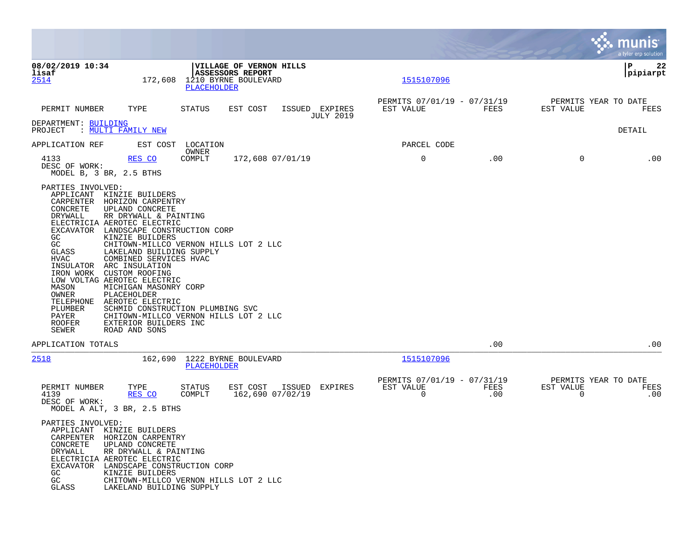|                                                                                                                                                                                                                                   |                                                                                                                                                                                                                                                                                                                                                                         |                                                                                                                    |                                             |                                                         |             |                                               | a tyler erp solution   |
|-----------------------------------------------------------------------------------------------------------------------------------------------------------------------------------------------------------------------------------|-------------------------------------------------------------------------------------------------------------------------------------------------------------------------------------------------------------------------------------------------------------------------------------------------------------------------------------------------------------------------|--------------------------------------------------------------------------------------------------------------------|---------------------------------------------|---------------------------------------------------------|-------------|-----------------------------------------------|------------------------|
| 08/02/2019 10:34<br>lisaf<br><u>2514</u>                                                                                                                                                                                          |                                                                                                                                                                                                                                                                                                                                                                         | VILLAGE OF VERNON HILLS<br>ASSESSORS REPORT<br>172,608 1210 BYRNE BOULEVARD<br>PLACEHOLDER                         |                                             | 1515107096                                              |             |                                               | l P<br>22<br> pipiarpt |
| PERMIT NUMBER                                                                                                                                                                                                                     | TYPE                                                                                                                                                                                                                                                                                                                                                                    | STATUS<br>EST COST                                                                                                 | ISSUED EXPIRES<br><b>JULY 2019</b>          | PERMITS 07/01/19 - 07/31/19<br>EST VALUE                | FEES        | PERMITS YEAR TO DATE<br>EST VALUE             | FEES                   |
| DEPARTMENT: BUILDING<br>PROJECT                                                                                                                                                                                                   | : MULTI FAMILY NEW                                                                                                                                                                                                                                                                                                                                                      |                                                                                                                    |                                             |                                                         |             |                                               | DETAIL                 |
| APPLICATION REF                                                                                                                                                                                                                   |                                                                                                                                                                                                                                                                                                                                                                         | EST COST LOCATION<br>OWNER                                                                                         |                                             | PARCEL CODE                                             |             |                                               |                        |
| 4133<br>DESC OF WORK:<br>MODEL B, 3 BR, 2.5 BTHS                                                                                                                                                                                  | RES CO                                                                                                                                                                                                                                                                                                                                                                  | COMPLT                                                                                                             | 172,608 07/01/19                            | 0                                                       | .00         | $\mathbf{0}$                                  | .00                    |
| PARTIES INVOLVED:<br>APPLICANT KINZIE BUILDERS<br>CONCRETE<br>DRYWALL<br>GC<br>GC<br>GLASS<br><b>HVAC</b><br>INSULATOR ARC INSULATION<br>IRON WORK CUSTOM ROOFING<br>MASON<br>OWNER<br>PLUMBER<br>PAYER<br><b>ROOFER</b><br>SEWER | CARPENTER HORIZON CARPENTRY<br>UPLAND CONCRETE<br>RR DRYWALL & PAINTING<br>ELECTRICIA AEROTEC ELECTRIC<br>EXCAVATOR LANDSCAPE CONSTRUCTION CORP<br>KINZIE BUILDERS<br>LAKELAND BUILDING SUPPLY<br>COMBINED SERVICES HVAC<br>LOW VOLTAG AEROTEC ELECTRIC<br>MICHIGAN MASONRY CORP<br>PLACEHOLDER<br>TELEPHONE AEROTEC ELECTRIC<br>EXTERIOR BUILDERS INC<br>ROAD AND SONS | CHITOWN-MILLCO VERNON HILLS LOT 2 LLC<br>SCHMID CONSTRUCTION PLUMBING SVC<br>CHITOWN-MILLCO VERNON HILLS LOT 2 LLC |                                             |                                                         |             |                                               |                        |
| APPLICATION TOTALS                                                                                                                                                                                                                |                                                                                                                                                                                                                                                                                                                                                                         |                                                                                                                    |                                             |                                                         | .00         |                                               | .00                    |
| 2518                                                                                                                                                                                                                              |                                                                                                                                                                                                                                                                                                                                                                         | 162,690 1222 BYRNE BOULEVARD<br>PLACEHOLDER                                                                        |                                             | 1515107096                                              |             |                                               |                        |
| PERMIT NUMBER<br>4139<br>DESC OF WORK:<br>MODEL A ALT, 3 BR, 2.5 BTHS                                                                                                                                                             | TYPE<br>RES CO                                                                                                                                                                                                                                                                                                                                                          | STATUS<br>COMPLT                                                                                                   | EST COST ISSUED EXPIRES<br>162,690 07/02/19 | PERMITS 07/01/19 - 07/31/19<br>EST VALUE<br>$\mathbf 0$ | FEES<br>.00 | PERMITS YEAR TO DATE<br>EST VALUE<br>$\Omega$ | FEES<br>.00            |
| PARTIES INVOLVED:<br>APPLICANT KINZIE BUILDERS<br>CONCRETE<br>DRYWALL<br>GC.<br>GC<br>GLASS                                                                                                                                       | CARPENTER HORIZON CARPENTRY<br>UPLAND CONCRETE<br>RR DRYWALL & PAINTING<br>ELECTRICIA AEROTEC ELECTRIC<br>EXCAVATOR LANDSCAPE CONSTRUCTION CORP<br>KINZIE BUILDERS<br>LAKELAND BUILDING SUPPLY                                                                                                                                                                          | CHITOWN-MILLCO VERNON HILLS LOT 2 LLC                                                                              |                                             |                                                         |             |                                               |                        |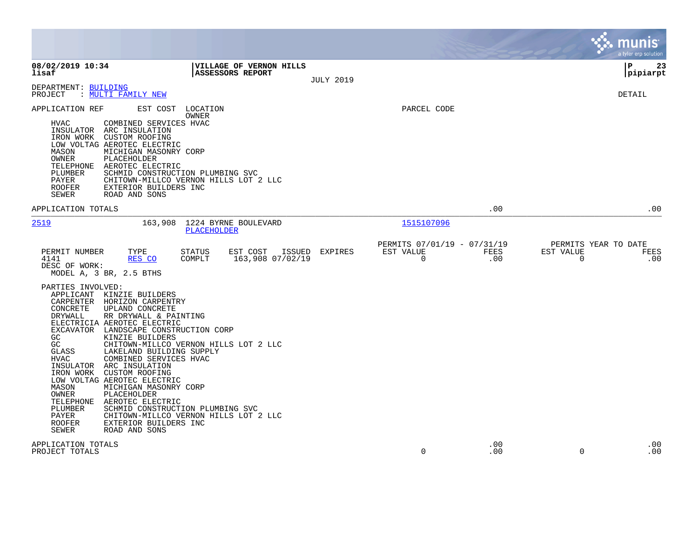|                                                                                                                                                                                                  |                                                                                                                                                                                                                                                                                                                                                                                                                                                                                                                                            |                                        |                  |                                                         |             |                       | munis<br>a tyler erp solution       |
|--------------------------------------------------------------------------------------------------------------------------------------------------------------------------------------------------|--------------------------------------------------------------------------------------------------------------------------------------------------------------------------------------------------------------------------------------------------------------------------------------------------------------------------------------------------------------------------------------------------------------------------------------------------------------------------------------------------------------------------------------------|----------------------------------------|------------------|---------------------------------------------------------|-------------|-----------------------|-------------------------------------|
| 08/02/2019 10:34<br>lisaf                                                                                                                                                                        | <b>ASSESSORS REPORT</b>                                                                                                                                                                                                                                                                                                                                                                                                                                                                                                                    | VILLAGE OF VERNON HILLS                | <b>JULY 2019</b> |                                                         |             |                       | 23<br>l P<br> pipiarpt              |
| DEPARTMENT: BUILDING<br>PROJECT                                                                                                                                                                  | : MULTI FAMILY NEW                                                                                                                                                                                                                                                                                                                                                                                                                                                                                                                         |                                        |                  |                                                         |             |                       | DETAIL                              |
| APPLICATION REF<br><b>HVAC</b><br>INSULATOR<br>MASON<br>OWNER<br>TELEPHONE<br>PLUMBER<br>PAYER<br><b>ROOFER</b><br>SEWER                                                                         | EST COST<br>LOCATION<br>OWNER<br>COMBINED SERVICES HVAC<br>ARC INSULATION<br>IRON WORK CUSTOM ROOFING<br>LOW VOLTAG AEROTEC ELECTRIC<br>MICHIGAN MASONRY CORP<br>PLACEHOLDER<br>AEROTEC ELECTRIC<br>SCHMID CONSTRUCTION PLUMBING SVC<br>CHITOWN-MILLCO VERNON HILLS LOT 2 LLC<br>EXTERIOR BUILDERS INC<br>ROAD AND SONS                                                                                                                                                                                                                    |                                        |                  | PARCEL CODE                                             |             |                       |                                     |
| APPLICATION TOTALS                                                                                                                                                                               |                                                                                                                                                                                                                                                                                                                                                                                                                                                                                                                                            |                                        |                  |                                                         | .00         |                       | .00                                 |
| <u>2519</u>                                                                                                                                                                                      | 163,908 1224 BYRNE BOULEVARD<br>PLACEHOLDER                                                                                                                                                                                                                                                                                                                                                                                                                                                                                                |                                        |                  | 1515107096                                              |             |                       |                                     |
| PERMIT NUMBER<br>4141<br>DESC OF WORK:<br>MODEL A, 3 BR, 2.5 BTHS                                                                                                                                | TYPE<br>STATUS<br>RES CO<br>COMPLT                                                                                                                                                                                                                                                                                                                                                                                                                                                                                                         | EST COST<br>ISSUED<br>163,908 07/02/19 | EXPIRES          | PERMITS 07/01/19 - 07/31/19<br>EST VALUE<br>$\mathbf 0$ | FEES<br>.00 | EST VALUE<br>$\Omega$ | PERMITS YEAR TO DATE<br>FEES<br>.00 |
| PARTIES INVOLVED:<br>CARPENTER<br>CONCRETE<br>DRYWALL<br>GC<br>GC<br>GLASS<br><b>HVAC</b><br>INSULATOR<br>IRON WORK<br>MASON<br>OWNER<br>TELEPHONE<br>PLUMBER<br>PAYER<br><b>ROOFER</b><br>SEWER | APPLICANT KINZIE BUILDERS<br>HORIZON CARPENTRY<br>UPLAND CONCRETE<br>RR DRYWALL & PAINTING<br>ELECTRICIA AEROTEC ELECTRIC<br>EXCAVATOR LANDSCAPE CONSTRUCTION CORP<br>KINZIE BUILDERS<br>CHITOWN-MILLCO VERNON HILLS LOT 2 LLC<br>LAKELAND BUILDING SUPPLY<br>COMBINED SERVICES HVAC<br>ARC INSULATION<br>CUSTOM ROOFING<br>LOW VOLTAG AEROTEC ELECTRIC<br>MICHIGAN MASONRY CORP<br>PLACEHOLDER<br>AEROTEC ELECTRIC<br>SCHMID CONSTRUCTION PLUMBING SVC<br>CHITOWN-MILLCO VERNON HILLS LOT 2 LLC<br>EXTERIOR BUILDERS INC<br>ROAD AND SONS |                                        |                  |                                                         |             |                       |                                     |
| APPLICATION TOTALS<br>PROJECT TOTALS                                                                                                                                                             |                                                                                                                                                                                                                                                                                                                                                                                                                                                                                                                                            |                                        |                  | $\mathbf 0$                                             | .00<br>.00  | 0                     | .00<br>.00                          |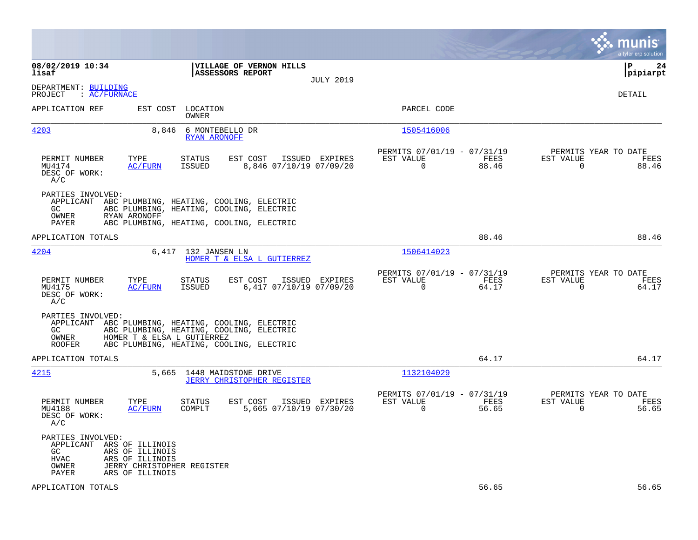|                                                                                                                                         |                                                                                                                                                                          |                                                                          | munis<br>a tyler erp solution                                     |
|-----------------------------------------------------------------------------------------------------------------------------------------|--------------------------------------------------------------------------------------------------------------------------------------------------------------------------|--------------------------------------------------------------------------|-------------------------------------------------------------------|
| 08/02/2019 10:34<br>lisaf                                                                                                               | VILLAGE OF VERNON HILLS<br><b>ASSESSORS REPORT</b><br><b>JULY 2019</b>                                                                                                   |                                                                          | P<br>24<br> pipiarpt                                              |
| DEPARTMENT: BUILDING<br>: AC/FURNACE<br>PROJECT                                                                                         |                                                                                                                                                                          |                                                                          | <b>DETAIL</b>                                                     |
| APPLICATION REF                                                                                                                         | EST COST LOCATION<br>OWNER                                                                                                                                               | PARCEL CODE                                                              |                                                                   |
| 4203                                                                                                                                    | 8,846<br>6 MONTEBELLO DR<br><b>RYAN ARONOFF</b>                                                                                                                          | 1505416006                                                               |                                                                   |
| TYPE<br>PERMIT NUMBER<br>MU4174<br>DESC OF WORK:<br>A/C                                                                                 | EST COST<br>ISSUED EXPIRES<br>STATUS<br><b>AC/FURN</b><br>ISSUED<br>8,846 07/10/19 07/09/20                                                                              | PERMITS 07/01/19 - 07/31/19<br>EST VALUE<br>FEES<br>$\mathbf 0$<br>88.46 | PERMITS YEAR TO DATE<br>EST VALUE<br>FEES<br>88.46<br>0           |
| PARTIES INVOLVED:<br>APPLICANT<br>GC.<br>OWNER<br>RYAN ARONOFF<br>PAYER                                                                 | ABC PLUMBING, HEATING, COOLING, ELECTRIC<br>ABC PLUMBING, HEATING, COOLING, ELECTRIC<br>ABC PLUMBING, HEATING, COOLING, ELECTRIC                                         |                                                                          |                                                                   |
| APPLICATION TOTALS                                                                                                                      |                                                                                                                                                                          | 88.46                                                                    | 88.46                                                             |
| 4204                                                                                                                                    | 6,417 132 JANSEN LN<br>HOMER T & ELSA L GUTIERREZ                                                                                                                        | 1506414023                                                               |                                                                   |
| PERMIT NUMBER<br>TYPE<br>MU4175<br>DESC OF WORK:<br>A/C                                                                                 | EST COST<br>ISSUED EXPIRES<br>STATUS<br>6,417 07/10/19 07/09/20<br>AC/FURN<br>ISSUED                                                                                     | PERMITS 07/01/19 - 07/31/19<br>EST VALUE<br>FEES<br>$\mathbf 0$<br>64.17 | PERMITS YEAR TO DATE<br>EST VALUE<br>FEES<br>$\mathbf 0$<br>64.17 |
| PARTIES INVOLVED:<br>GC<br>OWNER<br><b>ROOFER</b>                                                                                       | APPLICANT ABC PLUMBING, HEATING, COOLING, ELECTRIC<br>ABC PLUMBING, HEATING, COOLING, ELECTRIC<br>HOMER T & ELSA L GUTIERREZ<br>ABC PLUMBING, HEATING, COOLING, ELECTRIC |                                                                          |                                                                   |
| APPLICATION TOTALS                                                                                                                      |                                                                                                                                                                          | 64.17                                                                    | 64.17                                                             |
| 4215                                                                                                                                    | 5,665 1448 MAIDSTONE DRIVE<br><b>JERRY CHRISTOPHER REGISTER</b>                                                                                                          | 1132104029                                                               |                                                                   |
| PERMIT NUMBER<br>TYPE<br>MU4188<br>DESC OF WORK:<br>A/C                                                                                 | <b>STATUS</b><br>EST COST<br>ISSUED EXPIRES<br>COMPLT<br>5,665 07/10/19 07/30/20<br>AC/FURN                                                                              | PERMITS 07/01/19 - 07/31/19<br>EST VALUE<br>FEES<br>$\Omega$<br>56.65    | PERMITS YEAR TO DATE<br>EST VALUE<br>FEES<br>$\Omega$<br>56.65    |
| PARTIES INVOLVED:<br>APPLICANT ARS OF ILLINOIS<br>GC<br>ARS OF ILLINOIS<br>HVAC<br>ARS OF ILLINOIS<br>OWNER<br>ARS OF ILLINOIS<br>PAYER | JERRY CHRISTOPHER REGISTER                                                                                                                                               |                                                                          |                                                                   |
| APPLICATION TOTALS                                                                                                                      |                                                                                                                                                                          | 56.65                                                                    | 56.65                                                             |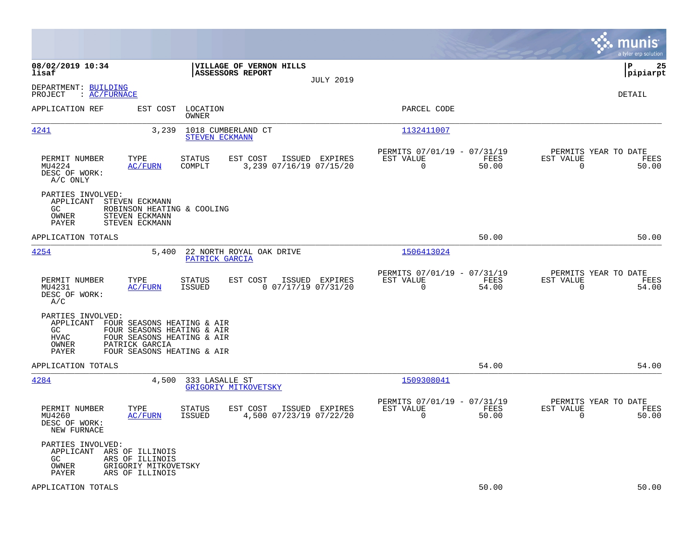|                                                                                                                                                                                                                  |                                                                             |                                                         | munis<br>a tyler erp solution                                                         |
|------------------------------------------------------------------------------------------------------------------------------------------------------------------------------------------------------------------|-----------------------------------------------------------------------------|---------------------------------------------------------|---------------------------------------------------------------------------------------|
| 08/02/2019 10:34<br>lisaf                                                                                                                                                                                        | VILLAGE OF VERNON HILLS<br>ASSESSORS REPORT<br><b>JULY 2019</b>             |                                                         | l P<br>25<br> pipiarpt                                                                |
| DEPARTMENT: BUILDING<br>: AC/FURNACE<br>PROJECT                                                                                                                                                                  |                                                                             |                                                         | DETAIL                                                                                |
| EST COST<br>APPLICATION REF                                                                                                                                                                                      | LOCATION<br>OWNER                                                           | PARCEL CODE                                             |                                                                                       |
| 4241<br>3,239                                                                                                                                                                                                    | 1018 CUMBERLAND CT<br><b>STEVEN ECKMANN</b>                                 | 1132411007                                              |                                                                                       |
| PERMIT NUMBER<br>TYPE<br>MU4224<br>AC/FURN<br>DESC OF WORK:<br>A/C ONLY                                                                                                                                          | ISSUED EXPIRES<br>STATUS<br>EST COST<br>3,239 07/16/19 07/15/20<br>COMPLT   | PERMITS 07/01/19 - 07/31/19<br>EST VALUE<br>$\Omega$    | PERMITS YEAR TO DATE<br>FEES<br>EST VALUE<br>FEES<br>$\Omega$<br>50.00<br>50.00       |
| PARTIES INVOLVED:<br>STEVEN ECKMANN<br>APPLICANT<br>GC.<br>ROBINSON HEATING & COOLING<br>OWNER<br>STEVEN ECKMANN<br>STEVEN ECKMANN<br>PAYER                                                                      |                                                                             |                                                         |                                                                                       |
| APPLICATION TOTALS                                                                                                                                                                                               |                                                                             |                                                         | 50.00<br>50.00                                                                        |
| 4254<br>5,400                                                                                                                                                                                                    | 22 NORTH ROYAL OAK DRIVE<br>PATRICK GARCIA                                  | 1506413024                                              |                                                                                       |
| PERMIT NUMBER<br>TYPE<br><b>AC/FURN</b><br>MU4231<br>DESC OF WORK:<br>A/C                                                                                                                                        | STATUS<br>EST COST<br>ISSUED EXPIRES<br>ISSUED<br>$0$ $07/17/19$ $07/31/20$ | PERMITS 07/01/19 - 07/31/19<br>EST VALUE<br>$\mathbf 0$ | PERMITS YEAR TO DATE<br>FEES<br>EST VALUE<br>FEES<br>54.00<br>$\mathbf 0$<br>54.00    |
| PARTIES INVOLVED:<br>APPLICANT<br>FOUR SEASONS HEATING & AIR<br>GC.<br>FOUR SEASONS HEATING & AIR<br>FOUR SEASONS HEATING & AIR<br><b>HVAC</b><br>PATRICK GARCIA<br>OWNER<br>PAYER<br>FOUR SEASONS HEATING & AIR |                                                                             |                                                         |                                                                                       |
| APPLICATION TOTALS                                                                                                                                                                                               |                                                                             |                                                         | 54.00<br>54.00                                                                        |
| 4284<br>4,500                                                                                                                                                                                                    | 333 LASALLE ST<br>GRIGORIY MITKOVETSKY                                      | 1509308041                                              |                                                                                       |
| PERMIT NUMBER<br>TYPE<br>MU4260<br>AC/FURN<br>DESC OF WORK:<br>NEW FURNACE                                                                                                                                       | EST COST<br>ISSUED EXPIRES<br>STATUS<br>4,500 07/23/19 07/22/20<br>ISSUED   | PERMITS 07/01/19 - 07/31/19<br>EST VALUE<br>$\mathbf 0$ | PERMITS YEAR TO DATE<br>FEES<br>EST VALUE<br>FEES<br>50.00<br>$\overline{0}$<br>50.00 |
| PARTIES INVOLVED:<br>APPLICANT<br>ARS OF ILLINOIS<br>GC.<br>ARS OF ILLINOIS<br>OWNER<br>GRIGORIY MITKOVETSKY<br>PAYER<br>ARS OF ILLINOIS                                                                         |                                                                             |                                                         |                                                                                       |
| APPLICATION TOTALS                                                                                                                                                                                               |                                                                             |                                                         | 50.00<br>50.00                                                                        |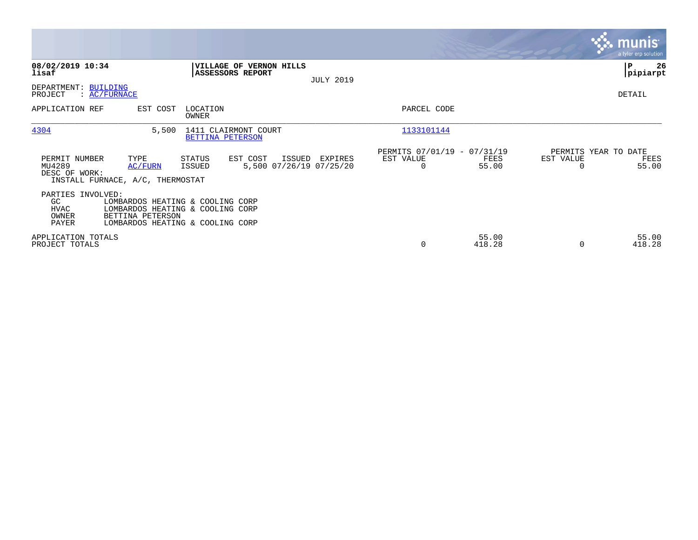|                                                          |                                                     |                                                                                                          |                                              |                                                      |                 |                                   | <b>munis</b><br>a tyler erp solution |
|----------------------------------------------------------|-----------------------------------------------------|----------------------------------------------------------------------------------------------------------|----------------------------------------------|------------------------------------------------------|-----------------|-----------------------------------|--------------------------------------|
| 08/02/2019 10:34<br>lisaf                                |                                                     | <b>VILLAGE OF VERNON HILLS</b><br><b>ASSESSORS REPORT</b>                                                | <b>JULY 2019</b>                             |                                                      |                 |                                   | ∣P<br>26<br> pipiarpt                |
| DEPARTMENT: BUILDING<br>PROJECT                          | $\colon$ AC/FURNACE                                 |                                                                                                          |                                              |                                                      |                 |                                   | DETAIL                               |
| APPLICATION REF                                          | EST COST                                            | LOCATION<br>OWNER                                                                                        |                                              | PARCEL CODE                                          |                 |                                   |                                      |
| 4304                                                     | 5,500                                               | 1411 CLAIRMONT COURT<br>BETTINA PETERSON                                                                 |                                              | 1133101144                                           |                 |                                   |                                      |
| PERMIT NUMBER<br>MU4289<br>DESC OF WORK:                 | TYPE<br>AC/FURN<br>INSTALL FURNACE, A/C, THERMOSTAT | STATUS<br>EST COST<br>ISSUED                                                                             | ISSUED<br>EXPIRES<br>5,500 07/26/19 07/25/20 | PERMITS 07/01/19 - 07/31/19<br>EST VALUE<br>$\Omega$ | FEES<br>55.00   | PERMITS YEAR TO DATE<br>EST VALUE | FEES<br>55.00                        |
| PARTIES INVOLVED:<br>GC<br><b>HVAC</b><br>OWNER<br>PAYER | BETTINA PETERSON                                    | LOMBARDOS HEATING & COOLING CORP<br>LOMBARDOS HEATING & COOLING CORP<br>LOMBARDOS HEATING & COOLING CORP |                                              |                                                      |                 |                                   |                                      |
| APPLICATION TOTALS<br>PROJECT TOTALS                     |                                                     |                                                                                                          |                                              | 0                                                    | 55.00<br>418.28 |                                   | 55.00<br>418.28                      |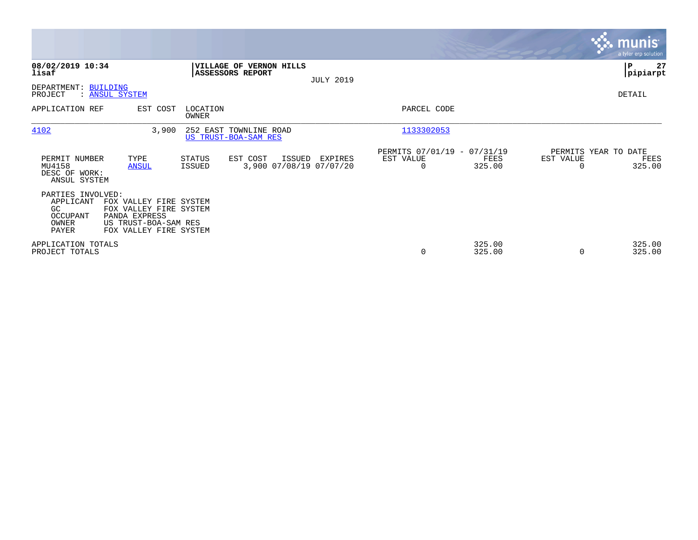|                                                                    |                                                                                                                     |                          |                                                    |                  |                                                      |                  |                                   | <b>munis</b><br>a tyler erp solution |
|--------------------------------------------------------------------|---------------------------------------------------------------------------------------------------------------------|--------------------------|----------------------------------------------------|------------------|------------------------------------------------------|------------------|-----------------------------------|--------------------------------------|
| 08/02/2019 10:34<br>lisaf                                          |                                                                                                                     |                          | <b>VILLAGE OF VERNON HILLS</b><br>ASSESSORS REPORT |                  |                                                      |                  |                                   | 27<br>∣P<br> pipiarpt                |
| DEPARTMENT: BUILDING<br>PROJECT                                    | : ANSUL SYSTEM                                                                                                      |                          |                                                    | <b>JULY 2019</b> |                                                      |                  |                                   | DETAIL                               |
| APPLICATION REF                                                    | EST COST                                                                                                            | LOCATION<br><b>OWNER</b> |                                                    |                  | PARCEL CODE                                          |                  |                                   |                                      |
| 4102                                                               | 3,900                                                                                                               |                          | 252 EAST TOWNLINE ROAD<br>US TRUST-BOA-SAM RES     |                  | 1133302053                                           |                  |                                   |                                      |
| PERMIT NUMBER<br>MU4158<br>DESC OF WORK:<br>ANSUL SYSTEM           | TYPE<br><b>ANSUL</b>                                                                                                | STATUS<br>ISSUED         | EST COST<br>ISSUED<br>3,900 07/08/19 07/07/20      | EXPIRES          | PERMITS 07/01/19 - 07/31/19<br>EST VALUE<br>$\Omega$ | FEES<br>325.00   | PERMITS YEAR TO DATE<br>EST VALUE | FEES<br>325.00                       |
| PARTIES INVOLVED:<br>APPLICANT<br>GC<br>OCCUPANT<br>OWNER<br>PAYER | FOX VALLEY FIRE SYSTEM<br>FOX VALLEY FIRE SYSTEM<br>PANDA EXPRESS<br>US TRUST-BOA-SAM RES<br>FOX VALLEY FIRE SYSTEM |                          |                                                    |                  |                                                      |                  |                                   |                                      |
| APPLICATION TOTALS<br>PROJECT TOTALS                               |                                                                                                                     |                          |                                                    |                  | 0                                                    | 325.00<br>325.00 |                                   | 325.00<br>325.00                     |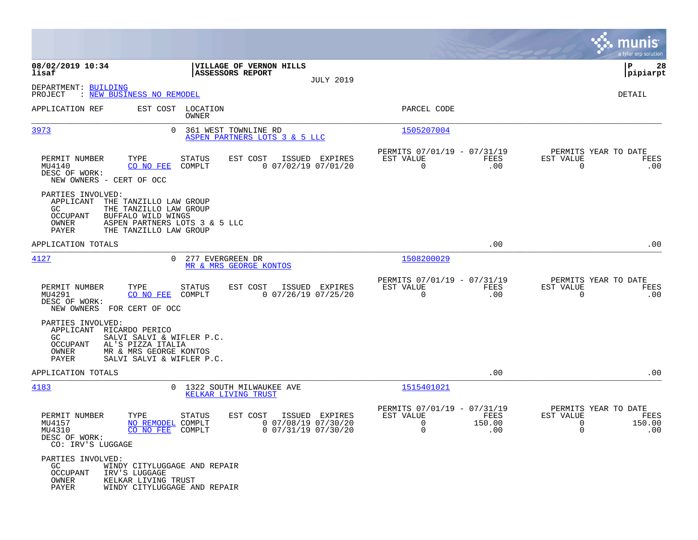|                                                                                    |                                                                                                                                   |                                                          |                  |                                                                        |                                                |                                                                 | munis<br>a tyler erp solution |
|------------------------------------------------------------------------------------|-----------------------------------------------------------------------------------------------------------------------------------|----------------------------------------------------------|------------------|------------------------------------------------------------------------|------------------------------------------------|-----------------------------------------------------------------|-------------------------------|
| 08/02/2019 10:34<br>lisaf                                                          | ASSESSORS REPORT                                                                                                                  | VILLAGE OF VERNON HILLS                                  |                  |                                                                        |                                                |                                                                 | 28<br>ΙP<br> pipiarpt         |
| DEPARTMENT: BUILDING<br>PROJECT                                                    | : NEW BUSINESS NO REMODEL                                                                                                         |                                                          | <b>JULY 2019</b> |                                                                        |                                                |                                                                 | DETAIL                        |
| APPLICATION REF                                                                    | EST COST LOCATION<br>OWNER                                                                                                        |                                                          |                  | PARCEL CODE                                                            |                                                |                                                                 |                               |
| 3973                                                                               | 361 WEST TOWNLINE RD<br>$\Omega$                                                                                                  | ASPEN PARTNERS LOTS 3 & 5 LLC                            |                  | 1505207004                                                             |                                                |                                                                 |                               |
| PERMIT NUMBER<br>MU4140<br>DESC OF WORK:<br>NEW OWNERS - CERT OF OCC               | TYPE<br>STATUS<br>CO NO FEE<br>COMPLT                                                                                             | EST COST<br>$0$ 07/02/19 07/01/20                        | ISSUED EXPIRES   | PERMITS 07/01/19 - 07/31/19<br>EST VALUE<br>$\overline{0}$             | FEES<br>.00                                    | PERMITS YEAR TO DATE<br>EST VALUE<br>$\Omega$                   | FEES<br>.00                   |
| PARTIES INVOLVED:<br>APPLICANT<br>GC.<br>OCCUPANT<br>OWNER<br>PAYER                | THE TANZILLO LAW GROUP<br>THE TANZILLO LAW GROUP<br>BUFFALO WILD WINGS<br>ASPEN PARTNERS LOTS 3 & 5 LLC<br>THE TANZILLO LAW GROUP |                                                          |                  |                                                                        |                                                |                                                                 |                               |
| APPLICATION TOTALS                                                                 |                                                                                                                                   |                                                          |                  |                                                                        | .00                                            |                                                                 | .00                           |
| 4127                                                                               | 0 277 EVERGREEN DR                                                                                                                | MR & MRS GEORGE KONTOS                                   |                  | 1508200029                                                             |                                                |                                                                 |                               |
| PERMIT NUMBER<br>MU4291<br>DESC OF WORK:<br>NEW OWNERS FOR CERT OF OCC             | TYPE<br>STATUS<br>CO NO FEE<br>COMPLT                                                                                             | EST COST ISSUED EXPIRES<br>$0$ 07/26/19 07/25/20         |                  | PERMITS 07/01/19 - 07/31/19<br>EST VALUE<br>$\mathbf 0$                | FEES<br>.00                                    | PERMITS YEAR TO DATE<br>EST VALUE<br>$\mathbf 0$                | FEES<br>.00                   |
| PARTIES INVOLVED:<br>APPLICANT RICARDO PERICO<br>GC.<br>OCCUPANT<br>OWNER<br>PAYER | SALVI SALVI & WIFLER P.C.<br>AL'S PIZZA ITALIA<br>MR & MRS GEORGE KONTOS<br>SALVI SALVI & WIFLER P.C.                             |                                                          |                  |                                                                        |                                                |                                                                 |                               |
| APPLICATION TOTALS                                                                 |                                                                                                                                   |                                                          |                  |                                                                        | .00                                            |                                                                 | .00                           |
| 4183                                                                               | 0 1322 SOUTH MILWAUKEE AVE<br>KELKAR LIVING TRUST                                                                                 |                                                          |                  | 1515401021                                                             |                                                |                                                                 |                               |
| PERMIT NUMBER<br>MU4157<br>MU4310<br>DESC OF WORK:<br>CO: IRV'S LUGGAGE            | TYPE<br>STATUS<br>NO REMODEL COMPLT<br>CO NO FEE COMPLT                                                                           | EST COST<br>$0$ 07/08/19 07/30/20<br>0 07/31/19 07/30/20 | ISSUED EXPIRES   | PERMITS 07/01/19 - 07/31/19<br>EST VALUE<br>$\mathbf 0$<br>$\mathbf 0$ | FEES<br>150.00<br>$\overline{\phantom{0}}$ .00 | PERMITS YEAR TO DATE<br>EST VALUE<br>$\mathbf 0$<br>$\mathbf 0$ | FEES<br>150.00<br>.00         |
| PARTIES INVOLVED:<br>GC<br><b>OCCUPANT</b><br>OWNER<br>PAYER                       | WINDY CITYLUGGAGE AND REPAIR<br>IRV'S LUGGAGE<br>KELKAR LIVING TRUST<br>WINDY CITYLUGGAGE AND REPAIR                              |                                                          |                  |                                                                        |                                                |                                                                 |                               |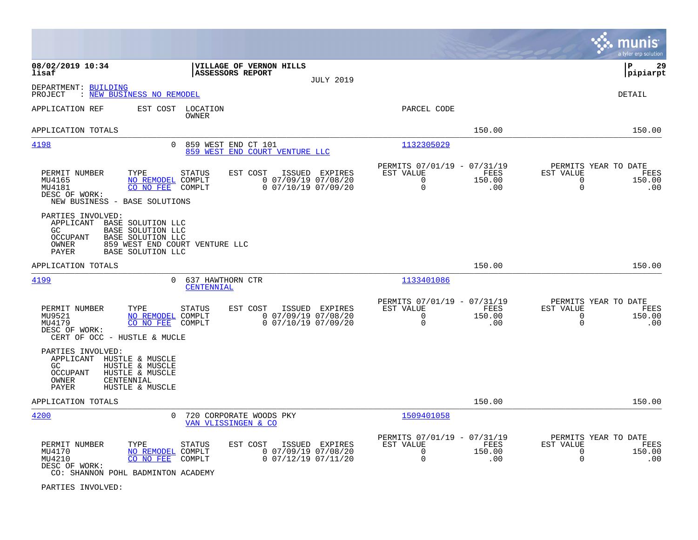|                                                                                                                                                                                                                                                      |                                                                                           | munis<br>a tyler erp solution                                                            |
|------------------------------------------------------------------------------------------------------------------------------------------------------------------------------------------------------------------------------------------------------|-------------------------------------------------------------------------------------------|------------------------------------------------------------------------------------------|
| 08/02/2019 10:34<br>VILLAGE OF VERNON HILLS<br>lisaf<br><b>ASSESSORS REPORT</b><br><b>JULY 2019</b>                                                                                                                                                  |                                                                                           | ΙP<br>29<br> pipiarpt                                                                    |
| DEPARTMENT: BUILDING<br>PROJECT<br>: NEW BUSINESS NO REMODEL                                                                                                                                                                                         |                                                                                           | <b>DETAIL</b>                                                                            |
| APPLICATION REF<br>EST COST LOCATION<br>OWNER                                                                                                                                                                                                        | PARCEL CODE                                                                               |                                                                                          |
| APPLICATION TOTALS                                                                                                                                                                                                                                   | 150.00                                                                                    | 150.00                                                                                   |
| 4198<br>859 WEST END CT 101<br>$\Omega$<br>859 WEST END COURT VENTURE LLC                                                                                                                                                                            | 1132305029                                                                                |                                                                                          |
| PERMIT NUMBER<br>TYPE<br><b>STATUS</b><br>EST COST<br>ISSUED<br>EXPIRES<br>$0$ 07/09/19 07/08/20<br>MU4165<br>NO REMODEL COMPLT<br>CO NO FEE<br>$0$ $07/10/19$ $07/09/20$<br>MU4181<br>COMPLT<br>DESC OF WORK:<br>NEW BUSINESS - BASE SOLUTIONS      | PERMITS 07/01/19 - 07/31/19<br>EST VALUE<br>FEES<br>$\mathbf 0$<br>150.00<br>0<br>.00     | PERMITS YEAR TO DATE<br>EST VALUE<br>FEES<br>$\mathbf 0$<br>150.00<br>$\mathbf 0$<br>.00 |
| PARTIES INVOLVED:<br>APPLICANT<br>BASE SOLUTION LLC<br>BASE SOLUTION LLC<br>GC<br>OCCUPANT<br><b>BASE SOLUTION LLC</b><br>OWNER<br>859 WEST END COURT VENTURE LLC<br>PAYER<br><b>BASE SOLUTION LLC</b>                                               |                                                                                           |                                                                                          |
| APPLICATION TOTALS                                                                                                                                                                                                                                   | 150.00                                                                                    | 150.00                                                                                   |
| 4199<br>$\Omega$<br>637 HAWTHORN CTR<br>CENTENNIAL                                                                                                                                                                                                   | 1133401086                                                                                |                                                                                          |
| PERMIT NUMBER<br>EST COST<br>ISSUED EXPIRES<br>TYPE<br><b>STATUS</b><br>$0$ 07/09/19 07/08/20<br>MU9521<br>NO REMODEL COMPLT<br>MU4179<br>CO NO FEE<br>$0$ $07/10/19$ $07/09/20$<br>COMPLT<br>DESC OF WORK:<br>CERT OF OCC - HUSTLE & MUCLE          | PERMITS 07/01/19 - 07/31/19<br>EST VALUE<br>FEES<br>$\Omega$<br>150.00<br>$\Omega$<br>.00 | PERMITS YEAR TO DATE<br>EST VALUE<br>FEES<br>$\mathbf 0$<br>150.00<br>$\Omega$<br>.00    |
| PARTIES INVOLVED:<br>APPLICANT HUSTLE & MUSCLE<br>GC.<br>HUSTLE & MUSCLE<br><b>OCCUPANT</b><br>HUSTLE & MUSCLE<br>OWNER<br>CENTENNIAL<br>PAYER<br>HUSTLE & MUSCLE                                                                                    |                                                                                           |                                                                                          |
| APPLICATION TOTALS                                                                                                                                                                                                                                   | 150.00                                                                                    | 150.00                                                                                   |
| 4200<br>$\Omega$<br>720 CORPORATE WOODS PKY<br>VAN VLISSINGEN & CO                                                                                                                                                                                   | 1509401058                                                                                |                                                                                          |
| PERMIT NUMBER<br>TYPE<br>EST COST<br>ISSUED<br><b>EXPIRES</b><br>STATUS<br>$0$ 07/09/19 07/08/20<br>MU4170<br>NO REMODEL COMPLT<br>MU4210<br>CO NO FEE<br>COMPLT<br>$0$ $07/12/19$ $07/11/20$<br>DESC OF WORK:<br>CO: SHANNON POHL BADMINTON ACADEMY | PERMITS 07/01/19 - 07/31/19<br>EST VALUE<br>FEES<br>0<br>150.00<br>0<br>.00               | PERMITS YEAR TO DATE<br>EST VALUE<br>FEES<br>$\mathbf 0$<br>150.00<br>$\mathbf 0$<br>.00 |

PARTIES INVOLVED: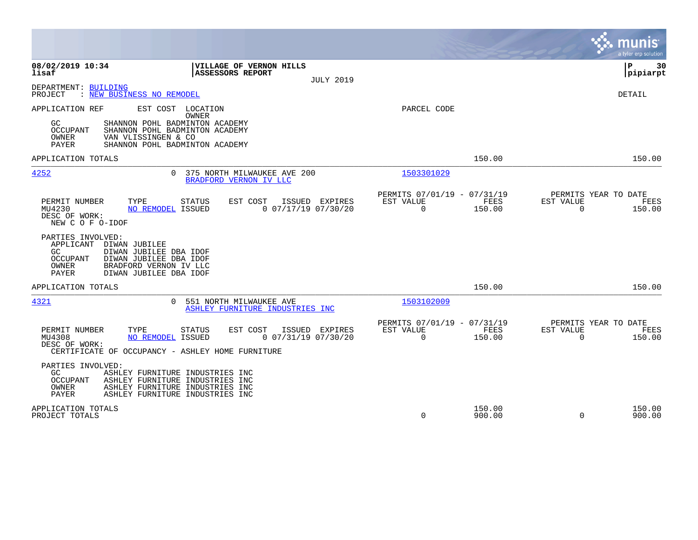|                                                                                                                                                                                                                           |                                                                                  | munis<br>a tyler erp solution                                   |
|---------------------------------------------------------------------------------------------------------------------------------------------------------------------------------------------------------------------------|----------------------------------------------------------------------------------|-----------------------------------------------------------------|
| 08/02/2019 10:34<br>VILLAGE OF VERNON HILLS<br>lisaf<br><b>ASSESSORS REPORT</b><br><b>JULY 2019</b>                                                                                                                       |                                                                                  | ΙP<br>30<br> pipiarpt                                           |
| DEPARTMENT: BUILDING<br>PROJECT<br>: NEW BUSINESS NO REMODEL                                                                                                                                                              |                                                                                  | <b>DETAIL</b>                                                   |
| APPLICATION REF<br>EST COST<br>LOCATION<br><b>OWNER</b><br>GC.<br>SHANNON POHL BADMINTON ACADEMY<br>OCCUPANT<br>SHANNON POHL BADMINTON ACADEMY<br>VAN VLISSINGEN & CO<br>OWNER<br>PAYER<br>SHANNON POHL BADMINTON ACADEMY | PARCEL CODE                                                                      |                                                                 |
| APPLICATION TOTALS                                                                                                                                                                                                        | 150.00                                                                           | 150.00                                                          |
| 4252<br>375 NORTH MILWAUKEE AVE 200<br>$\Omega$<br>BRADFORD VERNON IV LLC                                                                                                                                                 | 1503301029                                                                       |                                                                 |
| TYPE<br>EST COST<br>ISSUED EXPIRES<br>PERMIT NUMBER<br><b>STATUS</b><br>MU4230<br>$0$ $07/17/19$ $07/30/20$<br>NO REMODEL ISSUED<br>DESC OF WORK:<br>NEW C O F O-IDOF                                                     | PERMITS 07/01/19 - 07/31/19<br>EST VALUE<br>FEES<br>$\Omega$<br>150.00           | PERMITS YEAR TO DATE<br>EST VALUE<br>FEES<br>$\Omega$<br>150.00 |
| PARTIES INVOLVED:<br>APPLICANT<br>DIWAN JUBILEE<br>GC.<br>DIWAN JUBILEE DBA IDOF<br><b>OCCUPANT</b><br>DIWAN JUBILEE DBA IDOF<br>OWNER<br>BRADFORD VERNON IV LLC<br><b>PAYER</b><br>DIWAN JUBILEE DBA IDOF                |                                                                                  |                                                                 |
| APPLICATION TOTALS                                                                                                                                                                                                        | 150.00                                                                           | 150.00                                                          |
| 4321<br>551 NORTH MILWAUKEE AVE<br>$\Omega$<br>ASHLEY FURNITURE INDUSTRIES INC                                                                                                                                            | 1503102009                                                                       |                                                                 |
| EST COST<br>PERMIT NUMBER<br>TYPE<br>STATUS<br>ISSUED EXPIRES<br>$0$ $07/31/19$ $07/30/20$<br>MU4308<br>NO REMODEL ISSUED<br>DESC OF WORK:<br>CERTIFICATE OF OCCUPANCY - ASHLEY HOME FURNITURE                            | PERMITS 07/01/19 -<br>07/31/19<br>EST VALUE<br><b>FEES</b><br>$\Omega$<br>150.00 | PERMITS YEAR TO DATE<br>EST VALUE<br>FEES<br>$\Omega$<br>150.00 |
| PARTIES INVOLVED:<br>GC.<br>ASHLEY FURNITURE INDUSTRIES INC<br><b>OCCUPANT</b><br>ASHLEY FURNITURE INDUSTRIES INC<br>OWNER<br>ASHLEY FURNITURE INDUSTRIES INC<br><b>PAYER</b><br>ASHLEY FURNITURE INDUSTRIES INC          |                                                                                  |                                                                 |
| APPLICATION TOTALS<br>PROJECT TOTALS                                                                                                                                                                                      | 150.00<br>0<br>900.00                                                            | 150.00<br>$\Omega$<br>900.00                                    |

**Contract**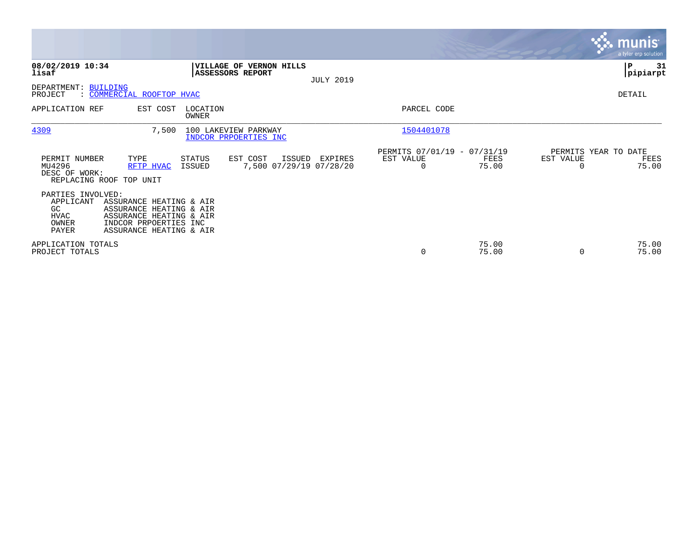|                                                                       |                                                                                                                                   |                         |                                               |                  |                                                      |                |                                               | <b>munis</b><br>a tyler erp solution |
|-----------------------------------------------------------------------|-----------------------------------------------------------------------------------------------------------------------------------|-------------------------|-----------------------------------------------|------------------|------------------------------------------------------|----------------|-----------------------------------------------|--------------------------------------|
| 08/02/2019 10:34<br>lisaf                                             |                                                                                                                                   | <b>ASSESSORS REPORT</b> | VILLAGE OF VERNON HILLS                       | <b>JULY 2019</b> |                                                      |                |                                               | P<br>31<br> pipiarpt                 |
| DEPARTMENT: BUILDING<br>PROJECT                                       | : COMMERCIAL ROOFTOP HVAC                                                                                                         |                         |                                               |                  |                                                      |                |                                               | DETAIL                               |
| APPLICATION REF                                                       | EST COST                                                                                                                          | LOCATION<br>OWNER       |                                               |                  | PARCEL CODE                                          |                |                                               |                                      |
| 4309                                                                  | 7,500                                                                                                                             | 100 LAKEVIEW PARKWAY    | INDCOR PRPOERTIES INC                         |                  | 1504401078                                           |                |                                               |                                      |
| PERMIT NUMBER<br>MU4296<br>DESC OF WORK:                              | TYPE<br>RFTP HVAC<br>REPLACING ROOF TOP UNIT                                                                                      | STATUS<br>ISSUED        | EST COST<br>ISSUED<br>7,500 07/29/19 07/28/20 | EXPIRES          | PERMITS 07/01/19 - 07/31/19<br>EST VALUE<br>$\Omega$ | FEES<br>75.00  | PERMITS YEAR TO DATE<br>EST VALUE<br>$\Omega$ | FEES<br>75.00                        |
| PARTIES INVOLVED:<br>APPLICANT<br>GC<br><b>HVAC</b><br>OWNER<br>PAYER | ASSURANCE HEATING & AIR<br>ASSURANCE HEATING & AIR<br>ASSURANCE HEATING & AIR<br>INDCOR PRPOERTIES INC<br>ASSURANCE HEATING & AIR |                         |                                               |                  |                                                      |                |                                               |                                      |
| APPLICATION TOTALS<br>PROJECT TOTALS                                  |                                                                                                                                   |                         |                                               |                  | $\mathbf 0$                                          | 75.00<br>75.00 | $\Omega$                                      | 75.00<br>75.00                       |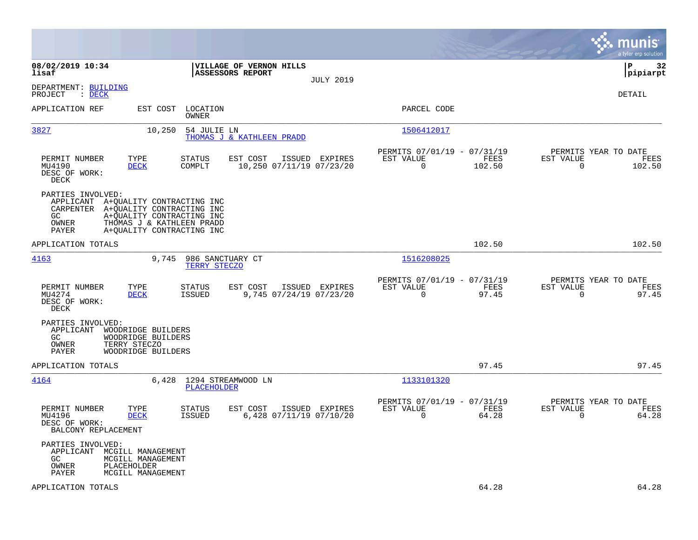|                                                                                                                                                                                                                 |                                                                                         |                                                                           | munis<br>a tyler erp solution                                      |
|-----------------------------------------------------------------------------------------------------------------------------------------------------------------------------------------------------------------|-----------------------------------------------------------------------------------------|---------------------------------------------------------------------------|--------------------------------------------------------------------|
| 08/02/2019 10:34<br>lisaf                                                                                                                                                                                       | VILLAGE OF VERNON HILLS<br>ASSESSORS REPORT<br><b>JULY 2019</b>                         |                                                                           | 32<br>P<br> pipiarpt                                               |
| DEPARTMENT: BUILDING<br>$\therefore$ DECK<br>PROJECT                                                                                                                                                            |                                                                                         |                                                                           | DETAIL                                                             |
| APPLICATION REF<br>EST COST                                                                                                                                                                                     | LOCATION<br>OWNER                                                                       | PARCEL CODE                                                               |                                                                    |
| 3827<br>10,250                                                                                                                                                                                                  | 54 JULIE LN<br><b>THOMAS J &amp; KATHLEEN PRADD</b>                                     | 1506412017                                                                |                                                                    |
| PERMIT NUMBER<br>TYPE<br>MU4190<br><b>DECK</b><br>DESC OF WORK:<br>DECK                                                                                                                                         | EST COST<br>ISSUED EXPIRES<br><b>STATUS</b><br>10,250 07/11/19 07/23/20<br>COMPLT       | PERMITS 07/01/19 - 07/31/19<br>EST VALUE<br>FEES<br>$\mathbf 0$<br>102.50 | PERMITS YEAR TO DATE<br>EST VALUE<br>FEES<br>$\mathbf 0$<br>102.50 |
| PARTIES INVOLVED:<br>APPLICANT A+QUALITY CONTRACTING INC<br>CARPENTER A+QUALITY CONTRACTING INC<br>GC.<br>A+QUALITY CONTRACTING INC<br>OWNER<br>THOMAS J & KATHLEEN PRADD<br>A+QUALITY CONTRACTING INC<br>PAYER |                                                                                         |                                                                           |                                                                    |
| APPLICATION TOTALS                                                                                                                                                                                              |                                                                                         | 102.50                                                                    | 102.50                                                             |
| 4163<br>9,745                                                                                                                                                                                                   | 986 SANCTUARY CT<br>TERRY STECZO                                                        | 1516208025                                                                |                                                                    |
| PERMIT NUMBER<br>TYPE<br>MU4274<br><b>DECK</b><br>DESC OF WORK:<br>DECK                                                                                                                                         | EST COST<br><b>STATUS</b><br>ISSUED EXPIRES<br>9,745 07/24/19 07/23/20<br><b>ISSUED</b> | PERMITS 07/01/19 - 07/31/19<br>EST VALUE<br>FEES<br>$\mathbf 0$<br>97.45  | PERMITS YEAR TO DATE<br>EST VALUE<br>FEES<br>$\mathbf 0$<br>97.45  |
| PARTIES INVOLVED:<br>APPLICANT<br>WOODRIDGE BUILDERS<br>WOODRIDGE BUILDERS<br>GC.<br>OWNER<br>TERRY STECZO<br>PAYER<br>WOODRIDGE BUILDERS                                                                       |                                                                                         |                                                                           |                                                                    |
| APPLICATION TOTALS                                                                                                                                                                                              |                                                                                         | 97.45                                                                     | 97.45                                                              |
| 4164<br>6,428                                                                                                                                                                                                   | 1294 STREAMWOOD LN<br>PLACEHOLDER                                                       | 1133101320                                                                |                                                                    |
| PERMIT NUMBER<br>TYPE<br>MU4196<br>DECK<br>DESC OF WORK:<br>BALCONY REPLACEMENT                                                                                                                                 | <b>STATUS</b><br>EST COST<br>ISSUED EXPIRES<br>6,428 07/11/19 07/10/20<br><b>ISSUED</b> | PERMITS 07/01/19 - 07/31/19<br>EST VALUE<br>FEES<br>$\mathbf 0$<br>64.28  | PERMITS YEAR TO DATE<br>EST VALUE<br>FEES<br>$\mathsf{O}$<br>64.28 |
| PARTIES INVOLVED:<br>APPLICANT<br>MCGILL MANAGEMENT<br>GC.<br>MCGILL MANAGEMENT<br>OWNER<br>PLACEHOLDER<br>PAYER<br>MCGILL MANAGEMENT                                                                           |                                                                                         |                                                                           |                                                                    |
| APPLICATION TOTALS                                                                                                                                                                                              |                                                                                         | 64.28                                                                     | 64.28                                                              |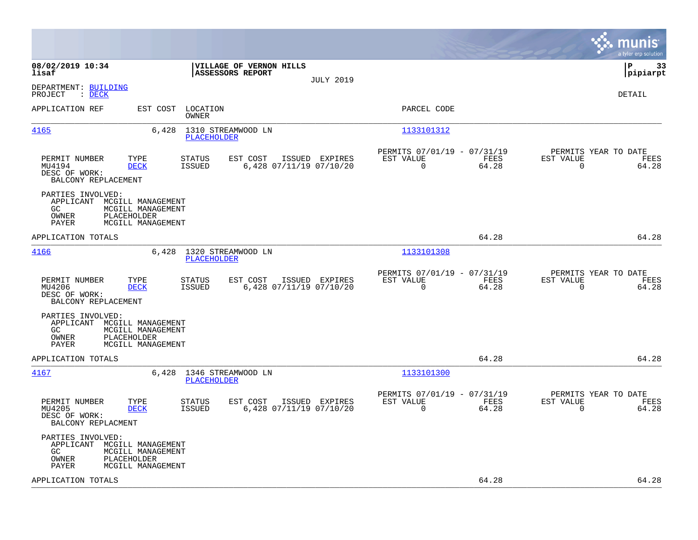|                                                                                                                                                                                   |                                                                          | munis<br>a tyler erp solution                                     |
|-----------------------------------------------------------------------------------------------------------------------------------------------------------------------------------|--------------------------------------------------------------------------|-------------------------------------------------------------------|
| 08/02/2019 10:34<br>VILLAGE OF VERNON HILLS<br>ASSESSORS REPORT<br>lisaf<br><b>JULY 2019</b>                                                                                      |                                                                          | lР<br>33<br> pipiarpt                                             |
| DEPARTMENT: BUILDING<br>PROJECT<br>$\therefore$ DECK                                                                                                                              |                                                                          | DETAIL                                                            |
| APPLICATION REF<br>EST COST LOCATION<br>OWNER                                                                                                                                     | PARCEL CODE                                                              |                                                                   |
| 4165<br>6,428<br>1310 STREAMWOOD LN<br><b>PLACEHOLDER</b>                                                                                                                         | 1133101312                                                               |                                                                   |
| PERMIT NUMBER<br>TYPE<br><b>STATUS</b><br>EST COST<br>ISSUED EXPIRES<br>MU4194<br>6,428 07/11/19 07/10/20<br><b>DECK</b><br>ISSUED<br>DESC OF WORK:<br>BALCONY REPLACEMENT        | PERMITS 07/01/19 - 07/31/19<br>EST VALUE<br>FEES<br>$\Omega$<br>64.28    | PERMITS YEAR TO DATE<br>EST VALUE<br>FEES<br>$\Omega$<br>64.28    |
| PARTIES INVOLVED:<br>APPLICANT MCGILL MANAGEMENT<br>MCGILL MANAGEMENT<br>GC.<br>OWNER<br>PLACEHOLDER<br>PAYER<br>MCGILL MANAGEMENT                                                |                                                                          |                                                                   |
| APPLICATION TOTALS                                                                                                                                                                | 64.28                                                                    | 64.28                                                             |
| 4166<br>6,428 1320 STREAMWOOD LN<br><b>PLACEHOLDER</b>                                                                                                                            | 1133101308                                                               |                                                                   |
| PERMIT NUMBER<br>TYPE<br><b>STATUS</b><br>EST COST<br>ISSUED EXPIRES<br>MU4206<br><b>DECK</b><br><b>ISSUED</b><br>6,428 07/11/19 07/10/20<br>DESC OF WORK:<br>BALCONY REPLACEMENT | PERMITS 07/01/19 - 07/31/19<br>EST VALUE<br>FEES<br>$\mathbf 0$<br>64.28 | PERMITS YEAR TO DATE<br>EST VALUE<br>FEES<br>64.28<br>$\mathbf 0$ |
| PARTIES INVOLVED:<br>APPLICANT MCGILL MANAGEMENT<br>GC<br>MCGILL MANAGEMENT<br>PLACEHOLDER<br>OWNER<br>PAYER<br>MCGILL MANAGEMENT                                                 |                                                                          |                                                                   |
| APPLICATION TOTALS                                                                                                                                                                | 64.28                                                                    | 64.28                                                             |
| 4167<br>6,428 1346 STREAMWOOD LN<br>PLACEHOLDER                                                                                                                                   | 1133101300                                                               |                                                                   |
| PERMIT NUMBER<br>TYPE<br>EST COST<br>ISSUED EXPIRES<br><b>STATUS</b><br>6,428 07/11/19 07/10/20<br>MU4205<br><b>DECK</b><br><b>ISSUED</b><br>DESC OF WORK:<br>BALCONY REPLACMENT  | PERMITS 07/01/19 - 07/31/19<br>EST VALUE<br>FEES<br>$\Omega$<br>64.28    | PERMITS YEAR TO DATE<br>EST VALUE<br>FEES<br>$\mathbf 0$<br>64.28 |
| PARTIES INVOLVED:<br>APPLICANT MCGILL MANAGEMENT<br>GC<br>MCGILL MANAGEMENT<br>PLACEHOLDER<br>OWNER<br>PAYER<br>MCGILL MANAGEMENT                                                 |                                                                          |                                                                   |
| APPLICATION TOTALS                                                                                                                                                                | 64.28                                                                    | 64.28                                                             |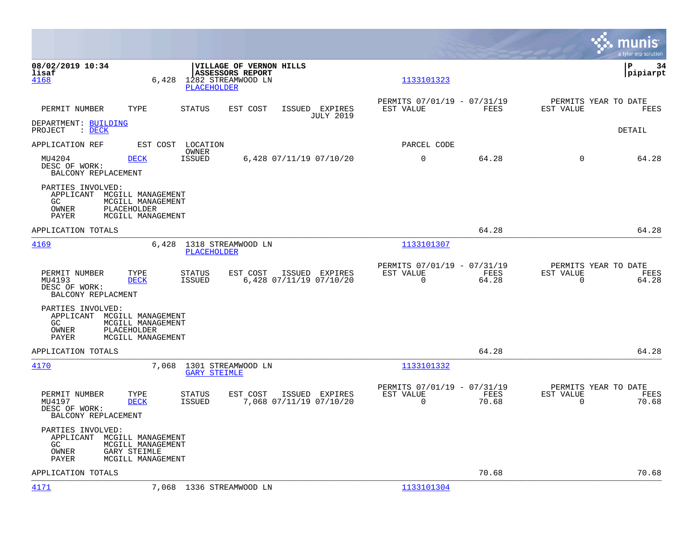|                                                                          |                                                                                    |                                                              |                                                       |                  |                                                         |               |                                                  | munis<br>a tyler erp solution |
|--------------------------------------------------------------------------|------------------------------------------------------------------------------------|--------------------------------------------------------------|-------------------------------------------------------|------------------|---------------------------------------------------------|---------------|--------------------------------------------------|-------------------------------|
| 08/02/2019 10:34<br>lisaf<br>4168                                        | 6,428                                                                              | <b>ASSESSORS REPORT</b><br>1282 STREAMWOOD LN<br>PLACEHOLDER | <b>VILLAGE OF VERNON HILLS</b>                        |                  | 1133101323                                              |               |                                                  | lР<br>34<br> pipiarpt         |
| PERMIT NUMBER                                                            | TYPE                                                                               | STATUS                                                       | EST COST<br>ISSUED EXPIRES                            | <b>JULY 2019</b> | PERMITS 07/01/19 - 07/31/19<br>EST VALUE                | FEES          | PERMITS YEAR TO DATE<br>EST VALUE                | FEES                          |
| DEPARTMENT: BUILDING<br>$\therefore$ DECK<br>PROJECT                     |                                                                                    |                                                              |                                                       |                  |                                                         |               |                                                  | DETAIL                        |
| APPLICATION REF                                                          | EST COST                                                                           | LOCATION<br>OWNER                                            |                                                       |                  | PARCEL CODE                                             |               |                                                  |                               |
| MU4204<br>DESC OF WORK:<br>BALCONY REPLACEMENT                           | <b>DECK</b>                                                                        | <b>ISSUED</b>                                                | 6,428 07/11/19 07/10/20                               |                  | $\mathbf 0$                                             | 64.28         | $\mathbf 0$                                      | 64.28                         |
| PARTIES INVOLVED:<br>APPLICANT MCGILL MANAGEMENT<br>GC<br>OWNER<br>PAYER | MCGILL MANAGEMENT<br>PLACEHOLDER<br>MCGILL MANAGEMENT                              |                                                              |                                                       |                  |                                                         |               |                                                  |                               |
| APPLICATION TOTALS                                                       |                                                                                    |                                                              |                                                       |                  |                                                         | 64.28         |                                                  | 64.28                         |
| 4169                                                                     | 6,428                                                                              | 1318 STREAMWOOD LN<br>PLACEHOLDER                            |                                                       |                  | 1133101307                                              |               |                                                  |                               |
| PERMIT NUMBER<br>MU4193<br>DESC OF WORK:<br>BALCONY REPLACMENT           | TYPE<br><b>DECK</b>                                                                | STATUS<br><b>ISSUED</b>                                      | EST COST<br>ISSUED EXPIRES<br>6,428 07/11/19 07/10/20 |                  | PERMITS 07/01/19 - 07/31/19<br>EST VALUE<br>$\mathbf 0$ | FEES<br>64.28 | PERMITS YEAR TO DATE<br>EST VALUE<br>$\mathbf 0$ | FEES<br>64.28                 |
| PARTIES INVOLVED:<br>APPLICANT MCGILL MANAGEMENT<br>GC<br>OWNER<br>PAYER | MCGILL MANAGEMENT<br>PLACEHOLDER<br>MCGILL MANAGEMENT                              |                                                              |                                                       |                  |                                                         |               |                                                  |                               |
| APPLICATION TOTALS                                                       |                                                                                    |                                                              |                                                       |                  |                                                         | 64.28         |                                                  | 64.28                         |
| 4170                                                                     | 7,068                                                                              | 1301 STREAMWOOD LN<br><b>GARY STEIMLE</b>                    |                                                       |                  | 1133101332                                              |               |                                                  |                               |
| PERMIT NUMBER<br>MU4197<br>DESC OF WORK:<br>BALCONY REPLACEMENT          | TYPE<br><b>DECK</b>                                                                | STATUS<br><b>ISSUED</b>                                      | EST COST<br>ISSUED EXPIRES<br>7,068 07/11/19 07/10/20 |                  | PERMITS 07/01/19 - 07/31/19<br>EST VALUE<br>$\mathbf 0$ | FEES<br>70.68 | PERMITS YEAR TO DATE<br>EST VALUE<br>$\mathbf 0$ | FEES<br>70.68                 |
| PARTIES INVOLVED:<br>APPLICANT<br>GC.<br>OWNER<br>PAYER                  | MCGILL MANAGEMENT<br>MCGILL MANAGEMENT<br><b>GARY STEIMLE</b><br>MCGILL MANAGEMENT |                                                              |                                                       |                  |                                                         |               |                                                  |                               |
| APPLICATION TOTALS                                                       |                                                                                    |                                                              |                                                       |                  |                                                         | 70.68         |                                                  | 70.68                         |
| 4171                                                                     |                                                                                    | 7,068 1336 STREAMWOOD LN                                     |                                                       |                  | 1133101304                                              |               |                                                  |                               |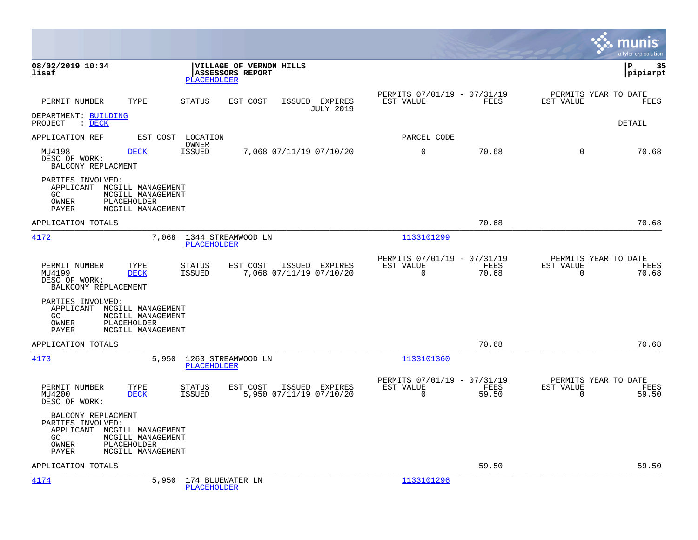|                                                                                                                                                          |                                                                          |                                                 |                                               |                            | munis<br>a tyler erp solution                        |
|----------------------------------------------------------------------------------------------------------------------------------------------------------|--------------------------------------------------------------------------|-------------------------------------------------|-----------------------------------------------|----------------------------|------------------------------------------------------|
| 08/02/2019 10:34<br>lisaf                                                                                                                                | VILLAGE OF VERNON HILLS<br><b>ASSESSORS REPORT</b><br><b>PLACEHOLDER</b> |                                                 |                                               |                            | l P<br>35<br> pipiarpt                               |
| PERMIT NUMBER<br>TYPE                                                                                                                                    | STATUS<br>EST COST                                                       | ISSUED EXPIRES<br>EST VALUE<br><b>JULY 2019</b> | PERMITS 07/01/19 - 07/31/19                   | FEES<br>EST VALUE          | PERMITS YEAR TO DATE<br>FEES                         |
| DEPARTMENT: BUILDING<br>PROJECT : DECK                                                                                                                   |                                                                          |                                                 |                                               |                            | DETAIL                                               |
| APPLICATION REF                                                                                                                                          | EST COST LOCATION                                                        |                                                 | PARCEL CODE                                   |                            |                                                      |
| MU4198<br><b>DECK</b><br>DESC OF WORK:<br>BALCONY REPLACMENT                                                                                             | OWNER<br>ISSUED<br>7,068 07/11/19 07/10/20                               |                                                 | $\mathbf 0$                                   | 70.68                      | $\Omega$<br>70.68                                    |
| PARTIES INVOLVED:<br>APPLICANT<br>MCGILL MANAGEMENT<br>GC.<br>MCGILL MANAGEMENT<br>PLACEHOLDER<br>OWNER<br>PAYER<br>MCGILL MANAGEMENT                    |                                                                          |                                                 |                                               |                            |                                                      |
| APPLICATION TOTALS                                                                                                                                       |                                                                          |                                                 |                                               | 70.68                      | 70.68                                                |
| 4172                                                                                                                                                     | 1344 STREAMWOOD LN<br>7,068<br><b>PLACEHOLDER</b>                        |                                                 | 1133101299                                    |                            |                                                      |
| PERMIT NUMBER<br>TYPE<br>MU4199<br><b>DECK</b><br>DESC OF WORK:<br>BALKCONY REPLACEMENT                                                                  | STATUS<br>EST COST<br>7,068 07/11/19 07/10/20<br>ISSUED                  | ISSUED EXPIRES<br>EST VALUE                     | PERMITS 07/01/19 - 07/31/19<br>$\overline{0}$ | FEES<br>EST VALUE<br>70.68 | PERMITS YEAR TO DATE<br>FEES<br>$\mathbf 0$<br>70.68 |
| PARTIES INVOLVED:<br>APPLICANT<br>MCGILL MANAGEMENT<br>MCGILL MANAGEMENT<br>GC.<br>OWNER<br>PLACEHOLDER<br>PAYER<br>MCGILL MANAGEMENT                    |                                                                          |                                                 |                                               |                            |                                                      |
| APPLICATION TOTALS                                                                                                                                       |                                                                          |                                                 |                                               | 70.68                      | 70.68                                                |
| 4173                                                                                                                                                     | 5,950 1263 STREAMWOOD LN<br><b>PLACEHOLDER</b>                           |                                                 | 1133101360                                    |                            |                                                      |
| PERMIT NUMBER<br>TYPE<br>MU4200<br><b>DECK</b><br>DESC OF WORK:                                                                                          | STATUS<br>EST COST<br><b>ISSUED</b><br>5,950 07/11/19 07/10/20           | ISSUED EXPIRES<br>EST VALUE                     | PERMITS 07/01/19 - 07/31/19<br>$\mathbf 0$    | FEES<br>EST VALUE<br>59.50 | PERMITS YEAR TO DATE<br>FEES<br>$\Omega$<br>59.50    |
| BALCONY REPLACMENT<br>PARTIES INVOLVED:<br>APPLICANT MCGILL MANAGEMENT<br>GC.<br>MCGILL MANAGEMENT<br>PLACEHOLDER<br>OWNER<br>MCGILL MANAGEMENT<br>PAYER |                                                                          |                                                 |                                               |                            |                                                      |
| APPLICATION TOTALS                                                                                                                                       |                                                                          |                                                 |                                               | 59.50                      | 59.50                                                |
| 4174                                                                                                                                                     | 5,950 174 BLUEWATER LN<br><b>PLACEHOLDER</b>                             |                                                 | 1133101296                                    |                            |                                                      |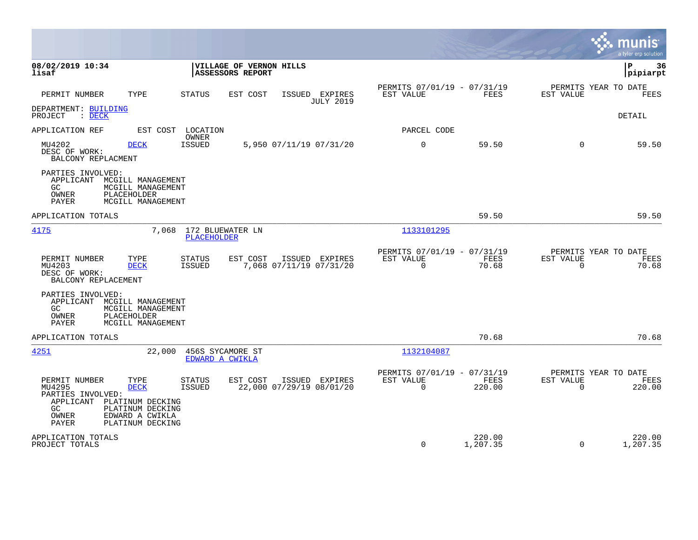|                                                                                                                                                                                                                                                                                   |                                                                        | munis<br>a tyler erp solution                                          |
|-----------------------------------------------------------------------------------------------------------------------------------------------------------------------------------------------------------------------------------------------------------------------------------|------------------------------------------------------------------------|------------------------------------------------------------------------|
| 08/02/2019 10:34<br>VILLAGE OF VERNON HILLS<br>lisaf<br>ASSESSORS REPORT                                                                                                                                                                                                          |                                                                        | 36<br>P<br>pipiarpt                                                    |
| PERMIT NUMBER<br>TYPE<br>ISSUED EXPIRES<br><b>STATUS</b><br>EST COST<br><b>JULY 2019</b>                                                                                                                                                                                          | PERMITS 07/01/19 - 07/31/19<br>EST VALUE<br>FEES                       | PERMITS YEAR TO DATE<br>EST VALUE<br>FEES                              |
| DEPARTMENT: BUILDING<br>: DECK<br>PROJECT                                                                                                                                                                                                                                         |                                                                        | DETAIL                                                                 |
| APPLICATION REF<br>EST COST LOCATION                                                                                                                                                                                                                                              | PARCEL CODE                                                            |                                                                        |
| OWNER<br><b>ISSUED</b><br>5,950 07/11/19 07/31/20<br>MU4202<br><b>DECK</b><br>DESC OF WORK:<br>BALCONY REPLACMENT                                                                                                                                                                 | $\mathbf 0$<br>59.50                                                   | 59.50<br>$\Omega$                                                      |
| PARTIES INVOLVED:<br>APPLICANT MCGILL MANAGEMENT<br>GC<br>MCGILL MANAGEMENT<br>OWNER<br>PLACEHOLDER<br><b>PAYER</b><br>MCGILL MANAGEMENT                                                                                                                                          |                                                                        |                                                                        |
| APPLICATION TOTALS                                                                                                                                                                                                                                                                | 59.50                                                                  | 59.50                                                                  |
| 4175<br>7,068<br>172 BLUEWATER LN<br><b>PLACEHOLDER</b>                                                                                                                                                                                                                           | 1133101295                                                             |                                                                        |
| PERMIT NUMBER<br>TYPE<br><b>STATUS</b><br>EST COST<br>ISSUED EXPIRES<br>7,068 07/11/19 07/31/20<br>MU4203<br><b>DECK</b><br><b>ISSUED</b><br>DESC OF WORK:<br>BALCONY REPLACEMENT                                                                                                 | PERMITS 07/01/19 - 07/31/19<br>EST VALUE<br>FEES<br>$\Omega$<br>70.68  | PERMITS YEAR TO DATE<br>EST VALUE<br>FEES<br>$\Omega$<br>70.68         |
| PARTIES INVOLVED:<br>APPLICANT MCGILL MANAGEMENT<br>GC<br>MCGILL MANAGEMENT<br>PLACEHOLDER<br>OWNER<br>PAYER<br>MCGILL MANAGEMENT                                                                                                                                                 |                                                                        |                                                                        |
| APPLICATION TOTALS                                                                                                                                                                                                                                                                | 70.68                                                                  | 70.68                                                                  |
| 4251<br>456S SYCAMORE ST<br>22,000<br>EDWARD A CWIKLA                                                                                                                                                                                                                             | 1132104087                                                             |                                                                        |
| PERMIT NUMBER<br><b>STATUS</b><br>EST COST<br>ISSUED EXPIRES<br>TYPE<br>22,000 07/29/19 08/01/20<br>MU4295<br><b>DECK</b><br>ISSUED<br>PARTIES INVOLVED:<br>APPLICANT PLATINUM DECKING<br>PLATINUM DECKING<br>GC.<br>OWNER<br>EDWARD A CWIKLA<br><b>PAYER</b><br>PLATINUM DECKING | PERMITS 07/01/19 - 07/31/19<br>EST VALUE<br>FEES<br>220.00<br>$\Omega$ | PERMITS YEAR TO DATE<br><b>EST VALUE</b><br>FEES<br>220.00<br>$\Omega$ |
| APPLICATION TOTALS<br>PROJECT TOTALS                                                                                                                                                                                                                                              | 220.00<br>$\Omega$<br>1,207.35                                         | 220.00<br>$\Omega$<br>1,207.35                                         |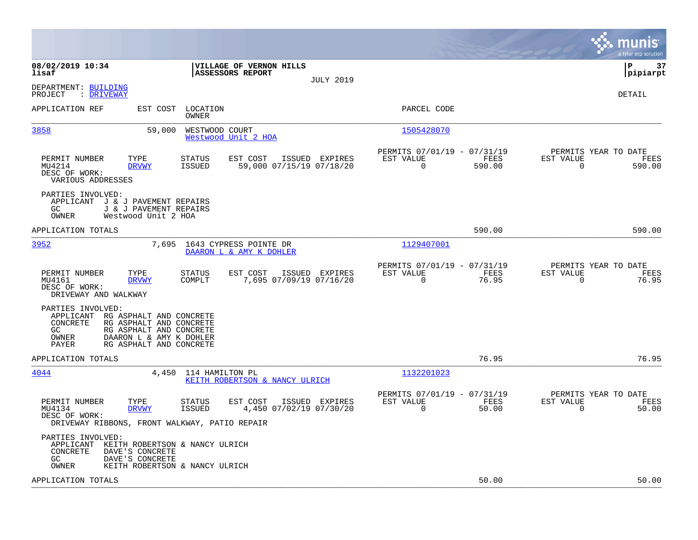|                                                                                                                                                                                                         | munis<br>a tyler erp solution                                                                                                             |
|---------------------------------------------------------------------------------------------------------------------------------------------------------------------------------------------------------|-------------------------------------------------------------------------------------------------------------------------------------------|
| 08/02/2019 10:34<br>VILLAGE OF VERNON HILLS<br>ASSESSORS REPORT<br>lisaf<br><b>JULY 2019</b>                                                                                                            | lР<br>37<br> pipiarpt                                                                                                                     |
| DEPARTMENT: BUILDING<br>PROJECT<br>: DRIVEWAY                                                                                                                                                           | DETAIL                                                                                                                                    |
| APPLICATION REF<br>LOCATION<br>EST COST<br>OWNER                                                                                                                                                        | PARCEL CODE                                                                                                                               |
| 3858<br>59,000<br>WESTWOOD COURT<br>Westwood Unit 2 HOA                                                                                                                                                 | 1505428070                                                                                                                                |
| PERMIT NUMBER<br>TYPE<br>EST COST<br>ISSUED EXPIRES<br>STATUS<br>MU4214<br>59,000 07/15/19 07/18/20<br><b>DRVWY</b><br><b>ISSUED</b><br>DESC OF WORK:<br>VARIOUS ADDRESSES                              | PERMITS 07/01/19 - 07/31/19<br>PERMITS YEAR TO DATE<br>EST VALUE<br>FEES<br>EST VALUE<br>FEES<br>$\Omega$<br>590.00<br>$\Omega$<br>590.00 |
| PARTIES INVOLVED:<br>APPLICANT J & J PAVEMENT REPAIRS<br>GC.<br>J & J PAVEMENT REPAIRS<br>OWNER<br>Westwood Unit 2 HOA                                                                                  |                                                                                                                                           |
| APPLICATION TOTALS                                                                                                                                                                                      | 590.00<br>590.00                                                                                                                          |
| 3952<br>7,695<br>1643 CYPRESS POINTE DR<br>DAARON L & AMY K DOHLER                                                                                                                                      | 1129407001                                                                                                                                |
| EST COST<br>PERMIT NUMBER<br>TYPE<br><b>STATUS</b><br>ISSUED EXPIRES<br>7,695 07/09/19 07/16/20<br>MU4161<br><b>DRVWY</b><br>COMPLT<br>DESC OF WORK:<br>DRIVEWAY AND WALKWAY                            | PERMITS 07/01/19 - 07/31/19<br>PERMITS YEAR TO DATE<br>EST VALUE<br>FEES<br>EST VALUE<br>FEES<br>$\mathbf 0$<br>76.95<br>76.95<br>0       |
| PARTIES INVOLVED:<br>APPLICANT RG ASPHALT AND CONCRETE<br>CONCRETE<br>RG ASPHALT AND CONCRETE<br>RG ASPHALT AND CONCRETE<br>GC.<br>OWNER<br>DAARON L & AMY K DOHLER<br>RG ASPHALT AND CONCRETE<br>PAYER |                                                                                                                                           |
| APPLICATION TOTALS                                                                                                                                                                                      | 76.95<br>76.95                                                                                                                            |
| 4044<br>4,450 114 HAMILTON PL<br>KEITH ROBERTSON & NANCY ULRICH                                                                                                                                         | 1132201023                                                                                                                                |
| PERMIT NUMBER<br>TYPE<br>EST COST<br>STATUS<br>ISSUED EXPIRES<br>4,450 07/02/19 07/30/20<br>MU4134<br><b>DRVWY</b><br>ISSUED<br>DESC OF WORK:<br>DRIVEWAY RIBBONS, FRONT WALKWAY, PATIO REPAIR          | PERMITS 07/01/19 - 07/31/19<br>PERMITS YEAR TO DATE<br>EST VALUE<br>FEES<br>EST VALUE<br>FEES<br>50.00<br>0<br>50.00<br>0                 |
| PARTIES INVOLVED:<br>APPLICANT<br>KEITH ROBERTSON & NANCY ULRICH<br>CONCRETE<br>DAVE'S CONCRETE<br>DAVE'S CONCRETE<br>GC.<br>OWNER<br>KEITH ROBERTSON & NANCY ULRICH                                    |                                                                                                                                           |
| APPLICATION TOTALS                                                                                                                                                                                      | 50.00<br>50.00                                                                                                                            |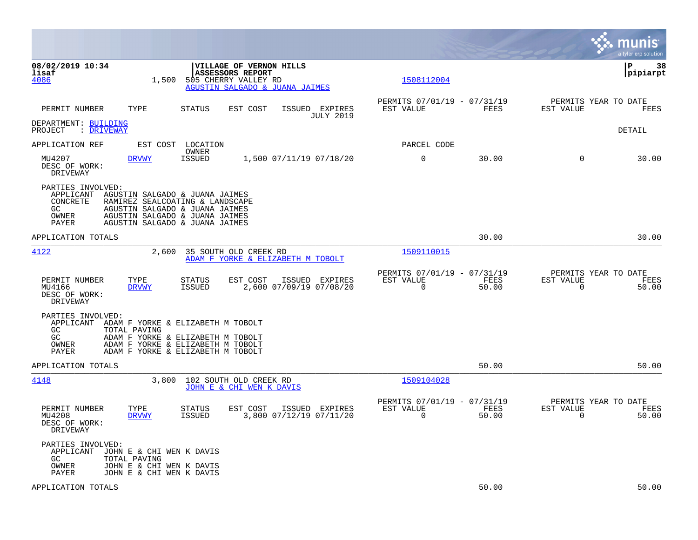|                                                                                                                                                                                                                                                | munis<br>a tyler erp solution                                                                                                |               |
|------------------------------------------------------------------------------------------------------------------------------------------------------------------------------------------------------------------------------------------------|------------------------------------------------------------------------------------------------------------------------------|---------------|
| 08/02/2019 10:34<br>VILLAGE OF VERNON HILLS<br>ASSESSORS REPORT<br>lisaf<br>4086<br>1,500<br>505 CHERRY VALLEY RD<br>AGUSTIN SALGADO & JUANA JAIMES                                                                                            | IΡ<br> pipiarpt<br>1508112004                                                                                                | 38            |
| PERMIT NUMBER<br>TYPE<br><b>STATUS</b><br>EST COST<br>ISSUED EXPIRES                                                                                                                                                                           | PERMITS 07/01/19 - 07/31/19<br>PERMITS YEAR TO DATE<br>EST VALUE<br>FEES<br>EST VALUE<br><b>JULY 2019</b>                    | FEES          |
| DEPARTMENT: BUILDING<br>PROJECT<br>: <u>DRIVEWAY</u>                                                                                                                                                                                           | DETAIL                                                                                                                       |               |
| APPLICATION REF<br>LOCATION<br>EST COST                                                                                                                                                                                                        | PARCEL CODE                                                                                                                  |               |
| OWNER<br>MU4207<br>1,500 07/11/19 07/18/20<br><b>DRVWY</b><br><b>ISSUED</b><br>DESC OF WORK:<br>DRIVEWAY                                                                                                                                       | $\mathbf 0$<br>30.00<br>$\Omega$                                                                                             | 30.00         |
| PARTIES INVOLVED:<br>APPLICANT<br>AGUSTIN SALGADO & JUANA JAIMES<br>CONCRETE<br>RAMIREZ SEALCOATING & LANDSCAPE<br>GC.<br>AGUSTIN SALGADO & JUANA JAIMES<br>OWNER<br>AGUSTIN SALGADO & JUANA JAIMES<br>PAYER<br>AGUSTIN SALGADO & JUANA JAIMES |                                                                                                                              |               |
| APPLICATION TOTALS                                                                                                                                                                                                                             | 30.00                                                                                                                        | 30.00         |
| 4122<br>35 SOUTH OLD CREEK RD<br>2,600<br>ADAM F YORKE & ELIZABETH M TOBOLT                                                                                                                                                                    | 1509110015                                                                                                                   |               |
| PERMIT NUMBER<br>TYPE<br><b>STATUS</b><br>EST COST<br>ISSUED EXPIRES<br>2,600 07/09/19 07/08/20<br>MU4166<br><b>ISSUED</b><br><b>DRVWY</b><br>DESC OF WORK:<br>DRIVEWAY                                                                        | PERMITS 07/01/19 - 07/31/19<br>PERMITS YEAR TO DATE<br>EST VALUE<br>FEES<br>EST VALUE<br>0<br>50.00<br>$\mathbf 0$           | FEES<br>50.00 |
| PARTIES INVOLVED:<br>APPLICANT<br>ADAM F YORKE & ELIZABETH M TOBOLT<br>GC<br>TOTAL PAVING<br>GC<br>ADAM F YORKE & ELIZABETH M TOBOLT<br>OWNER<br>ADAM F YORKE & ELIZABETH M TOBOLT<br>ADAM F YORKE & ELIZABETH M TOBOLT<br>PAYER               |                                                                                                                              |               |
| APPLICATION TOTALS                                                                                                                                                                                                                             | 50.00                                                                                                                        | 50.00         |
| 4148<br>3,800<br>102 SOUTH OLD CREEK RD<br>JOHN E & CHI WEN K DAVIS                                                                                                                                                                            | 1509104028                                                                                                                   |               |
| PERMIT NUMBER<br>TYPE<br>EST COST<br>ISSUED EXPIRES<br>STATUS<br>3,800 07/12/19 07/11/20<br>MU4208<br><b>DRVWY</b><br><b>ISSUED</b><br>DESC OF WORK:<br>DRIVEWAY                                                                               | PERMITS 07/01/19 - 07/31/19<br>PERMITS YEAR TO DATE<br>EST VALUE<br>FEES<br>EST VALUE<br>$\mathbf 0$<br>50.00<br>$\mathbf 0$ | FEES<br>50.00 |
| PARTIES INVOLVED:<br>APPLICANT<br>JOHN E & CHI WEN K DAVIS<br>GC.<br>TOTAL PAVING<br>OWNER<br>JOHN E & CHI WEN K DAVIS<br>JOHN E & CHI WEN K DAVIS<br>PAYER                                                                                    |                                                                                                                              |               |
| APPLICATION TOTALS                                                                                                                                                                                                                             | 50.00                                                                                                                        | 50.00         |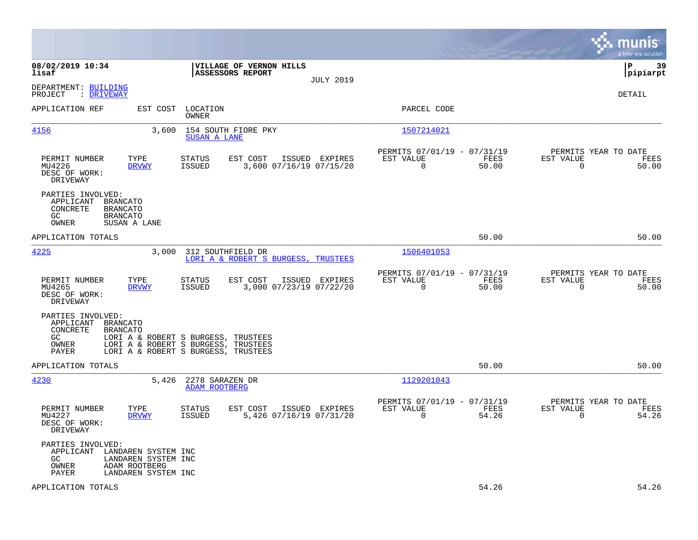|                                                                                                                                           |                                                                                                                   |                                                                          | munis<br>a tyler erp solution                                     |
|-------------------------------------------------------------------------------------------------------------------------------------------|-------------------------------------------------------------------------------------------------------------------|--------------------------------------------------------------------------|-------------------------------------------------------------------|
| 08/02/2019 10:34<br>lisaf                                                                                                                 | VILLAGE OF VERNON HILLS<br>ASSESSORS REPORT<br><b>JULY 2019</b>                                                   |                                                                          | 39<br>P<br> pipiarpt                                              |
| DEPARTMENT: BUILDING<br>PROJECT<br>: DRIVEWAY                                                                                             |                                                                                                                   |                                                                          | DETAIL                                                            |
| APPLICATION REF<br>EST COST                                                                                                               | LOCATION<br>OWNER                                                                                                 | PARCEL CODE                                                              |                                                                   |
| <u>4156</u><br>3,600                                                                                                                      | 154 SOUTH FIORE PKY<br>SUSAN A LANE                                                                               | 1507214021                                                               |                                                                   |
| PERMIT NUMBER<br>TYPE<br>MU4226<br><b>DRVWY</b><br>DESC OF WORK:<br>DRIVEWAY                                                              | STATUS<br>EST COST<br>ISSUED EXPIRES<br><b>ISSUED</b><br>3,600 07/16/19 07/15/20                                  | PERMITS 07/01/19 - 07/31/19<br>EST VALUE<br>FEES<br>$\mathbf 0$<br>50.00 | PERMITS YEAR TO DATE<br>EST VALUE<br>FEES<br>$\mathbf 0$<br>50.00 |
| PARTIES INVOLVED:<br>APPLICANT<br><b>BRANCATO</b><br>CONCRETE<br><b>BRANCATO</b><br>GC<br><b>BRANCATO</b><br>OWNER<br>SUSAN A LANE        |                                                                                                                   |                                                                          |                                                                   |
| APPLICATION TOTALS                                                                                                                        |                                                                                                                   | 50.00                                                                    | 50.00                                                             |
| 4225<br>3,000                                                                                                                             | 312 SOUTHFIELD DR<br>LORI A & ROBERT S BURGESS, TRUSTEES                                                          | 1506401053                                                               |                                                                   |
| TYPE<br>PERMIT NUMBER<br>MU4265<br><b>DRVWY</b><br>DESC OF WORK:<br>DRIVEWAY                                                              | EST COST<br><b>STATUS</b><br>ISSUED EXPIRES<br>3,000 07/23/19 07/22/20<br>ISSUED                                  | PERMITS 07/01/19 - 07/31/19<br>EST VALUE<br>FEES<br>$\mathbf 0$<br>50.00 | PERMITS YEAR TO DATE<br>EST VALUE<br>FEES<br>$\mathbf 0$<br>50.00 |
| PARTIES INVOLVED:<br>APPLICANT<br><b>BRANCATO</b><br>CONCRETE<br><b>BRANCATO</b><br>GC.<br>OWNER<br>PAYER                                 | LORI A & ROBERT S BURGESS, TRUSTEES<br>LORI A & ROBERT S BURGESS, TRUSTEES<br>LORI A & ROBERT S BURGESS, TRUSTEES |                                                                          |                                                                   |
| APPLICATION TOTALS                                                                                                                        |                                                                                                                   | 50.00                                                                    | 50.00                                                             |
| 4230<br>5,426                                                                                                                             | 2278 SARAZEN DR<br><b>ADAM ROOTBERG</b>                                                                           | 1129201043                                                               |                                                                   |
| PERMIT NUMBER<br>TYPE<br>MU4227<br><b>DRVWY</b><br>DESC OF WORK:<br>DRIVEWAY                                                              | STATUS<br>EST COST<br>ISSUED EXPIRES<br>5,426 07/16/19 07/31/20<br><b>ISSUED</b>                                  | PERMITS 07/01/19 - 07/31/19<br>EST VALUE<br>FEES<br>0<br>54.26           | PERMITS YEAR TO DATE<br>EST VALUE<br>FEES<br>$\mathbf 0$<br>54.26 |
| PARTIES INVOLVED:<br>APPLICANT LANDAREN SYSTEM INC<br>GC<br>LANDAREN SYSTEM INC<br>OWNER<br>ADAM ROOTBERG<br>PAYER<br>LANDAREN SYSTEM INC |                                                                                                                   |                                                                          |                                                                   |
| APPLICATION TOTALS                                                                                                                        |                                                                                                                   | 54.26                                                                    | 54.26                                                             |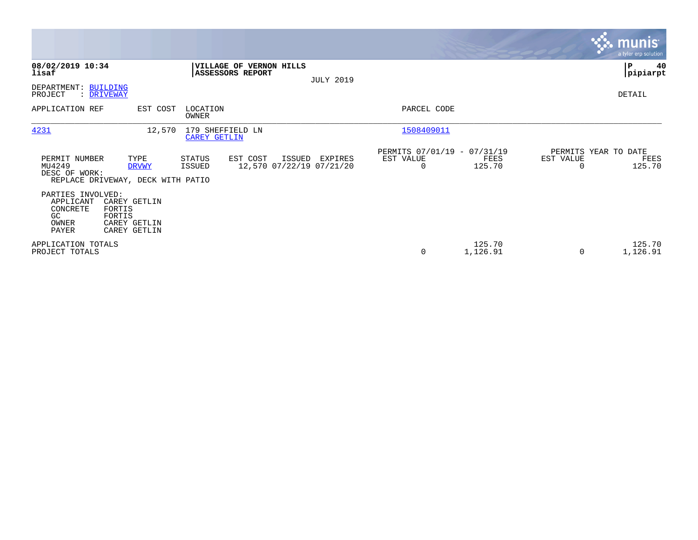|                                                                    |                                                                  |                                         |                                                |                  |                                                      |                    |                                   | munis <sup>®</sup><br>a tyler erp solution |
|--------------------------------------------------------------------|------------------------------------------------------------------|-----------------------------------------|------------------------------------------------|------------------|------------------------------------------------------|--------------------|-----------------------------------|--------------------------------------------|
| 08/02/2019 10:34<br>lisaf                                          |                                                                  | ASSESSORS REPORT                        | VILLAGE OF VERNON HILLS                        | <b>JULY 2019</b> |                                                      |                    |                                   | ∣P<br>40<br> pipiarpt                      |
| DEPARTMENT: BUILDING<br>PROJECT<br>: DRIVEWAY                      |                                                                  |                                         |                                                |                  |                                                      |                    |                                   | DETAIL                                     |
| APPLICATION REF                                                    | EST COST                                                         | LOCATION<br><b>OWNER</b>                |                                                |                  | PARCEL CODE                                          |                    |                                   |                                            |
| 4231                                                               | 12,570                                                           | 179 SHEFFIELD LN<br><b>CAREY GETLIN</b> |                                                |                  | 1508409011                                           |                    |                                   |                                            |
| PERMIT NUMBER<br>MU4249<br>DESC OF WORK:                           | TYPE<br><b>DRVWY</b><br>REPLACE DRIVEWAY, DECK WITH PATIO        | STATUS<br>ISSUED                        | EST COST<br>ISSUED<br>12,570 07/22/19 07/21/20 | EXPIRES          | PERMITS 07/01/19 - 07/31/19<br>EST VALUE<br>$\Omega$ | FEES<br>125.70     | PERMITS YEAR TO DATE<br>EST VALUE | FEES<br>125.70                             |
| PARTIES INVOLVED:<br>APPLICANT<br>CONCRETE<br>GC<br>OWNER<br>PAYER | CAREY GETLIN<br>FORTIS<br>FORTIS<br>CAREY GETLIN<br>CAREY GETLIN |                                         |                                                |                  |                                                      |                    |                                   |                                            |
| APPLICATION TOTALS<br>PROJECT TOTALS                               |                                                                  |                                         |                                                |                  | 0                                                    | 125.70<br>1,126.91 | $\Omega$                          | 125.70<br>1,126.91                         |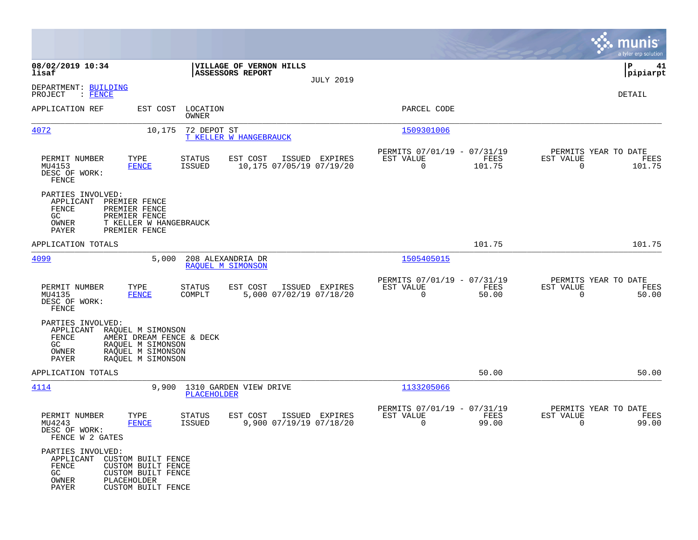|                                                                                    |                                                                                                              |                         |                                             |                  |                                                         |                |                                                  | munis<br>a tyler erp solution |
|------------------------------------------------------------------------------------|--------------------------------------------------------------------------------------------------------------|-------------------------|---------------------------------------------|------------------|---------------------------------------------------------|----------------|--------------------------------------------------|-------------------------------|
| 08/02/2019 10:34<br>lisaf                                                          |                                                                                                              |                         | VILLAGE OF VERNON HILLS<br>ASSESSORS REPORT |                  |                                                         |                |                                                  | P<br>41<br> pipiarpt          |
| DEPARTMENT: BUILDING<br>PROJECT<br>: FENCE                                         |                                                                                                              |                         |                                             | <b>JULY 2019</b> |                                                         |                |                                                  | DETAIL                        |
| APPLICATION REF                                                                    | EST COST                                                                                                     | LOCATION<br>OWNER       |                                             |                  | PARCEL CODE                                             |                |                                                  |                               |
| 4072                                                                               | 10,175                                                                                                       | 72 DEPOT ST             | <b>T KELLER W HANGEBRAUCK</b>               |                  | 1509301006                                              |                |                                                  |                               |
| PERMIT NUMBER<br>MU4153<br>DESC OF WORK:<br>FENCE                                  | TYPE<br><b>FENCE</b>                                                                                         | STATUS<br><b>ISSUED</b> | EST COST<br>10,175 07/05/19 07/19/20        | ISSUED EXPIRES   | PERMITS 07/01/19 - 07/31/19<br>EST VALUE<br>$\mathbf 0$ | FEES<br>101.75 | PERMITS YEAR TO DATE<br>EST VALUE<br>$\mathbf 0$ | FEES<br>101.75                |
| PARTIES INVOLVED:<br>APPLICANT<br>FENCE<br>GC<br>OWNER<br>PAYER                    | PREMIER FENCE<br>PREMIER FENCE<br>PREMIER FENCE<br>T KELLER W HANGEBRAUCK<br>PREMIER FENCE                   |                         |                                             |                  |                                                         |                |                                                  |                               |
| APPLICATION TOTALS                                                                 |                                                                                                              |                         |                                             |                  |                                                         | 101.75         |                                                  | 101.75                        |
| 4099                                                                               | 5,000                                                                                                        |                         | 208 ALEXANDRIA DR<br>RAQUEL M SIMONSON      |                  | 1505405015                                              |                |                                                  |                               |
| PERMIT NUMBER<br>MU4135<br>DESC OF WORK:<br>FENCE                                  | TYPE<br><b>FENCE</b>                                                                                         | STATUS<br>COMPLT        | EST COST<br>5,000 07/02/19 07/18/20         | ISSUED EXPIRES   | PERMITS 07/01/19 - 07/31/19<br>EST VALUE<br>0           | FEES<br>50.00  | PERMITS YEAR TO DATE<br>EST VALUE<br>$\mathbf 0$ | FEES<br>50.00                 |
| PARTIES INVOLVED:<br>APPLICANT<br>FENCE<br>GC<br>OWNER<br>PAYER                    | RAQUEL M SIMONSON<br>AMERI DREAM FENCE & DECK<br>RAOUEL M SIMONSON<br>RAQUEL M SIMONSON<br>RAQUEL M SIMONSON |                         |                                             |                  |                                                         |                |                                                  |                               |
| APPLICATION TOTALS                                                                 |                                                                                                              |                         |                                             |                  |                                                         | 50.00          |                                                  | 50.00                         |
| 4114                                                                               | 9,900                                                                                                        | PLACEHOLDER             | 1310 GARDEN VIEW DRIVE                      |                  | 1133205066                                              |                |                                                  |                               |
| PERMIT NUMBER<br>MU4243<br>DESC OF WORK:<br>FENCE W 2 GATES                        | TYPE<br><b>FENCE</b>                                                                                         | STATUS<br><b>ISSUED</b> | EST COST<br>9,900 07/19/19 07/18/20         | ISSUED EXPIRES   | PERMITS 07/01/19 - 07/31/19<br>EST VALUE<br>0           | FEES<br>99.00  | PERMITS YEAR TO DATE<br>EST VALUE<br>0           | FEES<br>99.00                 |
| PARTIES INVOLVED:<br>APPLICANT CUSTOM BUILT FENCE<br>FENCE<br>GC<br>OWNER<br>PAYER | <b>CUSTOM BUILT FENCE</b><br>CUSTOM BUILT FENCE<br>PLACEHOLDER<br>CUSTOM BUILT FENCE                         |                         |                                             |                  |                                                         |                |                                                  |                               |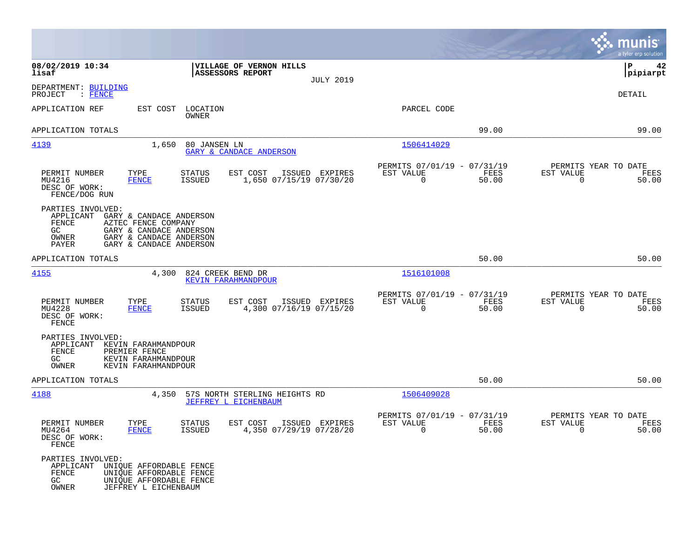|                                                                  |                                                                                                                                 |                         |                                                       |                  |                                                            |               |                                                     | munis<br>a tyler erp solution |
|------------------------------------------------------------------|---------------------------------------------------------------------------------------------------------------------------------|-------------------------|-------------------------------------------------------|------------------|------------------------------------------------------------|---------------|-----------------------------------------------------|-------------------------------|
| 08/02/2019 10:34<br>lisaf                                        |                                                                                                                                 |                         | VILLAGE OF VERNON HILLS<br>ASSESSORS REPORT           | <b>JULY 2019</b> |                                                            |               |                                                     | 42<br>IΡ<br> pipiarpt         |
| DEPARTMENT: BUILDING<br>PROJECT<br>: FENCE                       |                                                                                                                                 |                         |                                                       |                  |                                                            |               |                                                     | DETAIL                        |
| APPLICATION REF                                                  | EST COST                                                                                                                        | LOCATION<br>OWNER       |                                                       |                  | PARCEL CODE                                                |               |                                                     |                               |
| APPLICATION TOTALS                                               |                                                                                                                                 |                         |                                                       |                  |                                                            | 99.00         |                                                     | 99.00                         |
| 4139                                                             | 1,650                                                                                                                           | 80 JANSEN LN            | <b>GARY &amp; CANDACE ANDERSON</b>                    |                  | 1506414029                                                 |               |                                                     |                               |
| PERMIT NUMBER<br>MU4216<br>DESC OF WORK:<br>FENCE/DOG RUN        | TYPE<br><b>FENCE</b>                                                                                                            | <b>STATUS</b><br>ISSUED | EST COST<br>1,650 07/15/19 07/30/20                   | ISSUED EXPIRES   | PERMITS 07/01/19 - 07/31/19<br>EST VALUE<br>0              | FEES<br>50.00 | PERMITS YEAR TO DATE<br>EST VALUE<br>0              | FEES<br>50.00                 |
| PARTIES INVOLVED:<br>APPLICANT<br>FENCE<br>GC.<br>OWNER<br>PAYER | GARY & CANDACE ANDERSON<br>AZTEC FENCE COMPANY<br>GARY & CANDACE ANDERSON<br>GARY & CANDACE ANDERSON<br>GARY & CANDACE ANDERSON |                         |                                                       |                  |                                                            |               |                                                     |                               |
| APPLICATION TOTALS                                               |                                                                                                                                 |                         |                                                       |                  |                                                            | 50.00         |                                                     | 50.00                         |
| 4155                                                             | 4,300                                                                                                                           |                         | 824 CREEK BEND DR<br>KEVIN FARAHMANDPOUR              |                  | 1516101008                                                 |               |                                                     |                               |
| PERMIT NUMBER<br>MU4228<br>DESC OF WORK:<br>FENCE                | TYPE<br><b>FENCE</b>                                                                                                            | STATUS<br><b>ISSUED</b> | EST COST<br>4,300 07/16/19 07/15/20                   | ISSUED EXPIRES   | PERMITS 07/01/19 - 07/31/19<br>EST VALUE<br>0              | FEES<br>50.00 | PERMITS YEAR TO DATE<br>EST VALUE<br>$\mathbf 0$    | FEES<br>50.00                 |
| PARTIES INVOLVED:<br>APPLICANT<br>FENCE<br>GC<br>OWNER           | KEVIN FARAHMANDPOUR<br>PREMIER FENCE<br>KEVIN FARAHMANDPOUR<br>KEVIN FARAHMANDPOUR                                              |                         |                                                       |                  |                                                            |               |                                                     |                               |
| APPLICATION TOTALS                                               |                                                                                                                                 |                         |                                                       |                  |                                                            | 50.00         |                                                     | 50.00                         |
| 4188                                                             | 4,350                                                                                                                           |                         | 57S NORTH STERLING HEIGHTS RD<br>JEFFREY L EICHENBAUM |                  | 1506409028                                                 |               |                                                     |                               |
| PERMIT NUMBER<br>MU4264<br>DESC OF WORK:<br>FENCE                | TYPE<br><b>FENCE</b>                                                                                                            | <b>STATUS</b><br>ISSUED | EST COST<br>4,350 07/29/19 07/28/20                   | ISSUED EXPIRES   | PERMITS 07/01/19 - 07/31/19<br>EST VALUE<br>$\overline{0}$ | FEES<br>50.00 | PERMITS YEAR TO DATE<br>EST VALUE<br>$\overline{0}$ | FEES<br>50.00                 |
| PARTIES INVOLVED:<br>APPLICANT<br>FENCE<br>GC<br>OWNER           | UNIQUE AFFORDABLE FENCE<br>UNIQUE AFFORDABLE FENCE<br>UNIQUE AFFORDABLE FENCE<br>JEFFREY L EICHENBAUM                           |                         |                                                       |                  |                                                            |               |                                                     |                               |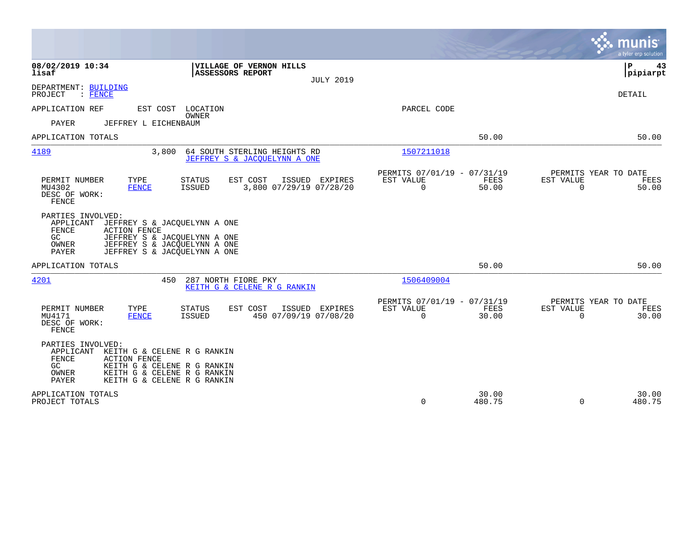|                                                                                                                                                                                                                        |                                                                       | munis<br>a tyler erp solution                                  |
|------------------------------------------------------------------------------------------------------------------------------------------------------------------------------------------------------------------------|-----------------------------------------------------------------------|----------------------------------------------------------------|
| 08/02/2019 10:34<br>VILLAGE OF VERNON HILLS<br>lisaf<br>ASSESSORS REPORT<br><b>JULY 2019</b>                                                                                                                           |                                                                       | P<br>43<br> pipiarpt                                           |
| DEPARTMENT: BUILDING<br>PROJECT<br>: FENCE                                                                                                                                                                             |                                                                       | <b>DETAIL</b>                                                  |
| APPLICATION REF<br>EST COST LOCATION<br>OWNER<br>PAYER<br>JEFFREY L EICHENBAUM                                                                                                                                         | PARCEL CODE                                                           |                                                                |
| APPLICATION TOTALS                                                                                                                                                                                                     | 50.00                                                                 | 50.00                                                          |
| 4189<br>3,800<br>64 SOUTH STERLING HEIGHTS RD<br>JEFFREY S & JACOUELYNN A ONE                                                                                                                                          | 1507211018                                                            |                                                                |
| TYPE<br>PERMIT NUMBER<br>EST COST<br>ISSUED EXPIRES<br>STATUS<br>MU4302<br><b>ISSUED</b><br>3,800 07/29/19 07/28/20<br>FENCE<br>DESC OF WORK:<br>FENCE                                                                 | PERMITS 07/01/19 - 07/31/19<br>EST VALUE<br>FEES<br>0<br>50.00        | PERMITS YEAR TO DATE<br>EST VALUE<br>FEES<br>$\Omega$<br>50.00 |
| PARTIES INVOLVED:<br>APPLICANT<br>JEFFREY S & JACQUELYNN A ONE<br>FENCE<br><b>ACTION FENCE</b><br>GC<br>JEFFREY S & JACQUELYNN A ONE<br>JEFFREY S & JACQUELYNN A ONE<br>OWNER<br>PAYER<br>JEFFREY S & JACQUELYNN A ONE |                                                                       |                                                                |
| APPLICATION TOTALS                                                                                                                                                                                                     | 50.00                                                                 | 50.00                                                          |
| 4201<br>450<br>287 NORTH FIORE PKY<br>KEITH G & CELENE R G RANKIN                                                                                                                                                      | 1506409004                                                            |                                                                |
| PERMIT NUMBER<br>TYPE<br><b>STATUS</b><br>EST COST<br>ISSUED<br>EXPIRES<br>450 07/09/19 07/08/20<br>MU4171<br><b>ISSUED</b><br><b>FENCE</b><br>DESC OF WORK:<br><b>FENCE</b>                                           | PERMITS 07/01/19 - 07/31/19<br>FEES<br>EST VALUE<br>$\Omega$<br>30.00 | PERMITS YEAR TO DATE<br>EST VALUE<br>FEES<br>$\Omega$<br>30.00 |
| PARTIES INVOLVED:<br>APPLICANT<br>KEITH G & CELENE R G RANKIN<br>FENCE<br><b>ACTION FENCE</b><br>KEITH G & CELENE R G RANKIN<br>GC.<br>OWNER<br>KEITH G & CELENE R G RANKIN<br>PAYER<br>KEITH G & CELENE R G RANKIN    |                                                                       |                                                                |
| APPLICATION TOTALS<br>PROJECT TOTALS                                                                                                                                                                                   | 30.00<br>0<br>480.75                                                  | 30.00<br>$\Omega$<br>480.75                                    |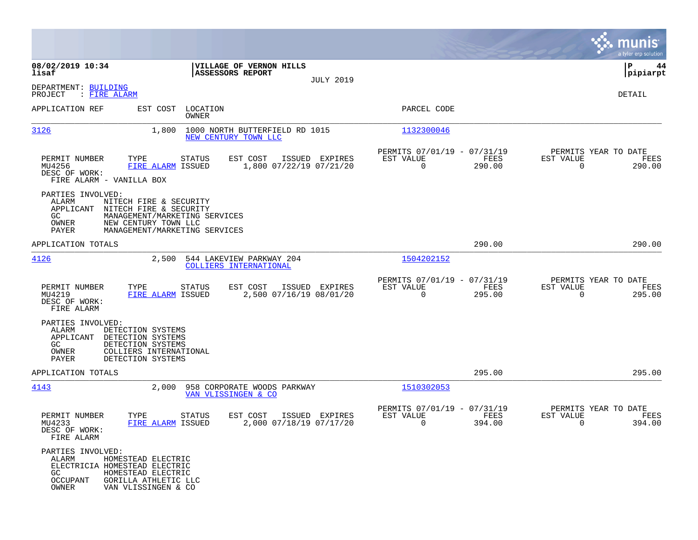|                                                                                                                                                                                                               |                                                          |                  |                                                            |                |                                                     | munis<br>a tyler erp solution |
|---------------------------------------------------------------------------------------------------------------------------------------------------------------------------------------------------------------|----------------------------------------------------------|------------------|------------------------------------------------------------|----------------|-----------------------------------------------------|-------------------------------|
| 08/02/2019 10:34<br>lisaf                                                                                                                                                                                     | VILLAGE OF VERNON HILLS<br>ASSESSORS REPORT              | <b>JULY 2019</b> |                                                            |                |                                                     | IΡ<br>44<br> pipiarpt         |
| DEPARTMENT: BUILDING<br>PROJECT<br>: FIRE ALARM                                                                                                                                                               |                                                          |                  |                                                            |                |                                                     | DETAIL                        |
| APPLICATION REF                                                                                                                                                                                               | EST COST LOCATION<br><b>OWNER</b>                        |                  | PARCEL CODE                                                |                |                                                     |                               |
| 3126<br>1,800                                                                                                                                                                                                 | 1000 NORTH BUTTERFIELD RD 1015<br>NEW CENTURY TOWN LLC   |                  | 1132300046                                                 |                |                                                     |                               |
| PERMIT NUMBER<br>TYPE<br>MU4256<br>FIRE ALARM ISSUED<br>DESC OF WORK:<br>FIRE ALARM - VANILLA BOX                                                                                                             | STATUS<br>EST COST<br>1,800 07/22/19 07/21/20            | ISSUED EXPIRES   | PERMITS 07/01/19 - 07/31/19<br>EST VALUE<br>$\overline{0}$ | FEES<br>290.00 | PERMITS YEAR TO DATE<br>EST VALUE<br>$\overline{0}$ | FEES<br>290.00                |
| PARTIES INVOLVED:<br>ALARM<br>NITECH FIRE & SECURITY<br>APPLICANT<br>NITECH FIRE & SECURITY<br>GC<br>MANAGEMENT/MARKETING SERVICES<br>OWNER<br>NEW CENTURY TOWN LLC<br>PAYER<br>MANAGEMENT/MARKETING SERVICES |                                                          |                  |                                                            |                |                                                     |                               |
| APPLICATION TOTALS                                                                                                                                                                                            |                                                          |                  |                                                            | 290.00         |                                                     | 290.00                        |
| 4126<br>2,500                                                                                                                                                                                                 | 544 LAKEVIEW PARKWAY 204<br>COLLIERS INTERNATIONAL       |                  | 1504202152                                                 |                |                                                     |                               |
| PERMIT NUMBER<br>TYPE<br>MU4219<br>FIRE ALARM ISSUED<br>DESC OF WORK:<br>FIRE ALARM                                                                                                                           | EST COST<br>STATUS<br>2,500 07/16/19 08/01/20            | ISSUED EXPIRES   | PERMITS 07/01/19 - 07/31/19<br>EST VALUE<br>$\mathbf 0$    | FEES<br>295.00 | PERMITS YEAR TO DATE<br>EST VALUE<br>$\Omega$       | FEES<br>295.00                |
| PARTIES INVOLVED:<br>ALARM<br>DETECTION SYSTEMS<br>APPLICANT<br>DETECTION SYSTEMS<br>GC<br>DETECTION SYSTEMS<br>OWNER<br>COLLIERS INTERNATIONAL<br>PAYER<br>DETECTION SYSTEMS                                 |                                                          |                  |                                                            |                |                                                     |                               |
| APPLICATION TOTALS                                                                                                                                                                                            |                                                          |                  |                                                            | 295.00         |                                                     | 295.00                        |
| 4143                                                                                                                                                                                                          | 2,000 958 CORPORATE WOODS PARKWAY<br>VAN VLISSINGEN & CO |                  | 1510302053                                                 |                |                                                     |                               |
| PERMIT NUMBER<br>TYPE<br>MU4233<br>FIRE ALARM ISSUED<br>DESC OF WORK:<br>FIRE ALARM                                                                                                                           | EST COST<br>STATUS<br>2,000 07/18/19 07/17/20            | ISSUED EXPIRES   | PERMITS 07/01/19 - 07/31/19<br>EST VALUE<br>0              | FEES<br>394.00 | PERMITS YEAR TO DATE<br>EST VALUE<br>0              | FEES<br>394.00                |
| PARTIES INVOLVED:<br>HOMESTEAD ELECTRIC<br>ALARM<br>ELECTRICIA HOMESTEAD ELECTRIC<br>GC<br>HOMESTEAD ELECTRIC<br><b>OCCUPANT</b><br>GORILLA ATHLETIC LLC<br>OWNER<br>VAN VLISSINGEN & CO                      |                                                          |                  |                                                            |                |                                                     |                               |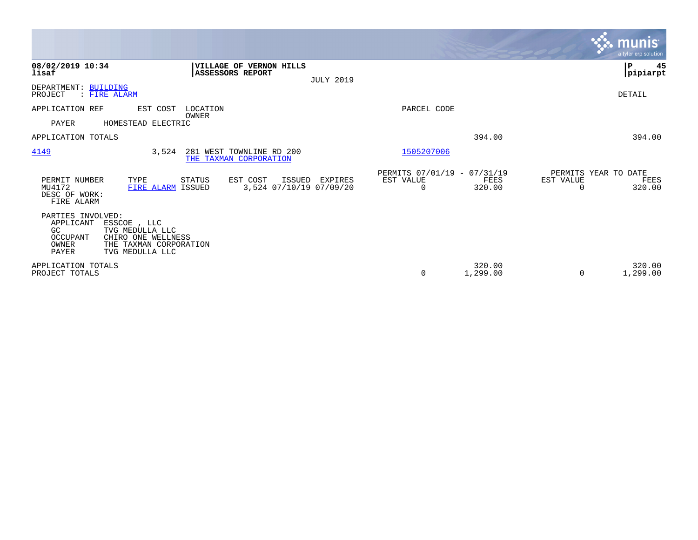|                                                                           |                                                                                                   |                                                         |                  |                                               |                    |                                        | <b>munis</b><br>a tyler erp solution |
|---------------------------------------------------------------------------|---------------------------------------------------------------------------------------------------|---------------------------------------------------------|------------------|-----------------------------------------------|--------------------|----------------------------------------|--------------------------------------|
| 08/02/2019 10:34<br>lisaf                                                 |                                                                                                   | VILLAGE OF VERNON HILLS<br>ASSESSORS REPORT             | <b>JULY 2019</b> |                                               |                    |                                        | $\mathbf P$<br>45<br> pipiarpt       |
| DEPARTMENT: BUILDING<br>PROJECT                                           | <b>FIRE ALARM</b>                                                                                 |                                                         |                  |                                               |                    |                                        | DETAIL                               |
| APPLICATION REF<br>PAYER                                                  | EST COST<br>HOMESTEAD ELECTRIC                                                                    | LOCATION<br>OWNER                                       |                  | PARCEL CODE                                   |                    |                                        |                                      |
| APPLICATION TOTALS                                                        |                                                                                                   |                                                         |                  |                                               | 394.00             |                                        | 394.00                               |
| 4149                                                                      | 3,524                                                                                             | 281 WEST TOWNLINE RD 200<br>THE TAXMAN CORPORATION      |                  | 1505207006                                    |                    |                                        |                                      |
| PERMIT NUMBER<br>MU4172<br>DESC OF WORK:<br>FIRE ALARM                    | TYPE<br>FIRE ALARM ISSUED                                                                         | STATUS<br>EST COST<br>ISSUED<br>3,524 07/10/19 07/09/20 | EXPIRES          | PERMITS 07/01/19 - 07/31/19<br>EST VALUE<br>0 | FEES<br>320.00     | PERMITS YEAR TO DATE<br>EST VALUE<br>O | FEES<br>320.00                       |
| PARTIES INVOLVED:<br>APPLICANT<br>GC<br>OCCUPANT<br>OWNER<br><b>PAYER</b> | ESSCOE, LLC<br>TVG MEDULLA LLC<br>CHIRO ONE WELLNESS<br>THE TAXMAN CORPORATION<br>TVG MEDULLA LLC |                                                         |                  |                                               |                    |                                        |                                      |
| APPLICATION TOTALS<br>PROJECT TOTALS                                      |                                                                                                   |                                                         |                  | 0                                             | 320.00<br>1,299.00 | 0                                      | 320.00<br>1,299.00                   |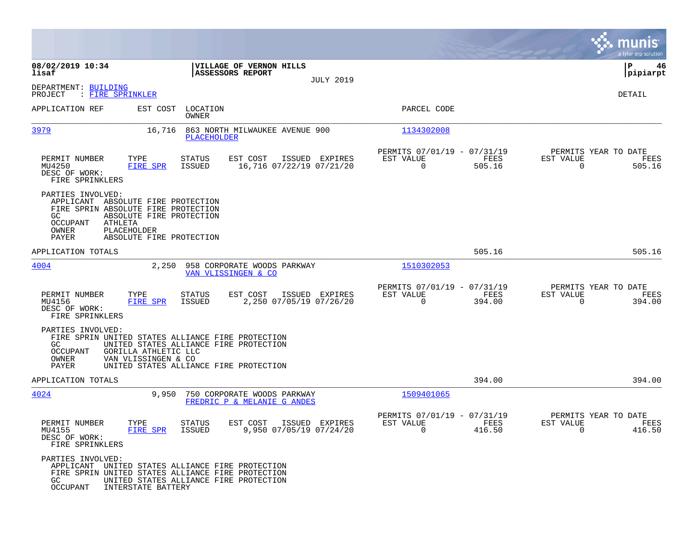|                                                                                                                                                                                                                       |                                                                                   |                                                                           | munis<br>a tyler erp solution                                      |
|-----------------------------------------------------------------------------------------------------------------------------------------------------------------------------------------------------------------------|-----------------------------------------------------------------------------------|---------------------------------------------------------------------------|--------------------------------------------------------------------|
| 08/02/2019 10:34<br>lisaf                                                                                                                                                                                             | VILLAGE OF VERNON HILLS<br>ASSESSORS REPORT                                       |                                                                           | ΙP<br>46<br>pipiarpt                                               |
| DEPARTMENT: BUILDING<br>PROJECT<br>: FIRE SPRINKLER                                                                                                                                                                   | <b>JULY 2019</b>                                                                  |                                                                           | DETAIL                                                             |
| APPLICATION REF<br>EST COST                                                                                                                                                                                           | LOCATION<br>OWNER                                                                 | PARCEL CODE                                                               |                                                                    |
| 3979<br>16,716                                                                                                                                                                                                        | 863 NORTH MILWAUKEE AVENUE 900<br>PLACEHOLDER                                     | 1134302008                                                                |                                                                    |
| PERMIT NUMBER<br>TYPE<br>FIRE SPR<br>MU4250<br>DESC OF WORK:<br>FIRE SPRINKLERS                                                                                                                                       | EST COST<br>ISSUED EXPIRES<br><b>STATUS</b><br>16,716 07/22/19 07/21/20<br>ISSUED | PERMITS 07/01/19 - 07/31/19<br>EST VALUE<br>FEES<br>$\mathbf 0$<br>505.16 | PERMITS YEAR TO DATE<br>EST VALUE<br>FEES<br>$\mathbf 0$<br>505.16 |
| PARTIES INVOLVED:<br>APPLICANT ABSOLUTE FIRE PROTECTION<br>FIRE SPRIN ABSOLUTE FIRE PROTECTION<br>GC.<br>ABSOLUTE FIRE PROTECTION<br>OCCUPANT<br>ATHLETA<br>OWNER<br>PLACEHOLDER<br>PAYER<br>ABSOLUTE FIRE PROTECTION |                                                                                   |                                                                           |                                                                    |
| APPLICATION TOTALS                                                                                                                                                                                                    |                                                                                   | 505.16                                                                    | 505.16                                                             |
| 4004<br>2,250                                                                                                                                                                                                         | 958 CORPORATE WOODS PARKWAY<br>VAN VLISSINGEN & CO                                | 1510302053                                                                |                                                                    |
| PERMIT NUMBER<br>TYPE<br>MU4156<br>FIRE SPR<br>DESC OF WORK:<br>FIRE SPRINKLERS                                                                                                                                       | <b>STATUS</b><br>EST COST<br>ISSUED EXPIRES<br>2,250 07/05/19 07/26/20<br>ISSUED  | PERMITS 07/01/19 - 07/31/19<br>EST VALUE<br>FEES<br>$\Omega$<br>394.00    | PERMITS YEAR TO DATE<br>EST VALUE<br>FEES<br>0<br>394.00           |
| PARTIES INVOLVED:<br>FIRE SPRIN UNITED STATES ALLIANCE FIRE PROTECTION<br>GC<br><b>OCCUPANT</b><br>GORILLA ATHLETIC LLC<br>OWNER<br>VAN VLISSINGEN & CO<br>PAYER                                                      | UNITED STATES ALLIANCE FIRE PROTECTION<br>UNITED STATES ALLIANCE FIRE PROTECTION  |                                                                           |                                                                    |
| APPLICATION TOTALS                                                                                                                                                                                                    |                                                                                   | 394.00                                                                    | 394.00                                                             |
| 4024<br>9,950                                                                                                                                                                                                         | 750 CORPORATE WOODS PARKWAY<br>FREDRIC P & MELANIE G ANDES                        | 1509401065                                                                |                                                                    |
| PERMIT NUMBER<br>TYPE<br>MU4155<br>FIRE SPR<br>DESC OF WORK:<br>FIRE SPRINKLERS                                                                                                                                       | <b>STATUS</b><br>EST COST<br>ISSUED EXPIRES<br>9,950 07/05/19 07/24/20<br>ISSUED  | PERMITS 07/01/19 - 07/31/19<br>EST VALUE<br>FEES<br>$\Omega$<br>416.50    | PERMITS YEAR TO DATE<br>EST VALUE<br>FEES<br>$\Omega$<br>416.50    |
| PARTIES INVOLVED:<br>APPLICANT<br>FIRE SPRIN UNITED STATES ALLIANCE FIRE PROTECTION<br>GC<br>OCCUPANT<br>INTERSTATE BATTERY                                                                                           | UNITED STATES ALLIANCE FIRE PROTECTION<br>UNITED STATES ALLIANCE FIRE PROTECTION  |                                                                           |                                                                    |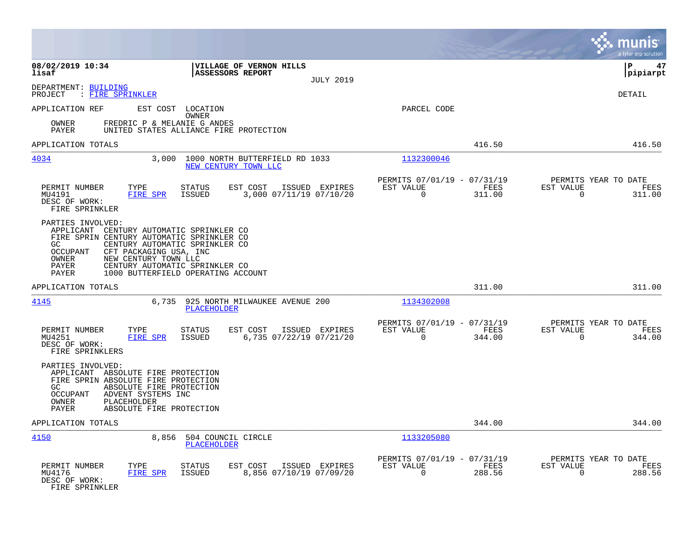|                                                                                                                                           |                                                                                                                                                                                            |                                   |                                                        |                  |                                                         |                | munis<br>a tyler erp solution                                      |
|-------------------------------------------------------------------------------------------------------------------------------------------|--------------------------------------------------------------------------------------------------------------------------------------------------------------------------------------------|-----------------------------------|--------------------------------------------------------|------------------|---------------------------------------------------------|----------------|--------------------------------------------------------------------|
| 08/02/2019 10:34<br>lisaf                                                                                                                 |                                                                                                                                                                                            |                                   | VILLAGE OF VERNON HILLS<br><b>ASSESSORS REPORT</b>     | <b>JULY 2019</b> |                                                         |                | ΙP<br>47<br> pipiarpt                                              |
| DEPARTMENT: BUILDING<br>: FIRE SPRINKLER<br>PROJECT                                                                                       |                                                                                                                                                                                            |                                   |                                                        |                  |                                                         |                | <b>DETAIL</b>                                                      |
| APPLICATION REF                                                                                                                           |                                                                                                                                                                                            | EST COST LOCATION<br><b>OWNER</b> |                                                        |                  | PARCEL CODE                                             |                |                                                                    |
| OWNER<br>PAYER                                                                                                                            | FREDRIC P & MELANIE G ANDES                                                                                                                                                                |                                   | UNITED STATES ALLIANCE FIRE PROTECTION                 |                  |                                                         |                |                                                                    |
| APPLICATION TOTALS                                                                                                                        |                                                                                                                                                                                            |                                   |                                                        |                  |                                                         | 416.50         | 416.50                                                             |
| 4034                                                                                                                                      | 3,000                                                                                                                                                                                      |                                   | 1000 NORTH BUTTERFIELD RD 1033<br>NEW CENTURY TOWN LLC |                  | 1132300046                                              |                |                                                                    |
| PERMIT NUMBER<br>MU4191<br>DESC OF WORK:<br>FIRE SPRINKLER                                                                                | TYPE<br>FIRE SPR                                                                                                                                                                           | <b>STATUS</b><br><b>ISSUED</b>    | EST COST<br>3,000 07/11/19 07/10/20                    | ISSUED EXPIRES   | PERMITS 07/01/19 - 07/31/19<br>EST VALUE<br>$\mathbf 0$ | FEES<br>311.00 | PERMITS YEAR TO DATE<br>EST VALUE<br>FEES<br>$\mathbf 0$<br>311.00 |
| PARTIES INVOLVED:<br>APPLICANT<br>FIRE SPRIN CENTURY AUTOMATIC SPRINKLER CO<br>GC.<br>OCCUPANT<br>OWNER<br>PAYER<br>PAYER                 | CENTURY AUTOMATIC SPRINKLER CO<br>CENTURY AUTOMATIC SPRINKLER CO<br>CFT PACKAGING USA, INC<br>NEW CENTURY TOWN LLC<br>CENTURY AUTOMATIC SPRINKLER CO<br>1000 BUTTERFIELD OPERATING ACCOUNT |                                   |                                                        |                  |                                                         |                |                                                                    |
| APPLICATION TOTALS                                                                                                                        |                                                                                                                                                                                            |                                   |                                                        |                  |                                                         | 311.00         | 311.00                                                             |
| 4145                                                                                                                                      |                                                                                                                                                                                            | PLACEHOLDER                       | 6,735 925 NORTH MILWAUKEE AVENUE 200                   |                  | 1134302008                                              |                |                                                                    |
| PERMIT NUMBER<br>MU4251<br>DESC OF WORK:<br>FIRE SPRINKLERS                                                                               | TYPE<br>FIRE SPR                                                                                                                                                                           | <b>STATUS</b><br>ISSUED           | EST COST<br>6,735 07/22/19 07/21/20                    | ISSUED EXPIRES   | PERMITS 07/01/19 - 07/31/19<br>EST VALUE<br>$\Omega$    | FEES<br>344.00 | PERMITS YEAR TO DATE<br>EST VALUE<br>FEES<br>0<br>344.00           |
| PARTIES INVOLVED:<br>APPLICANT ABSOLUTE FIRE PROTECTION<br>FIRE SPRIN ABSOLUTE FIRE PROTECTION<br>GC<br><b>OCCUPANT</b><br>OWNER<br>PAYER | ABSOLUTE FIRE PROTECTION<br>ADVENT SYSTEMS INC<br>PLACEHOLDER<br>ABSOLUTE FIRE PROTECTION                                                                                                  |                                   |                                                        |                  |                                                         |                |                                                                    |
| APPLICATION TOTALS                                                                                                                        |                                                                                                                                                                                            |                                   |                                                        |                  |                                                         | 344.00         | 344.00                                                             |
| 4150                                                                                                                                      | 8,856                                                                                                                                                                                      | PLACEHOLDER                       | 504 COUNCIL CIRCLE                                     |                  | 1133205080                                              |                |                                                                    |
| PERMIT NUMBER<br>MU4176<br>DESC OF WORK:<br>FIRE SPRINKLER                                                                                | TYPE<br>FIRE SPR                                                                                                                                                                           | STATUS<br><b>ISSUED</b>           | EST COST<br>8,856 07/10/19 07/09/20                    | ISSUED EXPIRES   | PERMITS 07/01/19 - 07/31/19<br>EST VALUE<br>0           | FEES<br>288.56 | PERMITS YEAR TO DATE<br>EST VALUE<br>FEES<br>288.56<br>0           |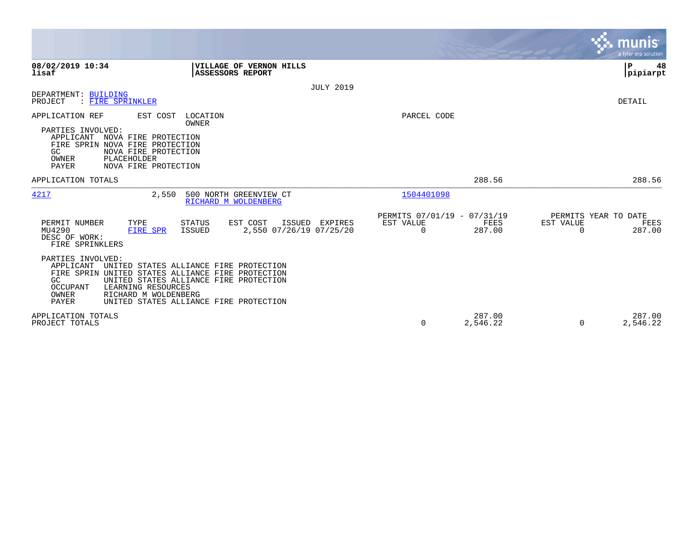|                                                                                                                                                                                                                                                                                                            |                                              |                                               |                    |                                               | munis<br>a tyler erp solution. |
|------------------------------------------------------------------------------------------------------------------------------------------------------------------------------------------------------------------------------------------------------------------------------------------------------------|----------------------------------------------|-----------------------------------------------|--------------------|-----------------------------------------------|--------------------------------|
| 08/02/2019 10:34<br><b>VILLAGE OF VERNON HILLS</b><br>lisaf<br><b>ASSESSORS REPORT</b>                                                                                                                                                                                                                     |                                              |                                               |                    | ÞΡ                                            | 48<br> pipiarpt                |
| DEPARTMENT: BUILDING                                                                                                                                                                                                                                                                                       | <b>JULY 2019</b>                             |                                               |                    |                                               |                                |
| PROJECT<br>: FIRE SPRINKLER                                                                                                                                                                                                                                                                                |                                              |                                               |                    | DETAIL                                        |                                |
| APPLICATION REF<br>EST COST<br>LOCATION<br>OWNER<br>PARTIES INVOLVED:<br>APPLICANT<br>NOVA FIRE PROTECTION<br>FIRE SPRIN NOVA FIRE PROTECTION                                                                                                                                                              |                                              | PARCEL CODE                                   |                    |                                               |                                |
| NOVA FIRE PROTECTION<br>GC.<br>OWNER<br>PLACEHOLDER<br>NOVA FIRE PROTECTION<br>PAYER                                                                                                                                                                                                                       |                                              |                                               |                    |                                               |                                |
| APPLICATION TOTALS                                                                                                                                                                                                                                                                                         |                                              |                                               | 288.56             |                                               | 288.56                         |
| 4217<br>2,550<br>500 NORTH GREENVIEW CT<br>RICHARD M WOLDENBERG                                                                                                                                                                                                                                            |                                              | 1504401098                                    |                    |                                               |                                |
| PERMIT NUMBER<br>EST COST<br>TYPE<br>STATUS<br>MU4290<br>ISSUED<br>FIRE SPR<br>DESC OF WORK:<br>FIRE SPRINKLERS                                                                                                                                                                                            | ISSUED<br>EXPIRES<br>2,550 07/26/19 07/25/20 | PERMITS 07/01/19 - 07/31/19<br>EST VALUE<br>0 | FEES<br>287.00     | PERMITS YEAR TO DATE<br>EST VALUE<br>$\Omega$ | FEES<br>287.00                 |
| PARTIES INVOLVED:<br>APPLICANT<br>UNITED STATES ALLIANCE FIRE PROTECTION<br>FIRE SPRIN UNITED STATES ALLIANCE FIRE PROTECTION<br>UNITED STATES ALLIANCE FIRE PROTECTION<br>GC<br>LEARNING RESOURCES<br><b>OCCUPANT</b><br>RICHARD M WOLDENBERG<br>OWNER<br>PAYER<br>UNITED STATES ALLIANCE FIRE PROTECTION |                                              |                                               |                    |                                               |                                |
| APPLICATION TOTALS<br>PROJECT TOTALS                                                                                                                                                                                                                                                                       |                                              | 0                                             | 287.00<br>2,546.22 | 0                                             | 287.00<br>2,546.22             |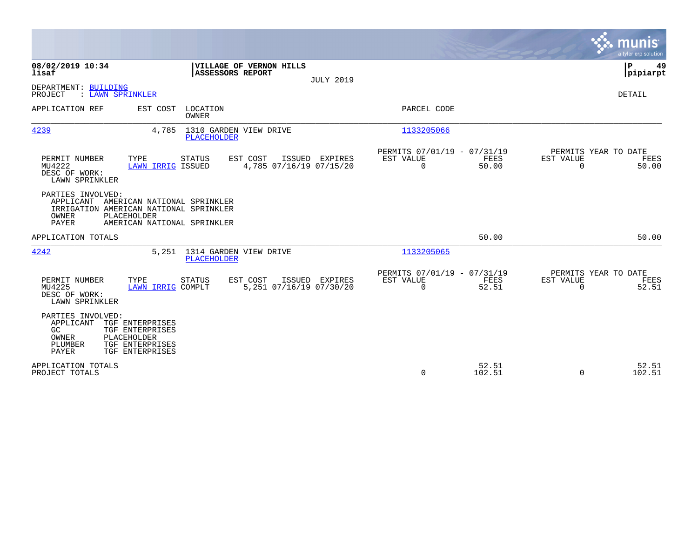|                                                                                                                                                                             | munis<br>a tyler erp solution                                                                                                              |
|-----------------------------------------------------------------------------------------------------------------------------------------------------------------------------|--------------------------------------------------------------------------------------------------------------------------------------------|
| 08/02/2019 10:34<br>VILLAGE OF VERNON HILLS<br>lisaf<br><b>ASSESSORS REPORT</b><br><b>JULY 2019</b>                                                                         | P<br>49<br> pipiarpt                                                                                                                       |
| DEPARTMENT: BUILDING<br>PROJECT<br>: LAWN SPRINKLER                                                                                                                         | DETAIL                                                                                                                                     |
| APPLICATION REF<br>EST COST<br>LOCATION<br>OWNER                                                                                                                            | PARCEL CODE                                                                                                                                |
| 4239<br>1310 GARDEN VIEW DRIVE<br>4,785<br><b>PLACEHOLDER</b>                                                                                                               | 1133205066                                                                                                                                 |
| PERMIT NUMBER<br>TYPE<br>EST COST<br>ISSUED<br>EXPIRES<br>STATUS<br>MU4222<br>4,785 07/16/19 07/15/20<br>LAWN IRRIG ISSUED<br>DESC OF WORK:<br>LAWN SPRINKLER               | PERMITS 07/01/19 - 07/31/19<br>PERMITS YEAR TO DATE<br>EST VALUE<br>FEES<br>EST VALUE<br>FEES<br>$\mathbf 0$<br>50.00<br>$\Omega$<br>50.00 |
| PARTIES INVOLVED:<br>APPLICANT AMERICAN NATIONAL SPRINKLER<br>IRRIGATION AMERICAN NATIONAL SPRINKLER<br><b>OWNER</b><br>PLACEHOLDER<br>PAYER<br>AMERICAN NATIONAL SPRINKLER |                                                                                                                                            |
| APPLICATION TOTALS                                                                                                                                                          | 50.00<br>50.00                                                                                                                             |
| 4242<br>5,251 1314 GARDEN VIEW DRIVE<br>PLACEHOLDER                                                                                                                         | 1133205065                                                                                                                                 |
| PERMIT NUMBER<br>TYPE<br>EST COST<br>ISSUED EXPIRES<br><b>STATUS</b><br>5,251 07/16/19 07/30/20<br>MU4225<br>LAWN IRRIG COMPLT<br>DESC OF WORK:<br>LAWN SPRINKLER           | PERMITS 07/01/19 - 07/31/19<br>PERMITS YEAR TO DATE<br>EST VALUE<br>FEES<br>EST VALUE<br>FEES<br>52.51<br>52.51<br>0<br>$\Omega$           |
| PARTIES INVOLVED:<br>APPLICANT<br>TGF ENTERPRISES<br>GC<br>TGF ENTERPRISES<br>OWNER<br>PLACEHOLDER<br>TGF ENTERPRISES<br>PLUMBER<br>PAYER<br>TGF ENTERPRISES                |                                                                                                                                            |
| APPLICATION TOTALS<br>PROJECT TOTALS                                                                                                                                        | 52.51<br>52.51<br>$\Omega$<br>102.51<br>$\Omega$<br>102.51                                                                                 |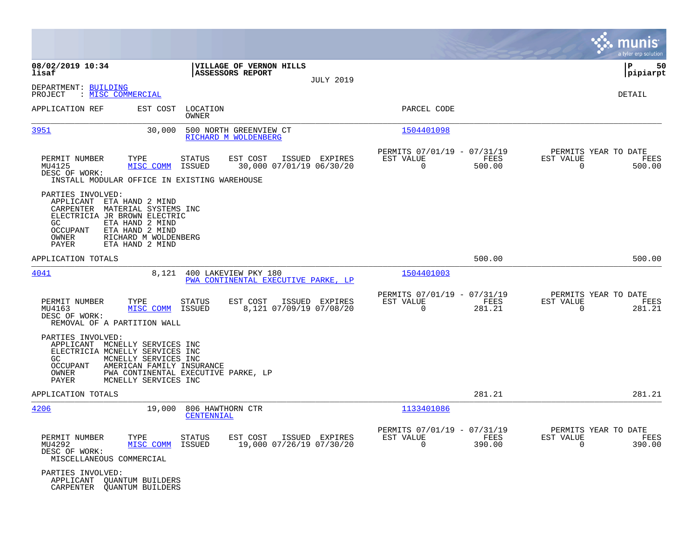|                                                                                                                                                                                                                                                    |                                                                                   |                                                         | munis<br>a tyler erp solution                                                        |
|----------------------------------------------------------------------------------------------------------------------------------------------------------------------------------------------------------------------------------------------------|-----------------------------------------------------------------------------------|---------------------------------------------------------|--------------------------------------------------------------------------------------|
| 08/02/2019 10:34<br>lisaf                                                                                                                                                                                                                          | VILLAGE OF VERNON HILLS<br><b>ASSESSORS REPORT</b>                                |                                                         | 50<br>l P<br> pipiarpt                                                               |
| DEPARTMENT: BUILDING<br>: MISC COMMERCIAL<br>PROJECT                                                                                                                                                                                               |                                                                                   | <b>JULY 2019</b>                                        | DETAIL                                                                               |
| APPLICATION REF<br>EST COST                                                                                                                                                                                                                        | LOCATION<br>OWNER                                                                 | PARCEL CODE                                             |                                                                                      |
| 3951<br>30,000                                                                                                                                                                                                                                     | 500 NORTH GREENVIEW CT<br>RICHARD M WOLDENBERG                                    | 1504401098                                              |                                                                                      |
| PERMIT NUMBER<br>TYPE<br>MISC COMM<br>MU4125<br>DESC OF WORK:<br>INSTALL MODULAR OFFICE IN EXISTING WAREHOUSE                                                                                                                                      | EST COST<br>STATUS<br>ISSUED EXPIRES<br>30,000 07/01/19 06/30/20<br>ISSUED        | PERMITS 07/01/19 - 07/31/19<br>EST VALUE<br>$\mathbf 0$ | PERMITS YEAR TO DATE<br>FEES<br>EST VALUE<br>FEES<br>500.00<br>$\mathbf 0$<br>500.00 |
| PARTIES INVOLVED:<br>APPLICANT<br>ETA HAND 2 MIND<br>MATERIAL SYSTEMS INC<br>CARPENTER<br>ELECTRICIA JR BROWN ELECTRIC<br>GC<br>ETA HAND 2 MIND<br><b>OCCUPANT</b><br>ETA HAND 2 MIND<br>RICHARD M WOLDENBERG<br>OWNER<br>PAYER<br>ETA HAND 2 MIND |                                                                                   |                                                         |                                                                                      |
| APPLICATION TOTALS                                                                                                                                                                                                                                 |                                                                                   |                                                         | 500.00<br>500.00                                                                     |
| 4041<br>8,121                                                                                                                                                                                                                                      | 400 LAKEVIEW PKY 180<br>PWA CONTINENTAL EXECUTIVE PARKE, LP                       | 1504401003                                              |                                                                                      |
| PERMIT NUMBER<br>TYPE<br>MISC COMM<br>MU4163<br>DESC OF WORK:<br>REMOVAL OF A PARTITION WALL                                                                                                                                                       | <b>STATUS</b><br>EST COST<br>ISSUED EXPIRES<br>ISSUED<br>8,121 07/09/19 07/08/20  | PERMITS 07/01/19 - 07/31/19<br>EST VALUE<br>0           | PERMITS YEAR TO DATE<br>FEES<br>EST VALUE<br>FEES<br>281.21<br>$\mathbf 0$<br>281.21 |
| PARTIES INVOLVED:<br>MCNELLY SERVICES INC<br>APPLICANT<br>ELECTRICIA MCNELLY SERVICES INC<br>GC<br>MCNELLY SERVICES INC<br><b>OCCUPANT</b><br>AMERICAN FAMILY INSURANCE<br>OWNER<br>PAYER<br>MCNELLY SERVICES INC                                  | PWA CONTINENTAL EXECUTIVE PARKE, LP                                               |                                                         |                                                                                      |
| APPLICATION TOTALS                                                                                                                                                                                                                                 |                                                                                   |                                                         | 281.21<br>281.21                                                                     |
| 4206<br>19,000                                                                                                                                                                                                                                     | 806 HAWTHORN CTR<br>CENTENNIAL                                                    | 1133401086                                              |                                                                                      |
| PERMIT NUMBER<br>TYPE<br>MU4292<br>MISC COMM<br>DESC OF WORK:<br>MISCELLANEOUS COMMERCIAL                                                                                                                                                          | <b>STATUS</b><br>EST COST<br>ISSUED EXPIRES<br>ISSUED<br>19,000 07/26/19 07/30/20 | PERMITS 07/01/19 - 07/31/19<br>EST VALUE<br>$\Omega$    | PERMITS YEAR TO DATE<br>FEES<br>EST VALUE<br>FEES<br>390.00<br>$\Omega$<br>390.00    |
| PARTIES INVOLVED:<br>APPLICANT<br>QUANTUM BUILDERS<br>CARPENTER<br><b>QUANTUM BUILDERS</b>                                                                                                                                                         |                                                                                   |                                                         |                                                                                      |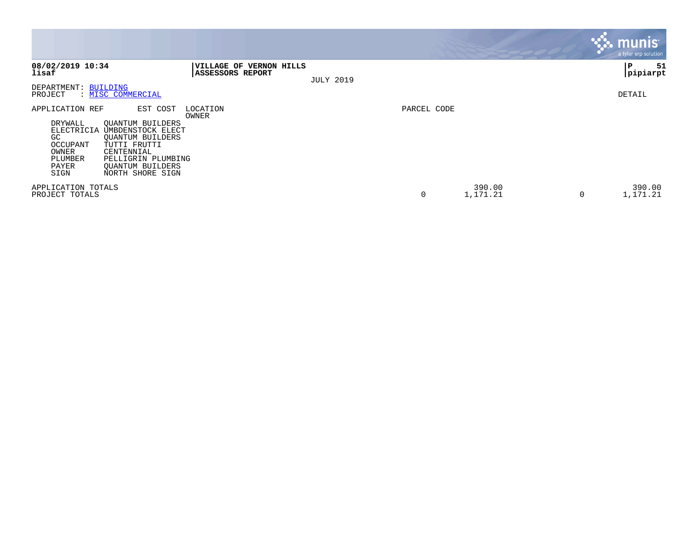|                                                                                                                                                                                                                                                                                           |                                                           |                  |             |                         | $\sim$ munis<br>a tyler erp solution |
|-------------------------------------------------------------------------------------------------------------------------------------------------------------------------------------------------------------------------------------------------------------------------------------------|-----------------------------------------------------------|------------------|-------------|-------------------------|--------------------------------------|
| 08/02/2019 10:34<br>lisaf                                                                                                                                                                                                                                                                 | <b>VILLAGE OF VERNON HILLS</b><br><b>ASSESSORS REPORT</b> | <b>JULY 2019</b> |             |                         | 51<br>∣P<br>pipiarpt                 |
| DEPARTMENT: BUILDING<br>: MISC COMMERCIAL<br>PROJECT                                                                                                                                                                                                                                      |                                                           |                  |             |                         | DETAIL                               |
| EST COST<br>APPLICATION REF<br>DRYWALL<br><b>QUANTUM BUILDERS</b><br>UMBDENSTOCK ELECT<br>ELECTRICIA<br>GC<br>QUANTUM BUILDERS<br><b>OCCUPANT</b><br>TUTTI FRUTTI<br>OWNER<br>CENTENNIAL<br>PLUMBER<br>PELLIGRIN PLUMBING<br>PAYER<br><b>OUANTUM BUILDERS</b><br>SIGN<br>NORTH SHORE SIGN | LOCATION<br>OWNER                                         |                  | PARCEL CODE |                         |                                      |
| APPLICATION TOTALS<br>PROJECT TOTALS                                                                                                                                                                                                                                                      |                                                           |                  | 0           | 390.00<br>1,171.21<br>0 | 390.00<br>1,171.21                   |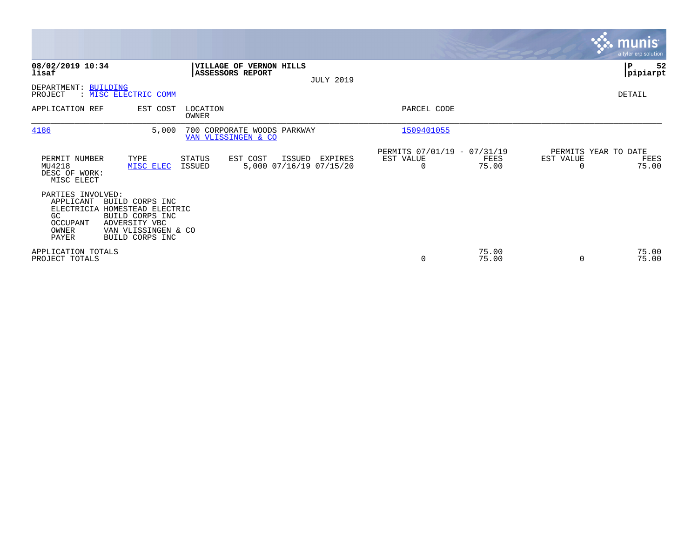|                                                                                         |                                                                                                                     |                         |                                               |                  |                                               |                |                       | <b>munis</b><br>a tyler erp solution. |
|-----------------------------------------------------------------------------------------|---------------------------------------------------------------------------------------------------------------------|-------------------------|-----------------------------------------------|------------------|-----------------------------------------------|----------------|-----------------------|---------------------------------------|
| 08/02/2019 10:34<br>lisaf                                                               |                                                                                                                     | <b>ASSESSORS REPORT</b> | VILLAGE OF VERNON HILLS                       | <b>JULY 2019</b> |                                               |                |                       | P<br>52<br> pipiarpt                  |
| DEPARTMENT: BUILDING<br>PROJECT                                                         | : MISC ELECTRIC COMM                                                                                                |                         |                                               |                  |                                               |                |                       | DETAIL                                |
| APPLICATION REF                                                                         | EST COST                                                                                                            | LOCATION<br>OWNER       |                                               |                  | PARCEL CODE                                   |                |                       |                                       |
| 4186                                                                                    | 5,000                                                                                                               | VAN VLISSINGEN & CO     | 700 CORPORATE WOODS PARKWAY                   |                  | 1509401055                                    |                |                       |                                       |
| PERMIT NUMBER<br>MU4218<br>DESC OF WORK:<br>MISC ELECT                                  | TYPE<br>MISC ELEC                                                                                                   | STATUS<br><b>ISSUED</b> | EST COST<br>ISSUED<br>5,000 07/16/19 07/15/20 | EXPIRES          | PERMITS 07/01/19 - 07/31/19<br>EST VALUE<br>0 | FEES<br>75.00  | EST VALUE<br>$\Omega$ | PERMITS YEAR TO DATE<br>FEES<br>75.00 |
| PARTIES INVOLVED:<br>APPLICANT<br>ELECTRICIA<br>GC<br>OCCUPANT<br>OWNER<br><b>PAYER</b> | BUILD CORPS INC<br>HOMESTEAD ELECTRIC<br>BUILD CORPS INC<br>ADVERSITY VBC<br>VAN VLISSINGEN & CO<br>BUILD CORPS INC |                         |                                               |                  |                                               |                |                       |                                       |
| APPLICATION TOTALS<br>PROJECT TOTALS                                                    |                                                                                                                     |                         |                                               |                  | $\mathbf 0$                                   | 75.00<br>75.00 | 0                     | 75.00<br>75.00                        |

**Contract**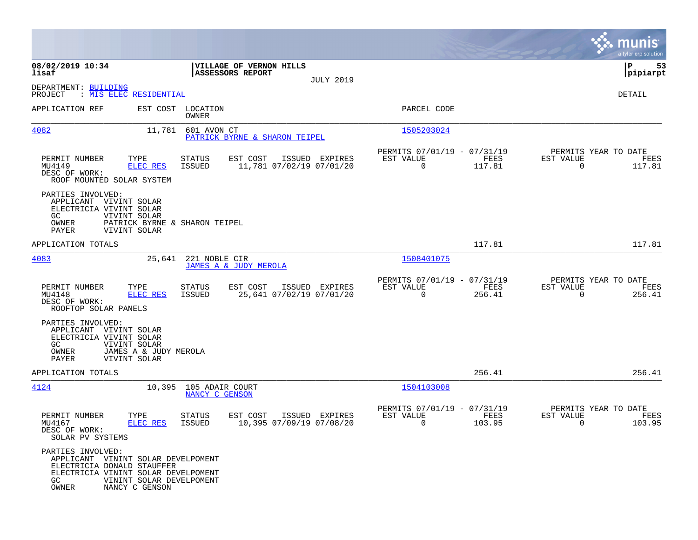|                                                                                                                                             |                                                               |                                                   |                                                    |                  |                                                         |                |                                                  | munis<br>a tyler erp solution |
|---------------------------------------------------------------------------------------------------------------------------------------------|---------------------------------------------------------------|---------------------------------------------------|----------------------------------------------------|------------------|---------------------------------------------------------|----------------|--------------------------------------------------|-------------------------------|
| 08/02/2019 10:34<br>lisaf                                                                                                                   |                                                               |                                                   | VILLAGE OF VERNON HILLS<br><b>ASSESSORS REPORT</b> | <b>JULY 2019</b> |                                                         |                |                                                  | P<br>53<br> pipiarpt          |
| DEPARTMENT: BUILDING<br>PROJECT                                                                                                             | : <u>MIS ELEC RESIDENTIAL</u>                                 |                                                   |                                                    |                  |                                                         |                |                                                  | <b>DETAIL</b>                 |
| APPLICATION REF                                                                                                                             |                                                               | EST COST LOCATION<br>OWNER                        |                                                    |                  | PARCEL CODE                                             |                |                                                  |                               |
| 4082                                                                                                                                        | 11,781                                                        | 601 AVON CT                                       | PATRICK BYRNE & SHARON TEIPEL                      |                  | 1505203024                                              |                |                                                  |                               |
| PERMIT NUMBER<br>MU4149<br>DESC OF WORK:<br>ROOF MOUNTED SOLAR SYSTEM                                                                       | TYPE<br><b>ELEC RES</b>                                       | STATUS<br>ISSUED                                  | EST COST<br>11,781 07/02/19 07/01/20               | ISSUED EXPIRES   | PERMITS 07/01/19 - 07/31/19<br>EST VALUE<br>$\mathbf 0$ | FEES<br>117.81 | PERMITS YEAR TO DATE<br>EST VALUE<br>$\Omega$    | FEES<br>117.81                |
| PARTIES INVOLVED:<br>APPLICANT VIVINT SOLAR<br>ELECTRICIA VIVINT SOLAR<br>GC<br>OWNER<br>PAYER                                              | VIVINT SOLAR<br>PATRICK BYRNE & SHARON TEIPEL<br>VIVINT SOLAR |                                                   |                                                    |                  |                                                         |                |                                                  |                               |
| APPLICATION TOTALS                                                                                                                          |                                                               |                                                   |                                                    |                  |                                                         | 117.81         |                                                  | 117.81                        |
| 4083                                                                                                                                        | 25,641                                                        | 221 NOBLE CIR                                     | <b>JAMES A &amp; JUDY MEROLA</b>                   |                  | 1508401075                                              |                |                                                  |                               |
| PERMIT NUMBER<br>MU4148<br>DESC OF WORK:<br>ROOFTOP SOLAR PANELS                                                                            | TYPE<br>ELEC RES                                              | STATUS<br>ISSUED                                  | EST COST<br>25,641 07/02/19 07/01/20               | ISSUED EXPIRES   | PERMITS 07/01/19 - 07/31/19<br>EST VALUE<br>$\mathbf 0$ | FEES<br>256.41 | PERMITS YEAR TO DATE<br>EST VALUE<br>$\Omega$    | FEES<br>256.41                |
| PARTIES INVOLVED:<br>APPLICANT VIVINT SOLAR<br>ELECTRICIA VIVINT SOLAR<br>GC.<br>$\sqrt{\text{OWNER}}$<br>PAYER                             | VIVINT SOLAR<br>JAMES A & JUDY MEROLA<br>VIVINT SOLAR         |                                                   |                                                    |                  |                                                         |                |                                                  |                               |
| APPLICATION TOTALS                                                                                                                          |                                                               |                                                   |                                                    |                  |                                                         | 256.41         |                                                  | 256.41                        |
| 4124                                                                                                                                        |                                                               | 10,395    105    ADAIR    COURT<br>NANCY C GENSON |                                                    |                  | 1504103008                                              |                |                                                  |                               |
| PERMIT NUMBER<br>MU4167<br>DESC OF WORK:<br>SOLAR PV SYSTEMS                                                                                | TYPE<br>ELEC RES                                              | <b>STATUS</b><br><b>ISSUED</b>                    | EST COST<br>10,395 07/09/19 07/08/20               | ISSUED EXPIRES   | PERMITS 07/01/19 - 07/31/19<br>EST VALUE<br>$\mathbf 0$ | FEES<br>103.95 | PERMITS YEAR TO DATE<br>EST VALUE<br>$\mathbf 0$ | FEES<br>103.95                |
| PARTIES INVOLVED:<br>APPLICANT VININT SOLAR DEVELPOMENT<br>ELECTRICIA DONALD STAUFFER<br>ELECTRICIA VININT SOLAR DEVELPOMENT<br>GC<br>OWNER | VININT SOLAR DEVELPOMENT<br>NANCY C GENSON                    |                                                   |                                                    |                  |                                                         |                |                                                  |                               |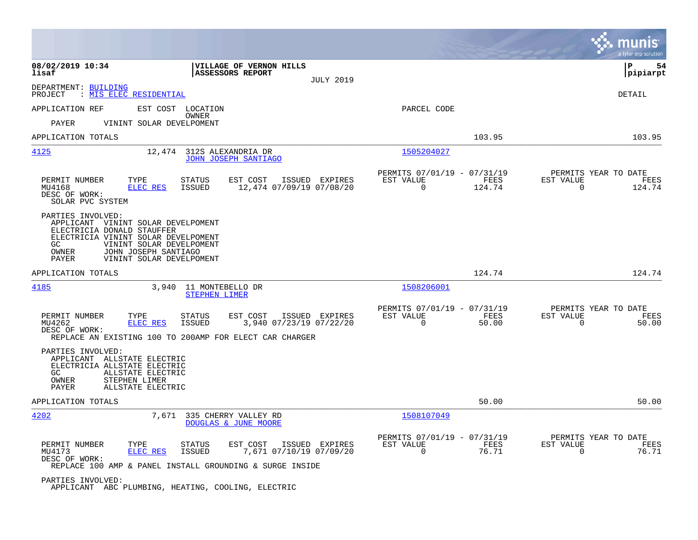|                                                                                                                                                                                                                                       |                                                                                         |                                                                           | munis<br>a tyler erp solution                                      |
|---------------------------------------------------------------------------------------------------------------------------------------------------------------------------------------------------------------------------------------|-----------------------------------------------------------------------------------------|---------------------------------------------------------------------------|--------------------------------------------------------------------|
| 08/02/2019 10:34<br>lisaf                                                                                                                                                                                                             | VILLAGE OF VERNON HILLS<br><b>ASSESSORS REPORT</b><br><b>JULY 2019</b>                  |                                                                           | ΙP<br>54<br> pipiarpt                                              |
| DEPARTMENT: BUILDING<br>: MIS ELEC RESIDENTIAL<br>PROJECT                                                                                                                                                                             |                                                                                         |                                                                           | DETAIL                                                             |
| APPLICATION REF<br>EST COST LOCATION                                                                                                                                                                                                  |                                                                                         | PARCEL CODE                                                               |                                                                    |
| <b>PAYER</b><br>VININT SOLAR DEVELPOMENT                                                                                                                                                                                              | OWNER                                                                                   |                                                                           |                                                                    |
| APPLICATION TOTALS                                                                                                                                                                                                                    |                                                                                         | 103.95                                                                    | 103.95                                                             |
| 4125<br>12,474                                                                                                                                                                                                                        | 312S ALEXANDRIA DR<br><b>JOHN JOSEPH SANTIAGO</b>                                       | 1505204027                                                                |                                                                    |
| PERMIT NUMBER<br>TYPE<br>MU4168<br><b>ELEC RES</b><br>DESC OF WORK:<br>SOLAR PVC SYSTEM                                                                                                                                               | EST COST<br>ISSUED EXPIRES<br>STATUS<br><b>ISSUED</b><br>12,474 07/09/19 07/08/20       | PERMITS 07/01/19 - 07/31/19<br>EST VALUE<br>FEES<br>$\mathbf 0$<br>124.74 | PERMITS YEAR TO DATE<br>EST VALUE<br>FEES<br>$\mathbf 0$<br>124.74 |
| PARTIES INVOLVED:<br>APPLICANT VININT SOLAR DEVELPOMENT<br>ELECTRICIA DONALD STAUFFER<br>ELECTRICIA VININT SOLAR DEVELPOMENT<br>GC.<br>VININT SOLAR DEVELPOMENT<br>OWNER<br>JOHN JOSEPH SANTIAGO<br>VININT SOLAR DEVELPOMENT<br>PAYER |                                                                                         |                                                                           |                                                                    |
| APPLICATION TOTALS                                                                                                                                                                                                                    |                                                                                         | 124.74                                                                    | 124.74                                                             |
| 4185<br>3,940                                                                                                                                                                                                                         | 11 MONTEBELLO DR<br><b>STEPHEN LIMER</b>                                                | 1508206001                                                                |                                                                    |
| PERMIT NUMBER<br>TYPE<br><b>ELEC RES</b><br>MU4262<br>DESC OF WORK:<br>REPLACE AN EXISTING 100 TO 200AMP FOR ELECT CAR CHARGER                                                                                                        | <b>STATUS</b><br>EST COST<br>ISSUED EXPIRES<br>3,940 07/23/19 07/22/20<br><b>ISSUED</b> | PERMITS 07/01/19 - 07/31/19<br>EST VALUE<br>FEES<br>$\mathbf 0$<br>50.00  | PERMITS YEAR TO DATE<br>EST VALUE<br>FEES<br>50.00<br>0            |
| PARTIES INVOLVED:<br>APPLICANT ALLSTATE ELECTRIC<br>ELECTRICIA ALLSTATE ELECTRIC<br>GC.<br>ALLSTATE ELECTRIC<br>OWNER<br>STEPHEN LIMER<br>ALLSTATE ELECTRIC<br>PAYER                                                                  |                                                                                         |                                                                           |                                                                    |
| APPLICATION TOTALS                                                                                                                                                                                                                    |                                                                                         | 50.00                                                                     | 50.00                                                              |
| 4202<br>7,671                                                                                                                                                                                                                         | 335 CHERRY VALLEY RD<br>DOUGLAS & JUNE MOORE                                            | 1508107049                                                                |                                                                    |
| PERMIT NUMBER<br>TYPE<br>MU4173<br><b>ELEC RES</b><br>DESC OF WORK:<br>REPLACE 100 AMP & PANEL INSTALL GROUNDING & SURGE INSIDE                                                                                                       | <b>STATUS</b><br>EST COST<br>ISSUED EXPIRES<br>7,671 07/10/19 07/09/20<br><b>ISSUED</b> | PERMITS 07/01/19 - 07/31/19<br>EST VALUE<br>FEES<br>$\mathbf 0$<br>76.71  | PERMITS YEAR TO DATE<br>EST VALUE<br>FEES<br>76.71<br>$\mathbf 0$  |
| PARTIES INVOLVED:<br>APPLICANT ABC PLUMBING, HEATING, COOLING, ELECTRIC                                                                                                                                                               |                                                                                         |                                                                           |                                                                    |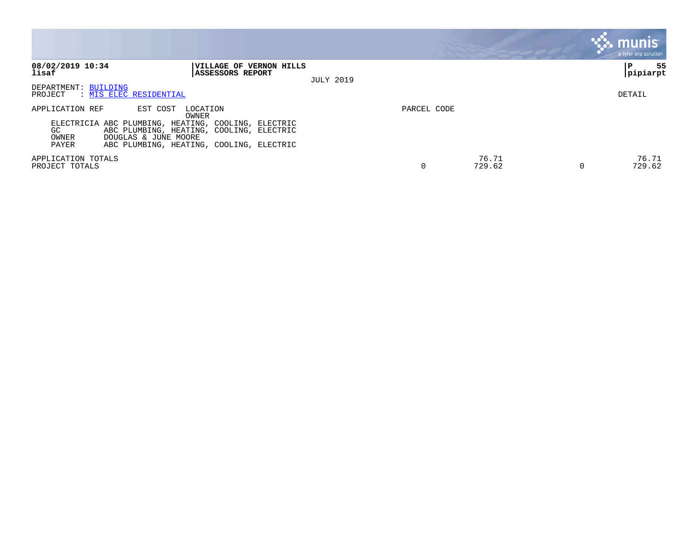|                                                                                                                                                                                                                                                  |                                                     |             |                      | <b>munis</b><br>a tyler erp solution |
|--------------------------------------------------------------------------------------------------------------------------------------------------------------------------------------------------------------------------------------------------|-----------------------------------------------------|-------------|----------------------|--------------------------------------|
| 08/02/2019 10:34<br>lisaf<br><b>ASSESSORS REPORT</b>                                                                                                                                                                                             | <b> VILLAGE OF VERNON HILLS</b><br><b>JULY 2019</b> |             |                      | 55<br>P<br> pipiarpt                 |
| DEPARTMENT: BUILDING<br>: MIS ELEC RESIDENTIAL<br>PROJECT                                                                                                                                                                                        |                                                     |             |                      | DETAIL                               |
| APPLICATION REF<br>EST COST<br>LOCATION<br>OWNER<br>ELECTRICIA ABC PLUMBING, HEATING, COOLING, ELECTRIC<br>ABC PLUMBING, HEATING, COOLING, ELECTRIC<br>GC.<br>DOUGLAS & JUNE MOORE<br>OWNER<br>PAYER<br>ABC PLUMBING, HEATING, COOLING, ELECTRIC |                                                     | PARCEL CODE |                      |                                      |
| APPLICATION TOTALS<br>PROJECT TOTALS                                                                                                                                                                                                             |                                                     | 0           | 76.71<br>729.62<br>0 | 76.71<br>729.62                      |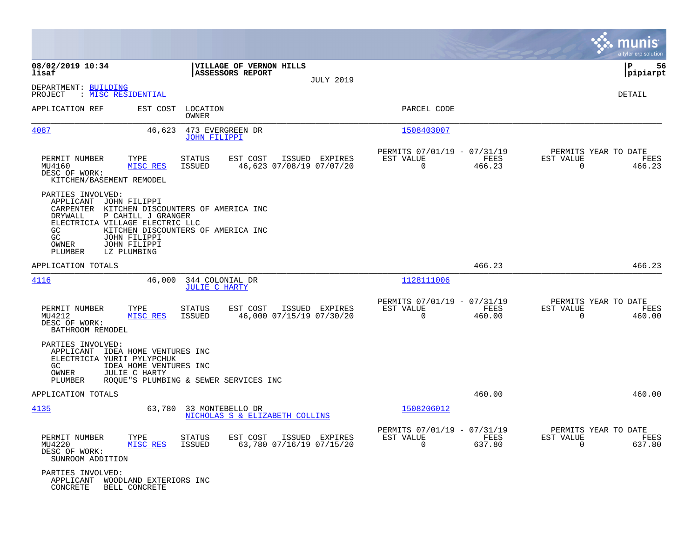|                                                                                                                                                                                                                                                    |                                                                                          |                                                                           | munis<br>a tyler erp solution                                   |
|----------------------------------------------------------------------------------------------------------------------------------------------------------------------------------------------------------------------------------------------------|------------------------------------------------------------------------------------------|---------------------------------------------------------------------------|-----------------------------------------------------------------|
| 08/02/2019 10:34<br>lisaf                                                                                                                                                                                                                          | VILLAGE OF VERNON HILLS<br>ASSESSORS REPORT                                              |                                                                           | ∣P<br>56<br>pipiarpt                                            |
| DEPARTMENT: BUILDING<br>: MISC RESIDENTIAL<br>PROJECT                                                                                                                                                                                              | <b>JULY 2019</b>                                                                         |                                                                           | DETAIL                                                          |
| APPLICATION REF                                                                                                                                                                                                                                    | EST COST LOCATION<br>OWNER                                                               | PARCEL CODE                                                               |                                                                 |
| 4087<br>46,623                                                                                                                                                                                                                                     | 473 EVERGREEN DR<br><b>JOHN FILIPPI</b>                                                  | 1508403007                                                                |                                                                 |
| PERMIT NUMBER<br>TYPE<br>MU4160<br>MISC RES<br>DESC OF WORK:<br>KITCHEN/BASEMENT REMODEL                                                                                                                                                           | <b>STATUS</b><br>EST COST<br>ISSUED EXPIRES<br><b>ISSUED</b><br>46,623 07/08/19 07/07/20 | PERMITS 07/01/19 - 07/31/19<br>EST VALUE<br>FEES<br>$\Omega$<br>466.23    | PERMITS YEAR TO DATE<br>EST VALUE<br>FEES<br>$\Omega$<br>466.23 |
| PARTIES INVOLVED:<br>APPLICANT<br>JOHN FILIPPI<br>CARPENTER KITCHEN DISCOUNTERS OF AMERICA INC<br>DRYWALL<br>P CAHILL J GRANGER<br>ELECTRICIA VILLAGE ELECTRIC LLC<br>GC.<br>GC<br>JOHN FILIPPI<br>OWNER<br>JOHN FILIPPI<br>PLUMBER<br>LZ PLUMBING | KITCHEN DISCOUNTERS OF AMERICA INC                                                       |                                                                           |                                                                 |
| APPLICATION TOTALS                                                                                                                                                                                                                                 |                                                                                          | 466.23                                                                    | 466.23                                                          |
| 4116<br>46,000                                                                                                                                                                                                                                     | 344 COLONIAL DR<br><b>JULIE C HARTY</b>                                                  | 1128111006                                                                |                                                                 |
| PERMIT NUMBER<br>TYPE<br>MU4212<br>MISC RES<br>DESC OF WORK:<br>BATHROOM REMODEL                                                                                                                                                                   | <b>STATUS</b><br>EST COST<br>ISSUED EXPIRES<br>46,000 07/15/19 07/30/20<br><b>ISSUED</b> | PERMITS 07/01/19 - 07/31/19<br>EST VALUE<br>FEES<br>$\mathbf 0$<br>460.00 | PERMITS YEAR TO DATE<br>EST VALUE<br>FEES<br>460.00<br>0        |
| PARTIES INVOLVED:<br>APPLICANT IDEA HOME VENTURES INC<br>ELECTRICIA YURII PYLYPCHUK<br>GC<br>IDEA HOME VENTURES INC<br>OWNER<br>JULIE C HARTY<br>PLUMBER                                                                                           | ROQUE"S PLUMBING & SEWER SERVICES INC                                                    |                                                                           |                                                                 |
| APPLICATION TOTALS                                                                                                                                                                                                                                 |                                                                                          | 460.00                                                                    | 460.00                                                          |
| 4135<br>63,780                                                                                                                                                                                                                                     | 33 MONTEBELLO DR<br>NICHOLAS S & ELIZABETH COLLINS                                       | 1508206012                                                                |                                                                 |
| PERMIT NUMBER<br>TYPE<br>MU4220<br>MISC RES<br>DESC OF WORK:<br>SUNROOM ADDITION                                                                                                                                                                   | STATUS<br>EST COST<br>ISSUED EXPIRES<br><b>ISSUED</b><br>63,780 07/16/19 07/15/20        | PERMITS 07/01/19 - 07/31/19<br>EST VALUE<br>FEES<br>0<br>637.80           | PERMITS YEAR TO DATE<br>EST VALUE<br>FEES<br>0<br>637.80        |
| PARTIES INVOLVED:<br>APPLICANT<br>WOODLAND EXTERIORS INC<br>CONCRETE<br>BELL CONCRETE                                                                                                                                                              |                                                                                          |                                                                           |                                                                 |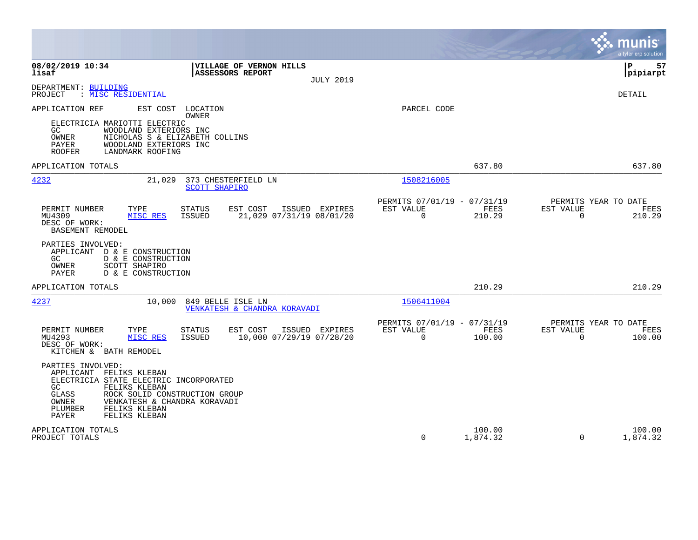|                                                                                                                                                                                                                                                                       |                                                                           | munis<br>a tyler erp solution                                             |
|-----------------------------------------------------------------------------------------------------------------------------------------------------------------------------------------------------------------------------------------------------------------------|---------------------------------------------------------------------------|---------------------------------------------------------------------------|
| 08/02/2019 10:34<br>VILLAGE OF VERNON HILLS<br>lisaf<br>ASSESSORS REPORT<br><b>JULY 2019</b>                                                                                                                                                                          |                                                                           | l P<br>57<br> pipiarpt                                                    |
| DEPARTMENT: BUILDING<br>: <u>MISC RESIDENTIAL</u><br>PROJECT                                                                                                                                                                                                          |                                                                           | <b>DETAIL</b>                                                             |
| APPLICATION REF<br>EST COST LOCATION<br>OWNER<br>ELECTRICIA MARIOTTI ELECTRIC<br>WOODLAND EXTERIORS INC<br>GC.<br>OWNER<br>NICHOLAS S & ELIZABETH COLLINS<br>PAYER<br>WOODLAND EXTERIORS INC<br><b>ROOFER</b><br>LANDMARK ROOFING                                     | PARCEL CODE                                                               |                                                                           |
| APPLICATION TOTALS                                                                                                                                                                                                                                                    | 637.80                                                                    | 637.80                                                                    |
| 4232<br>373 CHESTERFIELD LN<br>21,029<br><b>SCOTT SHAPIRO</b>                                                                                                                                                                                                         | 1508216005                                                                |                                                                           |
| PERMIT NUMBER<br>TYPE<br><b>STATUS</b><br>EST COST<br>ISSUED EXPIRES<br>MU4309<br>21,029 07/31/19 08/01/20<br>MISC RES<br>ISSUED<br>DESC OF WORK:<br><b>BASEMENT REMODEL</b>                                                                                          | PERMITS 07/01/19 - 07/31/19<br>EST VALUE<br>FEES<br>$\mathbf 0$<br>210.29 | PERMITS YEAR TO DATE<br>EST VALUE<br>FEES<br>$\mathbf 0$<br>210.29        |
| PARTIES INVOLVED:<br>APPLICANT<br>D & E CONSTRUCTION<br>D & E CONSTRUCTION<br>GC<br>OWNER<br>SCOTT SHAPIRO<br>PAYER<br>D & E CONSTRUCTION                                                                                                                             |                                                                           |                                                                           |
| APPLICATION TOTALS                                                                                                                                                                                                                                                    | 210.29                                                                    | 210.29                                                                    |
| 4237<br>10,000<br>849 BELLE ISLE LN<br>VENKATESH & CHANDRA KORAVADI                                                                                                                                                                                                   | 1506411004                                                                |                                                                           |
| PERMIT NUMBER<br>TYPE<br><b>STATUS</b><br>EST COST<br>ISSUED EXPIRES<br>MU4293<br>MISC RES<br>ISSUED<br>10,000 07/29/19 07/28/20<br>DESC OF WORK:<br>KITCHEN & BATH REMODEL                                                                                           | PERMITS 07/01/19 - 07/31/19<br>EST VALUE<br>FEES<br>$\mathbf 0$<br>100.00 | PERMITS YEAR TO DATE<br>EST VALUE<br><b>FEES</b><br>$\mathbf 0$<br>100.00 |
| PARTIES INVOLVED:<br>APPLICANT FELIKS KLEBAN<br>ELECTRICIA STATE ELECTRIC INCORPORATED<br>GC.<br>FELIKS KLEBAN<br>GLASS<br>ROCK SOLID CONSTRUCTION GROUP<br><b>OWNER</b><br>VENKATESH & CHANDRA KORAVADI<br>PLUMBER<br>FELIKS KLEBAN<br><b>PAYER</b><br>FELIKS KLEBAN |                                                                           |                                                                           |
| APPLICATION TOTALS<br>PROJECT TOTALS                                                                                                                                                                                                                                  | 100.00<br>$\Omega$<br>1,874.32                                            | 100.00<br>$\Omega$<br>1,874.32                                            |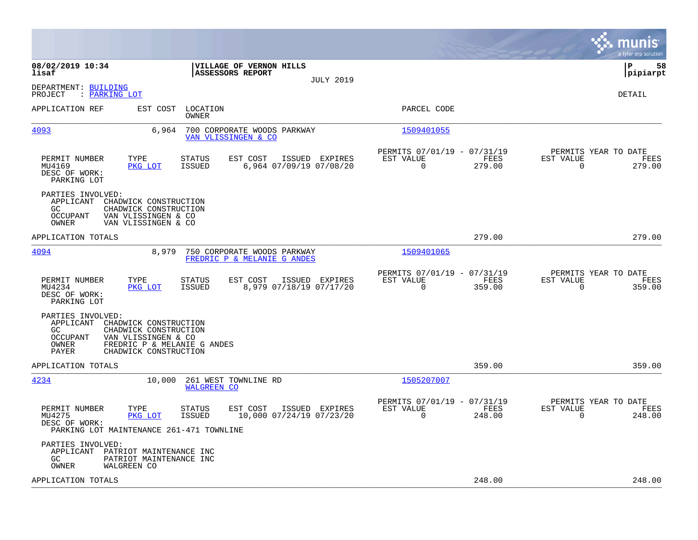|                                                                                                                                                                                                      |                                                                        | munis<br>a tyler erp solution                                      |
|------------------------------------------------------------------------------------------------------------------------------------------------------------------------------------------------------|------------------------------------------------------------------------|--------------------------------------------------------------------|
| 08/02/2019 10:34<br>VILLAGE OF VERNON HILLS<br>lisaf<br><b>ASSESSORS REPORT</b><br><b>JULY 2019</b>                                                                                                  |                                                                        | l P<br>58<br> pipiarpt                                             |
| DEPARTMENT: BUILDING<br>PROJECT<br>: PARKING LOT                                                                                                                                                     |                                                                        | <b>DETAIL</b>                                                      |
| APPLICATION REF<br>EST COST<br>LOCATION<br>OWNER                                                                                                                                                     | PARCEL CODE                                                            |                                                                    |
| 4093<br>6,964<br>700 CORPORATE WOODS PARKWAY<br>VAN VLISSINGEN & CO                                                                                                                                  | 1509401055                                                             |                                                                    |
| PERMIT NUMBER<br>TYPE<br><b>STATUS</b><br>EST COST<br>ISSUED EXPIRES<br>MU4169<br>PKG LOT<br><b>ISSUED</b><br>6,964 07/09/19 07/08/20<br>DESC OF WORK:<br>PARKING LOT                                | PERMITS 07/01/19 - 07/31/19<br>EST VALUE<br>FEES<br>$\Omega$<br>279.00 | PERMITS YEAR TO DATE<br>EST VALUE<br>FEES<br>$\Omega$<br>279.00    |
| PARTIES INVOLVED:<br>APPLICANT<br>CHADWICK CONSTRUCTION<br>CHADWICK CONSTRUCTION<br>GC.<br>OCCUPANT<br>VAN VLISSINGEN & CO<br>OWNER<br>VAN VLISSINGEN & CO                                           |                                                                        |                                                                    |
| APPLICATION TOTALS                                                                                                                                                                                   | 279.00                                                                 | 279.00                                                             |
| 4094<br>8,979<br>750 CORPORATE WOODS PARKWAY<br>FREDRIC P & MELANIE G ANDES                                                                                                                          | 1509401065                                                             |                                                                    |
| EST COST<br>PERMIT NUMBER<br>TYPE<br><b>STATUS</b><br>ISSUED EXPIRES<br><b>ISSUED</b><br>8,979 07/18/19 07/17/20<br>MU4234<br>PKG LOT<br>DESC OF WORK:<br>PARKING LOT                                | PERMITS 07/01/19 - 07/31/19<br>EST VALUE<br>FEES<br>0<br>359.00        | PERMITS YEAR TO DATE<br>EST VALUE<br>FEES<br>$\mathbf 0$<br>359.00 |
| PARTIES INVOLVED:<br>APPLICANT<br>CHADWICK CONSTRUCTION<br>GC.<br>CHADWICK CONSTRUCTION<br>OCCUPANT<br>VAN VLISSINGEN & CO<br>OWNER<br>FREDRIC P & MELANIE G ANDES<br>PAYER<br>CHADWICK CONSTRUCTION |                                                                        |                                                                    |
| APPLICATION TOTALS                                                                                                                                                                                   | 359.00                                                                 | 359.00                                                             |
| 4234<br>10,000<br>261 WEST TOWNLINE RD<br><b>WALGREEN CO</b>                                                                                                                                         | 1505207007                                                             |                                                                    |
| PERMIT NUMBER<br>TYPE<br>STATUS<br>EST COST<br>ISSUED EXPIRES<br>MU4275<br>PKG LOT<br><b>ISSUED</b><br>10,000 07/24/19 07/23/20<br>DESC OF WORK:<br>PARKING LOT MAINTENANCE 261-471 TOWNLINE         | PERMITS 07/01/19 - 07/31/19<br>EST VALUE<br>FEES<br>$\Omega$<br>248.00 | PERMITS YEAR TO DATE<br>EST VALUE<br>FEES<br>248.00<br>$\Omega$    |
| PARTIES INVOLVED:<br>APPLICANT PATRIOT MAINTENANCE INC<br>PATRIOT MAINTENANCE INC<br>GC.<br>OWNER<br>WALGREEN CO                                                                                     |                                                                        |                                                                    |
| APPLICATION TOTALS                                                                                                                                                                                   | 248.00                                                                 | 248.00                                                             |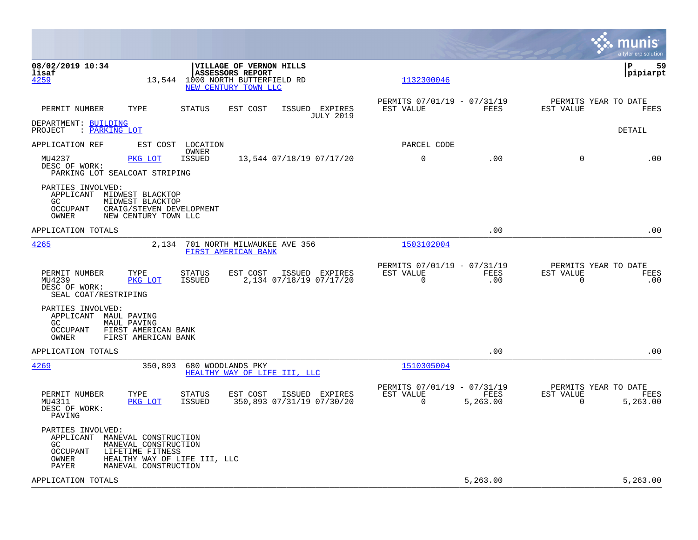|                                                                                                                                                                                                     |                                             |                                                            |                  |                          | munis<br>a tyler erp solution            |
|-----------------------------------------------------------------------------------------------------------------------------------------------------------------------------------------------------|---------------------------------------------|------------------------------------------------------------|------------------|--------------------------|------------------------------------------|
| 08/02/2019 10:34<br>VILLAGE OF VERNON HILLS<br>ASSESSORS REPORT<br>lisaf<br>4259<br>13,544<br>1000 NORTH BUTTERFIELD RD<br>NEW CENTURY TOWN LLC                                                     |                                             | 1132300046                                                 |                  |                          | P<br>59<br> pipiarpt                     |
| PERMIT NUMBER<br>TYPE<br><b>STATUS</b><br>EST COST                                                                                                                                                  | ISSUED EXPIRES<br><b>JULY 2019</b>          | PERMITS 07/01/19 - 07/31/19<br>EST VALUE                   | FEES             | EST VALUE                | PERMITS YEAR TO DATE<br>FEES             |
| DEPARTMENT: BUILDING<br>: PARKING LOT<br>PROJECT                                                                                                                                                    |                                             |                                                            |                  |                          | <b>DETAIL</b>                            |
| APPLICATION REF<br>EST COST LOCATION<br>OWNER                                                                                                                                                       |                                             | PARCEL CODE                                                |                  |                          |                                          |
| MU4237<br>PKG LOT<br><b>ISSUED</b><br>DESC OF WORK:<br>PARKING LOT SEALCOAT STRIPING                                                                                                                | 13,544 07/18/19 07/17/20                    | $\mathbf 0$                                                | .00              | $\Omega$                 | .00                                      |
| PARTIES INVOLVED:<br>APPLICANT MIDWEST BLACKTOP<br>GC<br>MIDWEST BLACKTOP<br><b>OCCUPANT</b><br>CRAIG/STEVEN DEVELOPMENT<br>OWNER<br>NEW CENTURY TOWN LLC                                           |                                             |                                                            |                  |                          |                                          |
| APPLICATION TOTALS                                                                                                                                                                                  |                                             |                                                            | .00              |                          | .00                                      |
| 4265<br>2,134<br>701 NORTH MILWAUKEE AVE 356<br>FIRST AMERICAN BANK                                                                                                                                 |                                             | 1503102004                                                 |                  |                          |                                          |
| <b>STATUS</b><br>EST COST<br>PERMIT NUMBER<br>TYPE<br>MU4239<br>PKG LOT<br>ISSUED<br>DESC OF WORK:<br>SEAL COAT/RESTRIPING                                                                          | ISSUED EXPIRES<br>2,134 07/18/19 07/17/20   | PERMITS 07/01/19 - 07/31/19<br>EST VALUE<br>$\overline{0}$ | FEES<br>.00      | EST VALUE<br>$\mathbf 0$ | PERMITS YEAR TO DATE<br>FEES<br>.00      |
| PARTIES INVOLVED:<br>APPLICANT MAUL PAVING<br>GC<br>MAUL PAVING<br><b>OCCUPANT</b><br>FIRST AMERICAN BANK<br>OWNER<br>FIRST AMERICAN BANK                                                           |                                             |                                                            |                  |                          |                                          |
| APPLICATION TOTALS                                                                                                                                                                                  |                                             |                                                            | .00              |                          | .00                                      |
| 4269<br>350,893<br>680 WOODLANDS PKY<br>HEALTHY WAY OF LIFE III, LLC                                                                                                                                |                                             | 1510305004                                                 |                  |                          |                                          |
| <b>STATUS</b><br>EST COST<br>PERMIT NUMBER<br>TYPE<br>MU4311<br>PKG LOT<br><b>ISSUED</b><br>DESC OF WORK:<br>PAVING                                                                                 | ISSUED EXPIRES<br>350,893 07/31/19 07/30/20 | PERMITS 07/01/19 - 07/31/19<br>EST VALUE<br>$\Omega$       | FEES<br>5,263.00 | EST VALUE<br>$\Omega$    | PERMITS YEAR TO DATE<br>FEES<br>5,263.00 |
| PARTIES INVOLVED:<br>APPLICANT MANEVAL CONSTRUCTION<br>GC.<br>MANEVAL CONSTRUCTION<br><b>OCCUPANT</b><br>LIFETIME FITNESS<br>HEALTHY WAY OF LIFE III, LLC<br>OWNER<br>PAYER<br>MANEVAL CONSTRUCTION |                                             |                                                            |                  |                          |                                          |
| APPLICATION TOTALS                                                                                                                                                                                  |                                             |                                                            | 5,263.00         |                          | 5,263.00                                 |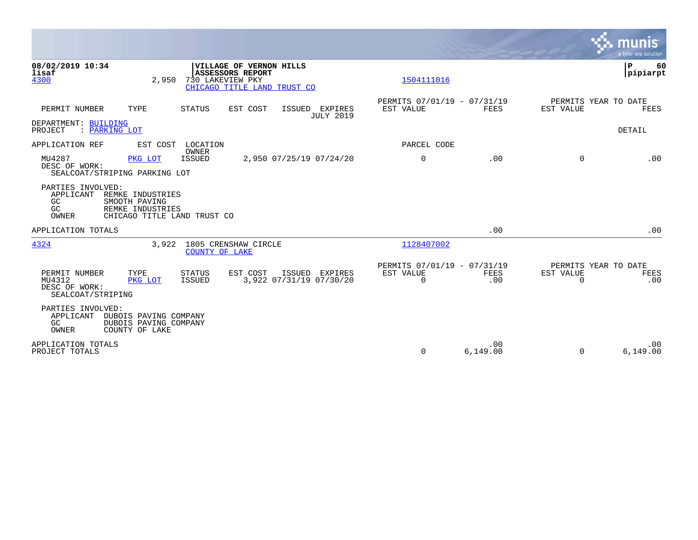|                                                                                                                                                                  |                                                      |                    |                                               | munis<br>a tyler erp solution  |
|------------------------------------------------------------------------------------------------------------------------------------------------------------------|------------------------------------------------------|--------------------|-----------------------------------------------|--------------------------------|
| 08/02/2019 10:34<br>VILLAGE OF VERNON HILLS<br>lisaf<br><b>ASSESSORS REPORT</b><br>4300<br>730 LAKEVIEW PKY<br>2,950<br>CHICAGO TITLE LAND TRUST CO              | 1504111016                                           |                    |                                               | $\mathbf P$<br>60<br> pipiarpt |
| PERMIT NUMBER<br>TYPE<br>EST COST<br><b>STATUS</b><br>ISSUED EXPIRES<br><b>JULY 2019</b>                                                                         | PERMITS 07/01/19 - 07/31/19<br>EST VALUE             | <b>FEES</b>        | PERMITS YEAR TO DATE<br>EST VALUE             | <b>FEES</b>                    |
| DEPARTMENT: BUILDING<br>: PARKING LOT<br>PROJECT                                                                                                                 |                                                      |                    |                                               | DETAIL                         |
| EST COST<br>LOCATION<br>APPLICATION REF                                                                                                                          | PARCEL CODE                                          |                    |                                               |                                |
| OWNER<br>MU4287<br>2,950 07/25/19 07/24/20<br><b>ISSUED</b><br>PKG LOT<br>DESC OF WORK:<br>SEALCOAT/STRIPING PARKING LOT                                         | $\mathbf 0$                                          | .00                | $\Omega$                                      | .00                            |
| PARTIES INVOLVED:<br>APPLICANT<br>REMKE INDUSTRIES<br>GC<br>SMOOTH PAVING<br>GC<br>REMKE INDUSTRIES<br>OWNER<br>CHICAGO TITLE LAND TRUST CO                      |                                                      |                    |                                               |                                |
| APPLICATION TOTALS                                                                                                                                               |                                                      | .00                |                                               | .00                            |
| 4324<br>1805 CRENSHAW CIRCLE<br>3,922<br>COUNTY OF LAKE                                                                                                          | 1128407002                                           |                    |                                               |                                |
| PERMIT NUMBER<br>TYPE<br>EST COST<br>ISSUED<br>STATUS<br>EXPIRES<br>3,922 07/31/19 07/30/20<br>MU4312<br>ISSUED<br>PKG LOT<br>DESC OF WORK:<br>SEALCOAT/STRIPING | PERMITS 07/01/19 - 07/31/19<br>EST VALUE<br>$\Omega$ | <b>FEES</b><br>.00 | PERMITS YEAR TO DATE<br>EST VALUE<br>$\Omega$ | FEES<br>.00                    |
| PARTIES INVOLVED:<br>APPLICANT<br>DUBOIS PAVING COMPANY<br>GC<br>DUBOIS PAVING COMPANY<br>COUNTY OF LAKE<br>OWNER                                                |                                                      |                    |                                               |                                |
| APPLICATION TOTALS<br>PROJECT TOTALS                                                                                                                             | $\Omega$                                             | .00<br>6,149.00    | $\Omega$                                      | .00<br>6,149.00                |

the contract of the contract of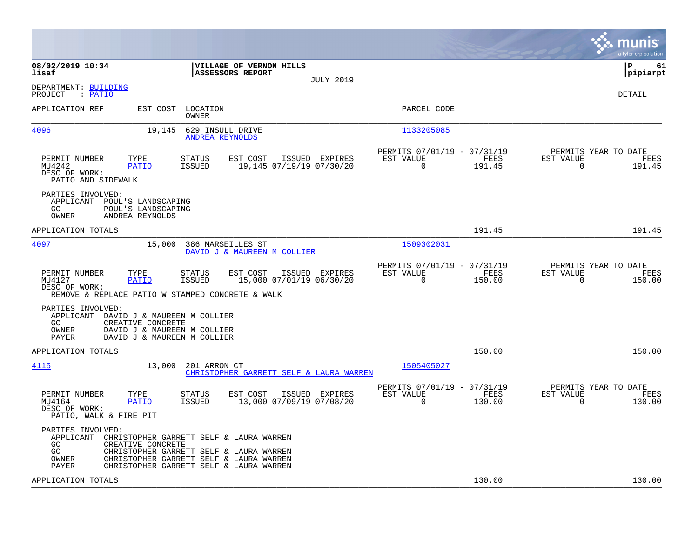|                                                                                              |                                                                                                                |                                            |                                                                                                                                                                          |                  |                                                         |                |                                                  | munis<br>a tyler erp solution |
|----------------------------------------------------------------------------------------------|----------------------------------------------------------------------------------------------------------------|--------------------------------------------|--------------------------------------------------------------------------------------------------------------------------------------------------------------------------|------------------|---------------------------------------------------------|----------------|--------------------------------------------------|-------------------------------|
| 08/02/2019 10:34<br>lisaf                                                                    |                                                                                                                |                                            | VILLAGE OF VERNON HILLS<br><b>ASSESSORS REPORT</b>                                                                                                                       | <b>JULY 2019</b> |                                                         |                |                                                  | l P<br>61<br> pipiarpt        |
| DEPARTMENT: BUILDING<br>PROJECT<br>: PATIO                                                   |                                                                                                                |                                            |                                                                                                                                                                          |                  |                                                         |                |                                                  | <b>DETAIL</b>                 |
| APPLICATION REF                                                                              |                                                                                                                | EST COST LOCATION<br>OWNER                 |                                                                                                                                                                          |                  | PARCEL CODE                                             |                |                                                  |                               |
| <u>4096</u>                                                                                  | 19,145                                                                                                         | 629 INSULL DRIVE<br><b>ANDREA REYNOLDS</b> |                                                                                                                                                                          |                  | 1133205085                                              |                |                                                  |                               |
| PERMIT NUMBER<br>MU4242<br>DESC OF WORK:<br>PATIO AND SIDEWALK                               | TYPE<br><b>PATIO</b>                                                                                           | <b>STATUS</b><br><b>ISSUED</b>             | EST COST<br>19,145 07/19/19 07/30/20                                                                                                                                     | ISSUED EXPIRES   | PERMITS 07/01/19 - 07/31/19<br>EST VALUE<br>$\mathbf 0$ | FEES<br>191.45 | PERMITS YEAR TO DATE<br>EST VALUE<br>$\mathbf 0$ | FEES<br>191.45                |
| PARTIES INVOLVED:<br>APPLICANT POUL'S LANDSCAPING<br>GC.<br>OWNER                            | POUL'S LANDSCAPING<br>ANDREA REYNOLDS                                                                          |                                            |                                                                                                                                                                          |                  |                                                         |                |                                                  |                               |
| APPLICATION TOTALS                                                                           |                                                                                                                |                                            |                                                                                                                                                                          |                  |                                                         | 191.45         |                                                  | 191.45                        |
| 4097                                                                                         | 15,000                                                                                                         | 386 MARSEILLES ST                          | DAVID J & MAUREEN M COLLIER                                                                                                                                              |                  | 1509302031                                              |                |                                                  |                               |
| PERMIT NUMBER<br>MU4127<br>DESC OF WORK:<br>REMOVE & REPLACE PATIO W STAMPED CONCRETE & WALK | TYPE<br><b>PATIO</b>                                                                                           | <b>STATUS</b><br><b>ISSUED</b>             | EST COST<br>15,000 07/01/19 06/30/20                                                                                                                                     | ISSUED EXPIRES   | PERMITS 07/01/19 - 07/31/19<br>EST VALUE<br>$\mathbf 0$ | FEES<br>150.00 | PERMITS YEAR TO DATE<br>EST VALUE<br>$\mathbf 0$ | FEES<br>150.00                |
| PARTIES INVOLVED:<br>APPLICANT<br>GC.<br>OWNER<br><b>PAYER</b>                               | DAVID J & MAUREEN M COLLIER<br>CREATIVE CONCRETE<br>DAVID J & MAUREEN M COLLIER<br>DAVID J & MAUREEN M COLLIER |                                            |                                                                                                                                                                          |                  |                                                         |                |                                                  |                               |
| APPLICATION TOTALS                                                                           |                                                                                                                |                                            |                                                                                                                                                                          |                  |                                                         | 150.00         |                                                  | 150.00                        |
| 4115                                                                                         | 13,000                                                                                                         | 201 ARRON CT                               | CHRISTOPHER GARRETT SELF & LAURA WARREN                                                                                                                                  |                  | 1505405027                                              |                |                                                  |                               |
| PERMIT NUMBER<br>MU4164<br>DESC OF WORK:<br>PATIO, WALK & FIRE PIT                           | TYPE<br><b>PATIO</b>                                                                                           | STATUS<br><b>ISSUED</b>                    | EST COST<br>13,000 07/09/19 07/08/20                                                                                                                                     | ISSUED EXPIRES   | PERMITS 07/01/19 - 07/31/19<br>EST VALUE<br>$\Omega$    | FEES<br>130.00 | PERMITS YEAR TO DATE<br>EST VALUE<br>$\Omega$    | FEES<br>130.00                |
| PARTIES INVOLVED:<br>APPLICANT<br>GC.<br>GC<br>OWNER<br>PAYER                                | CREATIVE CONCRETE                                                                                              |                                            | CHRISTOPHER GARRETT SELF & LAURA WARREN<br>CHRISTOPHER GARRETT SELF & LAURA WARREN<br>CHRISTOPHER GARRETT SELF & LAURA WARREN<br>CHRISTOPHER GARRETT SELF & LAURA WARREN |                  |                                                         |                |                                                  |                               |
| APPLICATION TOTALS                                                                           |                                                                                                                |                                            |                                                                                                                                                                          |                  |                                                         | 130.00         |                                                  | 130.00                        |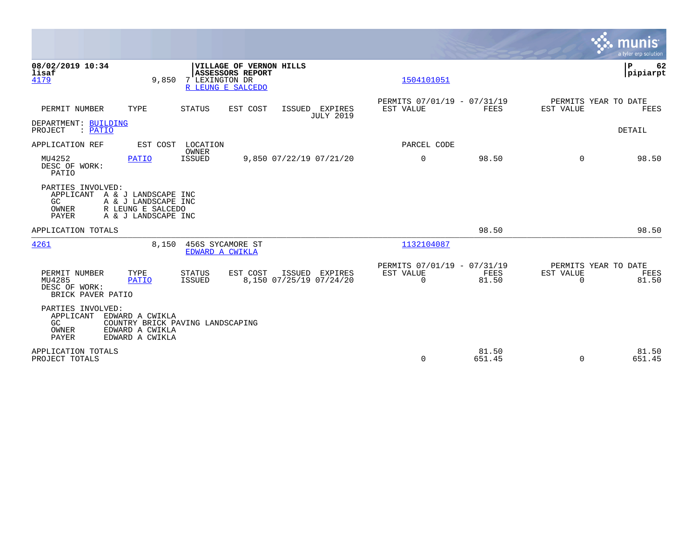|                                                                                                                                                         |                                                                                                    |                                           |                                                      |                 |                                               | munis<br>a tyler erp solution |
|---------------------------------------------------------------------------------------------------------------------------------------------------------|----------------------------------------------------------------------------------------------------|-------------------------------------------|------------------------------------------------------|-----------------|-----------------------------------------------|-------------------------------|
| 08/02/2019 10:34<br>lisaf<br>4179                                                                                                                       | VILLAGE OF VERNON HILLS<br><b>ASSESSORS REPORT</b><br>7 LEXINGTON DR<br>9,850<br>R LEUNG E SALCEDO |                                           | 1504101051                                           |                 |                                               | P<br>62<br> pipiarpt          |
| PERMIT NUMBER<br>TYPE                                                                                                                                   | <b>STATUS</b><br>EST COST                                                                          | ISSUED EXPIRES<br><b>JULY 2019</b>        | PERMITS 07/01/19 - 07/31/19<br>EST VALUE             | <b>FEES</b>     | PERMITS YEAR TO DATE<br>EST VALUE             | FEES                          |
| DEPARTMENT: BUILDING<br>: PATIO<br>PROJECT                                                                                                              |                                                                                                    |                                           |                                                      |                 |                                               | DETAIL                        |
| APPLICATION REF<br>EST COST                                                                                                                             | LOCATION                                                                                           |                                           | PARCEL CODE                                          |                 |                                               |                               |
| MU4252<br><b>PATIO</b><br>DESC OF WORK:<br>PATIO                                                                                                        | OWNER<br>ISSUED                                                                                    | 9,850 07/22/19 07/21/20                   | $\mathbf 0$                                          | 98.50           | $\Omega$                                      | 98.50                         |
| PARTIES INVOLVED:<br>APPLICANT<br>A & J LANDSCAPE INC<br>GC<br>A & J LANDSCAPE INC<br>OWNER<br>R LEUNG E SALCEDO<br><b>PAYER</b><br>A & J LANDSCAPE INC |                                                                                                    |                                           |                                                      |                 |                                               |                               |
| APPLICATION TOTALS                                                                                                                                      |                                                                                                    |                                           |                                                      | 98.50           |                                               | 98.50                         |
| 4261                                                                                                                                                    | 8,150<br>456S SYCAMORE ST<br>EDWARD A CWIKLA                                                       |                                           | 1132104087                                           |                 |                                               |                               |
| PERMIT NUMBER<br>TYPE<br>MU4285<br><b>PATIO</b><br>DESC OF WORK:<br>BRICK PAVER PATIO                                                                   | EST COST<br><b>STATUS</b><br>ISSUED                                                                | ISSUED EXPIRES<br>8,150 07/25/19 07/24/20 | PERMITS 07/01/19 - 07/31/19<br>EST VALUE<br>$\Omega$ | FEES<br>81.50   | PERMITS YEAR TO DATE<br>EST VALUE<br>$\Omega$ | FEES<br>81.50                 |
| PARTIES INVOLVED:<br>APPLICANT<br>EDWARD A CWIKLA<br>GC<br>OWNER<br>EDWARD A CWIKLA<br><b>PAYER</b><br>EDWARD A CWIKLA                                  | COUNTRY BRICK PAVING LANDSCAPING                                                                   |                                           |                                                      |                 |                                               |                               |
| APPLICATION TOTALS<br>PROJECT TOTALS                                                                                                                    |                                                                                                    |                                           | $\Omega$                                             | 81.50<br>651.45 | $\Omega$                                      | 81.50<br>651.45               |

 $\mathcal{L}^{\text{max}}$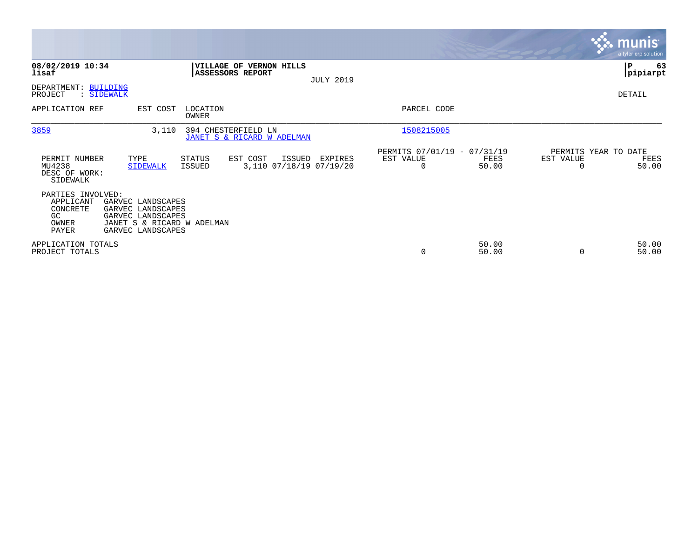|                                                                    |                                                                                                                |                                                   |                                   |                  |                                               |                |                                   | <b>munis</b><br>a tyler erp solution |
|--------------------------------------------------------------------|----------------------------------------------------------------------------------------------------------------|---------------------------------------------------|-----------------------------------|------------------|-----------------------------------------------|----------------|-----------------------------------|--------------------------------------|
| 08/02/2019 10:34<br>lisaf                                          |                                                                                                                | <b>ASSESSORS REPORT</b>                           | <b>VILLAGE OF VERNON HILLS</b>    | <b>JULY 2019</b> |                                               |                |                                   | ∣P<br>63<br> pipiarpt                |
| DEPARTMENT: BUILDING<br>PROJECT                                    | : SIDEWALK                                                                                                     |                                                   |                                   |                  |                                               |                |                                   | DETAIL                               |
| APPLICATION REF                                                    | EST COST                                                                                                       | LOCATION<br>OWNER                                 |                                   |                  | PARCEL CODE                                   |                |                                   |                                      |
| 3859                                                               | 3,110                                                                                                          | 394 CHESTERFIELD LN<br>JANET S & RICARD W ADELMAN |                                   |                  | 1508215005                                    |                |                                   |                                      |
| PERMIT NUMBER<br>MU4238<br>DESC OF WORK:<br>SIDEWALK               | TYPE<br><b>SIDEWALK</b>                                                                                        | <b>STATUS</b><br>EST COST<br><b>ISSUED</b>        | ISSUED<br>3,110 07/18/19 07/19/20 | EXPIRES          | PERMITS 07/01/19 - 07/31/19<br>EST VALUE<br>0 | FEES<br>50.00  | PERMITS YEAR TO DATE<br>EST VALUE | FEES<br>50.00                        |
| PARTIES INVOLVED:<br>APPLICANT<br>CONCRETE<br>GC<br>OWNER<br>PAYER | GARVEC LANDSCAPES<br>GARVEC LANDSCAPES<br>GARVEC LANDSCAPES<br>JANET S & RICARD W ADELMAN<br>GARVEC LANDSCAPES |                                                   |                                   |                  |                                               |                |                                   |                                      |
| APPLICATION TOTALS<br>PROJECT TOTALS                               |                                                                                                                |                                                   |                                   |                  | 0                                             | 50.00<br>50.00 | $\Omega$                          | 50.00<br>50.00                       |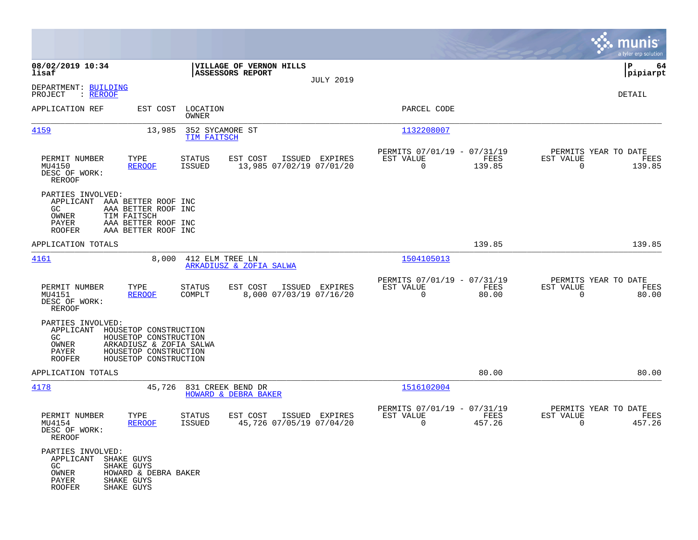|                                                                                              |                                                                                                                             |                                |                                                    |                  |                                                         |                       |                                               | munis<br>a tyler erp solution |
|----------------------------------------------------------------------------------------------|-----------------------------------------------------------------------------------------------------------------------------|--------------------------------|----------------------------------------------------|------------------|---------------------------------------------------------|-----------------------|-----------------------------------------------|-------------------------------|
| 08/02/2019 10:34<br>lisaf                                                                    |                                                                                                                             |                                | VILLAGE OF VERNON HILLS<br><b>ASSESSORS REPORT</b> |                  |                                                         |                       |                                               | 64<br>IΡ<br> pipiarpt         |
| DEPARTMENT: BUILDING<br>PROJECT<br>: <u>REROOF</u>                                           |                                                                                                                             |                                |                                                    | <b>JULY 2019</b> |                                                         |                       |                                               | DETAIL                        |
| APPLICATION REF                                                                              | EST COST                                                                                                                    | LOCATION<br>OWNER              |                                                    |                  | PARCEL CODE                                             |                       |                                               |                               |
| 4159                                                                                         | 13,985                                                                                                                      | 352 SYCAMORE ST<br>TIM FAITSCH |                                                    |                  | 1132208007                                              |                       |                                               |                               |
| PERMIT NUMBER<br>MU4150<br>DESC OF WORK:<br>REROOF                                           | TYPE<br><b>REROOF</b>                                                                                                       | STATUS<br><b>ISSUED</b>        | EST COST<br>13,985 07/02/19 07/01/20               | ISSUED EXPIRES   | PERMITS 07/01/19 - 07/31/19<br>EST VALUE<br>$\mathbf 0$ | FEES<br>139.85        | PERMITS YEAR TO DATE<br>EST VALUE<br>$\Omega$ | FEES<br>139.85                |
| PARTIES INVOLVED:<br>APPLICANT AAA BETTER ROOF INC<br>GC.<br>OWNER<br>PAYER<br><b>ROOFER</b> | AAA BETTER ROOF INC<br>TIM FAITSCH<br>AAA BETTER ROOF INC<br>AAA BETTER ROOF INC                                            |                                |                                                    |                  |                                                         |                       |                                               |                               |
| APPLICATION TOTALS                                                                           |                                                                                                                             |                                |                                                    |                  |                                                         | 139.85                |                                               | 139.85                        |
| 4161                                                                                         | 8,000                                                                                                                       | 412 ELM TREE LN                | ARKADIUSZ & ZOFIA SALWA                            |                  | 1504105013                                              |                       |                                               |                               |
| PERMIT NUMBER<br>MU4151<br>DESC OF WORK:<br><b>REROOF</b>                                    | TYPE<br><b>REROOF</b>                                                                                                       | STATUS<br>COMPLT               | EST COST<br>8,000 07/03/19 07/16/20                | ISSUED EXPIRES   | PERMITS 07/01/19 - 07/31/19<br>EST VALUE<br>$\mathbf 0$ | FEES<br>80.00         | PERMITS YEAR TO DATE<br>EST VALUE<br>$\Omega$ | FEES<br>80.00                 |
| PARTIES INVOLVED:<br>APPLICANT<br>GC.<br>OWNER<br>PAYER<br><b>ROOFER</b>                     | HOUSETOP CONSTRUCTION<br>HOUSETOP CONSTRUCTION<br>ARKADIUSZ & ZOFIA SALWA<br>HOUSETOP CONSTRUCTION<br>HOUSETOP CONSTRUCTION |                                |                                                    |                  |                                                         |                       |                                               |                               |
| APPLICATION TOTALS                                                                           |                                                                                                                             |                                |                                                    |                  |                                                         | 80.00                 |                                               | 80.00                         |
| 4178                                                                                         | 45,726                                                                                                                      |                                | 831 CREEK BEND DR<br>HOWARD & DEBRA BAKER          |                  | 1516102004                                              |                       |                                               |                               |
| PERMIT NUMBER<br>MU4154<br>DESC OF WORK:<br>REROOF                                           | TYPE<br><b>REROOF</b>                                                                                                       | <b>STATUS</b><br><b>ISSUED</b> | EST COST<br>45,726 07/05/19 07/04/20               | ISSUED EXPIRES   | PERMITS 07/01/19 - 07/31/19<br>EST VALUE<br>0           | <b>FEES</b><br>457.26 | PERMITS YEAR TO DATE<br>EST VALUE<br>0        | FEES<br>457.26                |
| PARTIES INVOLVED:<br>APPLICANT<br>GC.<br>OWNER<br>PAYER<br><b>ROOFER</b>                     | SHAKE GUYS<br>SHAKE GUYS<br>HOWARD & DEBRA BAKER<br>SHAKE GUYS<br>SHAKE GUYS                                                |                                |                                                    |                  |                                                         |                       |                                               |                               |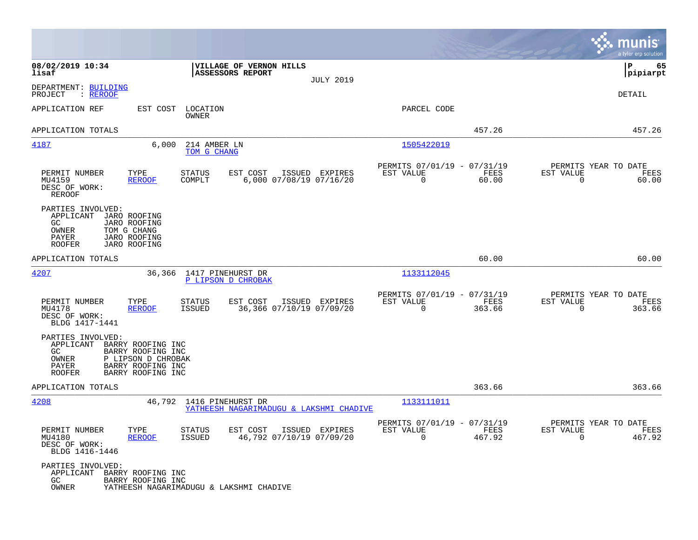|                                                                          |                                                                                                        |                                |                                             |                  |                                                         |                |                                                  | munis<br>a tyler erp solution |
|--------------------------------------------------------------------------|--------------------------------------------------------------------------------------------------------|--------------------------------|---------------------------------------------|------------------|---------------------------------------------------------|----------------|--------------------------------------------------|-------------------------------|
| 08/02/2019 10:34<br>lisaf                                                |                                                                                                        |                                | VILLAGE OF VERNON HILLS<br>ASSESSORS REPORT | <b>JULY 2019</b> |                                                         |                |                                                  | lР<br>65<br> pipiarpt         |
| DEPARTMENT: BUILDING<br>: REROOF<br>PROJECT                              |                                                                                                        |                                |                                             |                  |                                                         |                |                                                  | DETAIL                        |
| APPLICATION REF                                                          | EST COST                                                                                               | LOCATION<br>OWNER              |                                             |                  | PARCEL CODE                                             |                |                                                  |                               |
| APPLICATION TOTALS                                                       |                                                                                                        |                                |                                             |                  |                                                         | 457.26         |                                                  | 457.26                        |
| 4187                                                                     | 6,000                                                                                                  | 214 AMBER LN<br>TOM G CHANG    |                                             |                  | 1505422019                                              |                |                                                  |                               |
| PERMIT NUMBER<br>MU4159<br>DESC OF WORK:<br><b>REROOF</b>                | TYPE<br><b>REROOF</b>                                                                                  | <b>STATUS</b><br>COMPLT        | EST COST<br>6,000 07/08/19 07/16/20         | ISSUED EXPIRES   | PERMITS 07/01/19 - 07/31/19<br>EST VALUE<br>$\mathbf 0$ | FEES<br>60.00  | PERMITS YEAR TO DATE<br>EST VALUE<br>$\mathbf 0$ | FEES<br>60.00                 |
| PARTIES INVOLVED:<br>APPLICANT<br>GC<br>OWNER<br>PAYER<br>ROOFER         | JARO ROOFING<br>JARO ROOFING<br>TOM G CHANG<br><b>JARO ROOFING</b><br><b>JARO ROOFING</b>              |                                |                                             |                  |                                                         |                |                                                  |                               |
| APPLICATION TOTALS                                                       |                                                                                                        |                                |                                             |                  |                                                         | 60.00          |                                                  | 60.00                         |
| 4207                                                                     | 36,366                                                                                                 | 1417 PINEHURST DR              | P LIPSON D CHROBAK                          |                  | 1133112045                                              |                |                                                  |                               |
| PERMIT NUMBER<br>MU4178<br>DESC OF WORK:<br>BLDG 1417-1441               | TYPE<br><b>REROOF</b>                                                                                  | <b>STATUS</b><br><b>ISSUED</b> | EST COST<br>36,366 07/10/19 07/09/20        | ISSUED EXPIRES   | PERMITS 07/01/19 - 07/31/19<br>EST VALUE<br>$\mathbf 0$ | FEES<br>363.66 | PERMITS YEAR TO DATE<br>EST VALUE<br>0           | FEES<br>363.66                |
| PARTIES INVOLVED:<br>APPLICANT<br>GC.<br>OWNER<br>PAYER<br><b>ROOFER</b> | BARRY ROOFING INC<br>BARRY ROOFING INC<br>P LIPSON D CHROBAK<br>BARRY ROOFING INC<br>BARRY ROOFING INC |                                |                                             |                  |                                                         |                |                                                  |                               |
| APPLICATION TOTALS                                                       |                                                                                                        |                                |                                             |                  |                                                         | 363.66         |                                                  | 363.66                        |
| 4208                                                                     | 46,792                                                                                                 | 1416 PINEHURST DR              | YATHEESH NAGARIMADUGU & LAKSHMI CHADIVE     |                  | 1133111011                                              |                |                                                  |                               |
| PERMIT NUMBER<br>MU4180<br>DESC OF WORK:<br>BLDG 1416-1446               | TYPE<br><b>REROOF</b>                                                                                  | <b>STATUS</b><br><b>ISSUED</b> | EST COST<br>46,792 07/10/19 07/09/20        | ISSUED EXPIRES   | PERMITS 07/01/19 - 07/31/19<br>EST VALUE<br>$\mathbf 0$ | FEES<br>467.92 | PERMITS YEAR TO DATE<br>EST VALUE<br>0           | FEES<br>467.92                |
| PARTIES INVOLVED:<br>APPLICANT<br>GC<br>OWNER                            | BARRY ROOFING INC<br>BARRY ROOFING INC                                                                 |                                | YATHEESH NAGARIMADUGU & LAKSHMI CHADIVE     |                  |                                                         |                |                                                  |                               |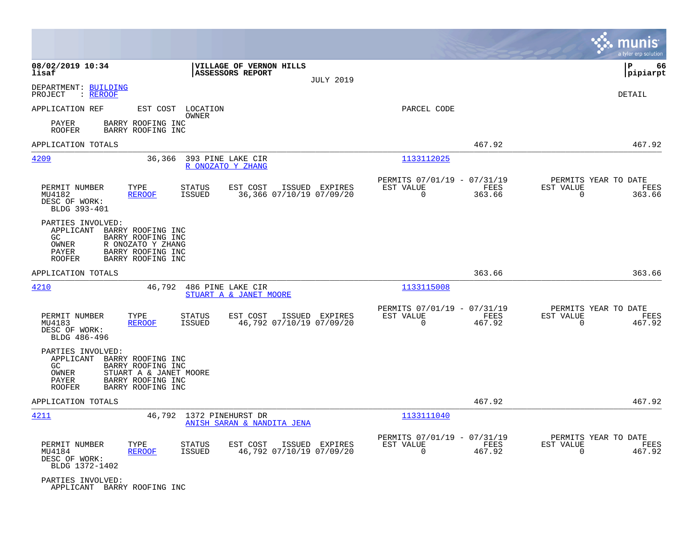|                                                                          |                                                                                                            |                                        |                                                    |                  |                                                         |                |                                                  | munis<br>a tyler erp solution |
|--------------------------------------------------------------------------|------------------------------------------------------------------------------------------------------------|----------------------------------------|----------------------------------------------------|------------------|---------------------------------------------------------|----------------|--------------------------------------------------|-------------------------------|
| 08/02/2019 10:34<br>lisaf                                                |                                                                                                            |                                        | VILLAGE OF VERNON HILLS<br><b>ASSESSORS REPORT</b> | <b>JULY 2019</b> |                                                         |                |                                                  | P<br>66<br> pipiarpt          |
| DEPARTMENT: BUILDING<br>: REROOF<br>PROJECT                              |                                                                                                            |                                        |                                                    |                  |                                                         |                |                                                  | <b>DETAIL</b>                 |
| APPLICATION REF                                                          |                                                                                                            | EST COST LOCATION<br>OWNER             |                                                    |                  | PARCEL CODE                                             |                |                                                  |                               |
| PAYER<br><b>ROOFER</b>                                                   | BARRY ROOFING INC<br>BARRY ROOFING INC                                                                     |                                        |                                                    |                  |                                                         |                |                                                  |                               |
| APPLICATION TOTALS                                                       |                                                                                                            |                                        |                                                    |                  |                                                         | 467.92         |                                                  | 467.92                        |
| 4209                                                                     | 36,366                                                                                                     | 393 PINE LAKE CIR<br>R ONOZATO Y ZHANG |                                                    |                  | 1133112025                                              |                |                                                  |                               |
| PERMIT NUMBER<br>MU4182<br>DESC OF WORK:<br>BLDG 393-401                 | TYPE<br><b>REROOF</b>                                                                                      | <b>STATUS</b><br><b>ISSUED</b>         | EST COST<br>36,366 07/10/19 07/09/20               | ISSUED EXPIRES   | PERMITS 07/01/19 - 07/31/19<br>EST VALUE<br>$\Omega$    | FEES<br>363.66 | PERMITS YEAR TO DATE<br>EST VALUE<br>0           | FEES<br>363.66                |
| PARTIES INVOLVED:<br>APPLICANT<br>GC.<br>OWNER<br>PAYER<br><b>ROOFER</b> | BARRY ROOFING INC<br>BARRY ROOFING INC<br>R ONOZATO Y ZHANG<br>BARRY ROOFING INC<br>BARRY ROOFING INC      |                                        |                                                    |                  |                                                         |                |                                                  |                               |
| APPLICATION TOTALS                                                       |                                                                                                            |                                        |                                                    |                  |                                                         | 363.66         |                                                  | 363.66                        |
| <u>4210</u>                                                              | 46,792                                                                                                     | 486 PINE LAKE CIR                      | STUART A & JANET MOORE                             |                  | 1133115008                                              |                |                                                  |                               |
| PERMIT NUMBER<br>MU4183<br>DESC OF WORK:<br>BLDG 486-496                 | TYPE<br><b>REROOF</b>                                                                                      | <b>STATUS</b><br>ISSUED                | EST COST<br>46,792 07/10/19 07/09/20               | ISSUED EXPIRES   | PERMITS 07/01/19 - 07/31/19<br>EST VALUE<br>$\Omega$    | FEES<br>467.92 | PERMITS YEAR TO DATE<br>EST VALUE<br>$\Omega$    | FEES<br>467.92                |
| PARTIES INVOLVED:<br>APPLICANT<br>GC.<br>OWNER<br>PAYER<br><b>ROOFER</b> | BARRY ROOFING INC<br>BARRY ROOFING INC<br>STUART A & JANET MOORE<br>BARRY ROOFING INC<br>BARRY ROOFING INC |                                        |                                                    |                  |                                                         |                |                                                  |                               |
| APPLICATION TOTALS                                                       |                                                                                                            |                                        |                                                    |                  |                                                         | 467.92         |                                                  | 467.92                        |
| 4211                                                                     | 46,792                                                                                                     | 1372 PINEHURST DR                      | ANISH SARAN & NANDITA JENA                         |                  | 1133111040                                              |                |                                                  |                               |
| PERMIT NUMBER<br>MU4184<br>DESC OF WORK:<br>BLDG 1372-1402               | TYPE<br><b>REROOF</b>                                                                                      | <b>STATUS</b><br>ISSUED                | EST COST<br>46,792 07/10/19 07/09/20               | ISSUED EXPIRES   | PERMITS 07/01/19 - 07/31/19<br>EST VALUE<br>$\mathbf 0$ | FEES<br>467.92 | PERMITS YEAR TO DATE<br>EST VALUE<br>$\mathbf 0$ | FEES<br>467.92                |
| PARTIES INVOLVED:<br>APPLICANT BARRY ROOFING INC                         |                                                                                                            |                                        |                                                    |                  |                                                         |                |                                                  |                               |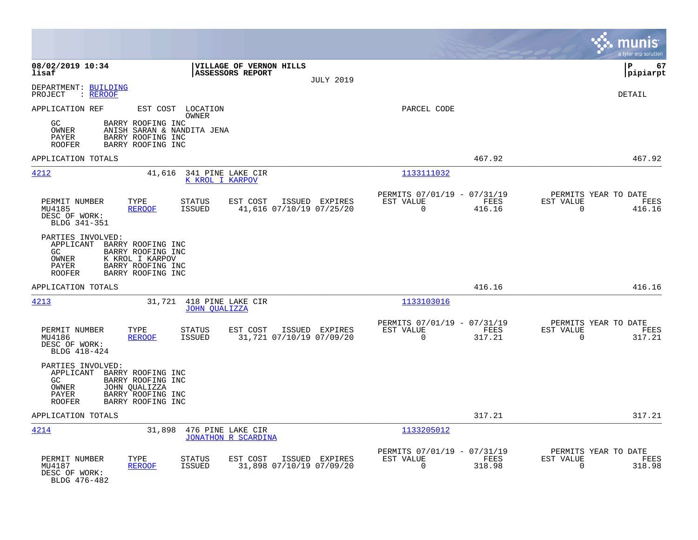|                                                                                                                                                                               |                                                                           | munis<br>a tyler erp solution                                      |
|-------------------------------------------------------------------------------------------------------------------------------------------------------------------------------|---------------------------------------------------------------------------|--------------------------------------------------------------------|
| 08/02/2019 10:34<br>VILLAGE OF VERNON HILLS<br>lisaf<br>ASSESSORS REPORT<br><b>JULY 2019</b>                                                                                  |                                                                           | lР<br>67<br> pipiarpt                                              |
| DEPARTMENT: BUILDING<br>PROJECT<br>: <u>REROOF</u>                                                                                                                            |                                                                           | DETAIL                                                             |
| APPLICATION REF<br>EST COST LOCATION<br>OWNER                                                                                                                                 | PARCEL CODE                                                               |                                                                    |
| BARRY ROOFING INC<br>GC.<br>ANISH SARAN & NANDITA JENA<br>OWNER<br>BARRY ROOFING INC<br>PAYER<br><b>ROOFER</b><br>BARRY ROOFING INC                                           |                                                                           |                                                                    |
| APPLICATION TOTALS                                                                                                                                                            | 467.92                                                                    | 467.92                                                             |
| 4212<br>41,616<br>341 PINE LAKE CIR<br>K KROL I KARPOV                                                                                                                        | 1133111032                                                                |                                                                    |
| PERMIT NUMBER<br>TYPE<br><b>STATUS</b><br>EST COST<br>ISSUED EXPIRES<br>ISSUED<br>41,616 07/10/19 07/25/20<br>MU4185<br><b>REROOF</b><br>DESC OF WORK:<br>BLDG 341-351        | PERMITS 07/01/19 - 07/31/19<br>EST VALUE<br>FEES<br>0<br>416.16           | PERMITS YEAR TO DATE<br>EST VALUE<br>FEES<br>$\mathbf 0$<br>416.16 |
| PARTIES INVOLVED:<br>APPLICANT BARRY ROOFING INC<br>GC<br>BARRY ROOFING INC<br>OWNER<br>K KROL I KARPOV<br>PAYER<br>BARRY ROOFING INC<br>BARRY ROOFING INC<br><b>ROOFER</b>   |                                                                           |                                                                    |
| APPLICATION TOTALS                                                                                                                                                            | 416.16                                                                    | 416.16                                                             |
| 4213<br>31,721 418 PINE LAKE CIR<br><b>JOHN QUALIZZA</b>                                                                                                                      | 1133103016                                                                |                                                                    |
| PERMIT NUMBER<br>TYPE<br><b>STATUS</b><br>EST COST<br>ISSUED EXPIRES<br><b>ISSUED</b><br>31,721 07/10/19 07/09/20<br>MU4186<br><b>REROOF</b><br>DESC OF WORK:<br>BLDG 418-424 | PERMITS 07/01/19 - 07/31/19<br>EST VALUE<br>FEES<br>$\mathbf 0$<br>317.21 | PERMITS YEAR TO DATE<br>EST VALUE<br>FEES<br>$\mathbf 0$<br>317.21 |
| PARTIES INVOLVED:<br>APPLICANT BARRY ROOFING INC<br>GC.<br>BARRY ROOFING INC<br>OWNER<br>JOHN QUALIZZA<br>PAYER<br>BARRY ROOFING INC<br><b>ROOFER</b><br>BARRY ROOFING INC    |                                                                           |                                                                    |
| APPLICATION TOTALS                                                                                                                                                            | 317.21                                                                    | 317.21                                                             |
| 4214<br>31,898 476 PINE LAKE CIR<br><b>JONATHON R SCARDINA</b>                                                                                                                | 1133205012                                                                |                                                                    |
| PERMIT NUMBER<br>TYPE<br><b>STATUS</b><br>EST COST<br>ISSUED EXPIRES<br>31,898 07/10/19 07/09/20<br>MU4187<br><b>REROOF</b><br><b>ISSUED</b><br>DESC OF WORK:<br>BLDG 476-482 | PERMITS 07/01/19 - 07/31/19<br>EST VALUE<br>FEES<br>$\Omega$<br>318.98    | PERMITS YEAR TO DATE<br>EST VALUE<br>FEES<br>318.98<br>$\Omega$    |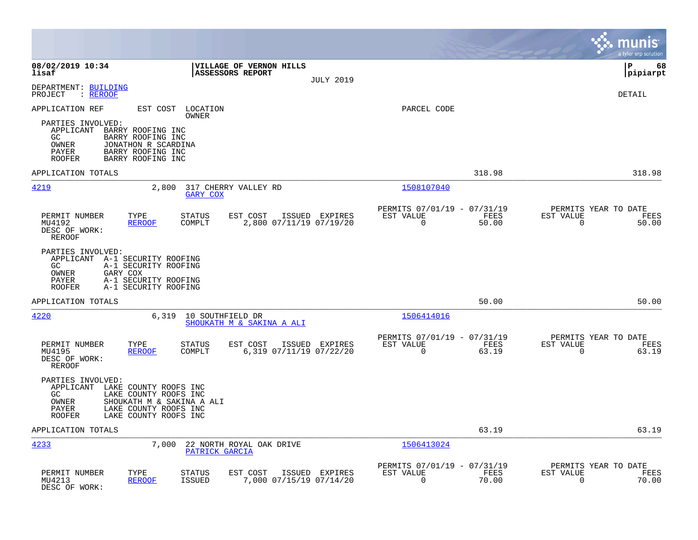|                                                                                                                                                                                                          |                                                                                  |                                                                          | munis<br>a tyler erp solution                                     |
|----------------------------------------------------------------------------------------------------------------------------------------------------------------------------------------------------------|----------------------------------------------------------------------------------|--------------------------------------------------------------------------|-------------------------------------------------------------------|
| 08/02/2019 10:34<br>lisaf                                                                                                                                                                                | VILLAGE OF VERNON HILLS<br>ASSESSORS REPORT<br><b>JULY 2019</b>                  |                                                                          | l P<br>68<br> pipiarpt                                            |
| DEPARTMENT: BUILDING<br>: REROOF<br>PROJECT                                                                                                                                                              |                                                                                  |                                                                          | DETAIL                                                            |
| APPLICATION REF<br>EST COST                                                                                                                                                                              | LOCATION<br>OWNER                                                                | PARCEL CODE                                                              |                                                                   |
| PARTIES INVOLVED:<br>APPLICANT<br>BARRY ROOFING INC<br>BARRY ROOFING INC<br>GC.<br>OWNER<br>JONATHON R SCARDINA<br><b>PAYER</b><br>BARRY ROOFING INC<br>BARRY ROOFING INC<br><b>ROOFER</b>               |                                                                                  |                                                                          |                                                                   |
| APPLICATION TOTALS                                                                                                                                                                                       |                                                                                  | 318.98                                                                   | 318.98                                                            |
| 4219<br>2,800                                                                                                                                                                                            | 317 CHERRY VALLEY RD<br><b>GARY COX</b>                                          | 1508107040                                                               |                                                                   |
| PERMIT NUMBER<br>TYPE<br>MU4192<br><b>REROOF</b><br>DESC OF WORK:<br><b>REROOF</b>                                                                                                                       | <b>STATUS</b><br>EST COST<br>ISSUED EXPIRES<br>2,800 07/11/19 07/19/20<br>COMPLT | PERMITS 07/01/19 - 07/31/19<br>EST VALUE<br>FEES<br>$\mathbf 0$<br>50.00 | PERMITS YEAR TO DATE<br>EST VALUE<br>FEES<br>$\mathbf 0$<br>50.00 |
| PARTIES INVOLVED:<br>APPLICANT A-1 SECURITY ROOFING<br>A-1 SECURITY ROOFING<br>GC.<br>OWNER<br>GARY COX<br>A-1 SECURITY ROOFING<br>PAYER<br><b>ROOFER</b><br>A-1 SECURITY ROOFING                        |                                                                                  |                                                                          |                                                                   |
| APPLICATION TOTALS                                                                                                                                                                                       |                                                                                  | 50.00                                                                    | 50.00                                                             |
| 4220<br>6,319                                                                                                                                                                                            | 10 SOUTHFIELD DR<br>SHOUKATH M & SAKINA A ALI                                    | 1506414016                                                               |                                                                   |
| PERMIT NUMBER<br>TYPE<br>MU4195<br><b>REROOF</b><br>DESC OF WORK:<br><b>REROOF</b>                                                                                                                       | <b>STATUS</b><br>EST COST<br>ISSUED EXPIRES<br>COMPLT<br>6,319 07/11/19 07/22/20 | PERMITS 07/01/19 - 07/31/19<br>EST VALUE<br>FEES<br>$\mathbf 0$<br>63.19 | PERMITS YEAR TO DATE<br>EST VALUE<br>FEES<br>$\mathbf 0$<br>63.19 |
| PARTIES INVOLVED:<br>APPLICANT<br>LAKE COUNTY ROOFS INC<br>GC<br>LAKE COUNTY ROOFS INC<br>OWNER<br>SHOUKATH M & SAKINA A ALI<br>LAKE COUNTY ROOFS INC<br>PAYER<br>LAKE COUNTY ROOFS INC<br><b>ROOFER</b> |                                                                                  |                                                                          |                                                                   |
| APPLICATION TOTALS                                                                                                                                                                                       |                                                                                  | 63.19                                                                    | 63.19                                                             |
| 4233<br>7,000                                                                                                                                                                                            | 22 NORTH ROYAL OAK DRIVE<br>PATRICK GARCIA                                       | 1506413024                                                               |                                                                   |
| PERMIT NUMBER<br>TYPE<br>MU4213<br><b>REROOF</b><br>DESC OF WORK:                                                                                                                                        | EST COST<br>STATUS<br>ISSUED EXPIRES<br>7,000 07/15/19 07/14/20<br><b>ISSUED</b> | PERMITS 07/01/19 - 07/31/19<br>EST VALUE<br>FEES<br>$\mathbf 0$<br>70.00 | PERMITS YEAR TO DATE<br>EST VALUE<br>FEES<br>70.00<br>0           |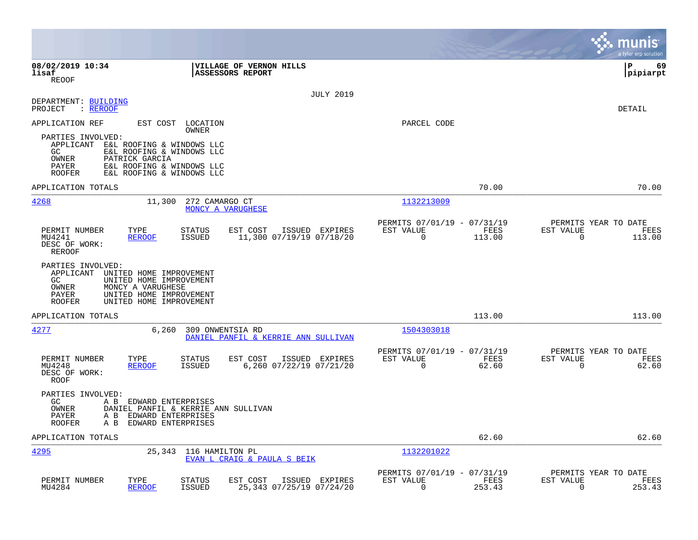|                                                                                                                                                                                                               |                                                                           | munis<br>a tyler erp solution                                      |
|---------------------------------------------------------------------------------------------------------------------------------------------------------------------------------------------------------------|---------------------------------------------------------------------------|--------------------------------------------------------------------|
| 08/02/2019 10:34<br><b>VILLAGE OF VERNON HILLS</b><br>lisaf<br><b>ASSESSORS REPORT</b><br><b>REOOF</b>                                                                                                        |                                                                           | 69<br>l P<br> pipiarpt                                             |
| <b>JULY 2019</b><br>DEPARTMENT: BUILDING<br>PROJECT<br>: REROOF                                                                                                                                               |                                                                           | DETAIL                                                             |
| APPLICATION REF<br>EST COST LOCATION<br>OWNER                                                                                                                                                                 | PARCEL CODE                                                               |                                                                    |
| PARTIES INVOLVED:<br>APPLICANT<br>E&L ROOFING & WINDOWS LLC<br>GC<br>E&L ROOFING & WINDOWS LLC<br>OWNER<br>PATRICK GARCIA<br>E&L ROOFING & WINDOWS LLC<br>PAYER<br>E&L ROOFING & WINDOWS LLC<br><b>ROOFER</b> |                                                                           |                                                                    |
| APPLICATION TOTALS                                                                                                                                                                                            | 70.00                                                                     | 70.00                                                              |
| 4268<br>11,300<br>272 CAMARGO CT<br>MONCY A VARUGHESE                                                                                                                                                         | 1132213009                                                                |                                                                    |
| PERMIT NUMBER<br>TYPE<br><b>STATUS</b><br>EST COST<br>ISSUED EXPIRES<br>MU4241<br><b>REROOF</b><br><b>ISSUED</b><br>11,300 07/19/19 07/18/20<br>DESC OF WORK:<br>REROOF                                       | PERMITS 07/01/19 - 07/31/19<br>EST VALUE<br>FEES<br>$\mathbf 0$<br>113.00 | PERMITS YEAR TO DATE<br>EST VALUE<br>FEES<br>$\mathbf 0$<br>113.00 |
| PARTIES INVOLVED:<br>APPLICANT<br>UNITED HOME IMPROVEMENT<br>GC.<br>UNITED HOME IMPROVEMENT<br>OWNER<br>MONCY A VARUGHESE<br>UNITED HOME IMPROVEMENT<br>PAYER<br><b>ROOFER</b><br>UNITED HOME IMPROVEMENT     |                                                                           |                                                                    |
| APPLICATION TOTALS                                                                                                                                                                                            | 113.00                                                                    | 113.00                                                             |
| 4277<br>6,260<br>309 ONWENTSIA RD<br>DANIEL PANFIL & KERRIE ANN SULLIVAN                                                                                                                                      | 1504303018                                                                |                                                                    |
| PERMIT NUMBER<br>TYPE<br><b>STATUS</b><br>EST COST<br>ISSUED EXPIRES<br><b>ISSUED</b><br>6,260 07/22/19 07/21/20<br>MU4248<br><b>REROOF</b><br>DESC OF WORK:<br>ROOF                                          | PERMITS 07/01/19 - 07/31/19<br>EST VALUE<br>FEES<br>$\Omega$<br>62.60     | PERMITS YEAR TO DATE<br>EST VALUE<br>FEES<br>$\Omega$<br>62.60     |
| PARTIES INVOLVED:<br>GC<br>A B EDWARD ENTERPRISES<br>OWNER<br>DANIEL PANFIL & KERRIE ANN SULLIVAN<br>PAYER<br>A B<br>EDWARD ENTERPRISES<br>EDWARD ENTERPRISES<br><b>ROOFER</b><br>A B                         |                                                                           |                                                                    |
| APPLICATION TOTALS                                                                                                                                                                                            | 62.60                                                                     | 62.60                                                              |
| 4295<br>25,343<br>116 HAMILTON PL<br>EVAN L CRAIG & PAULA S BEIK                                                                                                                                              | 1132201022                                                                |                                                                    |
| PERMIT NUMBER<br>TYPE<br>EST COST<br>ISSUED EXPIRES<br><b>STATUS</b><br>MU4284<br><b>REROOF</b><br><b>ISSUED</b><br>25,343 07/25/19 07/24/20                                                                  | PERMITS 07/01/19 - 07/31/19<br>EST VALUE<br>FEES<br>0<br>253.43           | PERMITS YEAR TO DATE<br>EST VALUE<br>FEES<br>0<br>253.43           |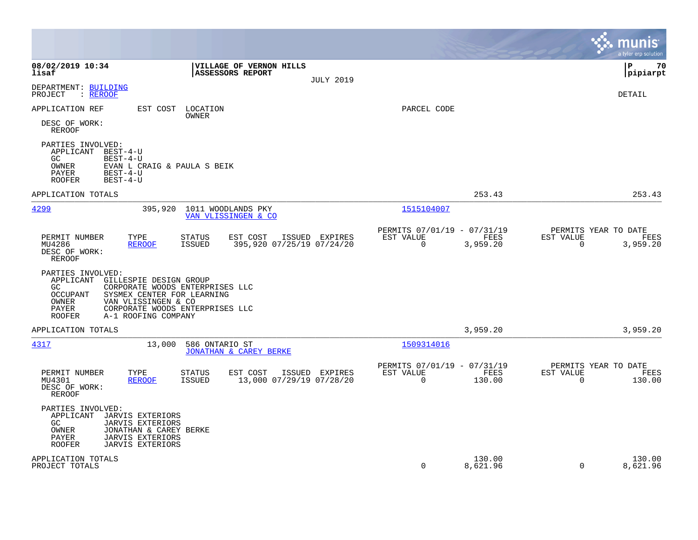|                                                                                                                                                                                                        |                                                                                          |                                                                           | a tyler erp solution                                            |
|--------------------------------------------------------------------------------------------------------------------------------------------------------------------------------------------------------|------------------------------------------------------------------------------------------|---------------------------------------------------------------------------|-----------------------------------------------------------------|
| 08/02/2019 10:34<br>lisaf                                                                                                                                                                              | VILLAGE OF VERNON HILLS<br><b>ASSESSORS REPORT</b><br><b>JULY 2019</b>                   |                                                                           | l P<br>70<br> pipiarpt                                          |
| DEPARTMENT: BUILDING<br>: REROOF<br>PROJECT                                                                                                                                                            |                                                                                          |                                                                           | <b>DETAIL</b>                                                   |
| APPLICATION REF<br>EST COST<br>DESC OF WORK:<br><b>REROOF</b>                                                                                                                                          | LOCATION<br>OWNER                                                                        | PARCEL CODE                                                               |                                                                 |
| PARTIES INVOLVED:<br>APPLICANT BEST-4-U<br>GC<br>$BEST-4-U$<br>OWNER<br>EVAN L CRAIG & PAULA S BEIK<br>PAYER<br>$BEST-4-IJ$<br>$BEST-4-U$<br><b>ROOFER</b>                                             |                                                                                          |                                                                           |                                                                 |
| APPLICATION TOTALS                                                                                                                                                                                     |                                                                                          | 253.43                                                                    | 253.43                                                          |
| 4299<br>395,920                                                                                                                                                                                        | 1011 WOODLANDS PKY<br>VAN VLISSINGEN & CO                                                | 1515104007                                                                |                                                                 |
| PERMIT NUMBER<br>TYPE<br>MU4286<br><b>REROOF</b><br>DESC OF WORK:<br>REROOF                                                                                                                            | EST COST<br>ISSUED EXPIRES<br>STATUS<br>395,920 07/25/19 07/24/20<br><b>ISSUED</b>       | PERMITS 07/01/19 - 07/31/19<br>EST VALUE<br>FEES<br>$\Omega$<br>3,959.20  | PERMITS YEAR TO DATE<br>EST VALUE<br>FEES<br>0<br>3,959.20      |
| PARTIES INVOLVED:<br>APPLICANT<br>GILLESPIE DESIGN GROUP<br>GC.<br>OCCUPANT<br>SYSMEX CENTER FOR LEARNING<br>VAN VLISSINGEN & CO<br>OWNER<br>PAYER<br>A-1 ROOFING COMPANY<br><b>ROOFER</b>             | CORPORATE WOODS ENTERPRISES LLC<br>CORPORATE WOODS ENTERPRISES LLC                       |                                                                           |                                                                 |
| APPLICATION TOTALS                                                                                                                                                                                     |                                                                                          | 3,959.20                                                                  | 3,959.20                                                        |
| 4317<br>13,000                                                                                                                                                                                         | 586 ONTARIO ST<br>JONATHAN & CAREY BERKE                                                 | 1509314016                                                                |                                                                 |
| TYPE<br>PERMIT NUMBER<br>MU4301<br><b>REROOF</b><br>DESC OF WORK:<br><b>REROOF</b>                                                                                                                     | ISSUED EXPIRES<br><b>STATUS</b><br>EST COST<br>13,000 07/29/19 07/28/20<br><b>ISSUED</b> | PERMITS 07/01/19 - 07/31/19<br>FEES<br>EST VALUE<br>$\mathbf 0$<br>130.00 | PERMITS YEAR TO DATE<br>EST VALUE<br>FEES<br>$\Omega$<br>130.00 |
| PARTIES INVOLVED:<br>APPLICANT<br>JARVIS EXTERIORS<br>GC<br><b>JARVIS EXTERIORS</b><br>OWNER<br>JONATHAN & CAREY BERKE<br>PAYER<br><b>JARVIS EXTERIORS</b><br><b>ROOFER</b><br><b>JARVIS EXTERIORS</b> |                                                                                          |                                                                           |                                                                 |
| APPLICATION TOTALS<br>PROJECT TOTALS                                                                                                                                                                   |                                                                                          | 130.00<br>$\mathbf 0$<br>8,621.96                                         | 130.00<br>8,621.96<br>$\Omega$                                  |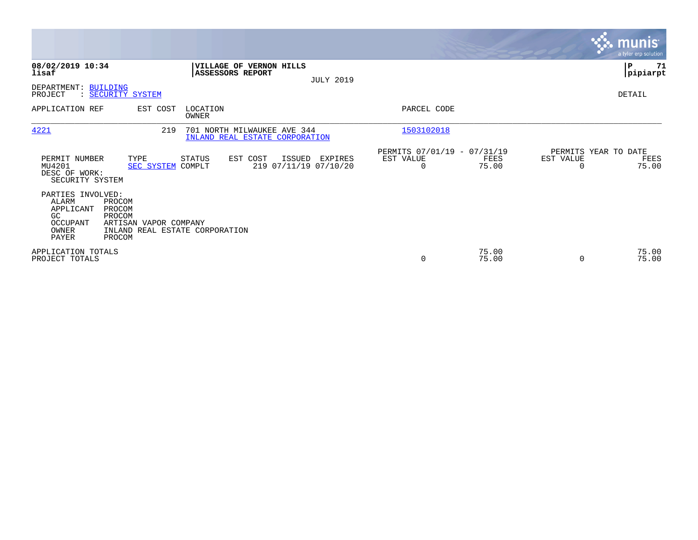|                                                                                    |                                                                                                 |                         |                                                               |                  |                                               |                |           | <b>munis</b><br>a tyler erp solution  |
|------------------------------------------------------------------------------------|-------------------------------------------------------------------------------------------------|-------------------------|---------------------------------------------------------------|------------------|-----------------------------------------------|----------------|-----------|---------------------------------------|
| 08/02/2019 10:34<br>lisaf                                                          |                                                                                                 | <b>ASSESSORS REPORT</b> | VILLAGE OF VERNON HILLS                                       | <b>JULY 2019</b> |                                               |                |           | ∣P<br>71<br> pipiarpt                 |
| DEPARTMENT: BUILDING<br>PROJECT                                                    | : SECURITY SYSTEM                                                                               |                         |                                                               |                  |                                               |                |           | DETAIL                                |
| APPLICATION REF                                                                    | EST COST                                                                                        | LOCATION<br>OWNER       |                                                               |                  | PARCEL CODE                                   |                |           |                                       |
| 4221                                                                               | 219                                                                                             |                         | 701 NORTH MILWAUKEE AVE 344<br>INLAND REAL ESTATE CORPORATION |                  | 1503102018                                    |                |           |                                       |
| PERMIT NUMBER<br>MU4201<br>DESC OF WORK:<br>SECURITY SYSTEM                        | TYPE<br><b>SEC SYSTEM</b>                                                                       | STATUS<br>COMPLT        | EST COST<br>ISSUED<br>219 07/11/19 07/10/20                   | EXPIRES          | PERMITS 07/01/19 - 07/31/19<br>EST VALUE<br>0 | FEES<br>75.00  | EST VALUE | PERMITS YEAR TO DATE<br>FEES<br>75.00 |
| PARTIES INVOLVED:<br><b>ALARM</b><br>APPLICANT<br>GC<br>OCCUPANT<br>OWNER<br>PAYER | PROCOM<br>PROCOM<br>PROCOM<br>ARTISAN VAPOR COMPANY<br>INLAND REAL ESTATE CORPORATION<br>PROCOM |                         |                                                               |                  |                                               |                |           |                                       |
| APPLICATION TOTALS<br>PROJECT TOTALS                                               |                                                                                                 |                         |                                                               |                  | 0                                             | 75.00<br>75.00 | $\Omega$  | 75.00<br>75.00                        |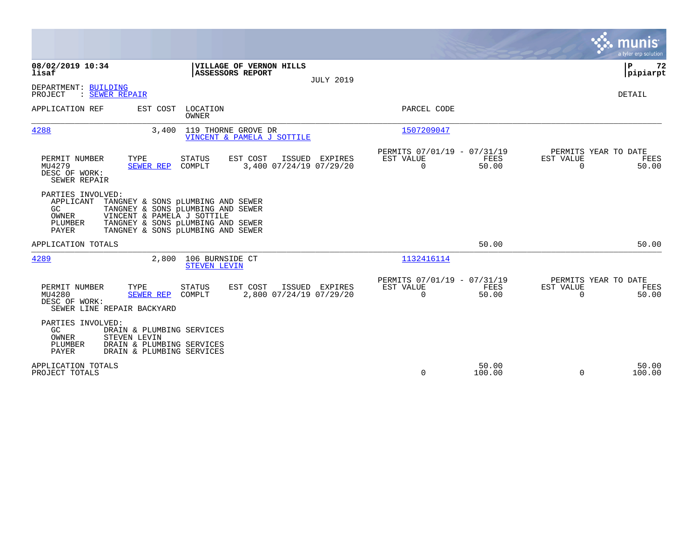|                                                                                                                                                                                                                                                     |                                                                       | munis<br>a tyler erp solution                                  |
|-----------------------------------------------------------------------------------------------------------------------------------------------------------------------------------------------------------------------------------------------------|-----------------------------------------------------------------------|----------------------------------------------------------------|
| 08/02/2019 10:34<br>VILLAGE OF VERNON HILLS<br>lisaf<br><b>ASSESSORS REPORT</b><br><b>JULY 2019</b>                                                                                                                                                 |                                                                       | P<br>72<br> pipiarpt                                           |
| DEPARTMENT: BUILDING<br>PROJECT<br>: SEWER REPAIR                                                                                                                                                                                                   |                                                                       | DETAIL                                                         |
| EST COST<br>APPLICATION REF<br>LOCATION<br>OWNER                                                                                                                                                                                                    | PARCEL CODE                                                           |                                                                |
| 119 THORNE GROVE DR<br>4288<br>3,400<br>VINCENT & PAMELA J SOTTILE                                                                                                                                                                                  | 1507209047                                                            |                                                                |
| TYPE<br>EST COST<br>PERMIT NUMBER<br><b>STATUS</b><br>ISSUED<br>EXPIRES<br>3,400 07/24/19 07/29/20<br>MU4279<br>SEWER REP<br>COMPLT<br>DESC OF WORK:<br>SEWER REPAIR                                                                                | PERMITS 07/01/19 - 07/31/19<br>EST VALUE<br>FEES<br>$\Omega$<br>50.00 | PERMITS YEAR TO DATE<br>EST VALUE<br>FEES<br>$\Omega$<br>50.00 |
| PARTIES INVOLVED:<br>APPLICANT<br>TANGNEY & SONS pLUMBING AND SEWER<br>GC<br>TANGNEY & SONS pLUMBING AND SEWER<br>OWNER<br>VINCENT & PAMELA J SOTTILE<br>TANGNEY & SONS pLUMBING AND SEWER<br>PLUMBER<br>PAYER<br>TANGNEY & SONS pLUMBING AND SEWER |                                                                       |                                                                |
| APPLICATION TOTALS                                                                                                                                                                                                                                  | 50.00                                                                 | 50.00                                                          |
| 4289<br>2,800<br>106 BURNSIDE CT<br><b>STEVEN LEVIN</b>                                                                                                                                                                                             | 1132416114                                                            |                                                                |
| PERMIT NUMBER<br>TYPE<br><b>STATUS</b><br>EST COST<br>ISSUED EXPIRES<br>2,800 07/24/19 07/29/20<br>MU4280<br>SEWER REP<br>COMPLT<br>DESC OF WORK:<br>SEWER LINE REPAIR BACKYARD                                                                     | PERMITS 07/01/19 - 07/31/19<br>FEES<br>EST VALUE<br>$\Omega$<br>50.00 | PERMITS YEAR TO DATE<br>EST VALUE<br>FEES<br>$\Omega$<br>50.00 |
| PARTIES INVOLVED:<br>GC<br>DRAIN & PLUMBING SERVICES<br>OWNER<br>STEVEN LEVIN<br>PLUMBER<br>DRAIN & PLUMBING SERVICES<br>PAYER<br>DRAIN & PLUMBING SERVICES                                                                                         |                                                                       |                                                                |
| APPLICATION TOTALS<br>PROJECT TOTALS                                                                                                                                                                                                                | 50.00<br>0<br>100.00                                                  | 50.00<br>$\Omega$<br>100.00                                    |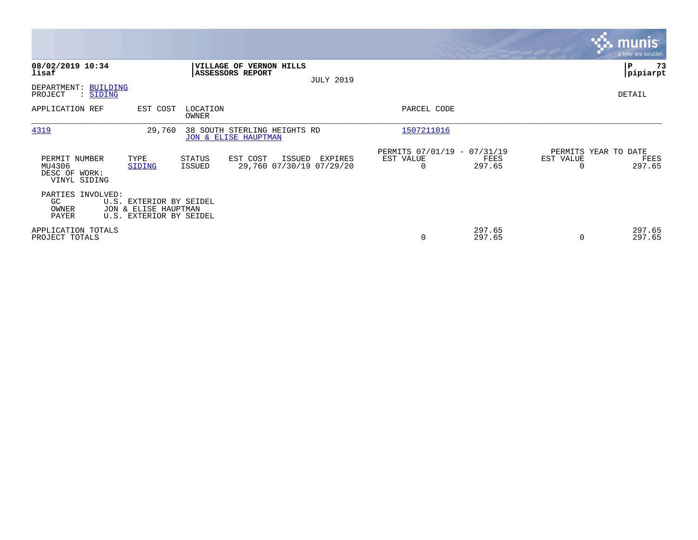|                                                          |                                                                            |                   |                                                                 |                  |                                               |                  |           | <b>munis</b><br>a tyler erp solution   |
|----------------------------------------------------------|----------------------------------------------------------------------------|-------------------|-----------------------------------------------------------------|------------------|-----------------------------------------------|------------------|-----------|----------------------------------------|
| 08/02/2019 10:34<br>lisaf                                |                                                                            |                   | <b>VILLAGE OF VERNON HILLS</b><br><b>ASSESSORS REPORT</b>       | <b>JULY 2019</b> |                                               |                  |           | P<br>73<br> pipiarpt                   |
| DEPARTMENT: BUILDING<br>PROJECT<br>: SIDING              |                                                                            |                   |                                                                 |                  |                                               |                  |           | DETAIL                                 |
| APPLICATION REF                                          | EST COST                                                                   | LOCATION<br>OWNER |                                                                 |                  | PARCEL CODE                                   |                  |           |                                        |
| 4319                                                     | 29,760                                                                     |                   | 38 SOUTH STERLING HEIGHTS RD<br><b>JON &amp; ELISE HAUPTMAN</b> |                  | 1507211016                                    |                  |           |                                        |
| PERMIT NUMBER<br>MU4306<br>DESC OF WORK:<br>VINYL SIDING | TYPE<br>SIDING                                                             | STATUS<br>ISSUED  | EST COST<br>ISSUED<br>29,760 07/30/19 07/29/20                  | EXPIRES          | PERMITS 07/01/19 - 07/31/19<br>EST VALUE<br>0 | FEES<br>297.65   | EST VALUE | PERMITS YEAR TO DATE<br>FEES<br>297.65 |
| PARTIES INVOLVED:<br>GC.<br>OWNER<br>PAYER               | U.S. EXTERIOR BY SEIDEL<br>JON & ELISE HAUPTMAN<br>U.S. EXTERIOR BY SEIDEL |                   |                                                                 |                  |                                               |                  |           |                                        |
| APPLICATION TOTALS<br>PROJECT TOTALS                     |                                                                            |                   |                                                                 |                  | 0                                             | 297.65<br>297.65 | $\Omega$  | 297.65<br>297.65                       |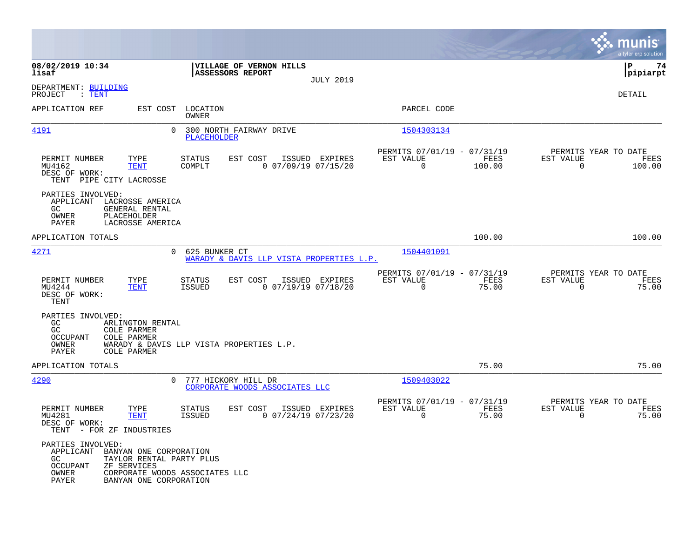|                                                                                                                                                                    |                                                                                           |                                                                          | munis<br>a tyler erp solution                                      |
|--------------------------------------------------------------------------------------------------------------------------------------------------------------------|-------------------------------------------------------------------------------------------|--------------------------------------------------------------------------|--------------------------------------------------------------------|
| 08/02/2019 10:34<br>lisaf                                                                                                                                          | VILLAGE OF VERNON HILLS<br>ASSESSORS REPORT<br><b>JULY 2019</b>                           |                                                                          | 74<br>l P<br> pipiarpt                                             |
| DEPARTMENT: BUILDING<br>PROJECT<br>$:\mathsf{TENT}$                                                                                                                |                                                                                           |                                                                          | <b>DETAIL</b>                                                      |
| APPLICATION REF<br>EST COST                                                                                                                                        | LOCATION<br><b>OWNER</b>                                                                  | PARCEL CODE                                                              |                                                                    |
| <u>4191</u>                                                                                                                                                        | $\Omega$<br>300 NORTH FAIRWAY DRIVE<br><b>PLACEHOLDER</b>                                 | 1504303134                                                               |                                                                    |
| PERMIT NUMBER<br>TYPE<br><b>TENT</b><br>MU4162<br>DESC OF WORK:<br>TENT PIPE CITY LACROSSE                                                                         | EST COST<br>ISSUED EXPIRES<br>STATUS<br>COMPLT<br>$0$ 07/09/19 07/15/20                   | PERMITS 07/01/19 - 07/31/19<br>EST VALUE<br>FEES<br>0<br>100.00          | PERMITS YEAR TO DATE<br>EST VALUE<br>FEES<br>$\mathbf 0$<br>100.00 |
| PARTIES INVOLVED:<br>APPLICANT<br>LACROSSE AMERICA<br>GC<br>GENERAL RENTAL<br>OWNER<br>PLACEHOLDER<br>PAYER<br>LACROSSE AMERICA                                    |                                                                                           |                                                                          |                                                                    |
| APPLICATION TOTALS                                                                                                                                                 |                                                                                           | 100.00                                                                   | 100.00                                                             |
| 4271                                                                                                                                                               | 625 BUNKER CT<br>$\mathbf{0}$<br>WARADY & DAVIS LLP VISTA PROPERTIES L.P.                 | 1504401091                                                               |                                                                    |
| TYPE<br>PERMIT NUMBER<br>MU4244<br><b>TENT</b><br>DESC OF WORK:<br>TENT                                                                                            | EST COST<br>ISSUED EXPIRES<br><b>STATUS</b><br>$0$ $07/19/19$ $07/18/20$<br><b>ISSUED</b> | PERMITS 07/01/19 - 07/31/19<br>EST VALUE<br>FEES<br>$\Omega$<br>75.00    | PERMITS YEAR TO DATE<br>EST VALUE<br>FEES<br>$\mathbf 0$<br>75.00  |
| PARTIES INVOLVED:<br>GC<br>ARLINGTON RENTAL<br>GC<br>COLE PARMER<br>OCCUPANT<br><b>COLE PARMER</b><br>OWNER<br>PAYER<br><b>COLE PARMER</b>                         | WARADY & DAVIS LLP VISTA PROPERTIES L.P.                                                  |                                                                          |                                                                    |
| APPLICATION TOTALS                                                                                                                                                 |                                                                                           | 75.00                                                                    | 75.00                                                              |
| 4290                                                                                                                                                               | 777 HICKORY HILL DR<br>0<br>CORPORATE WOODS ASSOCIATES LLC                                | 1509403022                                                               |                                                                    |
| TYPE<br>PERMIT NUMBER<br>MU4281<br><b>TENT</b><br>DESC OF WORK:<br>TENT - FOR ZF INDUSTRIES                                                                        | EST COST<br>ISSUED EXPIRES<br><b>STATUS</b><br><b>ISSUED</b><br>$0$ $07/24/19$ $07/23/20$ | PERMITS 07/01/19 - 07/31/19<br>EST VALUE<br>FEES<br>$\mathbf 0$<br>75.00 | PERMITS YEAR TO DATE<br>EST VALUE<br>FEES<br>$\mathbf 0$<br>75.00  |
| PARTIES INVOLVED:<br>APPLICANT<br>BANYAN ONE CORPORATION<br>GC.<br>TAYLOR RENTAL PARTY PLUS<br>OCCUPANT<br>ZF SERVICES<br>OWNER<br>PAYER<br>BANYAN ONE CORPORATION | CORPORATE WOODS ASSOCIATES LLC                                                            |                                                                          |                                                                    |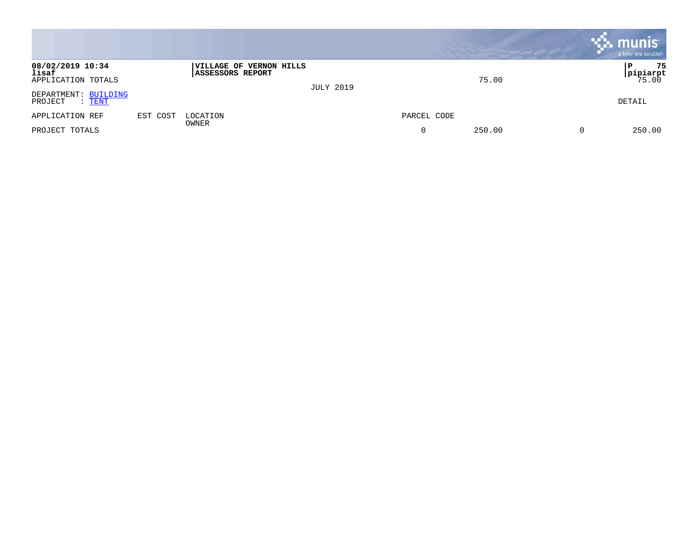|                                                  |          |                                             |                  |             |        |   | $\mathbf{\ddot{.}}$ munis<br>a tyler erp solution |
|--------------------------------------------------|----------|---------------------------------------------|------------------|-------------|--------|---|---------------------------------------------------|
| 08/02/2019 10:34<br>lisaf<br>APPLICATION TOTALS  |          | VILLAGE OF VERNON HILLS<br>ASSESSORS REPORT | <b>JULY 2019</b> |             | 75.00  |   | 75<br>l P<br><b>pipiarpt</b><br>75.00             |
| DEPARTMENT: BUILDING<br>PROJECT<br>$\colon$ TENT |          |                                             |                  |             |        |   | DETAIL                                            |
| APPLICATION REF                                  | EST COST | LOCATION<br>OWNER                           |                  | PARCEL CODE |        |   |                                                   |
| PROJECT TOTALS                                   |          |                                             |                  |             | 250.00 | 0 | 250.00                                            |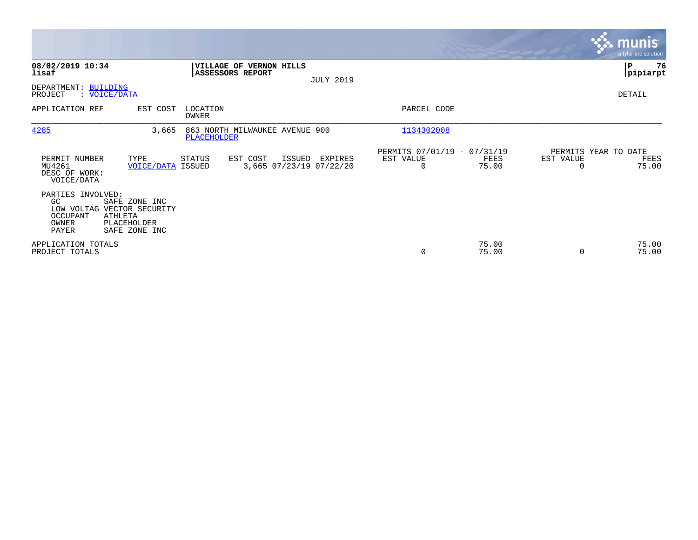|                                                                                                       |                                               |                   |                                                    |                  |                                               |                |                                               | <b>munis</b><br>a tyler erp solution |
|-------------------------------------------------------------------------------------------------------|-----------------------------------------------|-------------------|----------------------------------------------------|------------------|-----------------------------------------------|----------------|-----------------------------------------------|--------------------------------------|
| 08/02/2019 10:34<br>lisaf                                                                             |                                               |                   | VILLAGE OF VERNON HILLS<br><b>ASSESSORS REPORT</b> |                  |                                               |                |                                               | P<br>76<br> pipiarpt                 |
| DEPARTMENT: BUILDING<br>PROJECT<br>: VOICE/DATA                                                       |                                               |                   |                                                    | <b>JULY 2019</b> |                                               |                |                                               | DETAIL                               |
| APPLICATION REF                                                                                       | EST COST                                      | LOCATION<br>OWNER |                                                    |                  | PARCEL CODE                                   |                |                                               |                                      |
| 4285                                                                                                  | 3,665                                         | PLACEHOLDER       | 863 NORTH MILWAUKEE AVENUE 900                     |                  | 1134302008                                    |                |                                               |                                      |
| PERMIT NUMBER<br>MU4261<br>DESC OF WORK:<br>VOICE/DATA                                                | TYPE<br>VOICE/DATA                            | STATUS<br>ISSUED  | EST COST<br>ISSUED<br>3,665 07/23/19 07/22/20      | EXPIRES          | PERMITS 07/01/19 - 07/31/19<br>EST VALUE<br>0 | FEES<br>75.00  | PERMITS YEAR TO DATE<br>EST VALUE<br>$\Omega$ | FEES<br>75.00                        |
| PARTIES INVOLVED:<br>GC<br>LOW VOLTAG VECTOR SECURITY<br>OCCUPANT<br><b>ATHLETA</b><br>OWNER<br>PAYER | SAFE ZONE INC<br>PLACEHOLDER<br>SAFE ZONE INC |                   |                                                    |                  |                                               |                |                                               |                                      |
| APPLICATION TOTALS<br>PROJECT TOTALS                                                                  |                                               |                   |                                                    |                  | 0                                             | 75.00<br>75.00 | $\Omega$                                      | 75.00<br>75.00                       |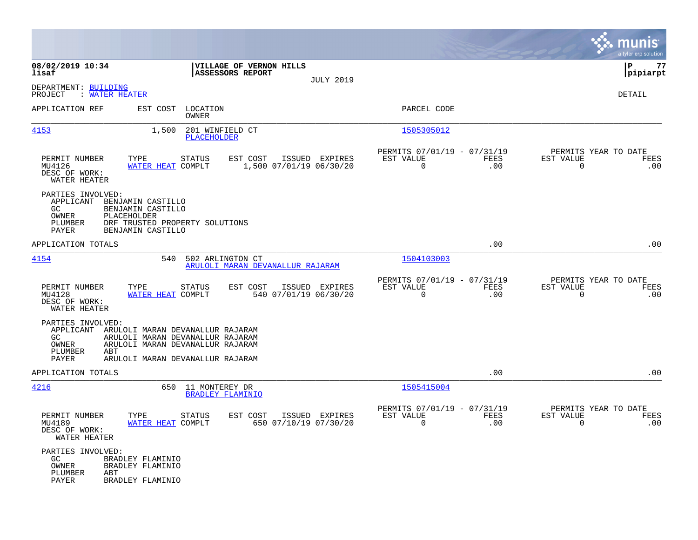|                                                                                                    |                                                                                                                                                        |                                                      |                  |                                                         |                    |                                                  | munis<br>a tyler erp solution |
|----------------------------------------------------------------------------------------------------|--------------------------------------------------------------------------------------------------------------------------------------------------------|------------------------------------------------------|------------------|---------------------------------------------------------|--------------------|--------------------------------------------------|-------------------------------|
| 08/02/2019 10:34<br>lisaf                                                                          |                                                                                                                                                        | VILLAGE OF VERNON HILLS<br>ASSESSORS REPORT          | <b>JULY 2019</b> |                                                         |                    |                                                  | P<br>77<br> pipiarpt          |
| DEPARTMENT: BUILDING<br>: WATER HEATER<br>PROJECT                                                  |                                                                                                                                                        |                                                      |                  |                                                         |                    |                                                  | DETAIL                        |
| APPLICATION REF                                                                                    | LOCATION<br>EST COST<br><b>OWNER</b>                                                                                                                   |                                                      |                  | PARCEL CODE                                             |                    |                                                  |                               |
| 4153                                                                                               | 1,500<br>201 WINFIELD CT<br>PLACEHOLDER                                                                                                                |                                                      |                  | 1505305012                                              |                    |                                                  |                               |
| PERMIT NUMBER<br>MU4126<br>DESC OF WORK:<br>WATER HEATER                                           | TYPE<br><b>STATUS</b><br>WATER HEAT COMPLT                                                                                                             | EST COST<br>1,500 07/01/19 06/30/20                  | ISSUED EXPIRES   | PERMITS 07/01/19 - 07/31/19<br>EST VALUE<br>$\Omega$    | FEES<br>.00        | PERMITS YEAR TO DATE<br>EST VALUE<br>$\mathbf 0$ | FEES<br>.00                   |
| PARTIES INVOLVED:<br>APPLICANT BENJAMIN CASTILLO<br>GC<br>OWNER<br>PLACEHOLDER<br>PLUMBER<br>PAYER | BENJAMIN CASTILLO<br>DRF TRUSTED PROPERTY SOLUTIONS<br>BENJAMIN CASTILLO                                                                               |                                                      |                  |                                                         |                    |                                                  |                               |
| APPLICATION TOTALS                                                                                 |                                                                                                                                                        |                                                      |                  |                                                         | .00                |                                                  | .00                           |
| 4154                                                                                               | 540                                                                                                                                                    | 502 ARLINGTON CT<br>ARULOLI MARAN DEVANALLUR RAJARAM |                  | 1504103003                                              |                    |                                                  |                               |
| PERMIT NUMBER<br>MU4128<br>DESC OF WORK:<br>WATER HEATER                                           | TYPE<br><b>STATUS</b><br>WATER HEAT COMPLT                                                                                                             | EST COST<br>540 07/01/19 06/30/20                    | ISSUED EXPIRES   | PERMITS 07/01/19 - 07/31/19<br>EST VALUE<br>$\mathbf 0$ | <b>FEES</b><br>.00 | PERMITS YEAR TO DATE<br>EST VALUE<br>$\mathbf 0$ | FEES<br>.00                   |
| PARTIES INVOLVED:<br>GC.<br>OWNER<br>PLUMBER<br>ABT<br>PAYER                                       | APPLICANT ARULOLI MARAN DEVANALLUR RAJARAM<br>ARULOLI MARAN DEVANALLUR RAJARAM<br>ARULOLI MARAN DEVANALLUR RAJARAM<br>ARULOLI MARAN DEVANALLUR RAJARAM |                                                      |                  |                                                         |                    |                                                  |                               |
| APPLICATION TOTALS                                                                                 |                                                                                                                                                        |                                                      |                  |                                                         | .00                |                                                  | .00                           |
| 4216                                                                                               | 11 MONTEREY DR<br>650                                                                                                                                  | <b>BRADLEY FLAMINIO</b>                              |                  | 1505415004                                              |                    |                                                  |                               |
| PERMIT NUMBER<br>MU4189<br>DESC OF WORK:<br>WATER HEATER                                           | TYPE<br><b>STATUS</b><br>WATER HEAT COMPLT                                                                                                             | EST COST<br>650 07/10/19 07/30/20                    | ISSUED EXPIRES   | PERMITS 07/01/19 - 07/31/19<br>EST VALUE<br>$\Omega$    | <b>FEES</b><br>.00 | PERMITS YEAR TO DATE<br>EST VALUE<br>$\Omega$    | <b>FEES</b><br>.00            |
| PARTIES INVOLVED:<br>GC.<br>OWNER<br>PLUMBER<br>ABT<br>PAYER                                       | BRADLEY FLAMINIO<br>BRADLEY FLAMINIO<br>BRADLEY FLAMINIO                                                                                               |                                                      |                  |                                                         |                    |                                                  |                               |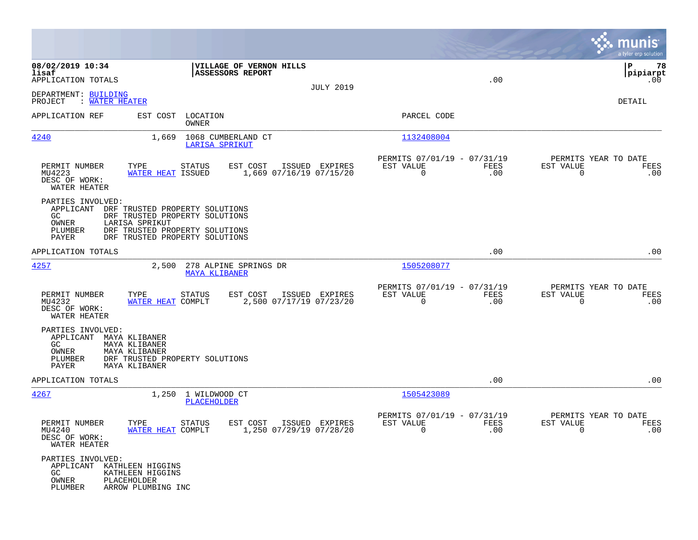|                                                                                  |                                                                                                                                                        |                                           |                                                                      |             |                                                     | munis<br>a tyler erp solution    |
|----------------------------------------------------------------------------------|--------------------------------------------------------------------------------------------------------------------------------------------------------|-------------------------------------------|----------------------------------------------------------------------|-------------|-----------------------------------------------------|----------------------------------|
| 08/02/2019 10:34<br>lisaf<br>APPLICATION TOTALS                                  | VILLAGE OF VERNON HILLS<br><b>ASSESSORS REPORT</b>                                                                                                     | <b>JULY 2019</b>                          |                                                                      | .00         |                                                     | 78<br>P<br> pipiarpt<br>$.00 \,$ |
| DEPARTMENT: BUILDING<br>PROJECT<br>: WATER HEATER                                |                                                                                                                                                        |                                           |                                                                      |             |                                                     | DETAIL                           |
| APPLICATION REF                                                                  | EST COST<br>LOCATION<br>OWNER                                                                                                                          |                                           | PARCEL CODE                                                          |             |                                                     |                                  |
| 4240                                                                             | 1,669<br>1068 CUMBERLAND CT<br>LARISA SPRIKUT                                                                                                          |                                           | 1132408004                                                           |             |                                                     |                                  |
| PERMIT NUMBER<br>MU4223<br>DESC OF WORK:<br>WATER HEATER                         | TYPE<br>STATUS<br>EST COST<br>WATER HEAT ISSUED                                                                                                        | ISSUED EXPIRES<br>1,669 07/16/19 07/15/20 | PERMITS 07/01/19 - 07/31/19<br>EST VALUE<br>$\mathbf 0$              | FEES<br>.00 | PERMITS YEAR TO DATE<br>EST VALUE<br>0              | FEES<br>.00                      |
| PARTIES INVOLVED:<br>APPLICANT<br>GC.<br>OWNER<br>PLUMBER<br>PAYER               | DRF TRUSTED PROPERTY SOLUTIONS<br>DRF TRUSTED PROPERTY SOLUTIONS<br>LARISA SPRIKUT<br>DRF TRUSTED PROPERTY SOLUTIONS<br>DRF TRUSTED PROPERTY SOLUTIONS |                                           |                                                                      |             |                                                     |                                  |
| APPLICATION TOTALS                                                               |                                                                                                                                                        |                                           |                                                                      | .00         |                                                     | .00                              |
| 4257                                                                             | 2,500<br>278 ALPINE SPRINGS DR<br><b>MAYA KLIBANER</b>                                                                                                 |                                           | 1505208077                                                           |             |                                                     |                                  |
| PERMIT NUMBER<br>MU4232<br>DESC OF WORK:<br>WATER HEATER                         | TYPE<br><b>STATUS</b><br>EST COST<br>WATER HEAT COMPLT                                                                                                 | ISSUED EXPIRES<br>2,500 07/17/19 07/23/20 | PERMITS 07/01/19 - 07/31/19<br>EST VALUE<br>$\mathbf 0$              | FEES<br>.00 | PERMITS YEAR TO DATE<br>EST VALUE<br>0              | FEES<br>.00                      |
| PARTIES INVOLVED:<br>APPLICANT MAYA KLIBANER<br>GC.<br>OWNER<br>PLUMBER<br>PAYER | MAYA KLIBANER<br>MAYA KLIBANER<br>DRF TRUSTED PROPERTY SOLUTIONS<br>MAYA KLIBANER                                                                      |                                           |                                                                      |             |                                                     |                                  |
| APPLICATION TOTALS                                                               |                                                                                                                                                        |                                           |                                                                      | .00         |                                                     | .00                              |
| <u>4267</u>                                                                      | 1,250 1 WILDWOOD CT<br>PLACEHOLDER                                                                                                                     |                                           | 1505423089                                                           |             |                                                     |                                  |
| PERMIT NUMBER<br>MU4240<br>DESC OF WORK:<br>WATER HEATER                         | TYPE<br><b>STATUS</b><br>EST COST<br>WATER HEAT COMPLT                                                                                                 | ISSUED EXPIRES<br>1,250 07/29/19 07/28/20 | PERMITS 07/01/19 - 07/31/19<br>EST VALUE<br>$\overline{\phantom{0}}$ | FEES<br>.00 | PERMITS YEAR TO DATE<br>EST VALUE<br>$\overline{0}$ | FEES<br>.00                      |
| PARTIES INVOLVED:<br>APPLICANT KATHLEEN HIGGINS<br>GC<br>OWNER<br>PLUMBER        | KATHLEEN HIGGINS<br>PLACEHOLDER<br>ARROW PLUMBING INC                                                                                                  |                                           |                                                                      |             |                                                     |                                  |

**Contract**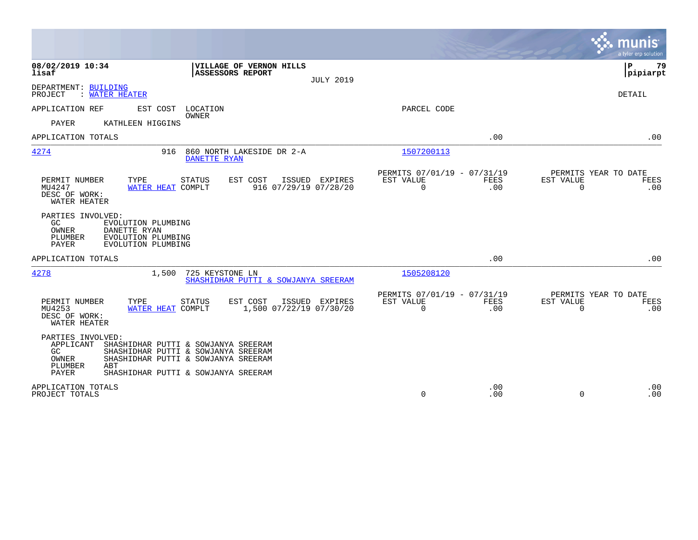|                                                                                                                                                                                                                                       |                                                                               | a tyler erp solution                                            |
|---------------------------------------------------------------------------------------------------------------------------------------------------------------------------------------------------------------------------------------|-------------------------------------------------------------------------------|-----------------------------------------------------------------|
| 08/02/2019 10:34<br>VILLAGE OF VERNON HILLS<br>lisaf<br><b>ASSESSORS REPORT</b><br><b>JULY 2019</b>                                                                                                                                   |                                                                               | ΙP<br>79<br> pipiarpt                                           |
| DEPARTMENT: BUILDING<br>PROJECT<br>: WATER HEATER                                                                                                                                                                                     |                                                                               | DETAIL                                                          |
| APPLICATION REF<br>EST COST<br>LOCATION<br><b>OWNER</b><br>PAYER<br>KATHLEEN HIGGINS                                                                                                                                                  | PARCEL CODE                                                                   |                                                                 |
| APPLICATION TOTALS                                                                                                                                                                                                                    | .00                                                                           | .00                                                             |
| 4274<br>860 NORTH LAKESIDE DR 2-A<br>916<br><b>DANETTE RYAN</b>                                                                                                                                                                       | 1507200113                                                                    |                                                                 |
| PERMIT NUMBER<br>TYPE<br>EST COST<br>ISSUED EXPIRES<br><b>STATUS</b><br>MU4247<br>916 07/29/19 07/28/20<br>WATER HEAT COMPLT<br>DESC OF WORK:<br>WATER HEATER                                                                         | PERMITS 07/01/19 - 07/31/19<br>EST VALUE<br><b>FEES</b><br>$\mathbf 0$<br>.00 | PERMITS YEAR TO DATE<br>EST VALUE<br>FEES<br>$\Omega$<br>.00    |
| PARTIES INVOLVED:<br>GC<br>EVOLUTION PLUMBING<br>OWNER<br>DANETTE RYAN<br>PLUMBER<br>EVOLUTION PLUMBING<br>PAYER<br>EVOLUTION PLUMBING                                                                                                |                                                                               |                                                                 |
| APPLICATION TOTALS                                                                                                                                                                                                                    | .00                                                                           | .00                                                             |
| 4278<br>725 KEYSTONE LN<br>1,500<br>SHASHIDHAR PUTTI & SOWJANYA SREERAM                                                                                                                                                               | 1505208120                                                                    |                                                                 |
| TYPE<br>EST COST<br>PERMIT NUMBER<br><b>STATUS</b><br>ISSUED EXPIRES<br>1,500 07/22/19 07/30/20<br>MU4253<br>WATER HEAT COMPLT<br>DESC OF WORK:<br>WATER HEATER                                                                       | PERMITS 07/01/19 - 07/31/19<br>EST VALUE<br>FEES<br>$\mathbf 0$<br>.00        | PERMITS YEAR TO DATE<br>EST VALUE<br>FEES<br>$\mathbf 0$<br>.00 |
| PARTIES INVOLVED:<br>APPLICANT<br>SHASHIDHAR PUTTI & SOWJANYA SREERAM<br>SHASHIDHAR PUTTI & SOWJANYA SREERAM<br>GC.<br>SHASHIDHAR PUTTI & SOWJANYA SREERAM<br>OWNER<br>PLUMBER<br>ABT<br>PAYER<br>SHASHIDHAR PUTTI & SOWJANYA SREERAM |                                                                               |                                                                 |
| APPLICATION TOTALS<br>PROJECT TOTALS                                                                                                                                                                                                  | .00<br>$\Omega$<br>.00                                                        | .00<br>$\Omega$<br>.00                                          |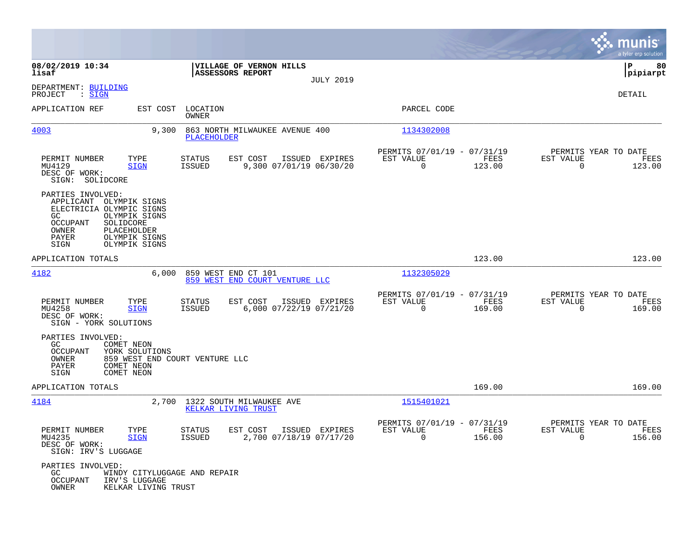|                                                                                                                                                                                                               |                                                                                         |                                                                           | munis<br>a tyler erp solution                            |
|---------------------------------------------------------------------------------------------------------------------------------------------------------------------------------------------------------------|-----------------------------------------------------------------------------------------|---------------------------------------------------------------------------|----------------------------------------------------------|
| 08/02/2019 10:34<br>lisaf                                                                                                                                                                                     | VILLAGE OF VERNON HILLS<br>ASSESSORS REPORT                                             |                                                                           | ΙP<br>80<br> pipiarpt                                    |
| DEPARTMENT: BUILDING<br>PROJECT<br>$\mathrel{\mathop:}$ SIGN                                                                                                                                                  | <b>JULY 2019</b>                                                                        |                                                                           | DETAIL                                                   |
| APPLICATION REF<br>EST COST                                                                                                                                                                                   | LOCATION<br><b>OWNER</b>                                                                | PARCEL CODE                                                               |                                                          |
| 4003<br>9,300                                                                                                                                                                                                 | 863 NORTH MILWAUKEE AVENUE 400<br><b>PLACEHOLDER</b>                                    | 1134302008                                                                |                                                          |
| TYPE<br>PERMIT NUMBER<br>MU4129<br><b>SIGN</b><br>DESC OF WORK:<br>SIGN: SOLIDCORE                                                                                                                            | <b>STATUS</b><br>EST COST<br>ISSUED EXPIRES<br><b>ISSUED</b><br>9,300 07/01/19 06/30/20 | PERMITS 07/01/19 - 07/31/19<br>EST VALUE<br>FEES<br>0<br>123.00           | PERMITS YEAR TO DATE<br>EST VALUE<br>FEES<br>0<br>123.00 |
| PARTIES INVOLVED:<br>APPLICANT<br>OLYMPIK SIGNS<br>ELECTRICIA OLYMPIC SIGNS<br>GC<br>OLYMPIK SIGNS<br><b>OCCUPANT</b><br>SOLIDCORE<br>OWNER<br>PLACEHOLDER<br>PAYER<br>OLYMPIK SIGNS<br>SIGN<br>OLYMPIK SIGNS |                                                                                         |                                                                           |                                                          |
| APPLICATION TOTALS                                                                                                                                                                                            |                                                                                         | 123.00                                                                    | 123.00                                                   |
| 4182<br>6,000                                                                                                                                                                                                 | 859 WEST END CT 101<br>859 WEST END COURT VENTURE LLC                                   | 1132305029                                                                |                                                          |
| PERMIT NUMBER<br>TYPE<br>MU4258<br><b>SIGN</b><br>DESC OF WORK:<br>SIGN - YORK SOLUTIONS                                                                                                                      | <b>STATUS</b><br>EST COST<br>ISSUED EXPIRES<br><b>ISSUED</b><br>6,000 07/22/19 07/21/20 | PERMITS 07/01/19 - 07/31/19<br>EST VALUE<br>FEES<br>$\mathbf 0$<br>169.00 | PERMITS YEAR TO DATE<br>EST VALUE<br>FEES<br>169.00<br>0 |
| PARTIES INVOLVED:<br>GC<br>COMET NEON<br>OCCUPANT<br>YORK SOLUTIONS<br>OWNER<br>859 WEST END COURT VENTURE LLC<br>COMET NEON<br>PAYER<br>SIGN<br>COMET NEON                                                   |                                                                                         |                                                                           |                                                          |
| APPLICATION TOTALS                                                                                                                                                                                            |                                                                                         | 169.00                                                                    | 169.00                                                   |
| 4184<br>2,700                                                                                                                                                                                                 | 1322 SOUTH MILWAUKEE AVE<br>KELKAR LIVING TRUST                                         | 1515401021                                                                |                                                          |
| PERMIT NUMBER<br>TYPE<br>MU4235<br><b>SIGN</b><br>DESC OF WORK:<br>SIGN: IRV'S LUGGAGE                                                                                                                        | EST COST<br><b>STATUS</b><br>ISSUED EXPIRES<br>2,700 07/18/19 07/17/20<br><b>ISSUED</b> | PERMITS 07/01/19 - 07/31/19<br>EST VALUE<br>FEES<br>0<br>156.00           | PERMITS YEAR TO DATE<br>EST VALUE<br>FEES<br>0<br>156.00 |
| PARTIES INVOLVED:<br>GC<br>WINDY CITYLUGGAGE AND REPAIR<br>OCCUPANT<br>IRV'S LUGGAGE<br>OWNER<br>KELKAR LIVING TRUST                                                                                          |                                                                                         |                                                                           |                                                          |